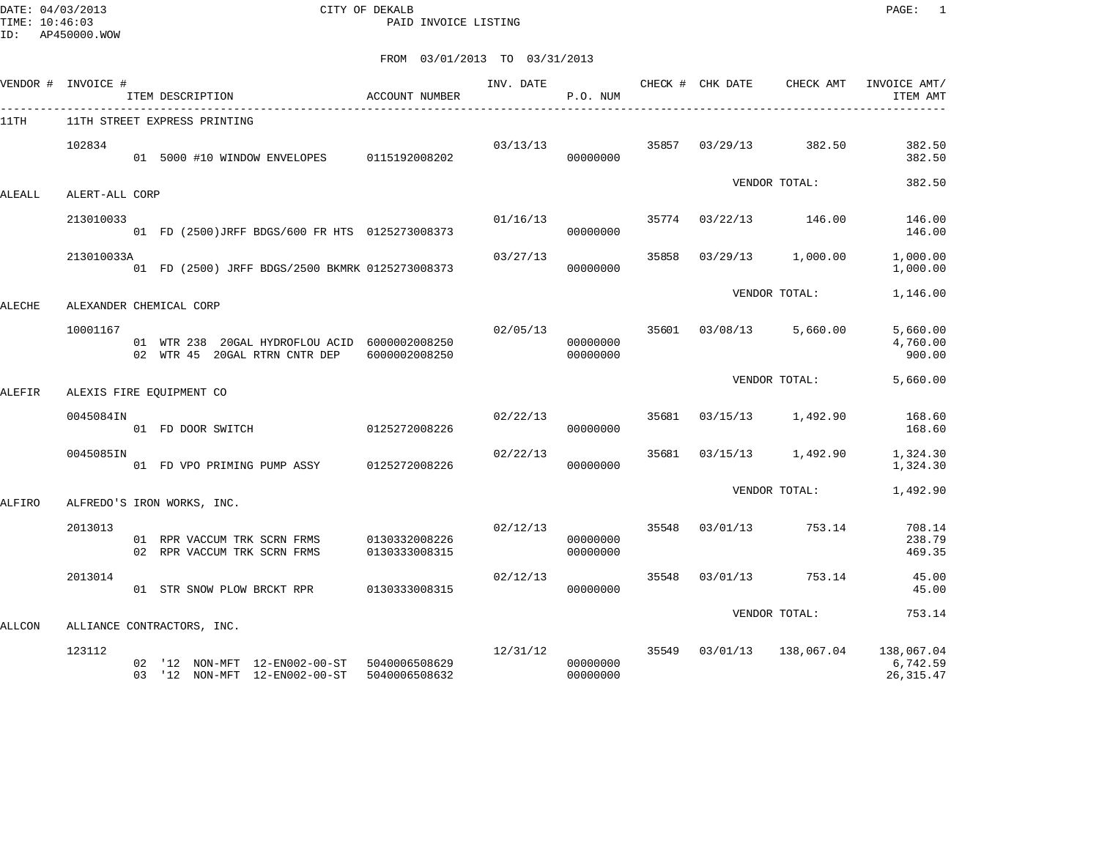DATE: 04/03/2013 CITY OF DEKALB PAGE: 1 TIME: 10:46:03 PAID INVOICE LISTING

FROM 03/01/2013 TO 03/31/2013

|        | VENDOR # INVOICE # | ITEM DESCRIPTION                                                                             | ACCOUNT NUMBER                 | INV. DATE      | P.O. NUM             |       |                | CHECK # CHK DATE CHECK AMT  | INVOICE AMT/<br>ITEM AMT       |
|--------|--------------------|----------------------------------------------------------------------------------------------|--------------------------------|----------------|----------------------|-------|----------------|-----------------------------|--------------------------------|
| 11TH   |                    | 11TH STREET EXPRESS PRINTING                                                                 |                                |                |                      |       |                |                             |                                |
|        | 102834             | 01 5000 #10 WINDOW ENVELOPES 0115192008202                                                   |                                | 03/13/13       | 00000000             |       |                | 35857 03/29/13 382.50       | 382.50<br>382.50               |
| ALEALL | ALERT-ALL CORP     |                                                                                              |                                |                |                      |       |                | VENDOR TOTAL:               | 382.50                         |
|        | 213010033          | 01 FD (2500) JRFF BDGS/600 FR HTS 0125273008373                                              |                                |                | 01/16/13<br>00000000 |       |                | 35774 03/22/13 146.00       | 146.00<br>146.00               |
|        | 213010033A         | 01 FD (2500) JRFF BDGS/2500 BKMRK 0125273008373                                              |                                | 03/27/13       | 00000000             | 35858 |                | 03/29/13 1,000.00           | 1,000.00<br>1,000.00           |
| ALECHE |                    | ALEXANDER CHEMICAL CORP                                                                      |                                |                |                      |       |                | VENDOR TOTAL:               | 1,146.00                       |
|        | 10001167           | 01 WTR 238 20GAL HYDROFLOU ACID 6000002008250<br>02 WTR 45 20GAL RTRN CNTR DEP 6000002008250 |                                | 02/05/13 35601 | 00000000<br>00000000 |       |                | 03/08/13 5,660.00           | 5,660.00<br>4,760.00<br>900.00 |
| ALEFIR |                    | ALEXIS FIRE EOUIPMENT CO                                                                     |                                |                |                      |       |                | VENDOR TOTAL:               | 5,660.00                       |
|        | 0045084IN          | 0125272008226<br>01 FD DOOR SWITCH                                                           |                                | 02/22/13       | 00000000             |       |                | 35681 03/15/13 1,492.90     | 168.60<br>168.60               |
|        | 0045085IN          | 01 FD VPO PRIMING PUMP ASSY 0125272008226                                                    |                                | 02/22/13       | 00000000             | 35681 | 03/15/13       | 1,492.90                    | 1,324.30<br>1,324.30           |
| ALFIRO |                    | ALFREDO'S IRON WORKS, INC.                                                                   |                                |                |                      |       |                | VENDOR TOTAL:               | 1,492.90                       |
|        | 2013013            | 01 RPR VACCUM TRK SCRN FRMS<br>02 RPR VACCUM TRK SCRN FRMS                                   | 0130332008226<br>0130333008315 | 02/12/13       | 00000000<br>00000000 |       | 35548 03/01/13 | 753.14                      | 708.14<br>238.79<br>469.35     |
|        | 2013014            | 01 STR SNOW PLOW BRCKT RPR 0130333008315                                                     |                                | 02/12/13       | 00000000             | 35548 | 03/01/13       | 753.14                      | 45.00<br>45.00                 |
|        |                    |                                                                                              |                                |                |                      |       |                | VENDOR TOTAL:               | 753.14                         |
| ALLCON | 123112             | ALLIANCE CONTRACTORS, INC.                                                                   |                                |                | 12/31/12             |       |                | 35549  03/01/13  138,067.04 | 138,067.04                     |
|        |                    |                                                                                              |                                |                |                      |       |                |                             |                                |

 02 '12 NON-MFT 12-EN002-00-ST 5040006508629 00000000 6,742.59 03 '12 NON-MFT 12-EN002-00-ST 5040006508632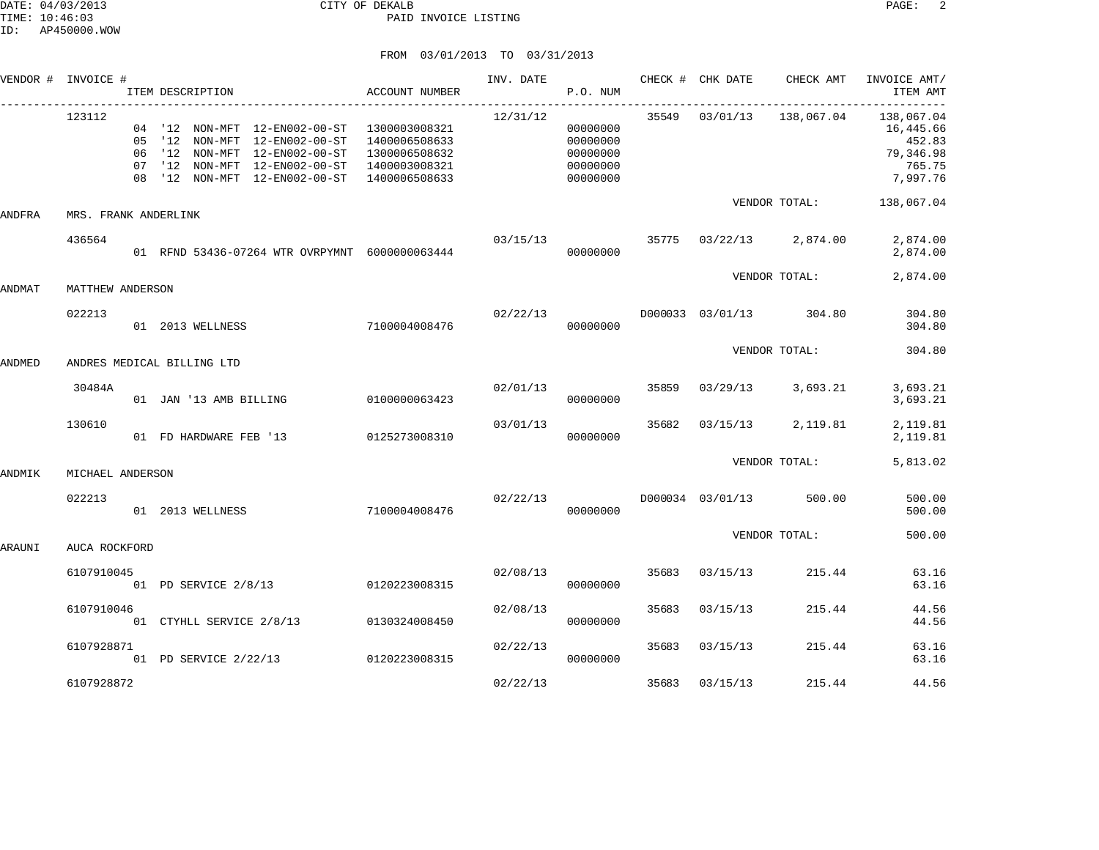|        | VENDOR # INVOICE #         |    | ITEM DESCRIPTION       |                                                                                                                                                               | ACCOUNT NUMBER                                                   | INV. DATE | P.O. NUM                                                 |       | CHECK # CHK DATE | CHECK AMT                               | INVOICE AMT/<br>ITEM AMT<br>. _ _ _ _ _ _ _ _ _ _ _ _ _ _ _ _ |
|--------|----------------------------|----|------------------------|---------------------------------------------------------------------------------------------------------------------------------------------------------------|------------------------------------------------------------------|-----------|----------------------------------------------------------|-------|------------------|-----------------------------------------|---------------------------------------------------------------|
|        | 123112                     | 06 | 07 '12 NON-MFT         | 04 '12 NON-MFT 12-EN002-00-ST 1300003008321<br>05 '12 NON-MFT 12-EN002-00-ST<br>'12 NON-MFT 12-EN002-00-ST<br>12-EN002-00-ST<br>08 '12 NON-MFT 12-EN002-00-ST | 1400006508633<br>1300006508632<br>1400003008321<br>1400006508633 | 12/31/12  | 00000000<br>00000000<br>00000000<br>00000000<br>00000000 |       |                  | 35549  03/01/13  138,067.04  138,067.04 | 16,445.66<br>452.83<br>79,346.98<br>765.75<br>7,997.76        |
| ANDFRA | MRS. FRANK ANDERLINK       |    |                        |                                                                                                                                                               |                                                                  |           |                                                          |       |                  | VENDOR TOTAL:                           | 138,067.04                                                    |
|        | 436564                     |    |                        | 01 RFND 53436-07264 WTR OVRPYMNT 6000000063444                                                                                                                |                                                                  | 03/15/13  | 00000000                                                 | 35775 |                  | 03/22/13 2,874.00                       | 2,874.00<br>2,874.00                                          |
| ANDMAT | MATTHEW ANDERSON           |    |                        |                                                                                                                                                               |                                                                  |           |                                                          |       |                  | VENDOR TOTAL:                           | 2,874.00                                                      |
|        | 022213                     |    | 01 2013 WELLNESS       |                                                                                                                                                               | 7100004008476                                                    | 02/22/13  | 00000000                                                 |       |                  | D000033 03/01/13 304.80                 | 304.80<br>304.80                                              |
| ANDMED | ANDRES MEDICAL BILLING LTD |    |                        |                                                                                                                                                               |                                                                  |           |                                                          |       |                  | VENDOR TOTAL:                           | 304.80                                                        |
|        | 30484A                     |    | 01 JAN '13 AMB BILLING |                                                                                                                                                               | 0100000063423                                                    | 02/01/13  | 00000000                                                 | 35859 | 03/29/13         | 3,693.21                                | 3,693.21<br>3,693.21                                          |
|        | 130610                     |    | 01 FD HARDWARE FEB '13 |                                                                                                                                                               | 0125273008310                                                    | 03/01/13  | 00000000                                                 | 35682 | 03/15/13         | 2,119.81                                | 2,119.81<br>2,119.81                                          |
| ANDMIK | MICHAEL ANDERSON           |    |                        |                                                                                                                                                               |                                                                  |           |                                                          |       |                  | VENDOR TOTAL:                           | 5,813.02                                                      |
|        | 022213                     |    | 01 2013 WELLNESS       |                                                                                                                                                               | 7100004008476                                                    | 02/22/13  | 00000000                                                 |       | D000034 03/01/13 | 500.00                                  | 500.00<br>500.00                                              |
| ARAUNI | AUCA ROCKFORD              |    |                        |                                                                                                                                                               |                                                                  |           |                                                          |       |                  | VENDOR TOTAL:                           | 500.00                                                        |
|        | 6107910045                 |    |                        | 01 PD SERVICE 2/8/13 0120223008315                                                                                                                            |                                                                  | 02/08/13  | 00000000                                                 | 35683 | 03/15/13         | 215.44                                  | 63.16<br>63.16                                                |
|        | 6107910046                 |    |                        | 01 CTYHLL SERVICE 2/8/13 0130324008450                                                                                                                        |                                                                  | 02/08/13  | 00000000                                                 | 35683 | 03/15/13         | 215.44                                  | 44.56<br>44.56                                                |
|        | 6107928871                 |    | 01 PD SERVICE 2/22/13  |                                                                                                                                                               | 0120223008315                                                    | 02/22/13  | 00000000                                                 | 35683 | 03/15/13         | 215.44                                  | 63.16<br>63.16                                                |
|        | 6107928872                 |    |                        |                                                                                                                                                               |                                                                  | 02/22/13  |                                                          | 35683 | 03/15/13         | 215.44                                  | 44.56                                                         |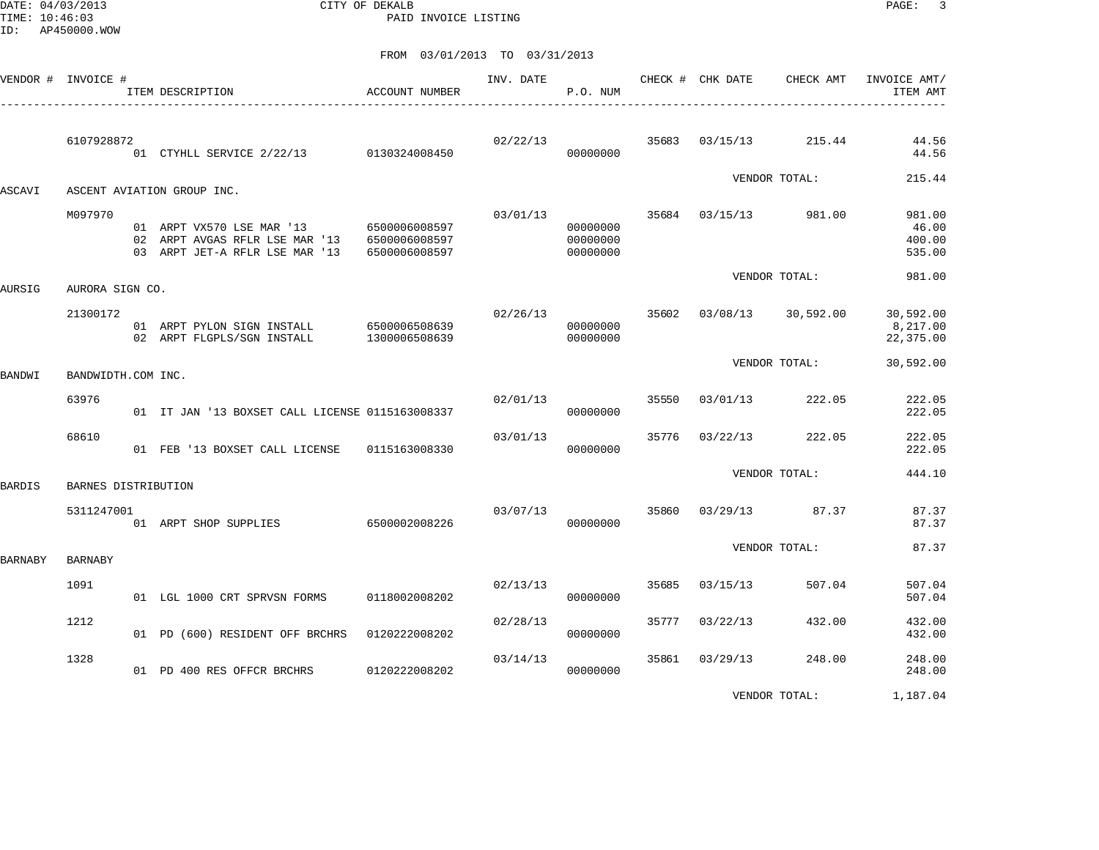DATE: 04/03/2013 CITY OF DEKALB PAGE: 3 PAID INVOICE LISTING

|                | VENDOR # INVOICE #  | ACCOUNT NUMBER<br>ITEM DESCRIPTION<br>______________________________                                                      |                                | INV. DATE | P.O. NUM                         |       | CHECK # CHK DATE | CHECK AMT          | INVOICE AMT/<br>ITEM AMT            |
|----------------|---------------------|---------------------------------------------------------------------------------------------------------------------------|--------------------------------|-----------|----------------------------------|-------|------------------|--------------------|-------------------------------------|
|                | 6107928872          | 01 CTYHLL SERVICE 2/22/13 0130324008450                                                                                   |                                | 02/22/13  | 00000000                         | 35683 | 03/15/13         | 215.44             | 44.56<br>44.56                      |
| ASCAVI         |                     | ASCENT AVIATION GROUP INC.                                                                                                |                                |           |                                  |       |                  | VENDOR TOTAL:      | 215.44                              |
|                | M097970             | 01 ARPT VX570 LSE MAR '13 6500006008597<br>02 ARPT AVGAS RFLR LSE MAR '13 6500006008597<br>03 ARPT JET-A RFLR LSE MAR '13 | 6500006008597                  | 03/01/13  | 00000000<br>00000000<br>00000000 | 35684 | 03/15/13         | 981.00             | 981.00<br>46.00<br>400.00<br>535.00 |
| <b>AURSIG</b>  | AURORA SIGN CO.     |                                                                                                                           |                                |           |                                  |       |                  | VENDOR TOTAL:      | 981.00                              |
|                | 21300172            | 01 ARPT PYLON SIGN INSTALL<br>02 ARPT FLGPLS/SGN INSTALL                                                                  | 6500006508639<br>1300006508639 | 02/26/13  | 00000000<br>00000000             | 35602 |                  | 03/08/13 30,592.00 | 30,592.00<br>8,217.00<br>22,375.00  |
| BANDWI         | BANDWIDTH.COM INC.  |                                                                                                                           |                                |           |                                  |       |                  | VENDOR TOTAL:      | 30,592.00                           |
|                | 63976               | 01 IT JAN '13 BOXSET CALL LICENSE 0115163008337                                                                           |                                | 02/01/13  | 00000000                         | 35550 | 03/01/13         | 222.05             | 222.05<br>222.05                    |
|                | 68610               | 01 FEB '13 BOXSET CALL LICENSE                                                                                            | 0115163008330                  | 03/01/13  | 00000000                         | 35776 | 03/22/13         | 222.05             | 222.05<br>222.05                    |
| <b>BARDIS</b>  | BARNES DISTRIBUTION |                                                                                                                           |                                |           |                                  |       |                  | VENDOR TOTAL:      | 444.10                              |
|                | 5311247001          | 01 ARPT SHOP SUPPLIES 6500002008226                                                                                       |                                | 03/07/13  | 00000000                         | 35860 | 03/29/13         | 87.37              | 87.37<br>87.37                      |
| <b>BARNABY</b> | <b>BARNABY</b>      |                                                                                                                           |                                |           |                                  |       |                  | VENDOR TOTAL:      | 87.37                               |
|                | 1091                | 01 LGL 1000 CRT SPRVSN FORMS                                                                                              | 0118002008202                  | 02/13/13  | 00000000                         | 35685 | 03/15/13         | 507.04             | 507.04<br>507.04                    |
|                | 1212                | 01 PD (600) RESIDENT OFF BRCHRS                                                                                           | 0120222008202                  | 02/28/13  | 00000000                         | 35777 | 03/22/13         | 432.00             | 432.00<br>432.00                    |
|                | 1328                | 01 PD 400 RES OFFCR BRCHRS                                                                                                | 0120222008202                  | 03/14/13  | 00000000                         | 35861 | 03/29/13         | 248.00             | 248.00<br>248.00                    |
|                |                     |                                                                                                                           |                                |           |                                  |       |                  | VENDOR TOTAL:      | 1,187.04                            |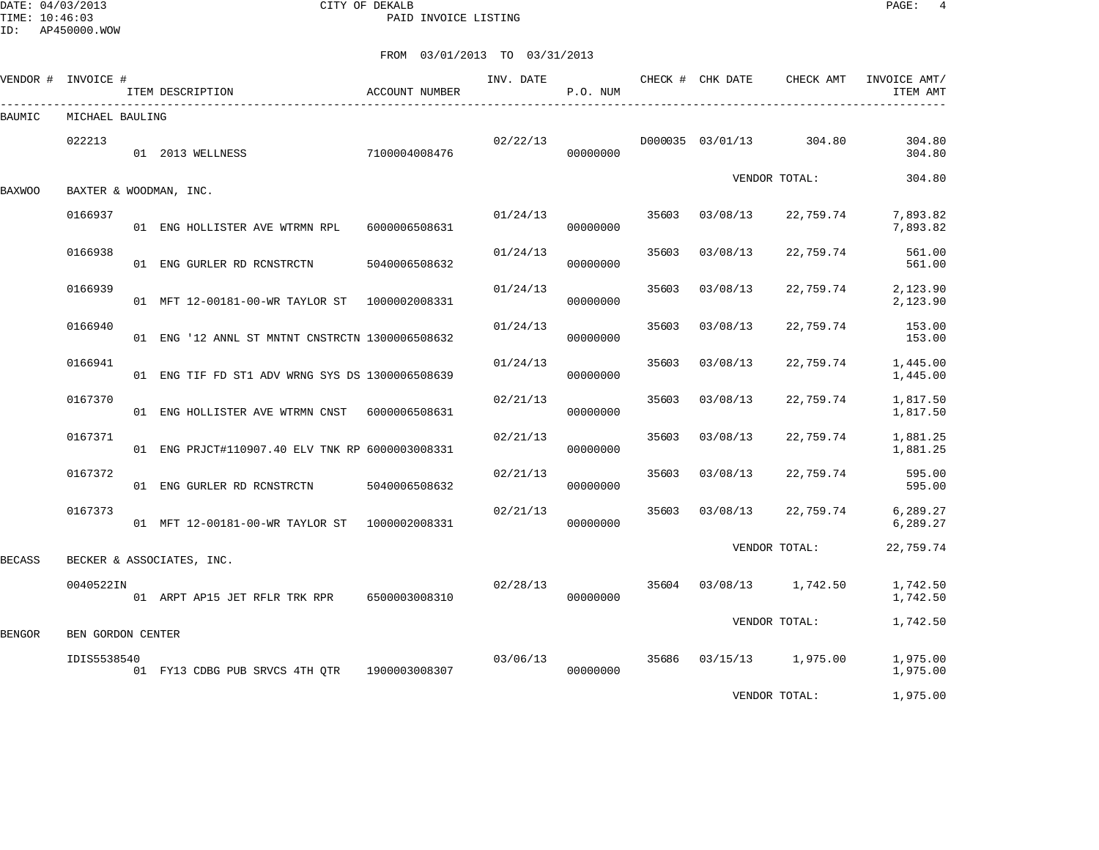DATE: 04/03/2013 CITY OF DEKALB PAGE: 4 PAID INVOICE LISTING

ID: AP450000.WOW

| VENDOR # INVOICE # |                   | ITEM DESCRIPTION                                | ACCOUNT NUMBER | INV. DATE | P.O. NUM |       | CHECK # CHK DATE | CHECK AMT     | INVOICE AMT/<br>ITEM AMT |
|--------------------|-------------------|-------------------------------------------------|----------------|-----------|----------|-------|------------------|---------------|--------------------------|
| BAUMIC             | MICHAEL BAULING   |                                                 |                |           |          |       |                  |               |                          |
|                    | 022213            | 01 2013 WELLNESS                                | 7100004008476  | 02/22/13  | 00000000 |       | D000035 03/01/13 | 304.80        | 304.80<br>304.80         |
| <b>BAXWOO</b>      |                   | BAXTER & WOODMAN, INC.                          |                |           |          |       |                  | VENDOR TOTAL: | 304.80                   |
|                    | 0166937           | 01 ENG HOLLISTER AVE WTRMN RPL                  | 6000006508631  | 01/24/13  | 00000000 | 35603 | 03/08/13         | 22,759.74     | 7,893.82<br>7,893.82     |
|                    | 0166938           | 01 ENG GURLER RD RCNSTRCTN                      | 5040006508632  | 01/24/13  | 00000000 | 35603 | 03/08/13         | 22,759.74     | 561.00<br>561.00         |
|                    | 0166939           | 01 MFT 12-00181-00-WR TAYLOR ST 1000002008331   |                | 01/24/13  | 00000000 | 35603 | 03/08/13         | 22,759.74     | 2,123.90<br>2,123.90     |
|                    | 0166940           | 01 ENG '12 ANNL ST MNTNT CNSTRCTN 1300006508632 |                | 01/24/13  | 00000000 | 35603 | 03/08/13         | 22,759.74     | 153.00<br>153.00         |
|                    | 0166941           | 01 ENG TIF FD ST1 ADV WRNG SYS DS 1300006508639 |                | 01/24/13  | 00000000 | 35603 | 03/08/13         | 22,759.74     | 1,445.00<br>1,445.00     |
|                    | 0167370           | 01 ENG HOLLISTER AVE WTRMN CNST 6000006508631   |                | 02/21/13  | 00000000 | 35603 | 03/08/13         | 22,759.74     | 1,817.50<br>1,817.50     |
|                    | 0167371           | 01 ENG PRJCT#110907.40 ELV TNK RP 6000003008331 |                | 02/21/13  | 00000000 | 35603 | 03/08/13         | 22,759.74     | 1,881.25<br>1,881.25     |
|                    | 0167372           | 01 ENG GURLER RD RCNSTRCTN                      | 5040006508632  | 02/21/13  | 00000000 | 35603 | 03/08/13         | 22,759.74     | 595.00<br>595.00         |
|                    | 0167373           | 01 MFT 12-00181-00-WR TAYLOR ST 1000002008331   |                | 02/21/13  | 00000000 | 35603 | 03/08/13         | 22,759.74     | 6,289.27<br>6,289.27     |
| <b>BECASS</b>      |                   | BECKER & ASSOCIATES, INC.                       |                |           |          |       |                  | VENDOR TOTAL: | 22,759.74                |
|                    | 0040522IN         | 01 ARPT AP15 JET RFLR TRK RPR                   | 6500003008310  | 02/28/13  | 00000000 | 35604 | 03/08/13         | 1,742.50      | 1,742.50<br>1,742.50     |
| <b>BENGOR</b>      | BEN GORDON CENTER |                                                 |                |           |          |       |                  | VENDOR TOTAL: | 1,742.50                 |
|                    | IDIS5538540       | 01 FY13 CDBG PUB SRVCS 4TH QTR 1900003008307    |                | 03/06/13  | 00000000 | 35686 | 03/15/13         | 1,975.00      | 1,975.00<br>1,975.00     |
|                    |                   |                                                 |                |           |          |       |                  | VENDOR TOTAL: | 1,975.00                 |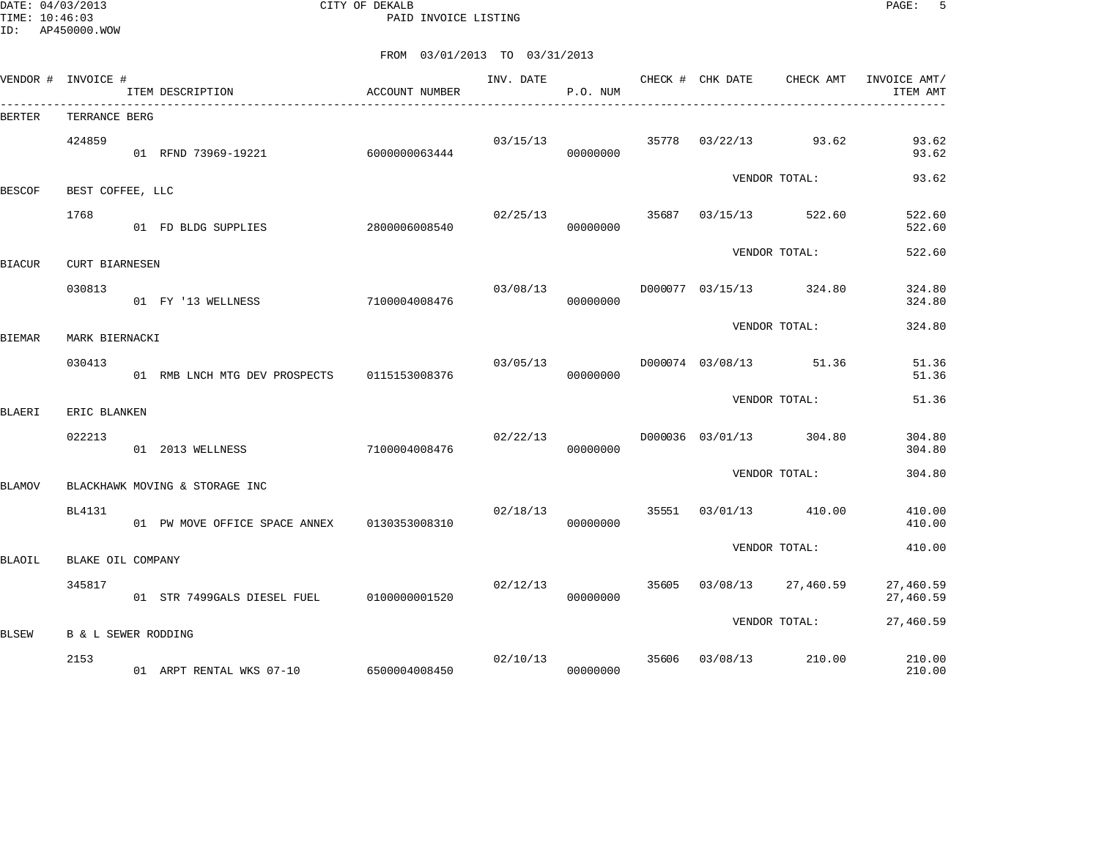DATE: 04/03/2013 CITY OF DEKALB PAGE: 5 PAID INVOICE LISTING

| VENDOR # INVOICE # |                       | ITEM DESCRIPTION<br>____________________________ | ACCOUNT NUMBER | INV. DATE | P.O. NUM             |       | CHECK # CHK DATE        | CHECK AMT                         | INVOICE AMT/<br>ITEM AMT |
|--------------------|-----------------------|--------------------------------------------------|----------------|-----------|----------------------|-------|-------------------------|-----------------------------------|--------------------------|
| BERTER             | TERRANCE BERG         |                                                  |                |           |                      |       |                         |                                   |                          |
|                    | 424859                | 01 RFND 73969-19221                              | 6000000063444  |           | 00000000             |       |                         | $03/15/13$ 35778 $03/22/13$ 93.62 | 93.62<br>93.62           |
|                    |                       |                                                  |                |           |                      |       |                         | VENDOR TOTAL:                     | 93.62                    |
| <b>BESCOF</b>      | BEST COFFEE, LLC      |                                                  |                |           |                      |       |                         |                                   |                          |
|                    | 1768                  | 01 FD BLDG SUPPLIES                              | 2800006008540  | 02/25/13  | 00000000             |       | 35687 03/15/13          | 522.60                            | 522.60<br>522.60         |
|                    | <b>CURT BIARNESEN</b> |                                                  |                |           |                      |       |                         | VENDOR TOTAL:                     | 522.60                   |
| BIACUR             |                       |                                                  |                |           |                      |       |                         |                                   |                          |
|                    | 030813                | 01 FY '13 WELLNESS                               | 7100004008476  | 03/08/13  | 00000000             |       |                         | D000077 03/15/13 324.80           | 324.80<br>324.80         |
|                    |                       |                                                  |                |           |                      |       |                         | VENDOR TOTAL:                     | 324.80                   |
| BIEMAR             | MARK BIERNACKI        |                                                  |                |           |                      |       |                         |                                   |                          |
|                    | 030413                | 01 RMB LNCH MTG DEV PROSPECTS 0115153008376      |                |           | 03/05/13<br>00000000 |       |                         | D000074 03/08/13 51.36            | 51.36<br>51.36           |
|                    |                       |                                                  |                |           |                      |       |                         | VENDOR TOTAL:                     | 51.36                    |
| BLAERI             | ERIC BLANKEN          |                                                  |                |           |                      |       |                         |                                   |                          |
|                    | 022213                | 01 2013 WELLNESS                                 | 7100004008476  | 02/22/13  | 00000000             |       |                         | D000036 03/01/13 304.80           | 304.80<br>304.80         |
|                    |                       |                                                  |                |           |                      |       |                         | VENDOR TOTAL:                     | 304.80                   |
| BLAMOV             |                       | BLACKHAWK MOVING & STORAGE INC                   |                |           |                      |       |                         |                                   |                          |
|                    | BL4131                | 01 PW MOVE OFFICE SPACE ANNEX 0130353008310      |                | 02/18/13  | 00000000             |       |                         | 35551 03/01/13 410.00             | 410.00<br>410.00         |
|                    |                       |                                                  |                |           |                      |       |                         | VENDOR TOTAL:                     | 410.00                   |
| BLAOIL             | BLAKE OIL COMPANY     |                                                  |                |           |                      |       |                         |                                   |                          |
|                    | 345817                | 01 STR 7499GALS DIESEL FUEL 0100000001520        |                | 02/12/13  | 00000000             | 35605 |                         | 03/08/13 27,460.59                | 27,460.59<br>27,460.59   |
|                    |                       |                                                  |                |           |                      |       |                         | VENDOR TOTAL:                     | 27,460.59                |
| BLSEW              | B & L SEWER RODDING   |                                                  |                |           |                      |       |                         |                                   |                          |
|                    | 2153                  | 01 ARPT RENTAL WKS 07-10 6500004008450           |                |           | 00000000             |       | 02/10/13 35606 03/08/13 | 210.00                            | 210.00<br>210.00         |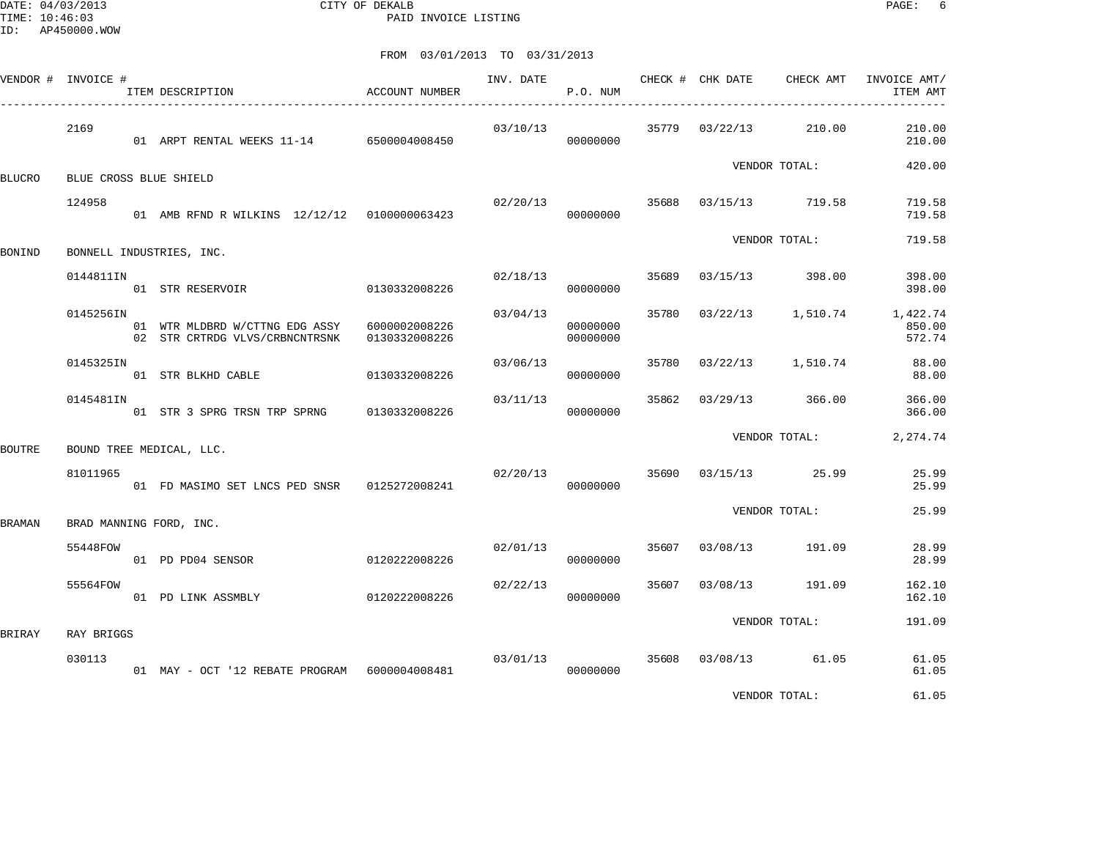DATE: 04/03/2013 CITY OF DEKALB PAGE: 6 PAID INVOICE LISTING

|        | VENDOR # INVOICE # | ITEM DESCRIPTION                                                 | ACCOUNT NUMBER                 | INV. DATE | P.O. NUM             |       | CHECK # CHK DATE | CHECK AMT               | INVOICE AMT/<br>ITEM AMT                             |
|--------|--------------------|------------------------------------------------------------------|--------------------------------|-----------|----------------------|-------|------------------|-------------------------|------------------------------------------------------|
|        | 2169               | 01 ARPT RENTAL WEEKS 11-14 6500004008450                         |                                | 03/10/13  | 00000000             |       |                  | 35779 03/22/13 210.00   | 210.00<br>210.00                                     |
| BLUCRO |                    | BLUE CROSS BLUE SHIELD                                           |                                |           |                      |       |                  | VENDOR TOTAL:           | 420.00                                               |
|        | 124958             | 01 AMB RFND R WILKINS 12/12/12 0100000063423                     |                                | 02/20/13  | 00000000             |       |                  | 35688 03/15/13 719.58   | 719.58<br>719.58                                     |
| BONIND |                    | BONNELL INDUSTRIES, INC.                                         |                                |           |                      |       |                  | VENDOR TOTAL:           | 719.58                                               |
|        | 0144811IN          | 01 STR RESERVOIR                                                 | 0130332008226                  |           | 02/18/13<br>00000000 | 35689 |                  | 03/15/13 398.00         | 398.00<br>398.00                                     |
|        | 0145256IN          | 01 WTR MLDBRD W/CTTNG EDG ASSY<br>02 STR CRTRDG VLVS/CRBNCNTRSNK | 6000002008226<br>0130332008226 | 03/04/13  | 00000000<br>00000000 |       |                  |                         | 35780 03/22/13 1,510.74 1,422.74<br>850.00<br>572.74 |
|        | 0145325IN          | 01 STR BLKHD CABLE                                               | 0130332008226                  | 03/06/13  | 00000000             |       |                  | 35780 03/22/13 1,510.74 | 88.00<br>88.00                                       |
|        | 0145481IN          | 01 STR 3 SPRG TRSN TRP SPRNG 0130332008226                       |                                | 03/11/13  | 00000000             |       |                  | 35862 03/29/13 366.00   | 366.00<br>366.00                                     |
| BOUTRE |                    | BOUND TREE MEDICAL, LLC.                                         |                                |           |                      |       |                  | VENDOR TOTAL:           | 2, 274.74                                            |
|        | 81011965           | 01 FD MASIMO SET LNCS PED SNSR 0125272008241                     |                                | 02/20/13  | 00000000             |       |                  | 35690 03/15/13 25.99    | 25.99<br>25.99                                       |
| BRAMAN |                    | BRAD MANNING FORD, INC.                                          |                                |           |                      |       |                  | VENDOR TOTAL:           | 25.99                                                |
|        | 55448FOW           | 01 PD PD04 SENSOR                                                | 0120222008226                  |           | 02/01/13<br>00000000 | 35607 |                  | 03/08/13 191.09         | 28.99<br>28.99                                       |
|        | 55564FOW           | 01 PD LINK ASSMBLY                                               | 0120222008226                  | 02/22/13  | 00000000             | 35607 |                  | 03/08/13 191.09         | 162.10<br>162.10                                     |
| BRIRAY | RAY BRIGGS         |                                                                  |                                |           |                      |       |                  | VENDOR TOTAL:           | 191.09                                               |
|        | 030113             | 01 MAY - OCT '12 REBATE PROGRAM 6000004008481                    |                                | 03/01/13  | 00000000             |       |                  | 35608 03/08/13 61.05    | 61.05<br>61.05                                       |
|        |                    |                                                                  |                                |           |                      |       |                  | VENDOR TOTAL:           | 61.05                                                |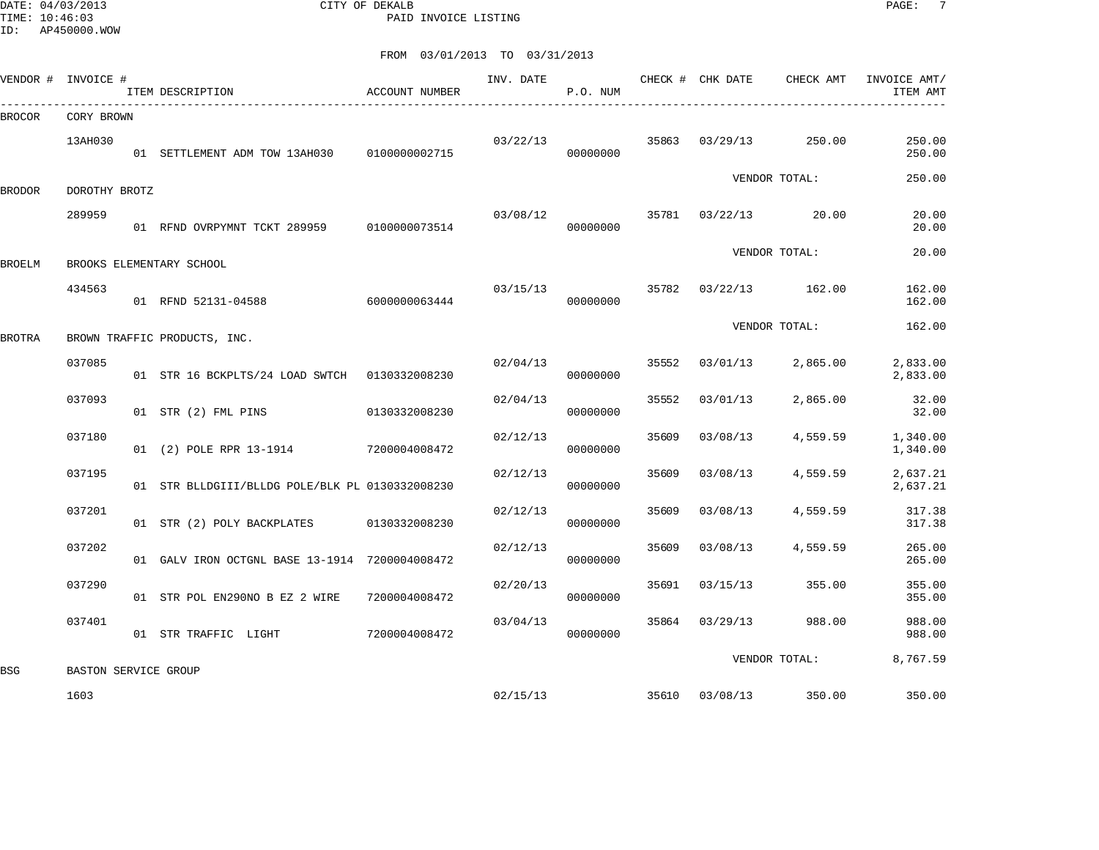DATE: 04/03/2013 CITY OF DEKALB PAGE: 7 PAID INVOICE LISTING

|        | VENDOR # INVOICE #           | ITEM DESCRIPTION                                | ACCOUNT NUMBER | INV. DATE | P.O. NUM             |       | CHECK # CHK DATE | CHECK AMT             | INVOICE AMT/<br>ITEM AMT |
|--------|------------------------------|-------------------------------------------------|----------------|-----------|----------------------|-------|------------------|-----------------------|--------------------------|
| BROCOR | CORY BROWN                   |                                                 |                |           |                      |       |                  |                       |                          |
|        | 13AH030                      | 01 SETTLEMENT ADM TOW 13AH030 0100000002715     |                |           | 03/22/13<br>00000000 | 35863 | 03/29/13         | 250.00                | 250.00<br>250.00         |
| BRODOR | DOROTHY BROTZ                |                                                 |                |           |                      |       |                  | VENDOR TOTAL:         | 250.00                   |
|        | 289959                       | 01 RFND OVRPYMNT TCKT 289959                    | 0100000073514  | 03/08/12  | 00000000             |       | 35781 03/22/13   | 20.00                 | 20.00<br>20.00           |
| BROELM |                              | BROOKS ELEMENTARY SCHOOL                        |                |           |                      |       |                  | VENDOR TOTAL:         | 20.00                    |
|        | 434563                       | 01 RFND 52131-04588                             | 6000000063444  | 03/15/13  | 00000000             |       |                  | 35782 03/22/13 162.00 | 162.00<br>162.00         |
| BROTRA |                              | BROWN TRAFFIC PRODUCTS, INC.                    |                |           |                      |       |                  | VENDOR TOTAL:         | 162.00                   |
|        | 037085                       | 01 STR 16 BCKPLTS/24 LOAD SWTCH 0130332008230   |                | 02/04/13  | 00000000             | 35552 | 03/01/13         | 2,865.00              | 2,833.00<br>2,833.00     |
|        | 037093                       | 01 STR (2) FML PINS                             | 0130332008230  | 02/04/13  | 00000000             | 35552 | 03/01/13         | 2,865.00              | 32.00<br>32.00           |
|        | 037180                       | 01 (2) POLE RPR 13-1914 7200004008472           |                | 02/12/13  | 00000000             | 35609 | 03/08/13         | 4,559.59              | 1,340.00<br>1,340.00     |
|        | 037195                       | 01 STR BLLDGIII/BLLDG POLE/BLK PL 0130332008230 |                | 02/12/13  | 00000000             | 35609 | 03/08/13         | 4,559.59              | 2,637.21<br>2,637.21     |
|        | 037201                       | 01 STR (2) POLY BACKPLATES                      | 0130332008230  | 02/12/13  | 00000000             | 35609 | 03/08/13         | 4,559.59              | 317.38<br>317.38         |
|        | 037202                       | 01 GALV IRON OCTGNL BASE 13-1914 7200004008472  |                | 02/12/13  | 00000000             | 35609 | 03/08/13         | 4,559.59              | 265.00<br>265.00         |
|        | 037290                       | 01 STR POL EN290NO B EZ 2 WIRE                  | 7200004008472  | 02/20/13  | 00000000             | 35691 | 03/15/13         | 355.00                | 355.00<br>355.00         |
|        | 037401                       | 01 STR TRAFFIC LIGHT                            | 7200004008472  | 03/04/13  | 00000000             | 35864 | 03/29/13         | 988.00                | 988.00<br>988.00         |
|        |                              |                                                 |                |           |                      |       |                  | VENDOR TOTAL:         | 8,767.59                 |
| BSG    | BASTON SERVICE GROUP<br>1603 |                                                 |                | 02/15/13  |                      | 35610 | 03/08/13         | 350.00                | 350.00                   |
|        |                              |                                                 |                |           |                      |       |                  |                       |                          |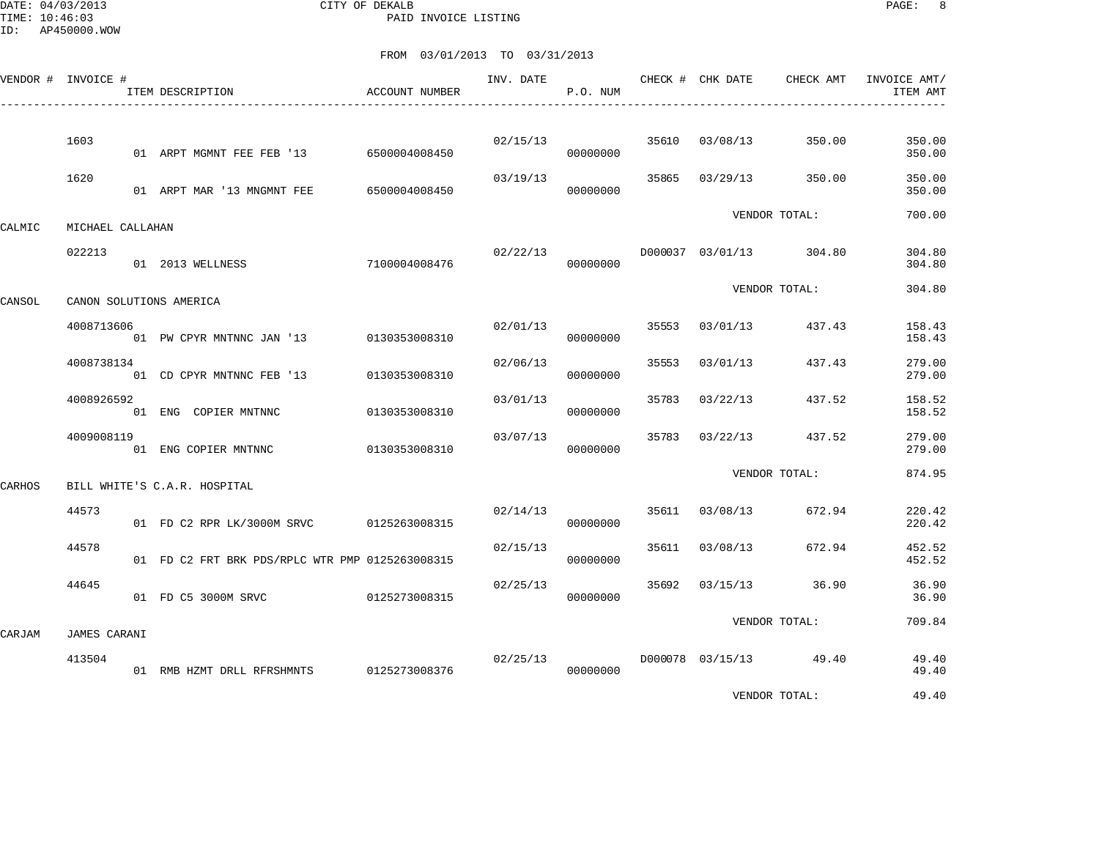DATE: 04/03/2013 CITY OF DEKALB PAGE: 8 PAID INVOICE LISTING

|        | VENDOR # INVOICE # | ITEM DESCRIPTION                                | ACCOUNT NUMBER | INV. DATE | P.O. NUM |       |          | CHECK # CHK DATE CHECK AMT | INVOICE AMT/<br>ITEM AMT |
|--------|--------------------|-------------------------------------------------|----------------|-----------|----------|-------|----------|----------------------------|--------------------------|
|        |                    |                                                 |                |           |          |       |          |                            |                          |
|        | 1603               | 01 ARPT MGMNT FEE FEB '13 6500004008450         |                | 02/15/13  | 00000000 | 35610 | 03/08/13 | 350.00                     | 350.00<br>350.00         |
|        | 1620               | 01 ARPT MAR '13 MNGMNT FEE                      | 6500004008450  | 03/19/13  | 00000000 | 35865 | 03/29/13 | 350.00                     | 350.00<br>350.00         |
| CALMIC | MICHAEL CALLAHAN   |                                                 |                |           |          |       |          | VENDOR TOTAL:              | 700.00                   |
|        | 022213             | 01 2013 WELLNESS                                | 7100004008476  | 02/22/13  | 00000000 |       |          | D000037 03/01/13 304.80    | 304.80<br>304.80         |
| CANSOL |                    | CANON SOLUTIONS AMERICA                         |                |           |          |       |          | VENDOR TOTAL:              | 304.80                   |
|        | 4008713606         | 01 PW CPYR MNTNNC JAN '13 0130353008310         |                | 02/01/13  | 00000000 | 35553 | 03/01/13 | 437.43                     | 158.43<br>158.43         |
|        | 4008738134         | 01 CD CPYR MNTNNC FEB '13                       | 0130353008310  | 02/06/13  | 00000000 | 35553 | 03/01/13 | 437.43                     | 279.00<br>279.00         |
|        | 4008926592         | 01 ENG COPIER MNTNNC                            | 0130353008310  | 03/01/13  | 00000000 | 35783 | 03/22/13 | 437.52                     | 158.52<br>158.52         |
|        | 4009008119         | 01 ENG COPIER MNTNNC                            | 0130353008310  | 03/07/13  | 00000000 | 35783 | 03/22/13 | 437.52                     | 279.00<br>279.00         |
| CARHOS |                    | BILL WHITE'S C.A.R. HOSPITAL                    |                |           |          |       |          | VENDOR TOTAL:              | 874.95                   |
|        | 44573              | 01 FD C2 RPR LK/3000M SRVC 0125263008315        |                | 02/14/13  | 00000000 | 35611 | 03/08/13 | 672.94                     | 220.42<br>220.42         |
|        | 44578              | 01 FD C2 FRT BRK PDS/RPLC WTR PMP 0125263008315 |                | 02/15/13  | 00000000 | 35611 | 03/08/13 | 672.94                     | 452.52<br>452.52         |
|        | 44645              | 01 FD C5 3000M SRVC                             | 0125273008315  | 02/25/13  | 00000000 | 35692 | 03/15/13 | 36.90                      | 36.90<br>36.90           |
| CARJAM | JAMES CARANI       |                                                 |                |           |          |       |          | VENDOR TOTAL:              | 709.84                   |
|        | 413504             | 01 RMB HZMT DRLL RFRSHMNTS 0125273008376        |                | 02/25/13  | 00000000 |       |          | D000078 03/15/13 49.40     | 49.40<br>49.40           |
|        |                    |                                                 |                |           |          |       |          | VENDOR TOTAL:              | 49.40                    |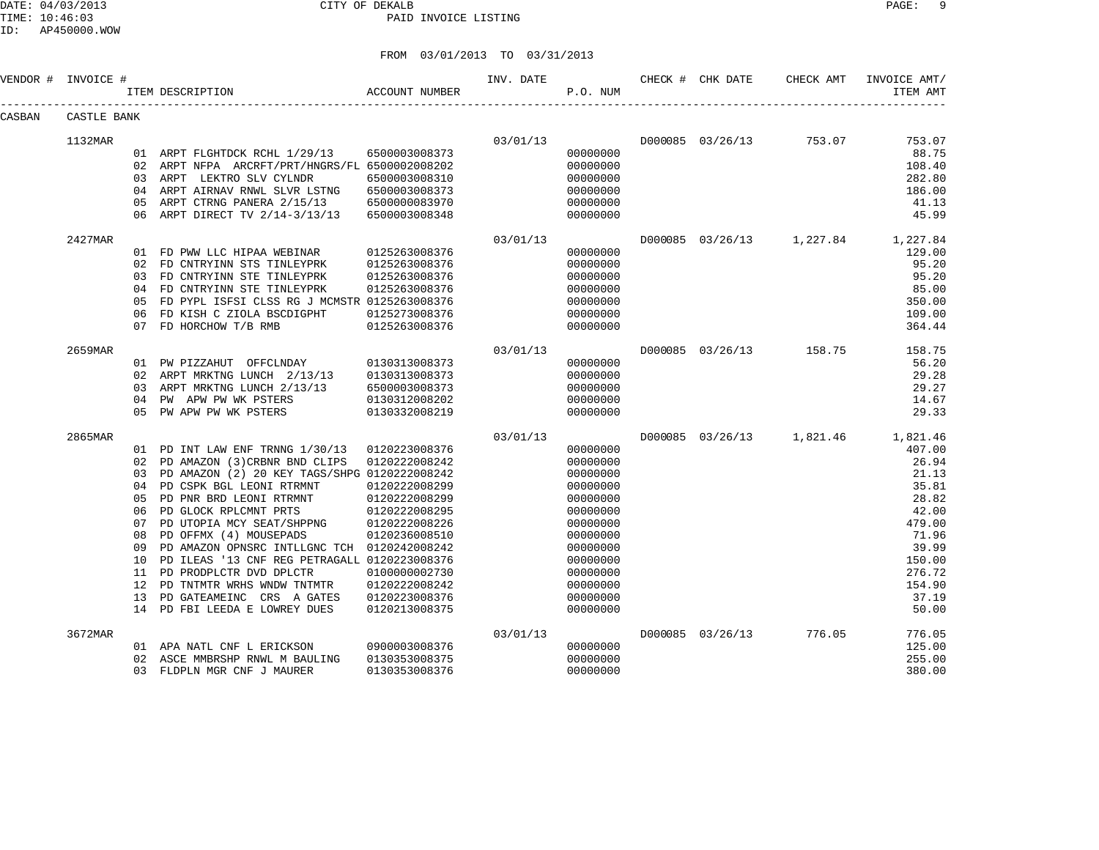DATE: 04/03/2013 CITY OF DEKALB PAGE: 9 PAID INVOICE LISTING

ID: AP450000.WOW

|        | VENDOR # INVOICE # |     | ITEM DESCRIPTION                                           | ACCOUNT NUMBER                 | INV. DATE | P.O. NUM             | CHECK # CHK DATE | CHECK AMT                          | INVOICE AMT/<br>ITEM AMT           |
|--------|--------------------|-----|------------------------------------------------------------|--------------------------------|-----------|----------------------|------------------|------------------------------------|------------------------------------|
| CASBAN | CASTLE BANK        |     |                                                            |                                |           |                      |                  |                                    |                                    |
|        | 1132MAR            |     |                                                            |                                |           |                      |                  | $03/01/13$ D000085 03/26/13 753.07 | 753.07                             |
|        |                    |     | 01 ARPT FLGHTDCK RCHL 1/29/13 6500003008373                |                                |           | 00000000             |                  |                                    | 88.75                              |
|        |                    |     | 02 ARPT NFPA ARCRFT/PRT/HNGRS/FL 6500002008202             |                                |           | 00000000             |                  |                                    | 108.40                             |
|        |                    |     | 03 ARPT LEKTRO SLV CYLNDR                                  | 6500003008310                  |           | 00000000             |                  |                                    | 282.80                             |
|        |                    |     | 04 ARPT AIRNAV RNWL SLVR LSTNG 6500003008373               |                                |           | 00000000             |                  |                                    | 186.00                             |
|        |                    | 05  | ARPT CTRNG PANERA 2/15/13 6500000083970                    |                                |           | 00000000             |                  |                                    | 41.13                              |
|        |                    | 06  | ARPT DIRECT TV 2/14-3/13/13                                | 6500003008348                  |           | 00000000             |                  |                                    | 45.99                              |
|        | 2427MAR            |     |                                                            |                                | 03/01/13  |                      |                  |                                    | D000085 03/26/13 1,227.84 1,227.84 |
|        |                    |     | 01 FD PWW LLC HIPAA WEBINAR                                | 0125263008376                  |           | 00000000             |                  |                                    | 129.00                             |
|        |                    |     | 02 FD CNTRYINN STS TINLEYPRK                               | 0125263008376                  |           | 00000000             |                  |                                    | 95.20                              |
|        |                    |     | 03 FD CNTRYINN STE TINLEYPRK                               | 0125263008376                  |           | 00000000             |                  |                                    | 95.20                              |
|        |                    |     | 04 FD CNTRYINN STE TINLEYPRK                               | 0125263008376                  |           | 00000000             |                  |                                    | 85.00                              |
|        |                    | 0.5 | FD PYPL ISFSI CLSS RG J MCMSTR 0125263008376               |                                |           | 00000000             |                  |                                    | 350.00                             |
|        |                    | 06  | FD KISH C ZIOLA BSCDIGPHT                                  | 0125273008376                  |           | 00000000             |                  |                                    | 109.00                             |
|        |                    |     | 07 FD HORCHOW T/B RMB                                      | 0125263008376                  |           | 00000000             |                  |                                    | 364.44                             |
|        | 2659MAR            |     |                                                            |                                | 03/01/13  |                      |                  | D000085 03/26/13 158.75            | 158.75                             |
|        |                    |     | 01 PW PIZZAHUT OFFCLNDAY 0130313008373                     |                                |           | 00000000             |                  |                                    | 56.20                              |
|        |                    |     | 02 ARPT MRKTNG LUNCH 2/13/13                               | 0130313008373                  |           | 00000000             |                  |                                    | 29.28                              |
|        |                    |     | 03 ARPT MRKTNG LUNCH 2/13/13                               | 6500003008373                  |           | 00000000             |                  |                                    | 29.27                              |
|        |                    | 04  | PW APW PW WK PSTERS                                        | 0130312008202                  |           | 00000000             |                  |                                    | 14.67                              |
|        |                    | 0.5 | PW APW PW WK PSTERS                                        | 0130332008219                  |           | 00000000             |                  |                                    | 29.33                              |
|        | 2865MAR            |     |                                                            |                                | 03/01/13  |                      |                  |                                    | D000085 03/26/13 1,821.46 1,821.46 |
|        |                    |     | 01 PD INT LAW ENF TRNNG 1/30/13 0120223008376              |                                |           | 00000000             |                  |                                    | 407.00                             |
|        |                    |     | 02 PD AMAZON (3) CRBNR BND CLIPS                           | 0120222008242                  |           | 00000000             |                  |                                    | 26.94                              |
|        |                    | 03  | PD AMAZON (2) 20 KEY TAGS/SHPG 0120222008242               |                                |           | 00000000             |                  |                                    | 21.13                              |
|        |                    | 04  | PD CSPK BGL LEONI RTRMNT                                   | 0120222008299                  |           | 00000000             |                  |                                    | 35.81                              |
|        |                    | 05  | PD PNR BRD LEONI RTRMNT                                    | 0120222008299                  |           | 00000000             |                  |                                    | 28.82                              |
|        |                    | 06  | PD GLOCK RPLCMNT PRTS                                      | 0120222008295                  |           | 00000000             |                  |                                    | 42.00                              |
|        |                    | 07  | PD UTOPIA MCY SEAT/SHPPNG                                  | 0120222008226                  |           | 00000000             |                  |                                    | 479.00                             |
|        |                    | 08  | PD OFFMX (4) MOUSEPADS                                     | 0120236008510                  |           | 00000000             |                  |                                    | 71.96                              |
|        |                    | 09  | PD AMAZON OPNSRC INTLLGNC TCH 0120242008242                |                                |           | 00000000             |                  |                                    | 39.99                              |
|        |                    | 10  | PD ILEAS '13 CNF REG PETRAGALL 0120223008376               |                                |           | 00000000             |                  |                                    | 150.00                             |
|        |                    | 12  | 11 PD PRODPLCTR DVD DPLCTR                                 | 0100000002730                  |           | 00000000             |                  |                                    | 276.72                             |
|        |                    | 13  | PD TNTMTR WRHS WNDW TNTMTR                                 | 0120222008242                  |           | 00000000             |                  |                                    | 154.90                             |
|        |                    |     | PD GATEAMEINC CRS A GATES<br>14 PD FBI LEEDA E LOWREY DUES | 0120223008376<br>0120213008375 |           | 00000000<br>00000000 |                  |                                    | 37.19<br>50.00                     |
|        | 3672MAR            |     |                                                            |                                | 03/01/13  |                      |                  | D000085 03/26/13 776.05            | 776.05                             |
|        |                    |     | 01 APA NATL CNF L ERICKSON                                 | 0900003008376                  |           | 00000000             |                  |                                    | 125.00                             |
|        |                    | 02  | ASCE MMBRSHP RNWL M BAULING                                | 0130353008375                  |           | 00000000             |                  |                                    | 255.00                             |
|        |                    |     | 03 FLDPLN MGR CNF J MAURER                                 | 0130353008376                  |           | 00000000             |                  |                                    | 380.00                             |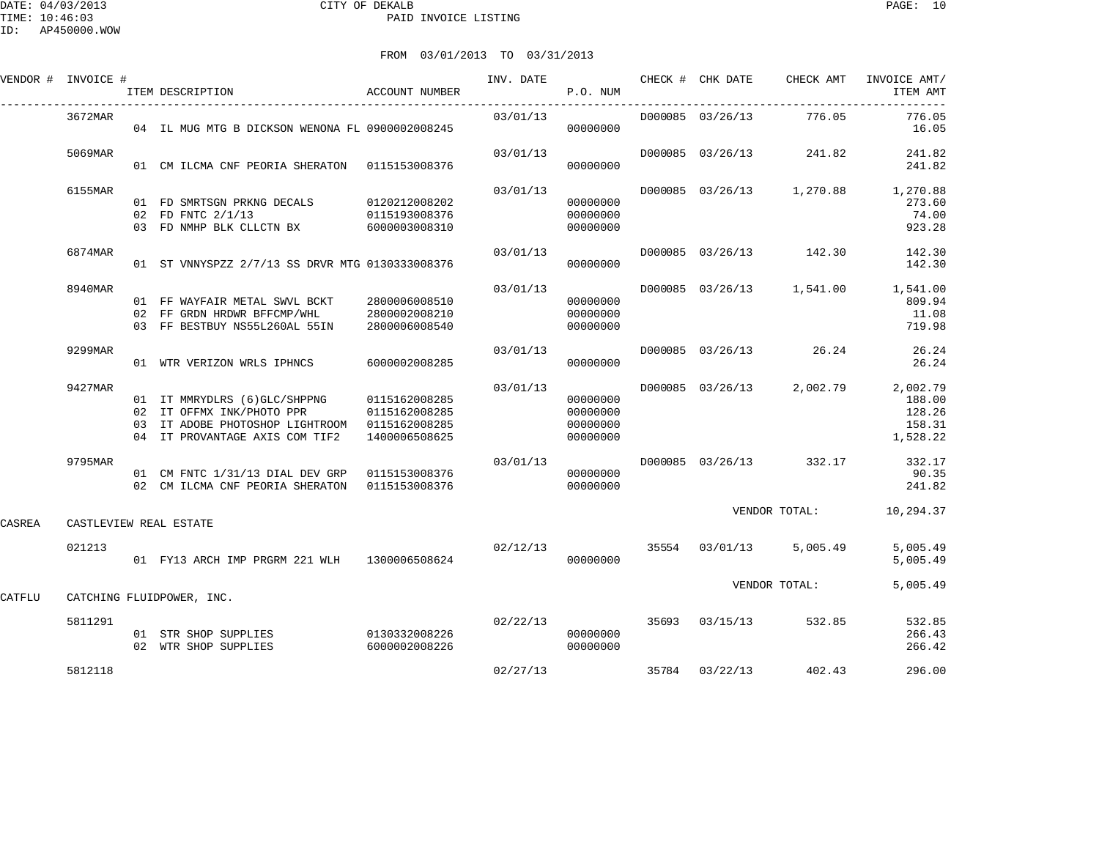|        | VENDOR # INVOICE # | ITEM DESCRIPTION                                                                                                                                            | <b>ACCOUNT NUMBER</b>                           | INV. DATE               | P.O. NUM                                     | CHECK # CHK DATE | CHECK AMT               | INVOICE AMT/<br>ITEM AMT                                        |
|--------|--------------------|-------------------------------------------------------------------------------------------------------------------------------------------------------------|-------------------------------------------------|-------------------------|----------------------------------------------|------------------|-------------------------|-----------------------------------------------------------------|
|        | 3672MAR            | 04 IL MUG MTG B DICKSON WENONA FL 0900002008245                                                                                                             |                                                 | 03/01/13                | 00000000                                     |                  | D000085 03/26/13 776.05 | 776.05<br>16.05                                                 |
|        | 5069MAR            | 01 CM ILCMA CNF PEORIA SHERATON 0115153008376                                                                                                               |                                                 | 03/01/13                | 00000000                                     |                  | D000085 03/26/13 241.82 | 241.82<br>241.82                                                |
|        | 6155MAR            | 01 FD SMRTSGN PRKNG DECALS 0120212008202<br>02 FD FNTC 2/1/13 0115193008376<br>03 FD NMHP BLK CLLCTN BX 6000003008310                                       |                                                 | 03/01/13                | 00000000<br>00000000<br>00000000             |                  |                         | D000085 03/26/13 1,270.88 1,270.88<br>273.60<br>74.00<br>923.28 |
|        | 6874MAR            | 01 ST VNNYSPZZ 2/7/13 SS DRVR MTG 0130333008376                                                                                                             |                                                 | 03/01/13                | 00000000                                     |                  |                         | D000085 03/26/13 142.30 142.30<br>142.30                        |
|        | 8940MAR            | 01 FF WAYFAIR METAL SWVL BCKT<br>02 FF GRDN HRDWR BFFCMP/WHL<br>03 FF BESTBUY NS55L260AL 55IN                                                               | 2800006008510<br>2800002008210<br>2800006008540 | 03/01/13                | 00000000<br>00000000<br>00000000             |                  |                         | D000085 03/26/13 1,541.00 1,541.00<br>809.94<br>11.08<br>719.98 |
|        | 9299MAR            | 01 WTR VERIZON WRLS IPHNCS                                                                                                                                  | 6000002008285                                   |                         | 03/01/13<br>00000000                         |                  | D000085 03/26/13 26.24  | 26.24<br>26.24                                                  |
|        | 9427MAR            | 01 IT MMRYDLRS (6) GLC/SHPPNG 0115162008285<br>02 IT OFFMX INK/PHOTO PPR<br>03 IT ADOBE PHOTOSHOP LIGHTROOM 0115162008285<br>04 IT PROVANTAGE AXIS COM TIF2 | 0115162008285<br>1400006508625                  | 03/01/13                | 00000000<br>00000000<br>00000000<br>00000000 | D000085 03/26/13 |                         | 2,002.79 2,002.79<br>188.00<br>128.26<br>158.31<br>1,528.22     |
|        | 9795MAR            | 01 CM FNTC 1/31/13 DIAL DEV GRP 0115153008376<br>02 CM ILCMA CNF PEORIA SHERATON 0115153008376                                                              |                                                 | 03/01/13                | 00000000<br>00000000                         |                  | D000085 03/26/13 332.17 | 332.17<br>90.35<br>241.82                                       |
| CASREA |                    | CASTLEVIEW REAL ESTATE                                                                                                                                      |                                                 |                         |                                              |                  | VENDOR TOTAL:           | 10,294.37                                                       |
|        | 021213             | 01 FY13 ARCH IMP PRGRM 221 WLH 1300006508624                                                                                                                |                                                 | 02/12/13 35554 03/01/13 | 00000000                                     |                  | 5,005.49                | 5,005.49<br>5,005.49                                            |
| CATFLU |                    | CATCHING FLUIDPOWER, INC.                                                                                                                                   |                                                 |                         |                                              |                  | VENDOR TOTAL:           | 5,005.49                                                        |
|        | 5811291            | 01 STR SHOP SUPPLIES 0130332008226<br>02 WTR SHOP SUPPLIES                                                                                                  | 6000002008226                                   | 02/22/13                | 00000000<br>00000000                         |                  | 35693 03/15/13 532.85   | 532.85<br>266.43<br>266.42                                      |
|        | 5812118            |                                                                                                                                                             |                                                 | 02/27/13                |                                              |                  | 35784 03/22/13 402.43   | 296.00                                                          |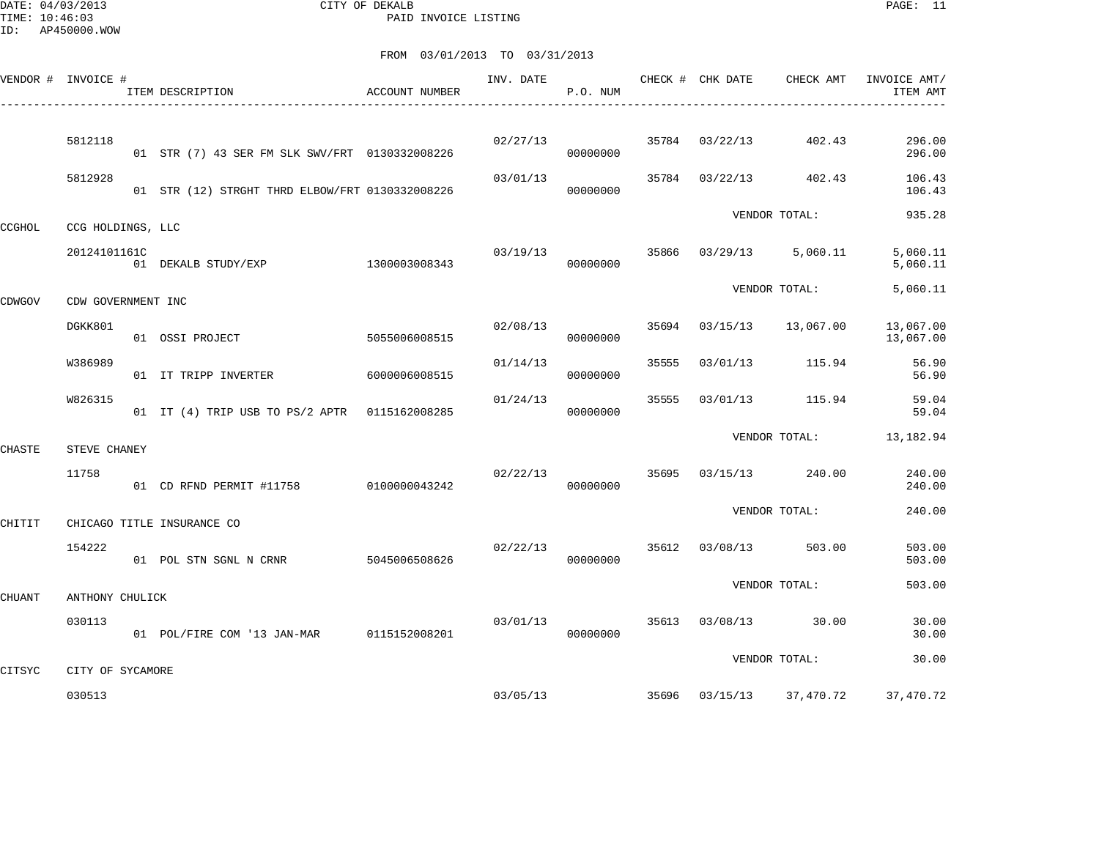DATE: 04/03/2013 CITY OF DEKALB PAGE: 11 PAID INVOICE LISTING

|        | VENDOR # INVOICE #         | ACCOUNT NUMBER<br>ITEM DESCRIPTION<br>-------------------------- |               | INV. DATE | P.O. NUM |       | CHECK # CHK DATE | CHECK AMT                | INVOICE AMT/<br>ITEM AMT |
|--------|----------------------------|------------------------------------------------------------------|---------------|-----------|----------|-------|------------------|--------------------------|--------------------------|
|        |                            |                                                                  |               |           |          |       |                  |                          |                          |
|        | 5812118                    | 01 STR (7) 43 SER FM SLK SWV/FRT 0130332008226                   |               | 02/27/13  | 00000000 |       | 35784 03/22/13   | 402.43                   | 296.00<br>296.00         |
|        | 5812928                    | 01 STR (12) STRGHT THRD ELBOW/FRT 0130332008226                  |               | 03/01/13  | 00000000 |       | 35784 03/22/13   | 402.43                   | 106.43<br>106.43         |
| CCGHOL | CCG HOLDINGS, LLC          |                                                                  |               |           |          |       |                  | VENDOR TOTAL:            | 935.28                   |
|        | 20124101161C               | 01 DEKALB STUDY/EXP                                              | 1300003008343 | 03/19/13  | 00000000 | 35866 | 03/29/13         | 5,060.11                 | 5,060.11<br>5,060.11     |
| CDWGOV | CDW GOVERNMENT INC         |                                                                  |               |           |          |       |                  | VENDOR TOTAL:            | 5,060.11                 |
|        | DGKK801                    | 01 OSSI PROJECT                                                  | 5055006008515 | 02/08/13  | 00000000 | 35694 | 03/15/13         | 13,067.00                | 13,067.00<br>13,067.00   |
|        | W386989                    | 01 IT TRIPP INVERTER                                             | 6000006008515 | 01/14/13  | 00000000 | 35555 |                  | 03/01/13 115.94          | 56.90<br>56.90           |
|        | W826315                    | 01 IT (4) TRIP USB TO PS/2 APTR 0115162008285                    |               | 01/24/13  | 00000000 | 35555 | 03/01/13         | 115.94                   | 59.04<br>59.04           |
| CHASTE | STEVE CHANEY               |                                                                  |               |           |          |       |                  | VENDOR TOTAL: 13,182.94  |                          |
|        | 11758                      | 01 CD RFND PERMIT #11758 0100000043242                           |               | 02/22/13  | 00000000 | 35695 |                  | 03/15/13 240.00          | 240.00<br>240.00         |
| CHITIT |                            | CHICAGO TITLE INSURANCE CO                                       |               |           |          |       |                  | VENDOR TOTAL:            | 240.00                   |
|        | 154222                     | 01 POL STN SGNL N CRNR                                           | 5045006508626 | 02/22/13  | 00000000 |       | 35612 03/08/13   | 503.00                   | 503.00<br>503.00         |
| CHUANT | ANTHONY CHULICK            |                                                                  |               |           |          |       |                  | VENDOR TOTAL:            | 503.00                   |
|        | 030113                     | 01 POL/FIRE COM '13 JAN-MAR 0115152008201                        |               | 03/01/13  | 00000000 |       |                  | 35613 03/08/13 30.00     | 30.00<br>30.00           |
|        |                            |                                                                  |               |           |          |       |                  | VENDOR TOTAL:            | 30.00                    |
| CITSYC | CITY OF SYCAMORE<br>030513 |                                                                  |               |           | 03/05/13 |       |                  | 35696 03/15/13 37,470.72 | 37,470.72                |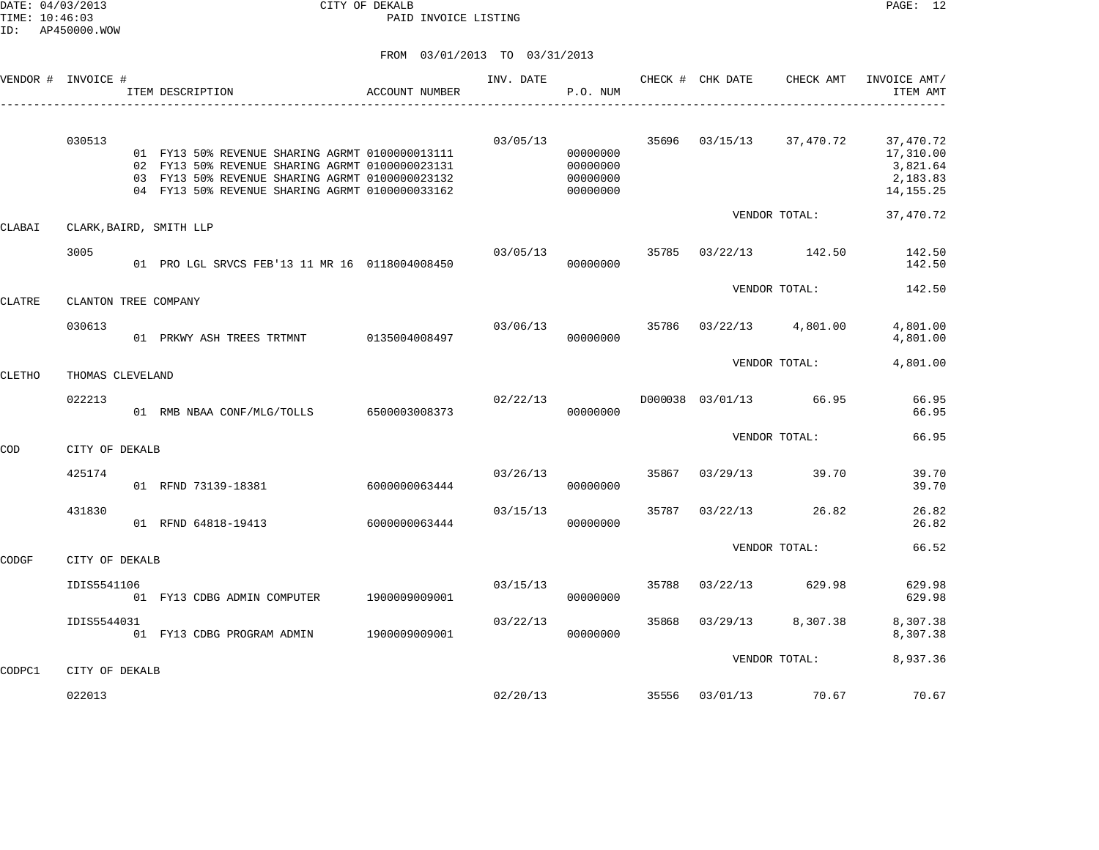DATE: 04/03/2013 CITY OF DEKALB PAGE: 12 PAID INVOICE LISTING

|               | VENDOR # INVOICE #      | ITEM DESCRIPTION<br>---------------------------------                                                                                                                                                    | ACCOUNT NUMBER | INV. DATE | P.O. NUM                                     |       | CHECK # CHK DATE | CHECK AMT              | INVOICE AMT/<br>ITEM AMT                                      |
|---------------|-------------------------|----------------------------------------------------------------------------------------------------------------------------------------------------------------------------------------------------------|----------------|-----------|----------------------------------------------|-------|------------------|------------------------|---------------------------------------------------------------|
|               | 030513                  | 01 FY13 50% REVENUE SHARING AGRMT 0100000013111<br>02 FY13 50% REVENUE SHARING AGRMT 0100000023131<br>03 FY13 50% REVENUE SHARING AGRMT 0100000023132<br>04 FY13 50% REVENUE SHARING AGRMT 0100000033162 |                | 03/05/13  | 00000000<br>00000000<br>00000000<br>00000000 | 35696 |                  | 03/15/13 37,470.72     | 37,470.72<br>17,310.00<br>3,821.64<br>2,183.83<br>14, 155. 25 |
| CLABAI        | CLARK, BAIRD, SMITH LLP |                                                                                                                                                                                                          |                |           |                                              |       |                  | VENDOR TOTAL:          | 37,470.72                                                     |
|               | 3005                    | 01 PRO LGL SRVCS FEB'13 11 MR 16 0118004008450                                                                                                                                                           |                | 03/05/13  | 00000000                                     | 35785 |                  | 03/22/13 142.50        | 142.50<br>142.50                                              |
| <b>CLATRE</b> | CLANTON TREE COMPANY    |                                                                                                                                                                                                          |                |           |                                              |       |                  | VENDOR TOTAL:          | 142.50                                                        |
|               | 030613                  | 01 PRKWY ASH TREES TRTMNT 0135004008497                                                                                                                                                                  |                | 03/06/13  | 00000000                                     | 35786 |                  | 03/22/13 4,801.00      | 4,801.00<br>4,801.00                                          |
| CLETHO        | THOMAS CLEVELAND        |                                                                                                                                                                                                          |                |           |                                              |       |                  | VENDOR TOTAL:          | 4,801.00                                                      |
|               | 022213                  | 01 RMB NBAA CONF/MLG/TOLLS 6500003008373                                                                                                                                                                 |                | 02/22/13  | 00000000                                     |       |                  | D000038 03/01/13 66.95 | 66.95<br>66.95                                                |
| COD           | CITY OF DEKALB          |                                                                                                                                                                                                          |                |           |                                              |       |                  | VENDOR TOTAL:          | 66.95                                                         |
|               | 425174                  | 01 RFND 73139-18381                                                                                                                                                                                      | 6000000063444  | 03/26/13  | 00000000                                     | 35867 | 03/29/13         | 39.70                  | 39.70<br>39.70                                                |
|               | 431830                  | 01 RFND 64818-19413                                                                                                                                                                                      | 6000000063444  | 03/15/13  | 00000000                                     | 35787 | 03/22/13         | 26.82                  | 26.82<br>26.82                                                |
| CODGF         | CITY OF DEKALB          |                                                                                                                                                                                                          |                |           |                                              |       |                  | VENDOR TOTAL:          | 66.52                                                         |
|               | IDIS5541106             | 01 FY13 CDBG ADMIN COMPUTER                                                                                                                                                                              | 1900009009001  | 03/15/13  | 00000000                                     | 35788 | 03/22/13         | 629.98                 | 629.98<br>629.98                                              |
|               | IDIS5544031             | 01 FY13 CDBG PROGRAM ADMIN                                                                                                                                                                               | 1900009009001  | 03/22/13  | 00000000                                     | 35868 | 03/29/13         | 8,307.38               | 8,307.38<br>8,307.38                                          |
| CODPC1        | CITY OF DEKALB          |                                                                                                                                                                                                          |                |           |                                              |       |                  | VENDOR TOTAL:          | 8,937.36                                                      |
|               | 022013                  |                                                                                                                                                                                                          |                | 02/20/13  |                                              | 35556 |                  | 03/01/13 70.67         | 70.67                                                         |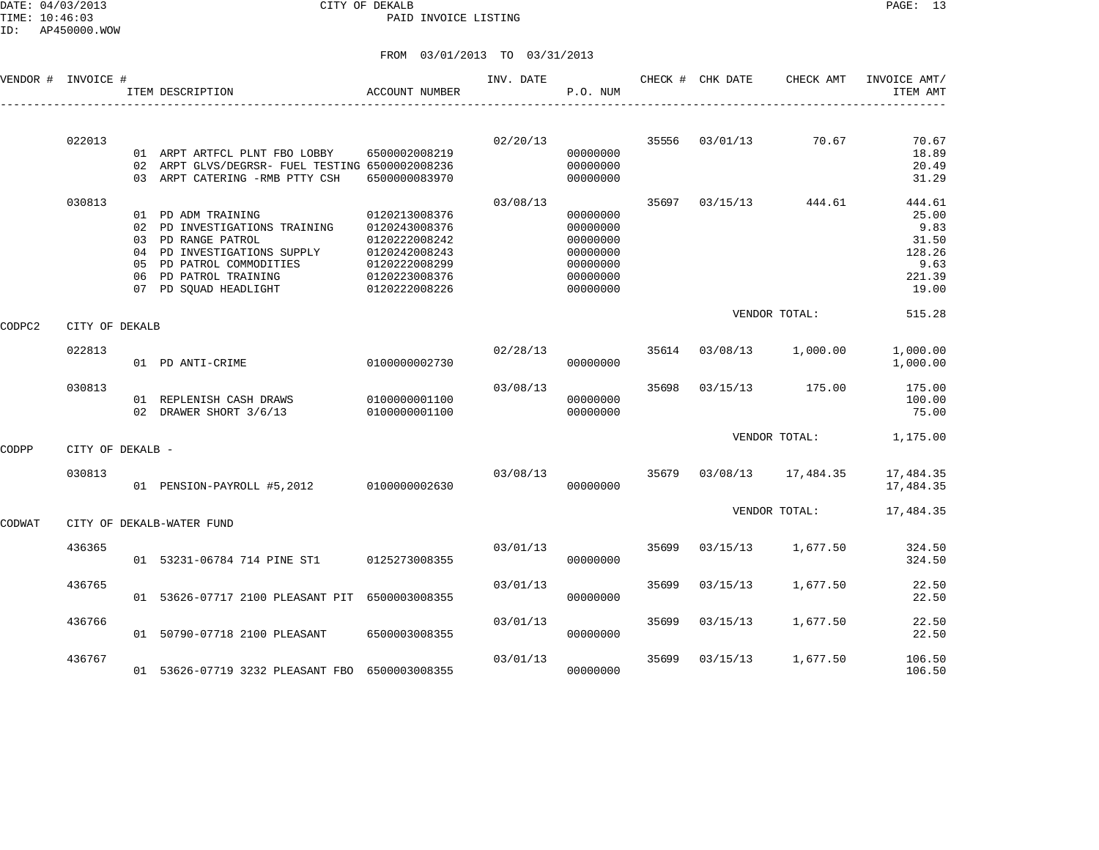DATE: 04/03/2013 CITY OF DEKALB PAGE: 13 PAID INVOICE LISTING

| VENDOR # | INVOICE #        |                | ITEM DESCRIPTION                                                                                                                                                              | <b>ACCOUNT NUMBER</b>                                                                                               | INV. DATE | P.O. NUM                                                                         |       | CHECK # CHK DATE | CHECK AMT     | INVOICE AMT/<br>ITEM AMT                                              |
|----------|------------------|----------------|-------------------------------------------------------------------------------------------------------------------------------------------------------------------------------|---------------------------------------------------------------------------------------------------------------------|-----------|----------------------------------------------------------------------------------|-------|------------------|---------------|-----------------------------------------------------------------------|
|          | 022013           |                |                                                                                                                                                                               |                                                                                                                     | 02/20/13  |                                                                                  | 35556 | 03/01/13         | 70.67         | 70.67                                                                 |
|          |                  |                | 01 ARPT ARTFCL PLNT FBO LOBBY<br>02 ARPT GLVS/DEGRSR- FUEL TESTING 6500002008236<br>03 ARPT CATERING -RMB PTTY CSH                                                            | 6500002008219<br>6500000083970                                                                                      |           | 00000000<br>00000000<br>00000000                                                 |       |                  |               | 18.89<br>20.49<br>31.29                                               |
|          | 030813           | 05<br>06<br>07 | 01 PD ADM TRAINING<br>02 PD INVESTIGATIONS TRAINING<br>03 PD RANGE PATROL<br>04 PD INVESTIGATIONS SUPPLY<br>PD PATROL COMMODITIES<br>PD PATROL TRAINING<br>PD SQUAD HEADLIGHT | 0120213008376<br>0120243008376<br>0120222008242<br>0120242008243<br>0120222008299<br>0120223008376<br>0120222008226 | 03/08/13  | 00000000<br>00000000<br>00000000<br>00000000<br>00000000<br>00000000<br>00000000 | 35697 | 03/15/13         | 444.61        | 444.61<br>25.00<br>9.83<br>31.50<br>128.26<br>9.63<br>221.39<br>19.00 |
| CODPC2   | CITY OF DEKALB   |                |                                                                                                                                                                               |                                                                                                                     |           |                                                                                  |       |                  | VENDOR TOTAL: | 515.28                                                                |
|          | 022813           |                | 01 PD ANTI-CRIME                                                                                                                                                              | 0100000002730                                                                                                       | 02/28/13  | 00000000                                                                         | 35614 | 03/08/13         | 1,000.00      | 1,000.00<br>1,000.00                                                  |
|          | 030813           |                | 01 REPLENISH CASH DRAWS<br>02 DRAWER SHORT 3/6/13                                                                                                                             | 0100000001100<br>0100000001100                                                                                      | 03/08/13  | 00000000<br>00000000                                                             | 35698 | 03/15/13         | 175.00        | 175.00<br>100.00<br>75.00                                             |
| CODPP    | CITY OF DEKALB - |                |                                                                                                                                                                               |                                                                                                                     |           |                                                                                  |       |                  | VENDOR TOTAL: | 1,175.00                                                              |
|          | 030813           |                | 01 PENSION-PAYROLL #5,2012                                                                                                                                                    | 0100000002630                                                                                                       | 03/08/13  | 00000000                                                                         | 35679 | 03/08/13         | 17,484.35     | 17,484.35<br>17,484.35                                                |
| CODWAT   |                  |                | CITY OF DEKALB-WATER FUND                                                                                                                                                     |                                                                                                                     |           |                                                                                  |       |                  | VENDOR TOTAL: | 17,484.35                                                             |
|          | 436365           |                | 01 53231-06784 714 PINE ST1                                                                                                                                                   | 0125273008355                                                                                                       | 03/01/13  | 00000000                                                                         | 35699 | 03/15/13         | 1,677.50      | 324.50<br>324.50                                                      |
|          | 436765           |                | 01 53626-07717 2100 PLEASANT PIT 6500003008355                                                                                                                                |                                                                                                                     | 03/01/13  | 00000000                                                                         | 35699 | 03/15/13         | 1,677.50      | 22.50<br>22.50                                                        |
|          | 436766           |                | 01 50790-07718 2100 PLEASANT                                                                                                                                                  | 6500003008355                                                                                                       | 03/01/13  | 00000000                                                                         | 35699 | 03/15/13         | 1,677.50      | 22.50<br>22.50                                                        |
|          | 436767           |                | 01 53626-07719 3232 PLEASANT FBO 6500003008355                                                                                                                                |                                                                                                                     | 03/01/13  | 00000000                                                                         | 35699 | 03/15/13         | 1,677.50      | 106.50<br>106.50                                                      |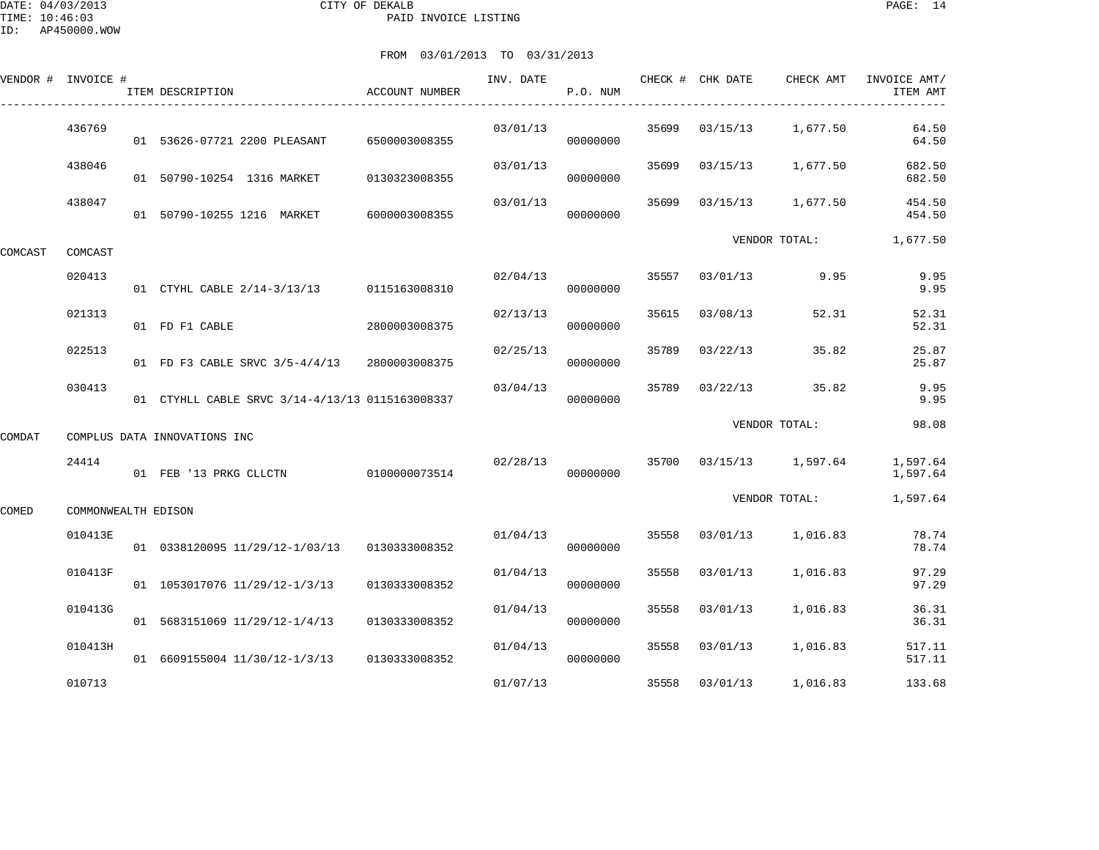DATE: 04/03/2013 CITY OF DEKALB PAGE: 14 PAID INVOICE LISTING

|         | VENDOR # INVOICE #  | ITEM DESCRIPTION                                | ACCOUNT NUMBER | INV. DATE | P.O. NUM |       | CHECK # CHK DATE | CHECK AMT               | INVOICE AMT/<br>ITEM AMT |
|---------|---------------------|-------------------------------------------------|----------------|-----------|----------|-------|------------------|-------------------------|--------------------------|
|         | 436769              | 01 53626-07721 2200 PLEASANT                    | 6500003008355  | 03/01/13  | 00000000 | 35699 | 03/15/13         | 1,677.50                | 64.50<br>64.50           |
|         | 438046              | 01 50790-10254 1316 MARKET                      | 0130323008355  | 03/01/13  | 00000000 | 35699 | 03/15/13         | 1,677.50                | 682.50<br>682.50         |
|         | 438047              | 01 50790-10255 1216 MARKET                      | 6000003008355  | 03/01/13  | 00000000 | 35699 | 03/15/13         | 1,677.50                | 454.50<br>454.50         |
| COMCAST | COMCAST             |                                                 |                |           |          |       |                  | VENDOR TOTAL:           | 1,677.50                 |
|         | 020413              | 01 CTYHL CABLE 2/14-3/13/13 0115163008310       |                | 02/04/13  | 00000000 | 35557 | 03/01/13         | 9.95                    | 9.95<br>9.95             |
|         | 021313              | 01 FD F1 CABLE                                  | 2800003008375  | 02/13/13  | 00000000 | 35615 | 03/08/13         | 52.31                   | 52.31<br>52.31           |
|         | 022513              | 01 FD F3 CABLE SRVC 3/5-4/4/13                  | 2800003008375  | 02/25/13  | 00000000 | 35789 | 03/22/13         | 35.82                   | 25.87<br>25.87           |
|         | 030413              | 01 CTYHLL CABLE SRVC 3/14-4/13/13 0115163008337 |                | 03/04/13  | 00000000 | 35789 | 03/22/13         | 35.82                   | 9.95<br>9.95             |
| COMDAT  |                     | COMPLUS DATA INNOVATIONS INC                    |                |           |          |       |                  | VENDOR TOTAL:           | 98.08                    |
|         | 24414               | 01 FEB '13 PRKG CLLCTN                          | 0100000073514  | 02/28/13  | 00000000 |       |                  | 35700 03/15/13 1,597.64 | 1,597.64<br>1,597.64     |
| COMED   | COMMONWEALTH EDISON |                                                 |                |           |          |       |                  | VENDOR TOTAL:           | 1,597.64                 |
|         | 010413E             | 01 0338120095 11/29/12-1/03/13                  | 0130333008352  | 01/04/13  | 00000000 | 35558 | 03/01/13         | 1,016.83                | 78.74<br>78.74           |
|         | 010413F             | 01 1053017076 11/29/12-1/3/13                   | 0130333008352  | 01/04/13  | 00000000 | 35558 | 03/01/13         | 1,016.83                | 97.29<br>97.29           |
|         | 010413G             | 01 5683151069 11/29/12-1/4/13                   | 0130333008352  | 01/04/13  | 00000000 | 35558 | 03/01/13         | 1,016.83                | 36.31<br>36.31           |
|         | 010413H             | 01 6609155004 11/30/12-1/3/13                   | 0130333008352  | 01/04/13  | 00000000 | 35558 | 03/01/13         | 1,016.83                | 517.11<br>517.11         |
|         | 010713              |                                                 |                | 01/07/13  |          | 35558 | 03/01/13         | 1,016.83                | 133.68                   |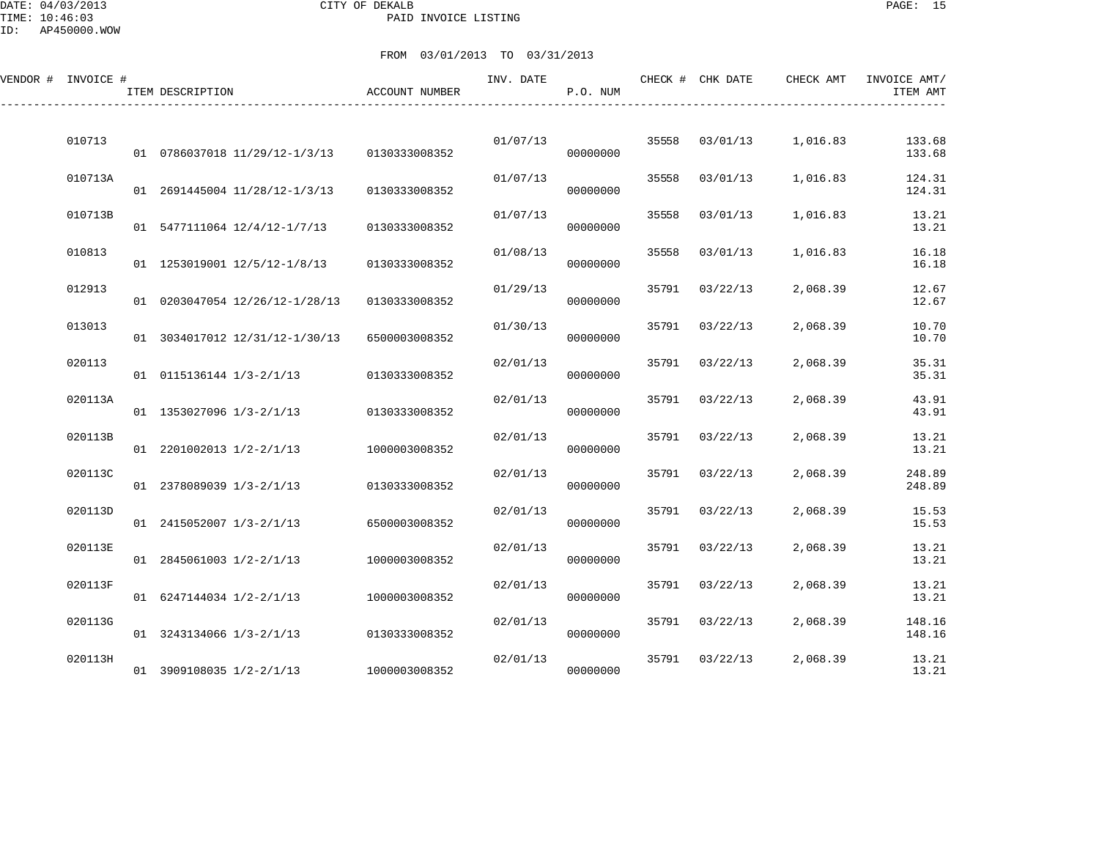DATE: 04/03/2013 CITY OF DEKALB PAGE: 15 PAID INVOICE LISTING

| VENDOR # INVOICE # | ITEM DESCRIPTION               | ACCOUNT NUMBER | INV. DATE | P.O. NUM |       | CHECK # CHK DATE | CHECK AMT | INVOICE AMT/<br>ITEM AMT |
|--------------------|--------------------------------|----------------|-----------|----------|-------|------------------|-----------|--------------------------|
| 010713             | 01 0786037018 11/29/12-1/3/13  | 0130333008352  | 01/07/13  | 00000000 | 35558 | 03/01/13         | 1,016.83  | 133.68<br>133.68         |
| 010713A            | 01 2691445004 11/28/12-1/3/13  | 0130333008352  | 01/07/13  | 00000000 | 35558 | 03/01/13         | 1,016.83  | 124.31<br>124.31         |
| 010713B            | 01 5477111064 12/4/12-1/7/13   | 0130333008352  | 01/07/13  | 00000000 | 35558 | 03/01/13         | 1,016.83  | 13.21<br>13.21           |
| 010813             | 01 1253019001 12/5/12-1/8/13   | 0130333008352  | 01/08/13  | 00000000 | 35558 | 03/01/13         | 1,016.83  | 16.18<br>16.18           |
| 012913             | 01 0203047054 12/26/12-1/28/13 | 0130333008352  | 01/29/13  | 00000000 | 35791 | 03/22/13         | 2,068.39  | 12.67<br>12.67           |
| 013013             | 01 3034017012 12/31/12-1/30/13 | 6500003008352  | 01/30/13  | 00000000 | 35791 | 03/22/13         | 2,068.39  | 10.70<br>10.70           |
| 020113             | 01 0115136144 1/3-2/1/13       | 0130333008352  | 02/01/13  | 00000000 | 35791 | 03/22/13         | 2,068.39  | 35.31<br>35.31           |
| 020113A            | 01 1353027096 1/3-2/1/13       | 0130333008352  | 02/01/13  | 00000000 | 35791 | 03/22/13         | 2,068.39  | 43.91<br>43.91           |
| 020113B            | 01 2201002013 1/2-2/1/13       | 1000003008352  | 02/01/13  | 00000000 | 35791 | 03/22/13         | 2,068.39  | 13.21<br>13.21           |
| 020113C            | 01 2378089039 1/3-2/1/13       | 0130333008352  | 02/01/13  | 00000000 | 35791 | 03/22/13         | 2,068.39  | 248.89<br>248.89         |
| 020113D            | 01 2415052007 1/3-2/1/13       | 6500003008352  | 02/01/13  | 00000000 | 35791 | 03/22/13         | 2,068.39  | 15.53<br>15.53           |
| 020113E            | 01 2845061003 1/2-2/1/13       | 1000003008352  | 02/01/13  | 00000000 | 35791 | 03/22/13         | 2,068.39  | 13.21<br>13.21           |
| 020113F            | 01 6247144034 1/2-2/1/13       | 1000003008352  | 02/01/13  | 00000000 | 35791 | 03/22/13         | 2,068.39  | 13.21<br>13.21           |
| 020113G            | 01 3243134066 1/3-2/1/13       | 0130333008352  | 02/01/13  | 00000000 | 35791 | 03/22/13         | 2,068.39  | 148.16<br>148.16         |
| 020113H            | 01 3909108035 1/2-2/1/13       | 1000003008352  | 02/01/13  | 00000000 | 35791 | 03/22/13         | 2,068.39  | 13.21<br>13.21           |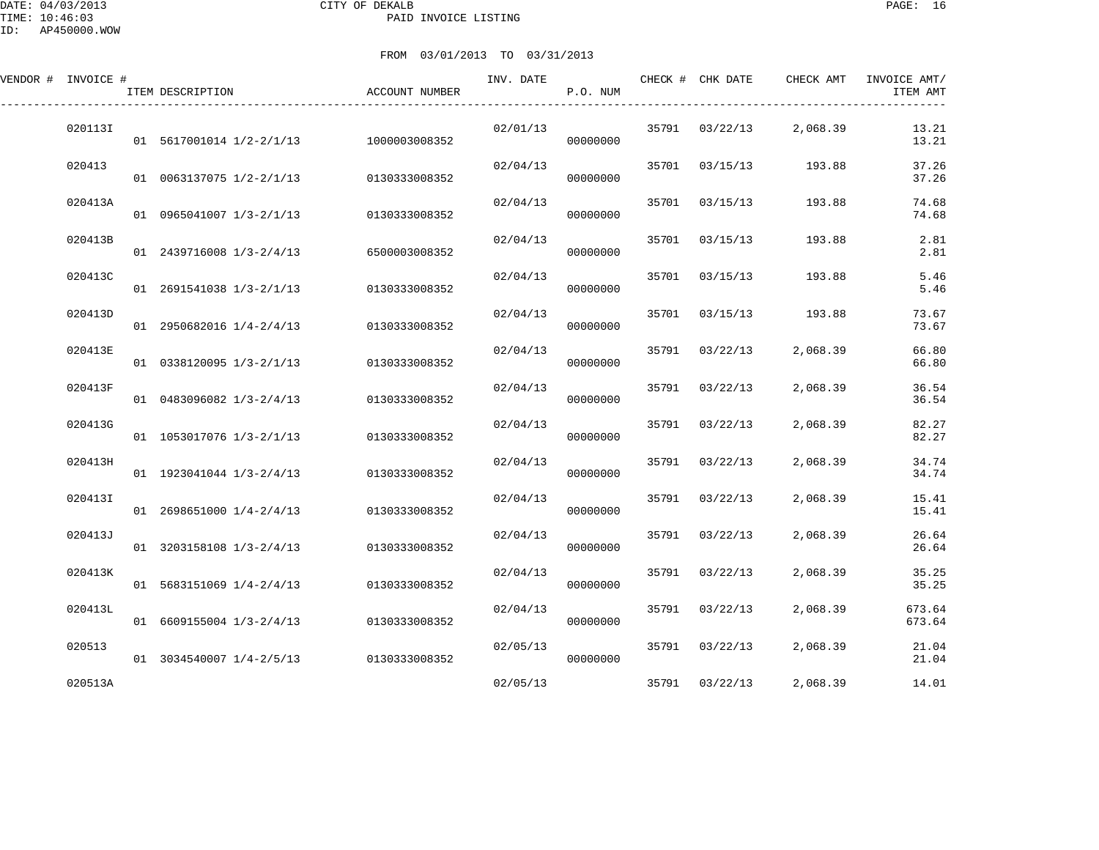DATE: 04/03/2013 CITY OF DEKALB PAGE: 16 PAID INVOICE LISTING

| VENDOR # INVOICE # | ITEM DESCRIPTION         | <b>ACCOUNT NUMBER</b> | INV. DATE | P.O. NUM |       | CHECK # CHK DATE | CHECK AMT | INVOICE AMT/<br>ITEM AMT |
|--------------------|--------------------------|-----------------------|-----------|----------|-------|------------------|-----------|--------------------------|
| 020113I            | 01 5617001014 1/2-2/1/13 | 1000003008352         | 02/01/13  | 00000000 | 35791 | 03/22/13         | 2,068.39  | 13.21<br>13.21           |
| 020413             | 01 0063137075 1/2-2/1/13 | 0130333008352         | 02/04/13  | 00000000 | 35701 | 03/15/13         | 193.88    | 37.26<br>37.26           |
| 020413A            | 01 0965041007 1/3-2/1/13 | 0130333008352         | 02/04/13  | 00000000 | 35701 | 03/15/13         | 193.88    | 74.68<br>74.68           |
| 020413B            | 01 2439716008 1/3-2/4/13 | 6500003008352         | 02/04/13  | 00000000 | 35701 | 03/15/13         | 193.88    | 2.81<br>2.81             |
| 020413C            | 01 2691541038 1/3-2/1/13 | 0130333008352         | 02/04/13  | 00000000 | 35701 | 03/15/13         | 193.88    | 5.46<br>5.46             |
| 020413D            | 01 2950682016 1/4-2/4/13 | 0130333008352         | 02/04/13  | 00000000 | 35701 | 03/15/13         | 193.88    | 73.67<br>73.67           |
| 020413E            | 01 0338120095 1/3-2/1/13 | 0130333008352         | 02/04/13  | 00000000 | 35791 | 03/22/13         | 2,068.39  | 66.80<br>66.80           |
| 020413F            | 01 0483096082 1/3-2/4/13 | 0130333008352         | 02/04/13  | 00000000 | 35791 | 03/22/13         | 2,068.39  | 36.54<br>36.54           |
| 020413G            | 01 1053017076 1/3-2/1/13 | 0130333008352         | 02/04/13  | 00000000 | 35791 | 03/22/13         | 2,068.39  | 82.27<br>82.27           |
| 020413H            | 01 1923041044 1/3-2/4/13 | 0130333008352         | 02/04/13  | 00000000 | 35791 | 03/22/13         | 2,068.39  | 34.74<br>34.74           |
| 020413I            | 01 2698651000 1/4-2/4/13 | 0130333008352         | 02/04/13  | 00000000 | 35791 | 03/22/13         | 2,068.39  | 15.41<br>15.41           |
| 020413J            | 01 3203158108 1/3-2/4/13 | 0130333008352         | 02/04/13  | 00000000 | 35791 | 03/22/13         | 2,068.39  | 26.64<br>26.64           |
| 020413K            | 01 5683151069 1/4-2/4/13 | 0130333008352         | 02/04/13  | 00000000 | 35791 | 03/22/13         | 2,068.39  | 35.25<br>35.25           |
| 020413L            | 01 6609155004 1/3-2/4/13 | 0130333008352         | 02/04/13  | 00000000 | 35791 | 03/22/13         | 2,068.39  | 673.64<br>673.64         |
| 020513             | 01 3034540007 1/4-2/5/13 | 0130333008352         | 02/05/13  | 00000000 | 35791 | 03/22/13         | 2,068.39  | 21.04<br>21.04           |
| 020513A            |                          |                       | 02/05/13  |          | 35791 | 03/22/13         | 2,068.39  | 14.01                    |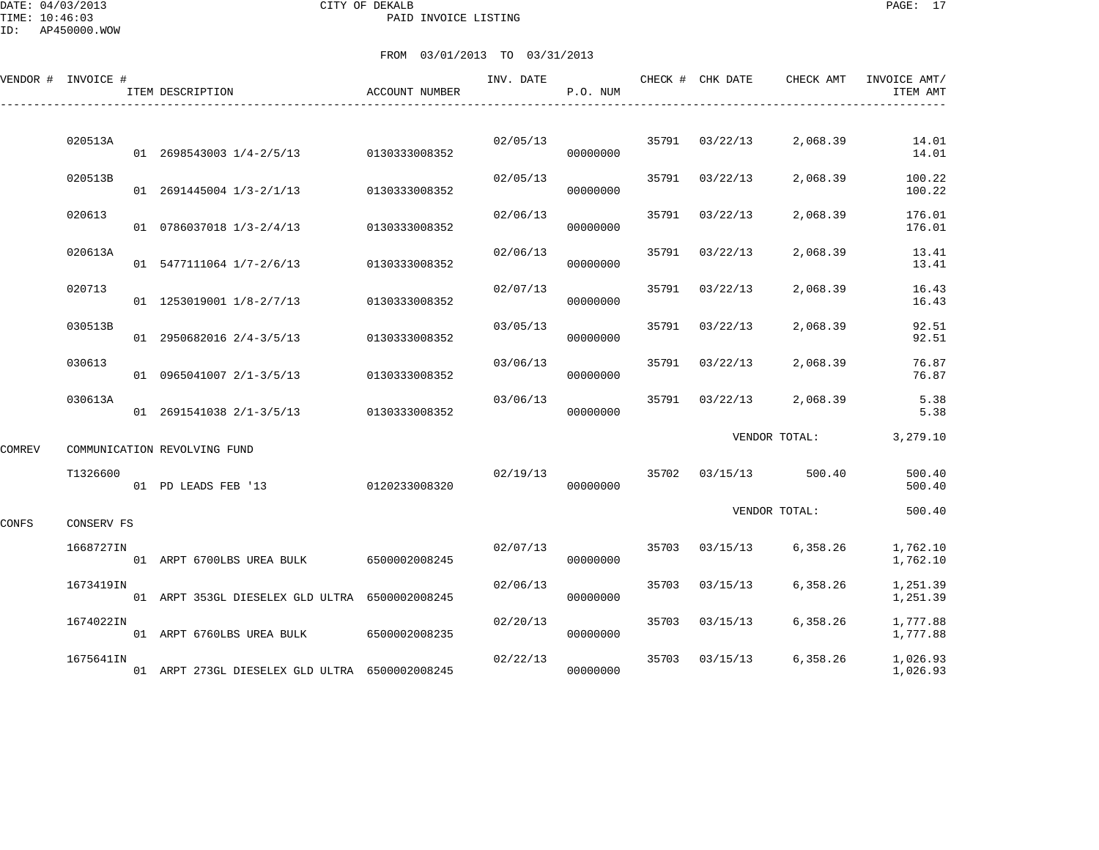DATE: 04/03/2013 CITY OF DEKALB PAGE: 17 PAID INVOICE LISTING

|        | VENDOR # INVOICE # | ITEM DESCRIPTION                               | ACCOUNT NUMBER | INV. DATE | P.O. NUM |       | CHECK # CHK DATE | CHECK AMT     | INVOICE AMT/<br>ITEM AMT |
|--------|--------------------|------------------------------------------------|----------------|-----------|----------|-------|------------------|---------------|--------------------------|
|        | 020513A            | 01 2698543003 1/4-2/5/13                       | 0130333008352  | 02/05/13  | 00000000 |       | 35791 03/22/13   | 2,068.39      | 14.01<br>14.01           |
|        | 020513B            | 01 2691445004 1/3-2/1/13                       | 0130333008352  | 02/05/13  | 00000000 | 35791 | 03/22/13         | 2,068.39      | 100.22<br>100.22         |
|        | 020613             | 01 0786037018 1/3-2/4/13                       | 0130333008352  | 02/06/13  | 00000000 | 35791 | 03/22/13         | 2,068.39      | 176.01<br>176.01         |
|        | 020613A            | 01 5477111064 1/7-2/6/13                       | 0130333008352  | 02/06/13  | 00000000 | 35791 | 03/22/13         | 2,068.39      | 13.41<br>13.41           |
|        | 020713             | 01 1253019001 1/8-2/7/13                       | 0130333008352  | 02/07/13  | 00000000 | 35791 | 03/22/13         | 2,068.39      | 16.43<br>16.43           |
|        | 030513B            | 01 2950682016 2/4-3/5/13                       | 0130333008352  | 03/05/13  | 00000000 | 35791 | 03/22/13         | 2,068.39      | 92.51<br>92.51           |
|        | 030613             | 01 0965041007 2/1-3/5/13                       | 0130333008352  | 03/06/13  | 00000000 | 35791 | 03/22/13         | 2,068.39      | 76.87<br>76.87           |
|        | 030613A            | 01 2691541038 2/1-3/5/13                       | 0130333008352  | 03/06/13  | 00000000 | 35791 | 03/22/13         | 2,068.39      | 5.38<br>5.38             |
| COMREV |                    | COMMUNICATION REVOLVING FUND                   |                |           |          |       |                  | VENDOR TOTAL: | 3,279.10                 |
|        | T1326600           | 01 PD LEADS FEB '13                            | 0120233008320  | 02/19/13  | 00000000 |       | 35702 03/15/13   | 500.40        | 500.40<br>500.40         |
| CONFS  | CONSERV FS         |                                                |                |           |          |       |                  | VENDOR TOTAL: | 500.40                   |
|        | 1668727IN          | 01 ARPT 6700LBS UREA BULK                      | 6500002008245  | 02/07/13  | 00000000 | 35703 | 03/15/13         | 6,358.26      | 1,762.10<br>1,762.10     |
|        | 1673419IN          | 01 ARPT 353GL DIESELEX GLD ULTRA 6500002008245 |                | 02/06/13  | 00000000 | 35703 | 03/15/13         | 6,358.26      | 1,251.39<br>1,251.39     |
|        | 1674022IN          | 01 ARPT 6760LBS UREA BULK                      | 6500002008235  | 02/20/13  | 00000000 | 35703 | 03/15/13         | 6,358.26      | 1,777.88<br>1,777.88     |
|        | 1675641IN          | 01 ARPT 273GL DIESELEX GLD ULTRA 6500002008245 |                | 02/22/13  | 00000000 | 35703 | 03/15/13         | 6,358.26      | 1,026.93<br>1,026.93     |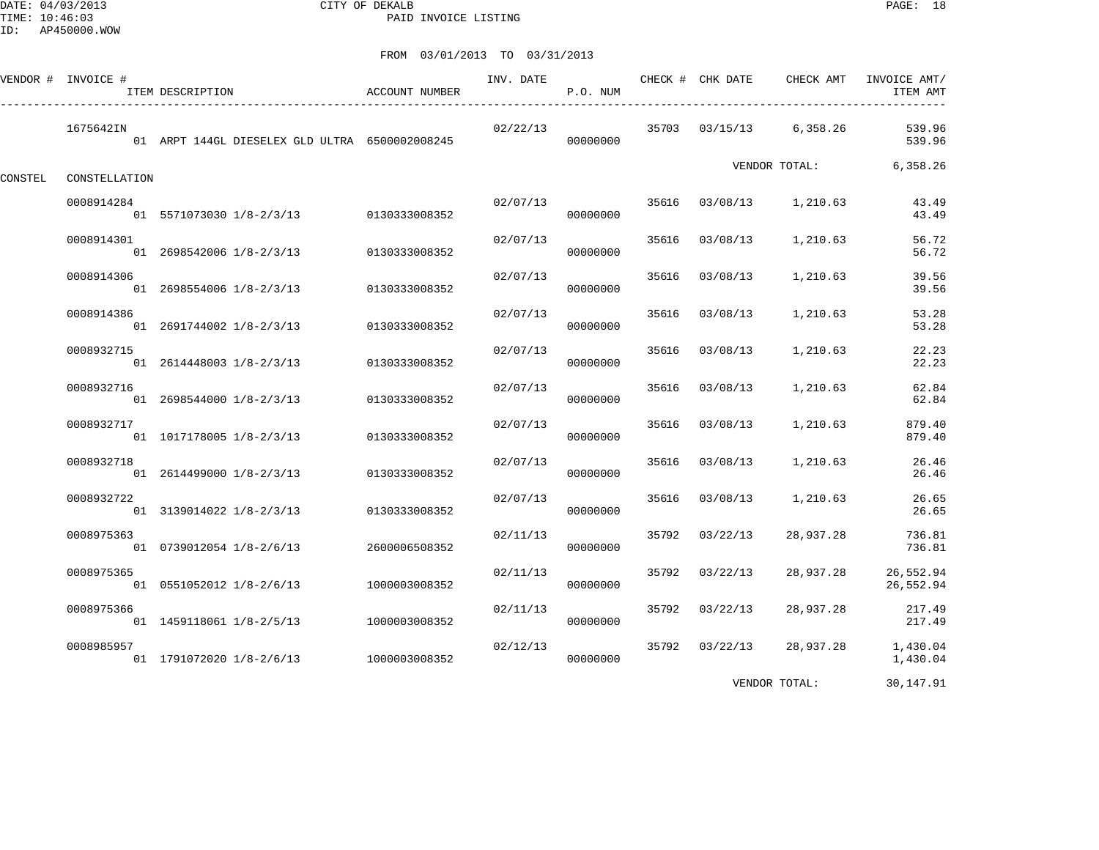DATE: 04/03/2013 CITY OF DEKALB PAGE: 18 PAID INVOICE LISTING

|         | VENDOR # INVOICE # | ITEM DESCRIPTION                               | ACCOUNT NUMBER | INV. DATE | P.O. NUM |       | CHECK # CHK DATE | CHECK AMT     | INVOICE AMT/<br>ITEM AMT |
|---------|--------------------|------------------------------------------------|----------------|-----------|----------|-------|------------------|---------------|--------------------------|
|         | 1675642IN          | 01 ARPT 144GL DIESELEX GLD ULTRA 6500002008245 |                | 02/22/13  | 00000000 | 35703 | 03/15/13         | 6,358.26      | 539.96<br>539.96         |
| CONSTEL | CONSTELLATION      |                                                |                |           |          |       |                  | VENDOR TOTAL: | 6,358.26                 |
|         | 0008914284         | 01 5571073030 1/8-2/3/13 0130333008352         |                | 02/07/13  | 00000000 | 35616 | 03/08/13         | 1,210.63      | 43.49<br>43.49           |
|         | 0008914301         | 01 2698542006 1/8-2/3/13                       | 0130333008352  | 02/07/13  | 00000000 | 35616 | 03/08/13         | 1,210.63      | 56.72<br>56.72           |
|         | 0008914306         | 01 2698554006 1/8-2/3/13                       | 0130333008352  | 02/07/13  | 00000000 | 35616 | 03/08/13         | 1,210.63      | 39.56<br>39.56           |
|         | 0008914386         | 01 2691744002 1/8-2/3/13                       | 0130333008352  | 02/07/13  | 00000000 | 35616 | 03/08/13         | 1,210.63      | 53.28<br>53.28           |
|         | 0008932715         | 01 2614448003 1/8-2/3/13                       | 0130333008352  | 02/07/13  | 00000000 | 35616 | 03/08/13         | 1,210.63      | 22.23<br>22.23           |
|         | 0008932716         | 01 2698544000 1/8-2/3/13                       | 0130333008352  | 02/07/13  | 00000000 | 35616 | 03/08/13         | 1,210.63      | 62.84<br>62.84           |
|         | 0008932717         | 01 1017178005 1/8-2/3/13                       | 0130333008352  | 02/07/13  | 00000000 | 35616 | 03/08/13         | 1,210.63      | 879.40<br>879.40         |
|         | 0008932718         | 01 2614499000 1/8-2/3/13                       | 0130333008352  | 02/07/13  | 00000000 | 35616 | 03/08/13         | 1,210.63      | 26.46<br>26.46           |
|         | 0008932722         | 01 3139014022 1/8-2/3/13                       | 0130333008352  | 02/07/13  | 00000000 | 35616 | 03/08/13         | 1,210.63      | 26.65<br>26.65           |
|         | 0008975363         | 01 0739012054 1/8-2/6/13                       | 2600006508352  | 02/11/13  | 00000000 | 35792 | 03/22/13         | 28,937.28     | 736.81<br>736.81         |
|         | 0008975365         | 01 0551052012 1/8-2/6/13                       | 1000003008352  | 02/11/13  | 00000000 | 35792 | 03/22/13         | 28,937.28     | 26,552.94<br>26,552.94   |
|         | 0008975366         | 01 1459118061 1/8-2/5/13                       | 1000003008352  | 02/11/13  | 00000000 | 35792 | 03/22/13         | 28,937.28     | 217.49<br>217.49         |
|         | 0008985957         | 01 1791072020 1/8-2/6/13                       | 1000003008352  | 02/12/13  | 00000000 | 35792 | 03/22/13         | 28,937.28     | 1,430.04<br>1,430.04     |
|         |                    |                                                |                |           |          |       |                  | VENDOR TOTAL: | 30,147.91                |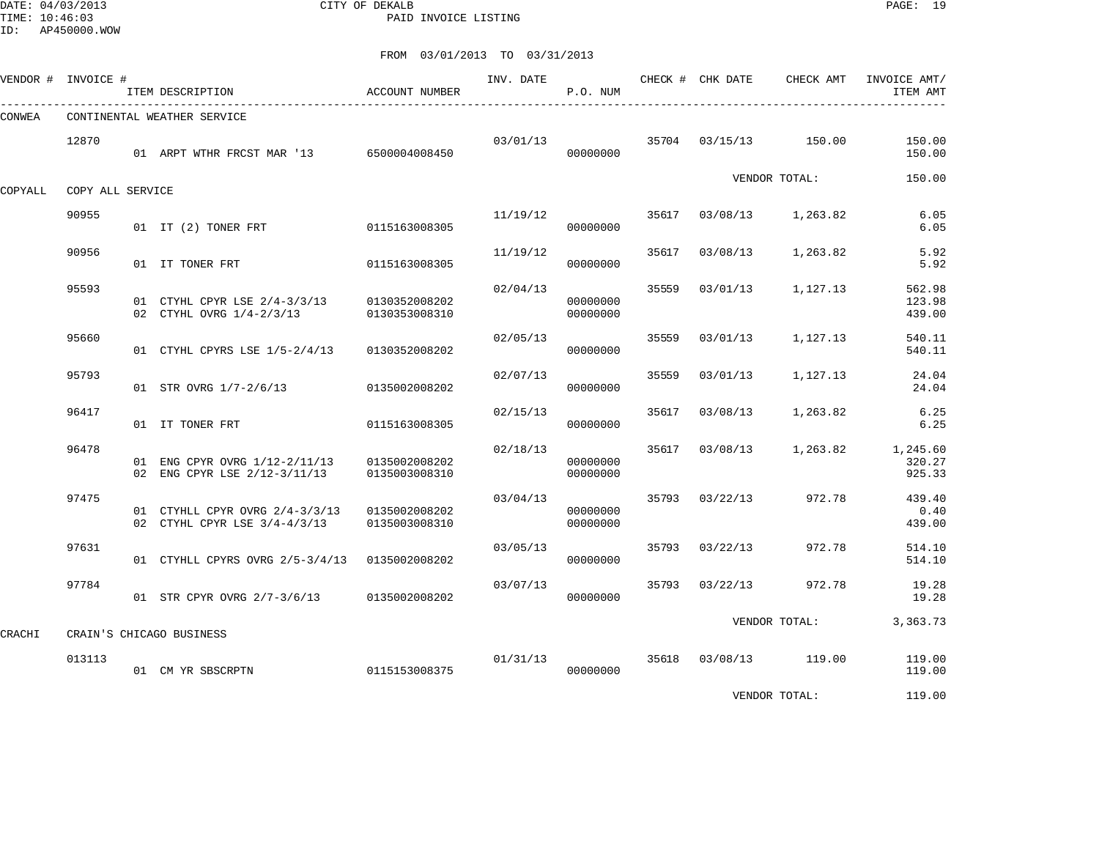DATE: 04/03/2013 CITY OF DEKALB PAGE: 19 PAID INVOICE LISTING

ID: AP450000.WOW

|         | VENDOR # INVOICE # | ITEM DESCRIPTION                                               | ACCOUNT NUMBER                 | INV. DATE | P.O. NUM             |       | CHECK # CHK DATE | CHECK AMT       | INVOICE AMT/<br>ITEM AMT     |
|---------|--------------------|----------------------------------------------------------------|--------------------------------|-----------|----------------------|-------|------------------|-----------------|------------------------------|
| CONWEA  |                    | CONTINENTAL WEATHER SERVICE                                    |                                |           |                      |       |                  |                 |                              |
|         | 12870              | 01 ARPT WTHR FRCST MAR '13 6500004008450                       |                                | 03/01/13  | 00000000             | 35704 | 03/15/13         | 150.00          | 150.00<br>150.00             |
| COPYALL | COPY ALL SERVICE   |                                                                |                                |           |                      |       |                  | VENDOR TOTAL:   | 150.00                       |
|         | 90955              | 01 IT (2) TONER FRT 0115163008305                              |                                | 11/19/12  | 00000000             | 35617 | 03/08/13         | 1,263.82        | 6.05<br>6.05                 |
|         | 90956              | 01 IT TONER FRT                                                | 0115163008305                  | 11/19/12  | 00000000             | 35617 | 03/08/13         | 1,263.82        | 5.92<br>5.92                 |
|         | 95593              | 01 CTYHL CPYR LSE 2/4-3/3/13<br>02 CTYHL OVRG 1/4-2/3/13       | 0130352008202<br>0130353008310 | 02/04/13  | 00000000<br>00000000 | 35559 | 03/01/13         | 1,127.13        | 562.98<br>123.98<br>439.00   |
|         | 95660              | 01 CTYHL CPYRS LSE 1/5-2/4/13                                  | 0130352008202                  | 02/05/13  | 00000000             | 35559 | 03/01/13         | 1,127.13        | 540.11<br>540.11             |
|         | 95793              | 01 STR OVRG 1/7-2/6/13                                         | 0135002008202                  | 02/07/13  | 00000000             | 35559 | 03/01/13         | 1,127.13        | 24.04<br>24.04               |
|         | 96417              | 01 IT TONER FRT                                                | 0115163008305                  | 02/15/13  | 00000000             | 35617 | 03/08/13         | 1,263.82        | 6.25<br>6.25                 |
|         | 96478              | 01 ENG CPYR OVRG 1/12-2/11/13<br>02 ENG CPYR LSE 2/12-3/11/13  | 0135002008202<br>0135003008310 | 02/18/13  | 00000000<br>00000000 | 35617 | 03/08/13         | 1,263.82        | 1,245.60<br>320.27<br>925.33 |
|         | 97475              | 01 CTYHLL CPYR OVRG 2/4-3/3/13<br>02 CTYHL CPYR LSE 3/4-4/3/13 | 0135002008202<br>0135003008310 | 03/04/13  | 00000000<br>00000000 | 35793 | 03/22/13         | 972.78          | 439.40<br>0.40<br>439.00     |
|         | 97631              | 01 CTYHLL CPYRS OVRG 2/5-3/4/13 0135002008202                  |                                | 03/05/13  | 00000000             | 35793 | 03/22/13         | 972.78          | 514.10<br>514.10             |
|         | 97784              | 01 STR CPYR OVRG 2/7-3/6/13                                    | 0135002008202                  | 03/07/13  | 00000000             | 35793 | 03/22/13         | 972.78          | 19.28<br>19.28               |
| CRACHI  |                    | CRAIN'S CHICAGO BUSINESS                                       |                                |           |                      |       |                  | VENDOR TOTAL:   | 3,363.73                     |
|         | 013113             | 01 CM YR SBSCRPTN                                              | 0115153008375                  |           | 01/31/13<br>00000000 | 35618 |                  | 03/08/13 119.00 | 119.00<br>119.00             |
|         |                    |                                                                |                                |           |                      |       |                  | VENDOR TOTAL:   | 119.00                       |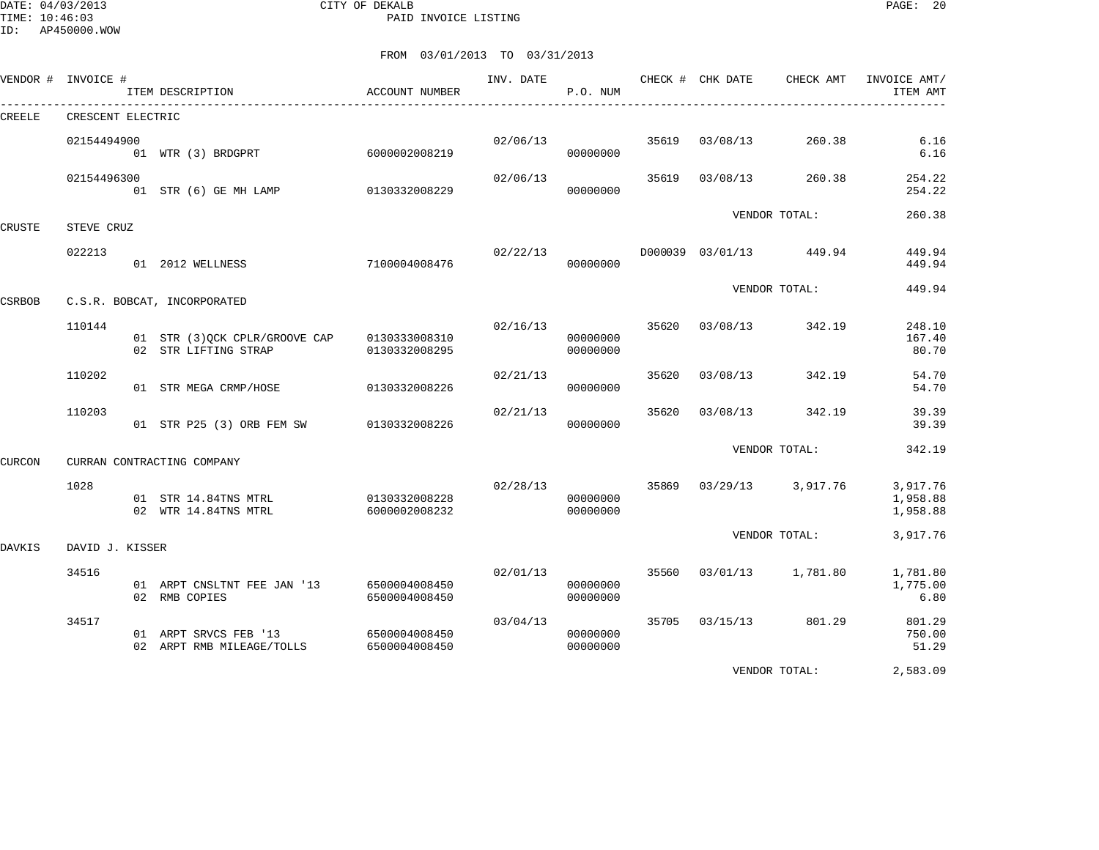DATE: 04/03/2013 CITY OF DEKALB PAGE: 20 PAID INVOICE LISTING

|        | VENDOR # INVOICE # | ITEM DESCRIPTION                                                     | ACCOUNT NUMBER                 | INV. DATE | P.O. NUM             |       | CHECK # CHK DATE | CHECK AMT               | INVOICE AMT/<br>ITEM AMT         |
|--------|--------------------|----------------------------------------------------------------------|--------------------------------|-----------|----------------------|-------|------------------|-------------------------|----------------------------------|
| CREELE | CRESCENT ELECTRIC  |                                                                      |                                |           |                      |       |                  |                         |                                  |
|        | 02154494900        | 01 WTR (3) BRDGPRT                                                   | 6000002008219                  | 02/06/13  | 00000000             |       | 35619 03/08/13   | 260.38                  | 6.16<br>6.16                     |
|        | 02154496300        | 01 STR (6) GE MH LAMP 0130332008229                                  |                                | 02/06/13  | 00000000             |       | 35619 03/08/13   | 260.38                  | 254.22<br>254.22                 |
| CRUSTE | STEVE CRUZ         |                                                                      |                                |           |                      |       |                  | VENDOR TOTAL:           | 260.38                           |
|        | 022213             | 01 2012 WELLNESS                                                     | 7100004008476                  | 02/22/13  | 00000000             |       |                  | D000039 03/01/13 449.94 | 449.94<br>449.94                 |
| CSRBOB |                    | C.S.R. BOBCAT, INCORPORATED                                          |                                |           |                      |       |                  | VENDOR TOTAL:           | 449.94                           |
|        | 110144             | 01 STR (3) QCK CPLR/GROOVE CAP 0130333008310<br>02 STR LIFTING STRAP | 0130332008295                  | 02/16/13  | 00000000<br>00000000 |       | 35620 03/08/13   | 342.19                  | 248.10<br>167.40<br>80.70        |
|        | 110202             | 01 STR MEGA CRMP/HOSE                                                | 0130332008226                  | 02/21/13  | 00000000             | 35620 | 03/08/13         | 342.19                  | 54.70<br>54.70                   |
|        | 110203             | 01 STR P25 (3) ORB FEM SW 0130332008226                              |                                | 02/21/13  | 00000000             | 35620 | 03/08/13         | 342.19                  | 39.39<br>39.39                   |
| CURCON |                    | CURRAN CONTRACTING COMPANY                                           |                                |           |                      |       |                  | VENDOR TOTAL:           | 342.19                           |
|        | 1028               | 01 STR 14.84TNS MTRL<br>02 WTR 14.84TNS MTRL                         | 0130332008228<br>6000002008232 | 02/28/13  | 00000000<br>00000000 |       |                  | 35869 03/29/13 3,917.76 | 3,917.76<br>1,958.88<br>1,958.88 |
| DAVKIS | DAVID J. KISSER    |                                                                      |                                |           |                      |       |                  | VENDOR TOTAL:           | 3,917.76                         |
|        | 34516              | 01 ARPT CNSLTNT FEE JAN '13<br>02 RMB COPIES                         | 6500004008450<br>6500004008450 | 02/01/13  | 00000000<br>00000000 |       |                  | 35560 03/01/13 1,781.80 | 1,781.80<br>1,775.00<br>6.80     |
|        | 34517              | 01 ARPT SRVCS FEB '13<br>02 ARPT RMB MILEAGE/TOLLS                   | 6500004008450<br>6500004008450 | 03/04/13  | 00000000<br>00000000 |       |                  | 35705 03/15/13 801.29   | 801.29<br>750.00<br>51.29        |
|        |                    |                                                                      |                                |           |                      |       |                  | VENDOR TOTAL:           | 2,583.09                         |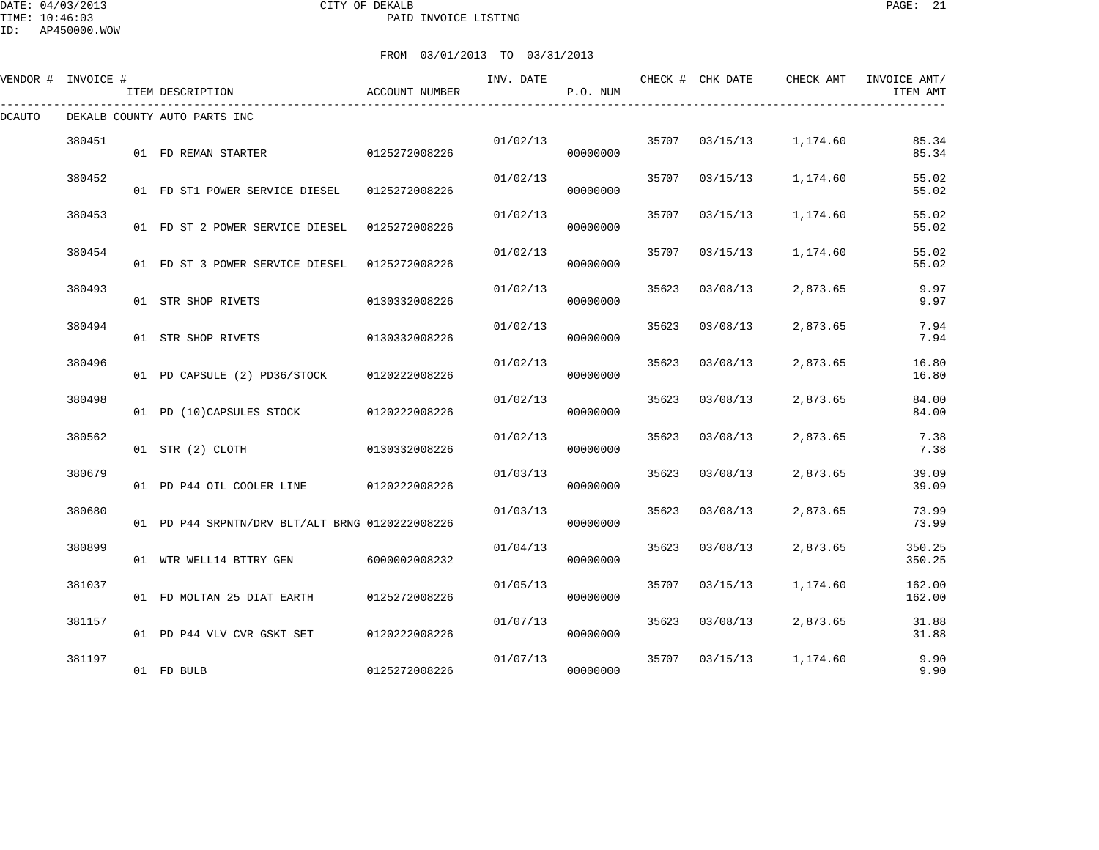DATE: 04/03/2013 CITY OF DEKALB PAGE: 21 PAID INVOICE LISTING

| VENDOR # INVOICE # |        | ITEM DESCRIPTION                                | ACCOUNT NUMBER | INV. DATE | P.O. NUM |       | CHECK # CHK DATE | CHECK AMT | INVOICE AMT/<br>ITEM AMT |
|--------------------|--------|-------------------------------------------------|----------------|-----------|----------|-------|------------------|-----------|--------------------------|
| DCAUTO             |        | DEKALB COUNTY AUTO PARTS INC                    |                |           |          |       |                  |           |                          |
|                    | 380451 | 01 FD REMAN STARTER                             | 0125272008226  | 01/02/13  | 00000000 |       | 35707 03/15/13   | 1,174.60  | 85.34<br>85.34           |
|                    | 380452 | 01 FD ST1 POWER SERVICE DIESEL                  | 0125272008226  | 01/02/13  | 00000000 | 35707 | 03/15/13         | 1,174.60  | 55.02<br>55.02           |
|                    | 380453 | 01 FD ST 2 POWER SERVICE DIESEL                 | 0125272008226  | 01/02/13  | 00000000 | 35707 | 03/15/13         | 1,174.60  | 55.02<br>55.02           |
|                    | 380454 | 01 FD ST 3 POWER SERVICE DIESEL                 | 0125272008226  | 01/02/13  | 00000000 | 35707 | 03/15/13         | 1,174.60  | 55.02<br>55.02           |
|                    | 380493 | 01 STR SHOP RIVETS                              | 0130332008226  | 01/02/13  | 00000000 | 35623 | 03/08/13         | 2,873.65  | 9.97<br>9.97             |
|                    | 380494 | 01 STR SHOP RIVETS                              | 0130332008226  | 01/02/13  | 00000000 | 35623 | 03/08/13         | 2,873.65  | 7.94<br>7.94             |
|                    | 380496 | 01 PD CAPSULE (2) PD36/STOCK                    | 0120222008226  | 01/02/13  | 00000000 | 35623 | 03/08/13         | 2,873.65  | 16.80<br>16.80           |
|                    | 380498 | 01 PD (10)CAPSULES STOCK                        | 0120222008226  | 01/02/13  | 00000000 | 35623 | 03/08/13         | 2,873.65  | 84.00<br>84.00           |
|                    | 380562 | 01 STR (2) CLOTH                                | 0130332008226  | 01/02/13  | 00000000 | 35623 | 03/08/13         | 2,873.65  | 7.38<br>7.38             |
|                    | 380679 | 01 PD P44 OIL COOLER LINE                       | 0120222008226  | 01/03/13  | 00000000 | 35623 | 03/08/13         | 2,873.65  | 39.09<br>39.09           |
|                    | 380680 | 01 PD P44 SRPNTN/DRV BLT/ALT BRNG 0120222008226 |                | 01/03/13  | 00000000 | 35623 | 03/08/13         | 2,873.65  | 73.99<br>73.99           |
|                    | 380899 | 01 WTR WELL14 BTTRY GEN                         | 6000002008232  | 01/04/13  | 00000000 | 35623 | 03/08/13         | 2,873.65  | 350.25<br>350.25         |
|                    | 381037 | 01 FD MOLTAN 25 DIAT EARTH                      | 0125272008226  | 01/05/13  | 00000000 | 35707 | 03/15/13         | 1,174.60  | 162.00<br>162.00         |
|                    | 381157 | 01 PD P44 VLV CVR GSKT SET                      | 0120222008226  | 01/07/13  | 00000000 | 35623 | 03/08/13         | 2,873.65  | 31.88<br>31.88           |
|                    | 381197 | 01 FD BULB                                      | 0125272008226  | 01/07/13  | 00000000 | 35707 | 03/15/13         | 1,174.60  | 9.90<br>9.90             |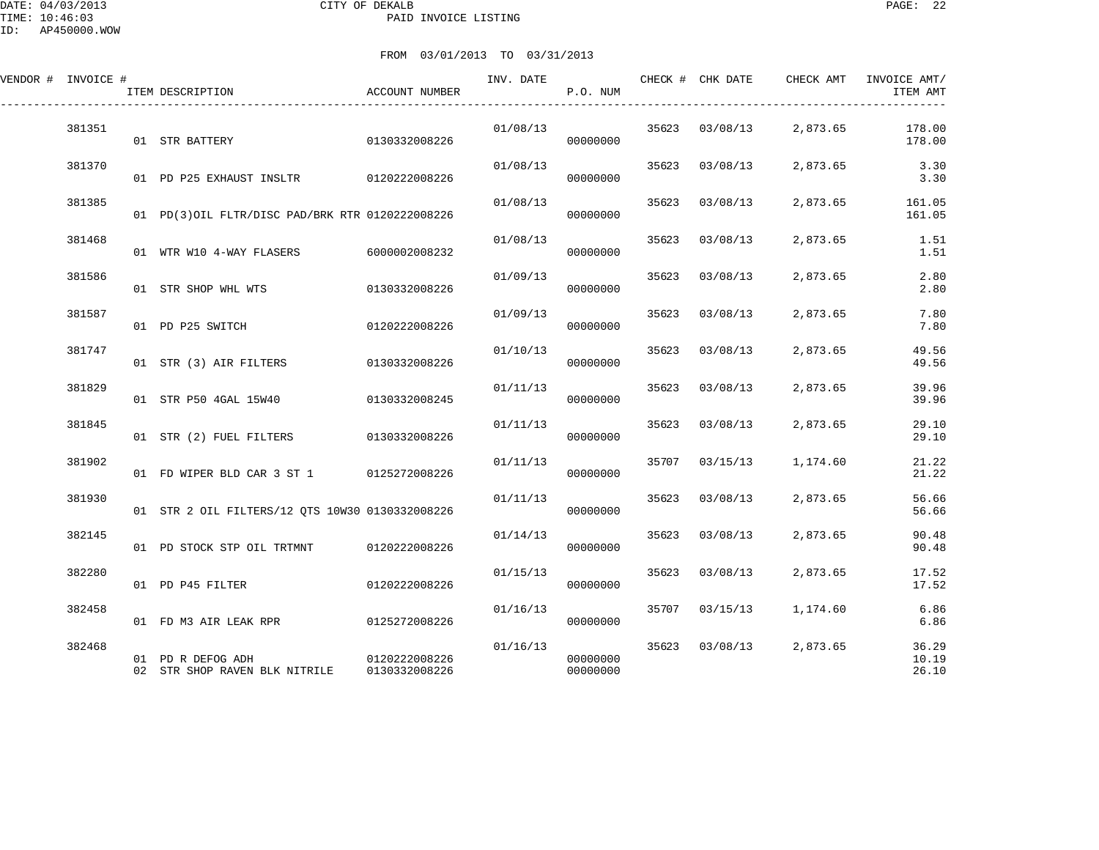DATE: 04/03/2013 CITY OF DEKALB PAGE: 22 PAID INVOICE LISTING

| VENDOR # INVOICE # |        | ITEM DESCRIPTION                                   | ACCOUNT NUMBER                 | INV. DATE | P.O. NUM             |       | CHECK # CHK DATE | CHECK AMT | INVOICE AMT/<br>ITEM AMT |
|--------------------|--------|----------------------------------------------------|--------------------------------|-----------|----------------------|-------|------------------|-----------|--------------------------|
|                    | 381351 | 01 STR BATTERY                                     | 0130332008226                  | 01/08/13  | 00000000             |       | 35623 03/08/13   | 2,873.65  | 178.00<br>178.00         |
|                    | 381370 | 01 PD P25 EXHAUST INSLTR 0120222008226             |                                | 01/08/13  | 00000000             |       | 35623 03/08/13   | 2,873.65  | 3.30<br>3.30             |
|                    | 381385 | 01 PD(3)OIL FLTR/DISC PAD/BRK RTR 0120222008226    |                                | 01/08/13  | 00000000             | 35623 | 03/08/13         | 2,873.65  | 161.05<br>161.05         |
|                    | 381468 | 01 WTR W10 4-WAY FLASERS                           | 6000002008232                  | 01/08/13  | 00000000             | 35623 | 03/08/13         | 2,873.65  | 1.51<br>1.51             |
|                    | 381586 | 01 STR SHOP WHL WTS                                | 0130332008226                  | 01/09/13  | 00000000             | 35623 | 03/08/13         | 2,873.65  | 2.80<br>2.80             |
|                    | 381587 | 01 PD P25 SWITCH                                   | 0120222008226                  | 01/09/13  | 00000000             |       | 35623 03/08/13   | 2,873.65  | 7.80<br>7.80             |
|                    | 381747 | 01 STR (3) AIR FILTERS                             | 0130332008226                  | 01/10/13  | 00000000             | 35623 | 03/08/13         | 2,873.65  | 49.56<br>49.56           |
|                    | 381829 | 01 STR P50 4GAL 15W40                              | 0130332008245                  | 01/11/13  | 00000000             | 35623 | 03/08/13         | 2,873.65  | 39.96<br>39.96           |
|                    | 381845 | 01 STR (2) FUEL FILTERS 0130332008226              |                                | 01/11/13  | 00000000             | 35623 | 03/08/13         | 2,873.65  | 29.10<br>29.10           |
|                    | 381902 | 01 FD WIPER BLD CAR 3 ST 1 0125272008226           |                                | 01/11/13  | 00000000             | 35707 | 03/15/13         | 1,174.60  | 21.22<br>21.22           |
|                    | 381930 | 01 STR 2 OIL FILTERS/12 OTS 10W30 0130332008226    |                                | 01/11/13  | 00000000             | 35623 | 03/08/13         | 2,873.65  | 56.66<br>56.66           |
|                    | 382145 | 01 PD STOCK STP OIL TRTMNT                         | 0120222008226                  | 01/14/13  | 00000000             |       | 35623 03/08/13   | 2,873.65  | 90.48<br>90.48           |
|                    | 382280 | 01 PD P45 FILTER                                   | 0120222008226                  | 01/15/13  | 00000000             |       | 35623 03/08/13   | 2,873.65  | 17.52<br>17.52           |
|                    | 382458 |                                                    |                                | 01/16/13  | 00000000             | 35707 | 03/15/13         | 1,174.60  | 6.86<br>6.86             |
|                    | 382468 | 01 PD R DEFOG ADH<br>02 STR SHOP RAVEN BLK NITRILE | 0120222008226<br>0130332008226 | 01/16/13  | 00000000<br>00000000 | 35623 | 03/08/13         | 2,873.65  | 36.29<br>10.19<br>26.10  |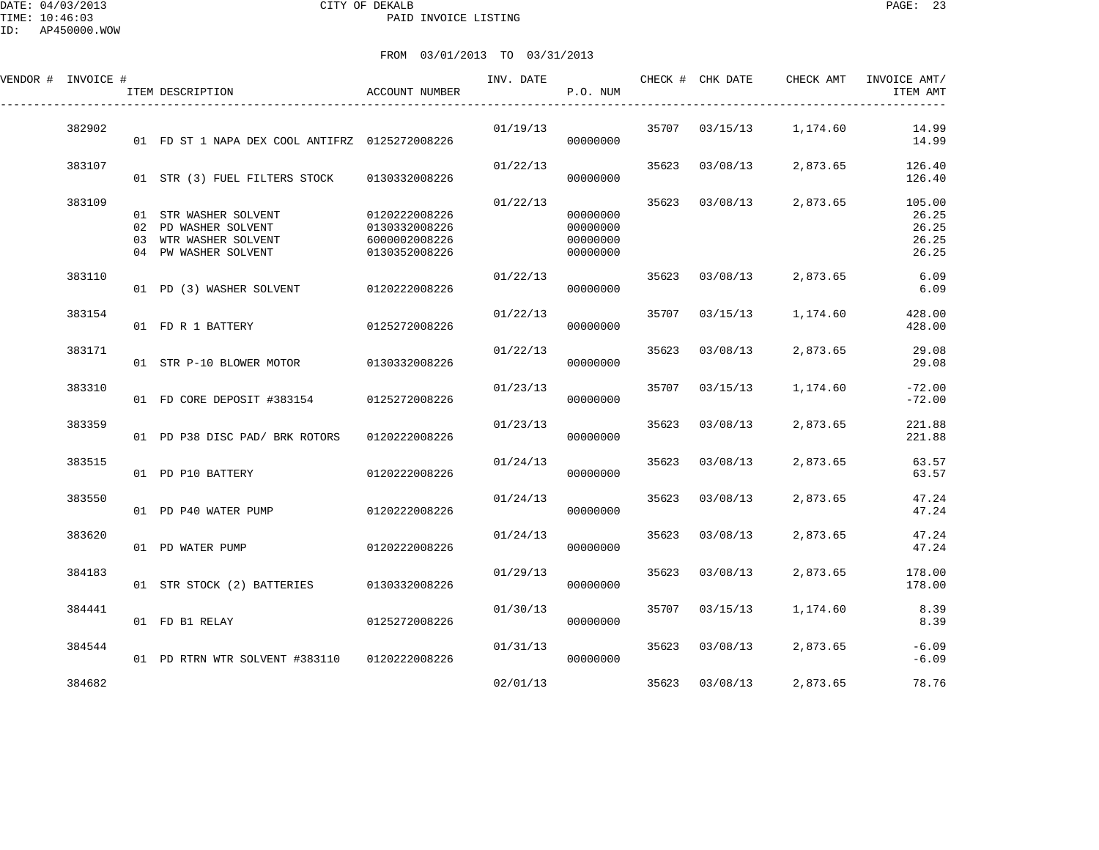DATE: 04/03/2013 CITY OF DEKALB PAGE: 23 PAID INVOICE LISTING

| VENDOR # INVOICE # | ITEM DESCRIPTION                                                                               | <b>ACCOUNT NUMBER</b>                                            | INV. DATE | P.O. NUM                                     |       | CHECK # CHK DATE | CHECK AMT | INVOICE AMT/<br>ITEM AMT                   |
|--------------------|------------------------------------------------------------------------------------------------|------------------------------------------------------------------|-----------|----------------------------------------------|-------|------------------|-----------|--------------------------------------------|
| 382902             | 01 FD ST 1 NAPA DEX COOL ANTIFRZ 0125272008226                                                 |                                                                  | 01/19/13  | 00000000                                     |       | 35707 03/15/13   | 1,174.60  | 14.99<br>14.99                             |
| 383107             | 01 STR (3) FUEL FILTERS STOCK                                                                  | 0130332008226                                                    | 01/22/13  | 00000000                                     | 35623 | 03/08/13         | 2,873.65  | 126.40<br>126.40                           |
| 383109             | 01 STR WASHER SOLVENT<br>02 PD WASHER SOLVENT<br>03 WTR WASHER SOLVENT<br>04 PW WASHER SOLVENT | 0120222008226<br>0130332008226<br>6000002008226<br>0130352008226 | 01/22/13  | 00000000<br>00000000<br>00000000<br>00000000 | 35623 | 03/08/13         | 2,873.65  | 105.00<br>26.25<br>26.25<br>26.25<br>26.25 |
| 383110             | 01 PD (3) WASHER SOLVENT                                                                       | 0120222008226                                                    | 01/22/13  | 00000000                                     | 35623 | 03/08/13         | 2,873.65  | 6.09<br>6.09                               |
| 383154             | 01 FD R 1 BATTERY                                                                              | 0125272008226                                                    | 01/22/13  | 00000000                                     | 35707 | 03/15/13         | 1,174.60  | 428.00<br>428.00                           |
| 383171             | 01 STR P-10 BLOWER MOTOR                                                                       | 0130332008226                                                    | 01/22/13  | 00000000                                     | 35623 | 03/08/13         | 2,873.65  | 29.08<br>29.08                             |
| 383310             | 01 FD CORE DEPOSIT #383154                                                                     | 0125272008226                                                    | 01/23/13  | 00000000                                     | 35707 | 03/15/13         | 1,174.60  | $-72.00$<br>$-72.00$                       |
| 383359             | 01 PD P38 DISC PAD/ BRK ROTORS                                                                 | 0120222008226                                                    | 01/23/13  | 00000000                                     | 35623 | 03/08/13         | 2,873.65  | 221.88<br>221.88                           |
| 383515             | 01 PD P10 BATTERY                                                                              | 0120222008226                                                    | 01/24/13  | 00000000                                     | 35623 | 03/08/13         | 2,873.65  | 63.57<br>63.57                             |
| 383550             | 01 PD P40 WATER PUMP                                                                           | 0120222008226                                                    | 01/24/13  | 00000000                                     | 35623 | 03/08/13         | 2,873.65  | 47.24<br>47.24                             |
| 383620             | 01 PD WATER PUMP                                                                               | 0120222008226                                                    | 01/24/13  | 00000000                                     | 35623 | 03/08/13         | 2,873.65  | 47.24<br>47.24                             |
| 384183             | 01 STR STOCK (2) BATTERIES                                                                     | 0130332008226                                                    | 01/29/13  | 00000000                                     | 35623 | 03/08/13         | 2,873.65  | 178.00<br>178.00                           |
| 384441             | 01 FD B1 RELAY                                                                                 | 0125272008226                                                    | 01/30/13  | 00000000                                     | 35707 | 03/15/13         | 1,174.60  | 8.39<br>8.39                               |
| 384544             | 01 PD RTRN WTR SOLVENT #383110 0120222008226                                                   |                                                                  | 01/31/13  | 00000000                                     | 35623 | 03/08/13         | 2,873.65  | $-6.09$<br>$-6.09$                         |
| 384682             |                                                                                                |                                                                  | 02/01/13  |                                              | 35623 | 03/08/13         | 2,873.65  | 78.76                                      |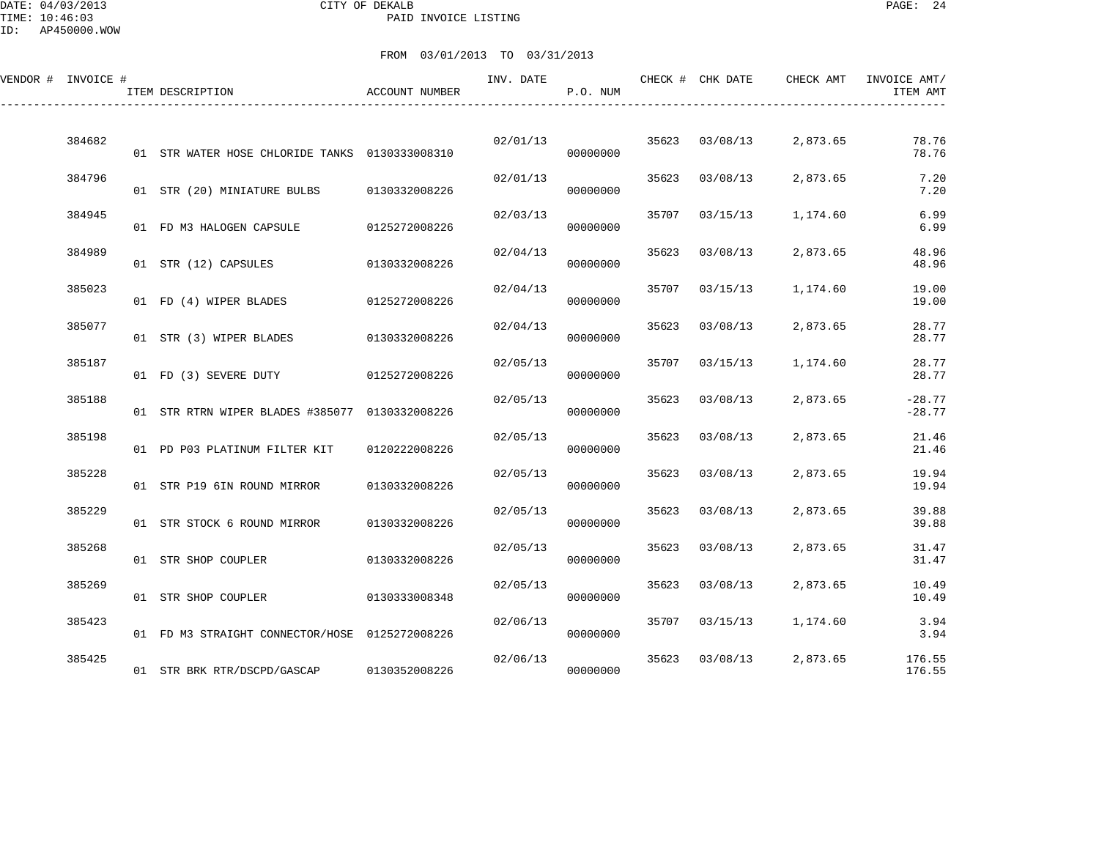DATE: 04/03/2013 CITY OF DEKALB PAGE: 24 PAID INVOICE LISTING

| VENDOR # INVOICE # | ITEM DESCRIPTION                               | ACCOUNT NUMBER | INV. DATE | P.O. NUM |       | CHECK # CHK DATE | CHECK AMT | INVOICE AMT/<br>ITEM AMT |
|--------------------|------------------------------------------------|----------------|-----------|----------|-------|------------------|-----------|--------------------------|
| 384682             | 01 STR WATER HOSE CHLORIDE TANKS 0130333008310 |                | 02/01/13  | 00000000 |       | 35623 03/08/13   | 2,873.65  | 78.76<br>78.76           |
| 384796             | 01 STR (20) MINIATURE BULBS 0130332008226      |                | 02/01/13  | 00000000 | 35623 | 03/08/13         | 2,873.65  | 7.20<br>7.20             |
| 384945             | 01 FD M3 HALOGEN CAPSULE                       | 0125272008226  | 02/03/13  | 00000000 | 35707 | 03/15/13         | 1,174.60  | 6.99<br>6.99             |
| 384989             | 01 STR (12) CAPSULES                           | 0130332008226  | 02/04/13  | 00000000 | 35623 | 03/08/13         | 2,873.65  | 48.96<br>48.96           |
| 385023             | 01 FD (4) WIPER BLADES                         | 0125272008226  | 02/04/13  | 00000000 | 35707 | 03/15/13         | 1,174.60  | 19.00<br>19.00           |
| 385077             | 01 STR (3) WIPER BLADES                        | 0130332008226  | 02/04/13  | 00000000 | 35623 | 03/08/13         | 2,873.65  | 28.77<br>28.77           |
| 385187             | 01 FD (3) SEVERE DUTY                          | 0125272008226  | 02/05/13  | 00000000 | 35707 | 03/15/13         | 1,174.60  | 28.77<br>28.77           |
| 385188             | 01 STR RTRN WIPER BLADES #385077 0130332008226 |                | 02/05/13  | 00000000 | 35623 | 03/08/13         | 2,873.65  | $-28.77$<br>$-28.77$     |
| 385198             | 01 PD P03 PLATINUM FILTER KIT                  | 0120222008226  | 02/05/13  | 00000000 | 35623 | 03/08/13         | 2,873.65  | 21.46<br>21.46           |
| 385228             | 01 STR P19 6IN ROUND MIRROR                    | 0130332008226  | 02/05/13  | 00000000 | 35623 | 03/08/13         | 2,873.65  | 19.94<br>19.94           |
| 385229             | 01 STR STOCK 6 ROUND MIRROR                    | 0130332008226  | 02/05/13  | 00000000 | 35623 | 03/08/13         | 2,873.65  | 39.88<br>39.88           |
| 385268             | 01 STR SHOP COUPLER                            | 0130332008226  | 02/05/13  | 00000000 | 35623 | 03/08/13         | 2,873.65  | 31.47<br>31.47           |
| 385269             | 01 STR SHOP COUPLER                            | 0130333008348  | 02/05/13  | 00000000 | 35623 | 03/08/13         | 2,873.65  | 10.49<br>10.49           |
| 385423             | 01 FD M3 STRAIGHT CONNECTOR/HOSE 0125272008226 |                | 02/06/13  | 00000000 | 35707 | 03/15/13         | 1,174.60  | 3.94<br>3.94             |
| 385425             | 01 STR BRK RTR/DSCPD/GASCAP                    | 0130352008226  | 02/06/13  | 00000000 | 35623 | 03/08/13         | 2,873.65  | 176.55<br>176.55         |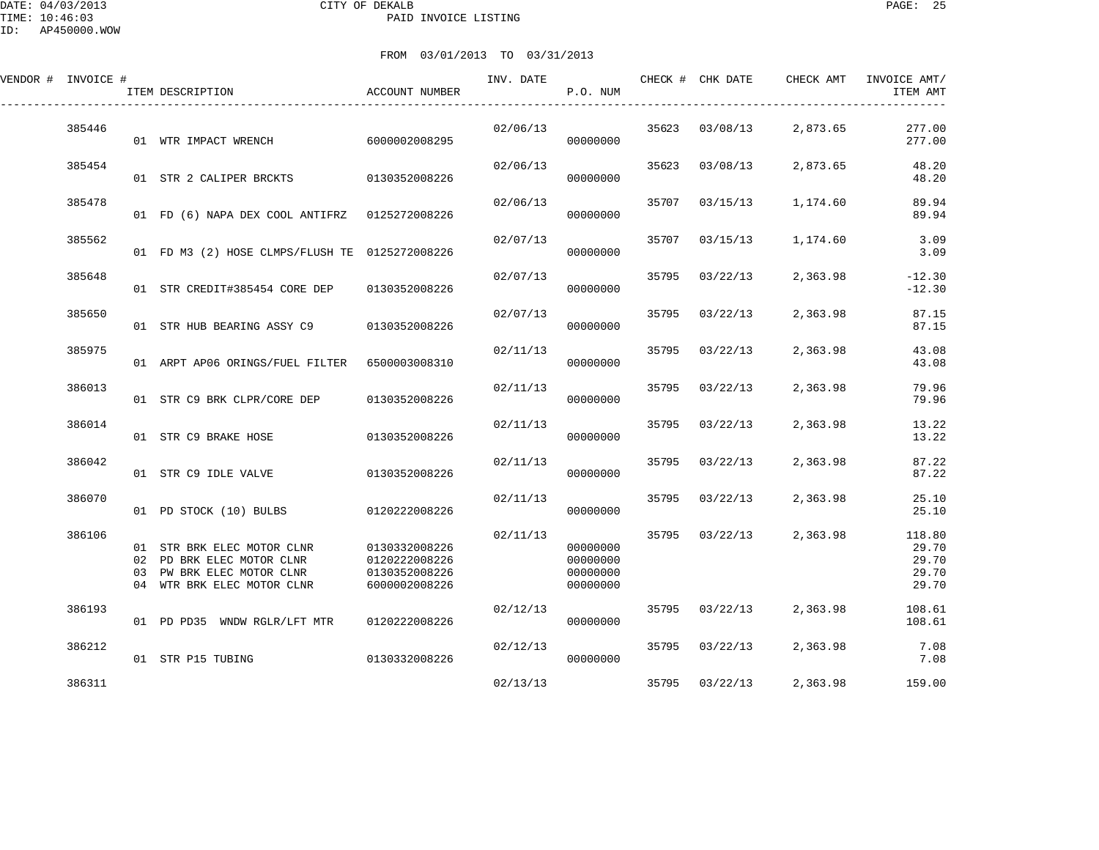DATE: 04/03/2013 CITY OF DEKALB PAGE: 25 PAID INVOICE LISTING

| ID:      | AP450000.WOW |                                                |                 |               |                              |       |                |           |                          |
|----------|--------------|------------------------------------------------|-----------------|---------------|------------------------------|-------|----------------|-----------|--------------------------|
|          |              |                                                | FROM 03/01/2013 | TO 03/31/2013 |                              |       |                |           |                          |
| VENDOR # | INVOICE #    | ITEM DESCRIPTION                               | ACCOUNT NUMBER  | INV. DATE     | CHECK # CHK DATE<br>P.O. NUM |       |                | CHECK AMT | INVOICE AMT/<br>ITEM AMT |
|          | 385446       | 01 WTR IMPACT WRENCH                           | 6000002008295   | 02/06/13      | 00000000                     | 35623 | 03/08/13       | 2,873.65  | 277.00<br>277.00         |
|          | 385454       | 01 STR 2 CALIPER BRCKTS                        | 0130352008226   | 02/06/13      | 00000000                     | 35623 | 03/08/13       | 2,873.65  | 48.20<br>48.20           |
|          | 385478       | 01 FD (6) NAPA DEX COOL ANTIFRZ                | 0125272008226   | 02/06/13      | 00000000                     | 35707 | 03/15/13       | 1,174.60  | 89.94<br>89.94           |
|          | 385562       | 01 FD M3 (2) HOSE CLMPS/FLUSH TE 0125272008226 |                 | 02/07/13      | 00000000                     | 35707 | 03/15/13       | 1,174.60  | 3.09<br>3.09             |
|          | 385648       | 01 STR CREDIT#385454 CORE DEP                  | 0130352008226   | 02/07/13      | 00000000                     | 35795 | 03/22/13       | 2,363.98  | $-12.30$<br>$-12.30$     |
|          | 385650       | 01 STR HUB BEARING ASSY C9                     | 0130352008226   | 02/07/13      | 00000000                     | 35795 | 03/22/13       | 2,363.98  | 87.15<br>87.15           |
|          | 385975       | 01 ARPT AP06 ORINGS/FUEL FILTER                | 6500003008310   | 02/11/13      | 00000000                     |       | 35795 03/22/13 | 2,363.98  | 43.08<br>43.08           |

|        |                 | 01 FD M3 (2) HOSE CLMPS/FLUSH TE 0125272008226                                                            |                                                                  |          | 00000000                                     |       |          |          | 3.09                                       |
|--------|-----------------|-----------------------------------------------------------------------------------------------------------|------------------------------------------------------------------|----------|----------------------------------------------|-------|----------|----------|--------------------------------------------|
| 385648 |                 | 01 STR CREDIT#385454 CORE DEP                                                                             | 0130352008226                                                    | 02/07/13 | 00000000                                     | 35795 | 03/22/13 | 2,363.98 | $-12.30$<br>$-12.30$                       |
| 385650 |                 | 01 STR HUB BEARING ASSY C9 0130352008226                                                                  |                                                                  | 02/07/13 | 00000000                                     | 35795 | 03/22/13 | 2,363.98 | 87.15<br>87.15                             |
| 385975 |                 | 01 ARPT AP06 ORINGS/FUEL FILTER 6500003008310                                                             |                                                                  | 02/11/13 | 00000000                                     | 35795 | 03/22/13 | 2,363.98 | 43.08<br>43.08                             |
| 386013 |                 | 01 STR C9 BRK CLPR/CORE DEP 0130352008226                                                                 |                                                                  | 02/11/13 | 00000000                                     | 35795 | 03/22/13 | 2,363.98 | 79.96<br>79.96                             |
| 386014 |                 | 01 STR C9 BRAKE HOSE                                                                                      | 0130352008226                                                    | 02/11/13 | 00000000                                     | 35795 | 03/22/13 | 2,363.98 | 13.22<br>13.22                             |
| 386042 |                 | 01 STR C9 IDLE VALVE                                                                                      | 0130352008226                                                    | 02/11/13 | 00000000                                     | 35795 | 03/22/13 | 2,363.98 | 87.22<br>87.22                             |
| 386070 |                 | 01 PD STOCK (10) BULBS                                                                                    | 0120222008226                                                    | 02/11/13 | 00000000                                     | 35795 | 03/22/13 | 2,363.98 | 25.10<br>25.10                             |
| 386106 | 01<br>02<br>0.3 | STR BRK ELEC MOTOR CLNR<br>PD BRK ELEC MOTOR CLNR<br>PW BRK ELEC MOTOR CLNR<br>04 WTR BRK ELEC MOTOR CLNR | 0130332008226<br>0120222008226<br>0130352008226<br>6000002008226 | 02/11/13 | 00000000<br>00000000<br>00000000<br>00000000 | 35795 | 03/22/13 | 2,363.98 | 118.80<br>29.70<br>29.70<br>29.70<br>29.70 |
| 386193 |                 | 01 PD PD35 WNDW RGLR/LFT MTR                                                                              | 0120222008226                                                    | 02/12/13 | 00000000                                     | 35795 | 03/22/13 | 2,363.98 | 108.61<br>108.61                           |
| 386212 |                 | 01 STR P15 TUBING                                                                                         | 0130332008226                                                    | 02/12/13 | 00000000                                     | 35795 | 03/22/13 | 2,363.98 | 7.08<br>7.08                               |
| 386311 |                 |                                                                                                           |                                                                  | 02/13/13 |                                              | 35795 | 03/22/13 | 2,363.98 | 159.00                                     |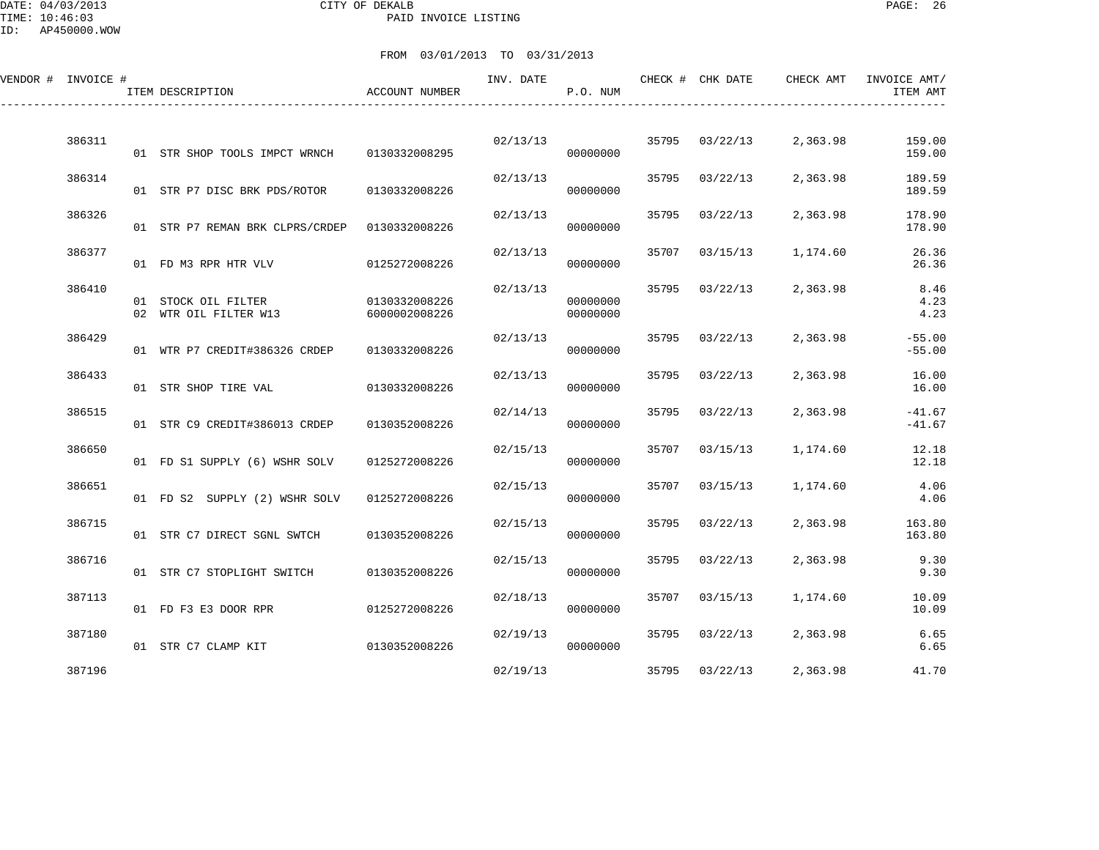DATE: 04/03/2013 CITY OF DEKALB PAGE: 26 PAID INVOICE LISTING

ID: AP450000.WOW

| VENDOR # INVOICE # | ITEM DESCRIPTION                             | ACCOUNT NUMBER                 | INV. DATE | P.O. NUM             |       | CHECK # CHK DATE | CHECK AMT | INVOICE AMT/<br>ITEM AMT |
|--------------------|----------------------------------------------|--------------------------------|-----------|----------------------|-------|------------------|-----------|--------------------------|
| 386311             | 01 STR SHOP TOOLS IMPCT WRNCH                | 0130332008295                  | 02/13/13  | 00000000             |       | 35795 03/22/13   | 2,363.98  | 159.00<br>159.00         |
| 386314             | 01 STR P7 DISC BRK PDS/ROTOR                 | 0130332008226                  | 02/13/13  | 00000000             | 35795 | 03/22/13         | 2,363.98  | 189.59<br>189.59         |
| 386326             | 01 STR P7 REMAN BRK CLPRS/CRDEP              | 0130332008226                  | 02/13/13  | 00000000             | 35795 | 03/22/13         | 2,363.98  | 178.90<br>178.90         |
| 386377             | 01 FD M3 RPR HTR VLV                         | 0125272008226                  | 02/13/13  | 00000000             | 35707 | 03/15/13         | 1,174.60  | 26.36<br>26.36           |
| 386410             | 01 STOCK OIL FILTER<br>02 WTR OIL FILTER W13 | 0130332008226<br>6000002008226 | 02/13/13  | 00000000<br>00000000 | 35795 | 03/22/13         | 2,363.98  | 8.46<br>4.23<br>4.23     |
| 386429             | 01 WTR P7 CREDIT#386326 CRDEP                | 0130332008226                  | 02/13/13  | 00000000             | 35795 | 03/22/13         | 2,363.98  | $-55.00$<br>$-55.00$     |
| 386433             | 01 STR SHOP TIRE VAL                         | 0130332008226                  | 02/13/13  | 00000000             | 35795 | 03/22/13         | 2,363.98  | 16.00<br>16.00           |
| 386515             | 01 STR C9 CREDIT#386013 CRDEP                | 0130352008226                  | 02/14/13  | 00000000             | 35795 | 03/22/13         | 2,363.98  | $-41.67$<br>$-41.67$     |
| 386650             | 01 FD S1 SUPPLY (6) WSHR SOLV                | 0125272008226                  | 02/15/13  | 00000000             | 35707 | 03/15/13         | 1,174.60  | 12.18<br>12.18           |
| 386651             | 01 FD S2 SUPPLY (2) WSHR SOLV                | 0125272008226                  | 02/15/13  | 00000000             | 35707 | 03/15/13         | 1,174.60  | 4.06<br>4.06             |
| 386715             | 01 STR C7 DIRECT SGNL SWTCH                  | 0130352008226                  | 02/15/13  | 00000000             | 35795 | 03/22/13         | 2,363.98  | 163.80<br>163.80         |
| 386716             | 01 STR C7 STOPLIGHT SWITCH                   | 0130352008226                  | 02/15/13  | 00000000             | 35795 | 03/22/13         | 2,363.98  | 9.30<br>9.30             |
| 387113             | 01 FD F3 E3 DOOR RPR                         | 0125272008226                  | 02/18/13  | 00000000             | 35707 | 03/15/13         | 1,174.60  | 10.09<br>10.09           |
| 387180             | 01 STR C7 CLAMP KIT                          | 0130352008226                  | 02/19/13  | 00000000             |       | 35795 03/22/13   | 2,363.98  | 6.65<br>6.65             |
| 387196             |                                              |                                | 02/19/13  |                      |       | 35795 03/22/13   | 2,363.98  | 41.70                    |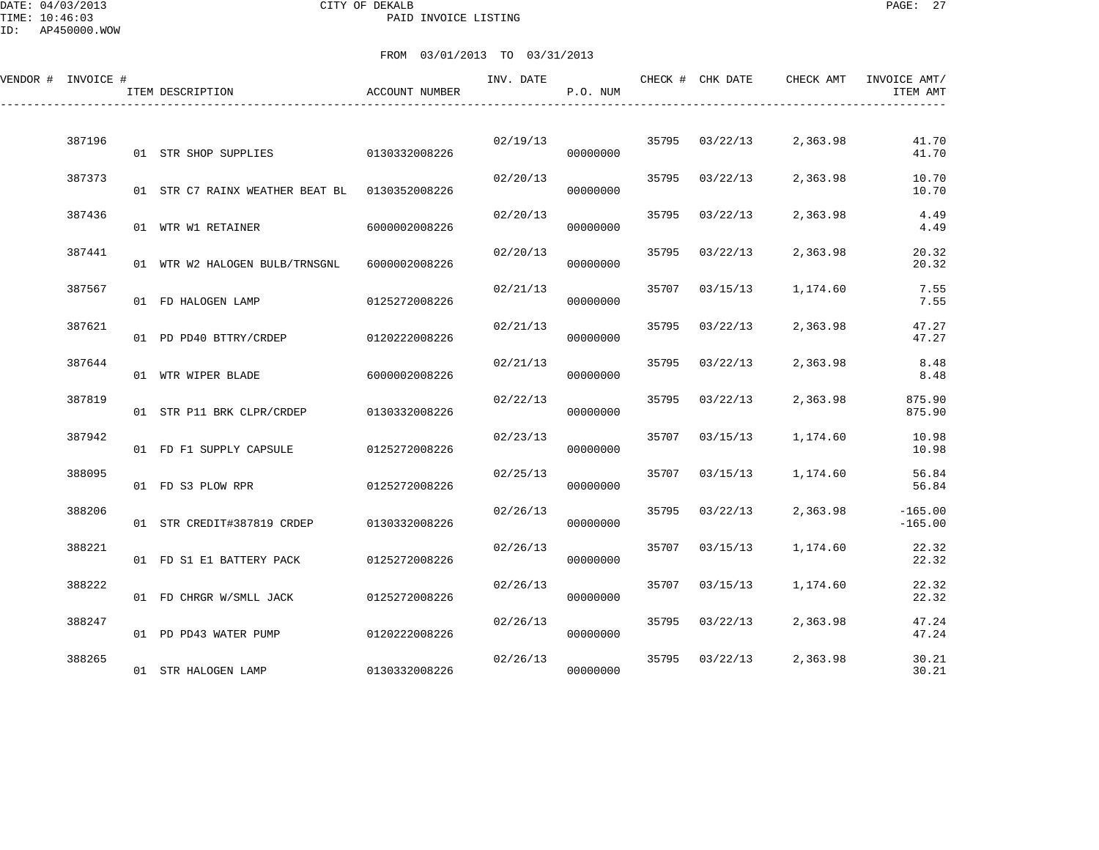DATE: 04/03/2013 CITY OF DEKALB PAGE: 27 PAID INVOICE LISTING

ID: AP450000.WOW

| VENDOR # INVOICE # |        | ITEM DESCRIPTION                | <b>ACCOUNT NUMBER</b> | INV. DATE | P.O. NUM |       | CHECK # CHK DATE | CHECK AMT | INVOICE AMT/<br>ITEM AMT |
|--------------------|--------|---------------------------------|-----------------------|-----------|----------|-------|------------------|-----------|--------------------------|
|                    | 387196 | 01 STR SHOP SUPPLIES            | 0130332008226         | 02/19/13  | 00000000 |       | 35795 03/22/13   | 2,363.98  | 41.70<br>41.70           |
|                    | 387373 | 01 STR C7 RAINX WEATHER BEAT BL | 0130352008226         | 02/20/13  | 00000000 | 35795 | 03/22/13         | 2,363.98  | 10.70<br>10.70           |
|                    | 387436 | 01 WTR W1 RETAINER              | 6000002008226         | 02/20/13  | 00000000 | 35795 | 03/22/13         | 2,363.98  | 4.49<br>4.49             |
|                    | 387441 | 01 WTR W2 HALOGEN BULB/TRNSGNL  | 6000002008226         | 02/20/13  | 00000000 | 35795 | 03/22/13         | 2,363.98  | 20.32<br>20.32           |
|                    | 387567 | 01 FD HALOGEN LAMP              | 0125272008226         | 02/21/13  | 00000000 | 35707 | 03/15/13         | 1,174.60  | 7.55<br>7.55             |
|                    | 387621 | 01 PD PD40 BTTRY/CRDEP          | 0120222008226         | 02/21/13  | 00000000 | 35795 | 03/22/13         | 2,363.98  | 47.27<br>47.27           |
|                    | 387644 | 01 WTR WIPER BLADE              | 6000002008226         | 02/21/13  | 00000000 | 35795 | 03/22/13         | 2,363.98  | 8.48<br>8.48             |
|                    | 387819 | 01 STR P11 BRK CLPR/CRDEP       | 0130332008226         | 02/22/13  | 00000000 | 35795 | 03/22/13         | 2,363.98  | 875.90<br>875.90         |
|                    | 387942 | 01 FD F1 SUPPLY CAPSULE         | 0125272008226         | 02/23/13  | 00000000 | 35707 | 03/15/13         | 1,174.60  | 10.98<br>10.98           |
|                    | 388095 | 01 FD S3 PLOW RPR               | 0125272008226         | 02/25/13  | 00000000 | 35707 | 03/15/13         | 1,174.60  | 56.84<br>56.84           |
|                    | 388206 | 01 STR CREDIT#387819 CRDEP      | 0130332008226         | 02/26/13  | 00000000 | 35795 | 03/22/13         | 2,363.98  | $-165.00$<br>$-165.00$   |
|                    | 388221 | 01 FD S1 E1 BATTERY PACK        | 0125272008226         | 02/26/13  | 00000000 | 35707 | 03/15/13         | 1,174.60  | 22.32<br>22.32           |
|                    | 388222 | 01 FD CHRGR W/SMLL JACK         | 0125272008226         | 02/26/13  | 00000000 | 35707 | 03/15/13         | 1,174.60  | 22.32<br>22.32           |
|                    | 388247 | 01 PD PD43 WATER PUMP           | 0120222008226         | 02/26/13  | 00000000 | 35795 | 03/22/13         | 2,363.98  | 47.24<br>47.24           |
|                    | 388265 | 01 STR HALOGEN LAMP             | 0130332008226         | 02/26/13  | 00000000 | 35795 | 03/22/13         | 2,363.98  | 30.21<br>30.21           |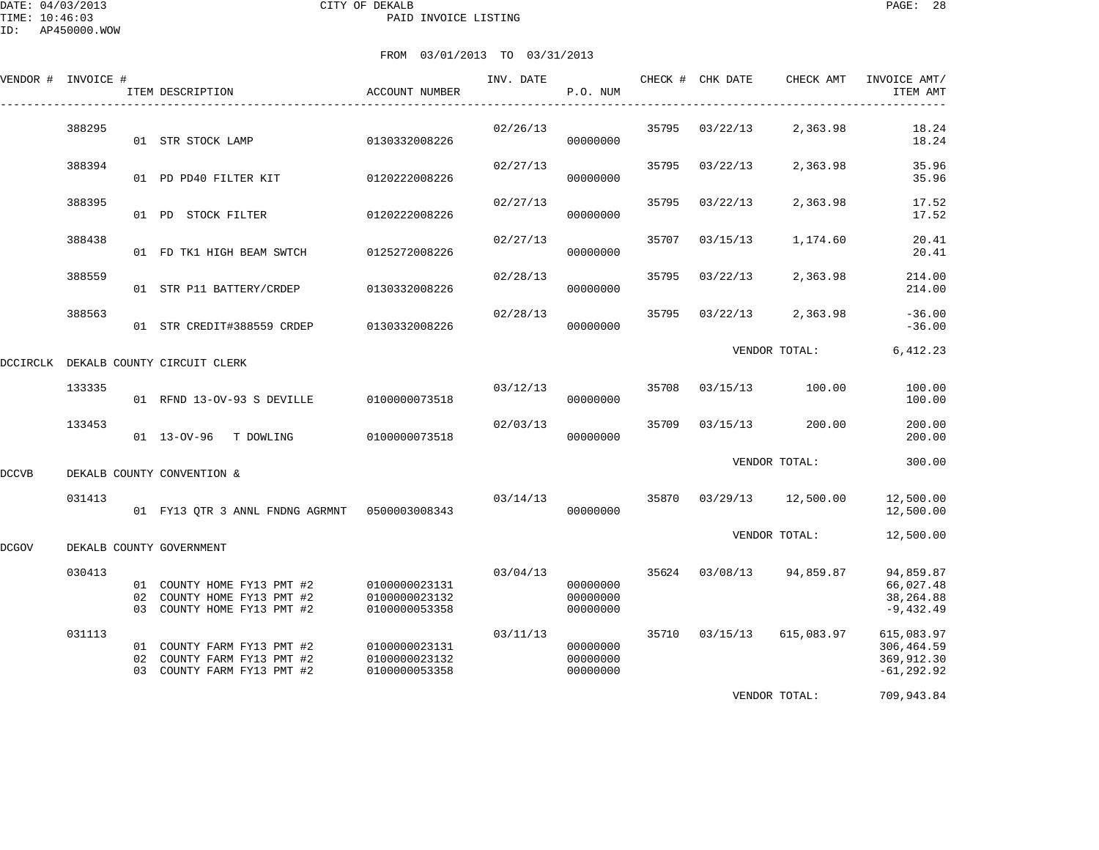|       | VENDOR # INVOICE # | ITEM DESCRIPTION                                                                       | ACCOUNT NUMBER                                  | INV. DATE | P.O. NUM                         |       | CHECK # CHK DATE | CHECK AMT     | INVOICE AMT/<br>ITEM AMT                                 |
|-------|--------------------|----------------------------------------------------------------------------------------|-------------------------------------------------|-----------|----------------------------------|-------|------------------|---------------|----------------------------------------------------------|
|       | 388295             | 01 STR STOCK LAMP                                                                      | 0130332008226                                   | 02/26/13  | 00000000                         | 35795 | 03/22/13         | 2,363.98      | 18.24<br>18.24                                           |
|       | 388394             | 01 PD PD40 FILTER KIT                                                                  | 0120222008226                                   | 02/27/13  | 00000000                         | 35795 | 03/22/13         | 2,363.98      | 35.96<br>35.96                                           |
|       | 388395             | 01 PD STOCK FILTER                                                                     | 0120222008226                                   | 02/27/13  | 00000000                         | 35795 | 03/22/13         | 2,363.98      | 17.52<br>17.52                                           |
|       | 388438             | 01 FD TK1 HIGH BEAM SWTCH                                                              | 0125272008226                                   | 02/27/13  | 00000000                         | 35707 | 03/15/13         | 1,174.60      | 20.41<br>20.41                                           |
|       | 388559             | 01 STR P11 BATTERY/CRDEP                                                               | 0130332008226                                   | 02/28/13  | 00000000                         | 35795 | 03/22/13         | 2,363.98      | 214.00<br>214.00                                         |
|       | 388563             | 01 STR CREDIT#388559 CRDEP                                                             | 0130332008226                                   | 02/28/13  | 00000000                         | 35795 | 03/22/13         | 2,363.98      | $-36.00$<br>$-36.00$                                     |
|       |                    | DCCIRCLK DEKALB COUNTY CIRCUIT CLERK                                                   |                                                 |           |                                  |       |                  | VENDOR TOTAL: | 6,412.23                                                 |
|       | 133335             | 01 RFND 13-OV-93 S DEVILLE                                                             | 0100000073518                                   | 03/12/13  | 00000000                         | 35708 | 03/15/13         | 100.00        | 100.00<br>100.00                                         |
|       | 133453             | 01 13-OV-96 T DOWLING                                                                  | 0100000073518                                   | 02/03/13  | 00000000                         | 35709 | 03/15/13         | 200.00        | 200.00<br>200.00                                         |
| DCCVB |                    | DEKALB COUNTY CONVENTION &                                                             |                                                 |           |                                  |       |                  | VENDOR TOTAL: | 300.00                                                   |
|       | 031413             | 01 FY13 QTR 3 ANNL FNDNG AGRMNT 0500003008343                                          |                                                 | 03/14/13  | 00000000                         | 35870 | 03/29/13         | 12,500.00     | 12,500.00<br>12,500.00                                   |
| DCGOV |                    | DEKALB COUNTY GOVERNMENT                                                               |                                                 |           |                                  |       |                  | VENDOR TOTAL: | 12,500.00                                                |
|       | 030413             | 01 COUNTY HOME FY13 PMT #2<br>02 COUNTY HOME FY13 PMT #2<br>03 COUNTY HOME FY13 PMT #2 | 0100000023131<br>0100000023132<br>0100000053358 | 03/04/13  | 00000000<br>00000000<br>00000000 | 35624 | 03/08/13         | 94,859.87     | 94,859.87<br>66,027.48<br>38,264.88<br>$-9,432.49$       |
|       | 031113             | 01 COUNTY FARM FY13 PMT #2<br>02 COUNTY FARM FY13 PMT #2<br>03 COUNTY FARM FY13 PMT #2 | 0100000023131<br>0100000023132<br>0100000053358 | 03/11/13  | 00000000<br>00000000<br>00000000 |       | 35710 03/15/13   | 615,083.97    | 615,083.97<br>306, 464.59<br>369,912.30<br>$-61, 292.92$ |
|       |                    |                                                                                        |                                                 |           |                                  |       |                  | VENDOR TOTAL: | 709,943.84                                               |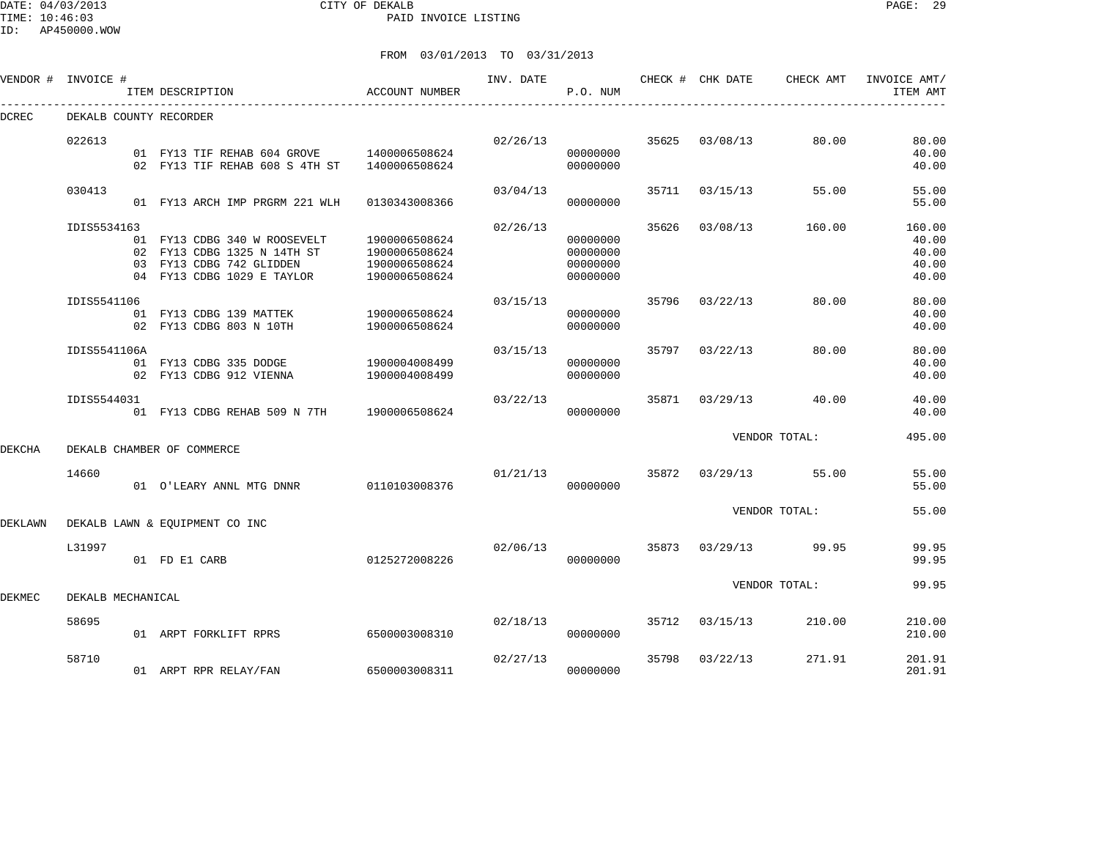DATE: 04/03/2013 CITY OF DEKALB PAGE: 29 PAID INVOICE LISTING

ID: AP450000.WOW

| VENDOR #       | INVOICE #              | ITEM DESCRIPTION                                                                                                   | ACCOUNT NUMBER                                                   | INV. DATE | P.O. NUM                                     |       | CHECK # CHK DATE | CHECK AMT     | INVOICE AMT/<br>ITEM AMT                   |
|----------------|------------------------|--------------------------------------------------------------------------------------------------------------------|------------------------------------------------------------------|-----------|----------------------------------------------|-------|------------------|---------------|--------------------------------------------|
| <b>DCREC</b>   | DEKALB COUNTY RECORDER |                                                                                                                    |                                                                  |           |                                              |       |                  |               |                                            |
|                | 022613                 | 01 FY13 TIF REHAB 604 GROVE<br>02 FY13 TIF REHAB 608 S 4TH ST                                                      | 1400006508624<br>1400006508624                                   | 02/26/13  | 00000000<br>00000000                         | 35625 | 03/08/13         | 80.00         | 80.00<br>40.00<br>40.00                    |
|                | 030413                 | 01 FY13 ARCH IMP PRGRM 221 WLH                                                                                     | 0130343008366                                                    | 03/04/13  | 00000000                                     | 35711 | 03/15/13         | 55.00         | 55.00<br>55.00                             |
|                | IDIS5534163<br>03      | 01 FY13 CDBG 340 W ROOSEVELT<br>02 FY13 CDBG 1325 N 14TH ST<br>FY13 CDBG 742 GLIDDEN<br>04 FY13 CDBG 1029 E TAYLOR | 1900006508624<br>1900006508624<br>1900006508624<br>1900006508624 | 02/26/13  | 00000000<br>00000000<br>00000000<br>00000000 | 35626 | 03/08/13         | 160.00        | 160.00<br>40.00<br>40.00<br>40.00<br>40.00 |
|                | IDIS5541106            | 01 FY13 CDBG 139 MATTEK<br>02 FY13 CDBG 803 N 10TH                                                                 | 1900006508624<br>1900006508624                                   | 03/15/13  | 00000000<br>00000000                         | 35796 | 03/22/13         | 80.00         | 80.00<br>40.00<br>40.00                    |
|                | IDIS5541106A           | 01 FY13 CDBG 335 DODGE<br>02 FY13 CDBG 912 VIENNA                                                                  | 1900004008499<br>1900004008499                                   | 03/15/13  | 00000000<br>00000000                         | 35797 | 03/22/13         | 80.00         | 80.00<br>40.00<br>40.00                    |
|                | IDIS5544031            | 01 FY13 CDBG REHAB 509 N 7TH                                                                                       | 1900006508624                                                    | 03/22/13  | 00000000                                     | 35871 | 03/29/13         | 40.00         | 40.00<br>40.00                             |
| <b>DEKCHA</b>  |                        | DEKALB CHAMBER OF COMMERCE                                                                                         |                                                                  |           |                                              |       |                  | VENDOR TOTAL: | 495.00                                     |
|                | 14660                  | 01 O'LEARY ANNL MTG DNNR                                                                                           | 0110103008376                                                    | 01/21/13  | 00000000                                     | 35872 | 03/29/13         | 55.00         | 55.00<br>55.00                             |
| <b>DEKLAWN</b> |                        | DEKALB LAWN & EOUIPMENT CO INC                                                                                     |                                                                  |           |                                              |       |                  | VENDOR TOTAL: | 55.00                                      |
|                | L31997                 | 01 FD E1 CARB                                                                                                      | 0125272008226                                                    | 02/06/13  | 00000000                                     | 35873 | 03/29/13         | 99.95         | 99.95<br>99.95                             |
| DEKMEC         | DEKALB MECHANICAL      |                                                                                                                    |                                                                  |           |                                              |       |                  | VENDOR TOTAL: | 99.95                                      |
|                | 58695                  | 01 ARPT FORKLIFT RPRS                                                                                              | 6500003008310                                                    | 02/18/13  | 00000000                                     | 35712 | 03/15/13         | 210.00        | 210.00<br>210.00                           |
|                | 58710                  | 01 ARPT RPR RELAY/FAN                                                                                              | 6500003008311                                                    | 02/27/13  | 00000000                                     | 35798 | 03/22/13         | 271.91        | 201.91<br>201.91                           |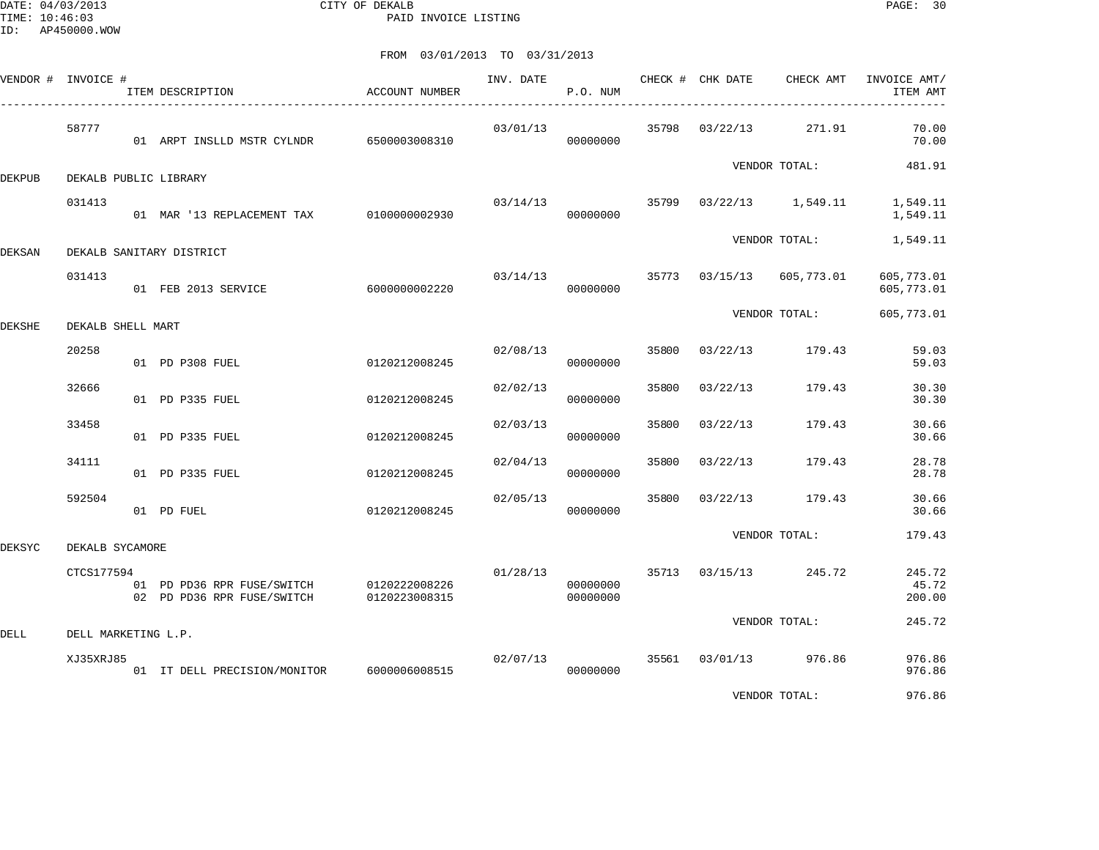DATE: 04/03/2013 CITY OF DEKALB PAGE: 30 PAID INVOICE LISTING

|        | VENDOR # INVOICE #  | ITEM DESCRIPTION                                         | ACCOUNT NUMBER                 | INV. DATE | P.O. NUM             |       | CHECK # CHK DATE        | CHECK AMT               | INVOICE AMT/<br>ITEM AMT  |
|--------|---------------------|----------------------------------------------------------|--------------------------------|-----------|----------------------|-------|-------------------------|-------------------------|---------------------------|
|        | 58777               | 01 ARPT INSLLD MSTR CYLNDR                               | 6500003008310                  | 03/01/13  | 00000000             |       | 35798 03/22/13          | 271.91                  | 70.00<br>70.00            |
| DEKPUB |                     | DEKALB PUBLIC LIBRARY                                    |                                |           |                      |       |                         | VENDOR TOTAL:           | 481.91                    |
|        | 031413              | 01 MAR '13 REPLACEMENT TAX 0100000002930                 |                                | 03/14/13  | 00000000             |       |                         | 35799 03/22/13 1,549.11 | 1,549.11<br>1,549.11      |
| DEKSAN |                     | DEKALB SANITARY DISTRICT                                 |                                |           |                      |       |                         | VENDOR TOTAL:           | 1,549.11                  |
|        | 031413              | 01 FEB 2013 SERVICE                                      | 6000000002220                  |           | 00000000             |       | 03/14/13 35773 03/15/13 | 605,773.01              | 605,773.01<br>605,773.01  |
| DEKSHE | DEKALB SHELL MART   |                                                          |                                |           |                      |       |                         | VENDOR TOTAL:           | 605,773.01                |
|        | 20258               | 01 PD P308 FUEL                                          | 0120212008245                  | 02/08/13  | 00000000             |       |                         | 35800 03/22/13 179.43   | 59.03<br>59.03            |
|        | 32666               | 01 PD P335 FUEL                                          | 0120212008245                  | 02/02/13  | 00000000             | 35800 | 03/22/13                | 179.43                  | 30.30<br>30.30            |
|        | 33458               | 01 PD P335 FUEL                                          | 0120212008245                  | 02/03/13  | 00000000             | 35800 | 03/22/13                | 179.43                  | 30.66<br>30.66            |
|        | 34111               | 01 PD P335 FUEL                                          | 0120212008245                  | 02/04/13  | 00000000             | 35800 | 03/22/13                | 179.43                  | 28.78<br>28.78            |
|        | 592504              | 01 PD FUEL                                               | 0120212008245                  | 02/05/13  | 00000000             | 35800 | 03/22/13                | 179.43                  | 30.66<br>30.66            |
| DEKSYC | DEKALB SYCAMORE     |                                                          |                                |           |                      |       |                         | VENDOR TOTAL:           | 179.43                    |
|        | CTCS177594          | 01 PD PD36 RPR FUSE/SWITCH<br>02 PD PD36 RPR FUSE/SWITCH | 0120222008226<br>0120223008315 | 01/28/13  | 00000000<br>00000000 |       |                         | 35713 03/15/13 245.72   | 245.72<br>45.72<br>200.00 |
| DELL   | DELL MARKETING L.P. |                                                          |                                |           |                      |       |                         | VENDOR TOTAL:           | 245.72                    |
|        | XJ35XRJ85           | 01 IT DELL PRECISION/MONITOR                             | 6000006008515                  |           | 02/07/13<br>00000000 |       |                         | 35561 03/01/13 976.86   | 976.86<br>976.86          |
|        |                     |                                                          |                                |           |                      |       |                         | VENDOR TOTAL:           | 976.86                    |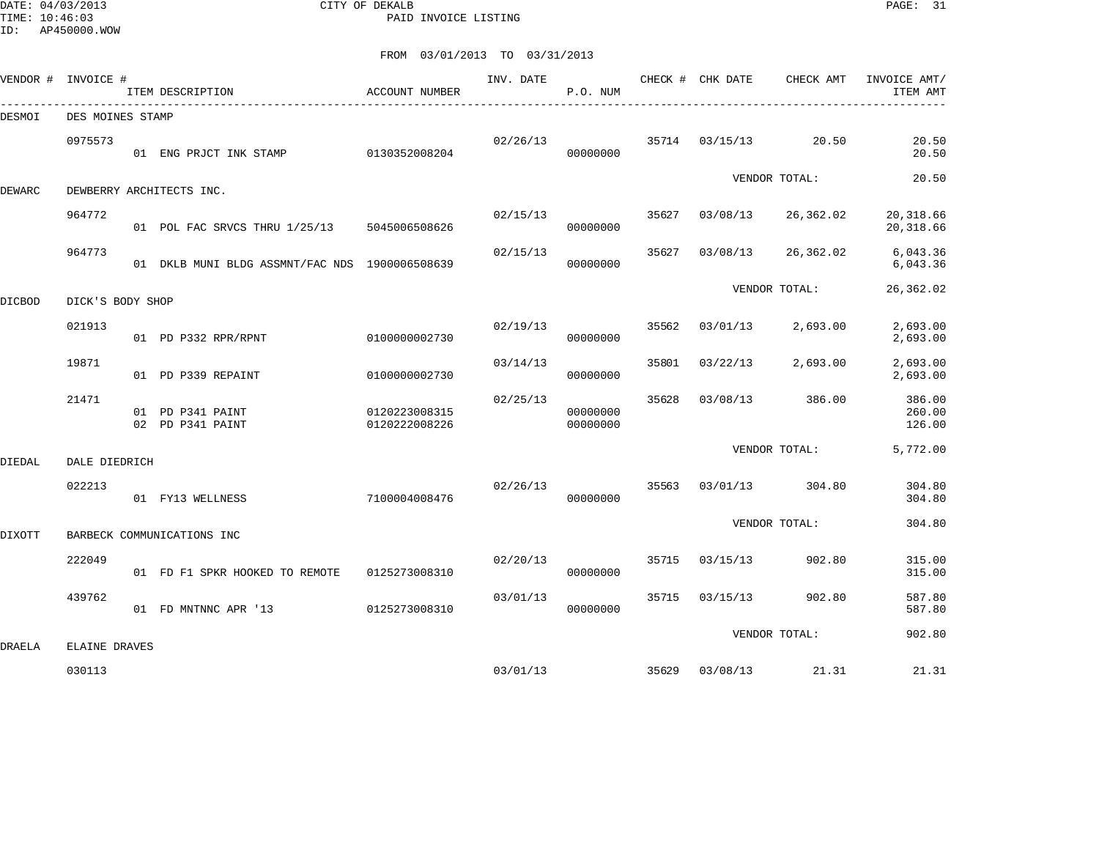DATE: 04/03/2013 CITY OF DEKALB PAGE: 31 PAID INVOICE LISTING

| VENDOR #      | INVOICE #        | ITEM DESCRIPTION                               | ACCOUNT NUMBER                 | INV. DATE | P.O. NUM             |       | CHECK # CHK DATE | CHECK AMT     | INVOICE AMT/<br>ITEM AMT   |
|---------------|------------------|------------------------------------------------|--------------------------------|-----------|----------------------|-------|------------------|---------------|----------------------------|
| DESMOI        | DES MOINES STAMP |                                                |                                |           |                      |       |                  |               |                            |
|               | 0975573          | 01 ENG PRJCT INK STAMP                         | 0130352008204                  | 02/26/13  | 00000000             |       | 35714 03/15/13   | 20.50         | 20.50<br>20.50             |
| DEWARC        |                  | DEWBERRY ARCHITECTS INC.                       |                                |           |                      |       |                  | VENDOR TOTAL: | 20.50                      |
|               | 964772           | 01 POL FAC SRVCS THRU 1/25/13 5045006508626    |                                | 02/15/13  | 00000000             | 35627 | 03/08/13         | 26,362.02     | 20,318.66<br>20,318.66     |
|               | 964773           | 01 DKLB MUNI BLDG ASSMNT/FAC NDS 1900006508639 |                                | 02/15/13  | 00000000             | 35627 | 03/08/13         | 26,362.02     | 6,043.36<br>6,043.36       |
| DICBOD        | DICK'S BODY SHOP |                                                |                                |           |                      |       |                  | VENDOR TOTAL: | 26,362.02                  |
|               | 021913           | 01 PD P332 RPR/RPNT                            | 0100000002730                  | 02/19/13  | 00000000             | 35562 | 03/01/13         | 2,693.00      | 2,693.00<br>2,693.00       |
|               | 19871            | 01 PD P339 REPAINT                             | 0100000002730                  | 03/14/13  | 00000000             | 35801 | 03/22/13         | 2,693.00      | 2,693.00<br>2,693.00       |
|               | 21471            | 01 PD P341 PAINT<br>02 PD P341 PAINT           | 0120223008315<br>0120222008226 | 02/25/13  | 00000000<br>00000000 | 35628 | 03/08/13         | 386.00        | 386.00<br>260.00<br>126.00 |
| DIEDAL        | DALE DIEDRICH    |                                                |                                |           |                      |       |                  | VENDOR TOTAL: | 5,772.00                   |
|               | 022213           | 01 FY13 WELLNESS                               | 7100004008476                  | 02/26/13  | 00000000             |       | 35563 03/01/13   | 304.80        | 304.80<br>304.80           |
| <b>DIXOTT</b> |                  | BARBECK COMMUNICATIONS INC                     |                                |           |                      |       |                  | VENDOR TOTAL: | 304.80                     |
|               | 222049           | 01 FD F1 SPKR HOOKED TO REMOTE                 | 0125273008310                  | 02/20/13  | 00000000             | 35715 | 03/15/13         | 902.80        | 315.00<br>315.00           |
|               | 439762           | 01 FD MNTNNC APR '13                           | 0125273008310                  | 03/01/13  | 00000000             | 35715 | 03/15/13         | 902.80        | 587.80<br>587.80           |
| DRAELA        | ELAINE DRAVES    |                                                |                                |           |                      |       |                  | VENDOR TOTAL: | 902.80                     |
|               | 030113           |                                                |                                | 03/01/13  |                      |       | 35629 03/08/13   | 21.31         | 21.31                      |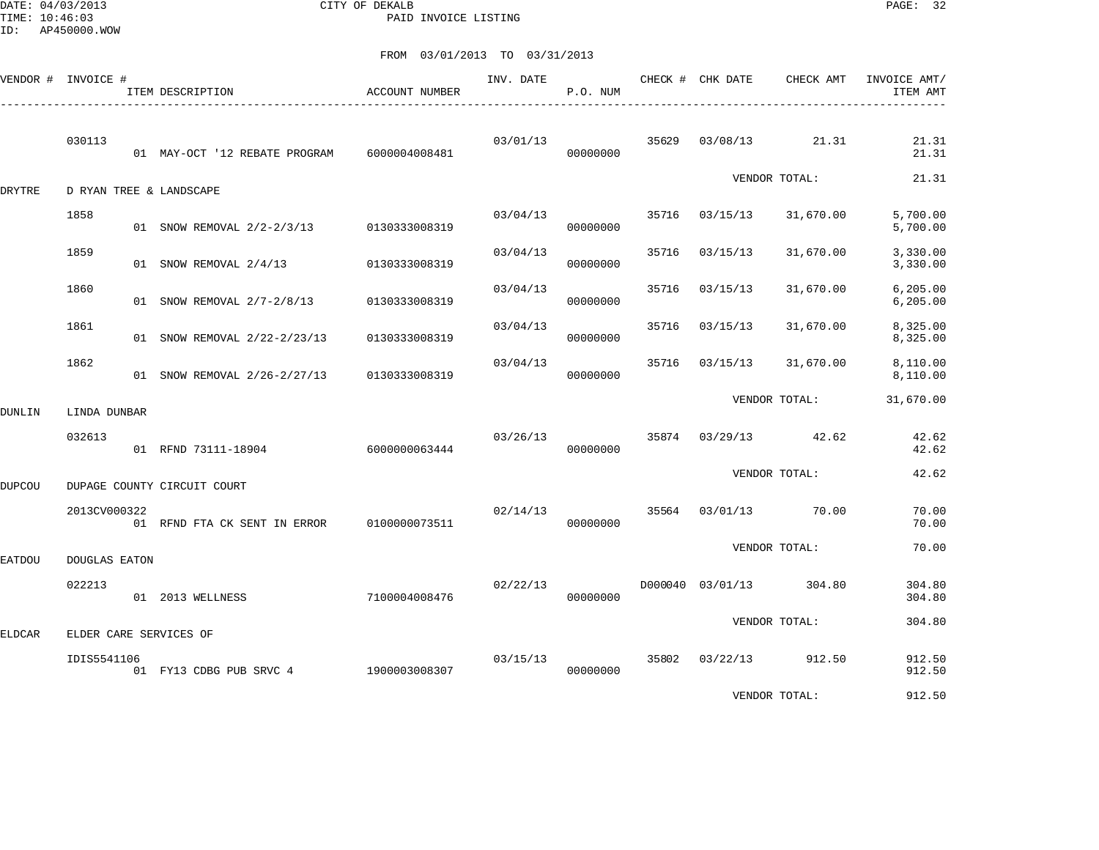DATE: 04/03/2013 CITY OF DEKALB PAGE: 32 PAID INVOICE LISTING

|               | VENDOR # INVOICE #   | ITEM DESCRIPTION                         | ACCOUNT NUMBER | INV. DATE | P.O. NUM |       | CHECK # CHK DATE | CHECK AMT      | INVOICE AMT/<br>ITEM AMT |
|---------------|----------------------|------------------------------------------|----------------|-----------|----------|-------|------------------|----------------|--------------------------|
|               | 030113               | 01 MAY-OCT '12 REBATE PROGRAM            | 6000004008481  | 03/01/13  | 00000000 | 35629 | 03/08/13         | 21.31          | 21.31<br>21.31           |
| DRYTRE        |                      | D RYAN TREE & LANDSCAPE                  |                |           |          |       |                  | VENDOR TOTAL:  | 21.31                    |
|               | 1858                 | 01 SNOW REMOVAL 2/2-2/3/13 0130333008319 |                | 03/04/13  | 00000000 | 35716 | 03/15/13         | 31,670.00      | 5,700.00<br>5,700.00     |
|               | 1859                 | 01 SNOW REMOVAL 2/4/13                   | 0130333008319  | 03/04/13  | 00000000 | 35716 | 03/15/13         | 31,670.00      | 3,330.00<br>3,330.00     |
|               | 1860                 | 01 SNOW REMOVAL 2/7-2/8/13               | 0130333008319  | 03/04/13  | 00000000 | 35716 | 03/15/13         | 31,670.00      | 6, 205.00<br>6, 205.00   |
|               | 1861                 | 01 SNOW REMOVAL 2/22-2/23/13             | 0130333008319  | 03/04/13  | 00000000 | 35716 | 03/15/13         | 31,670.00      | 8,325.00<br>8,325.00     |
|               | 1862                 | 01 SNOW REMOVAL 2/26-2/27/13             | 0130333008319  | 03/04/13  | 00000000 | 35716 | 03/15/13         | 31,670.00      | 8,110.00<br>8,110.00     |
| DUNLIN        | LINDA DUNBAR         |                                          |                |           |          |       |                  | VENDOR TOTAL:  | 31,670.00                |
|               | 032613               | 01 RFND 73111-18904 6000000063444        |                | 03/26/13  | 00000000 | 35874 |                  | 03/29/13 42.62 | 42.62<br>42.62           |
| <b>DUPCOU</b> |                      | DUPAGE COUNTY CIRCUIT COURT              |                |           |          |       |                  | VENDOR TOTAL:  | 42.62                    |
|               | 2013CV000322         | 01 RFND FTA CK SENT IN ERROR             | 0100000073511  | 02/14/13  | 00000000 | 35564 | 03/01/13         | 70.00          | 70.00<br>70.00           |
| <b>EATDOU</b> | <b>DOUGLAS EATON</b> |                                          |                |           |          |       |                  | VENDOR TOTAL:  | 70.00                    |
|               | 022213               | 01 2013 WELLNESS                         | 7100004008476  | 02/22/13  | 00000000 |       | D000040 03/01/13 | 304.80         | 304.80<br>304.80         |
| <b>ELDCAR</b> |                      | ELDER CARE SERVICES OF                   |                |           |          |       |                  | VENDOR TOTAL:  | 304.80                   |
|               | IDIS5541106          | 01 FY13 CDBG PUB SRVC 4 1900003008307    |                | 03/15/13  | 00000000 | 35802 | 03/22/13         | 912.50         | 912.50<br>912.50         |
|               |                      |                                          |                |           |          |       |                  | VENDOR TOTAL:  | 912.50                   |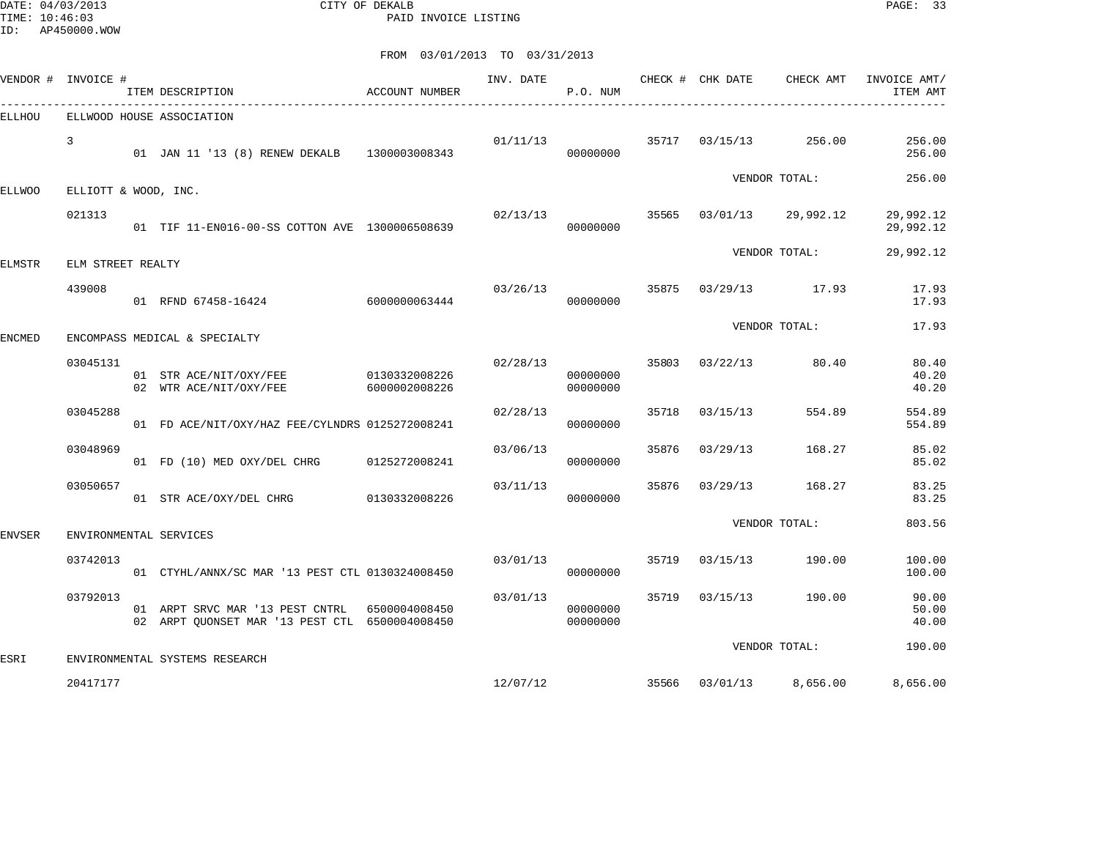DATE: 04/03/2013 CITY OF DEKALB PAGE: 33 PAID INVOICE LISTING

|               | VENDOR # INVOICE #   | ITEM DESCRIPTION                                                                                | <b>ACCOUNT NUMBER</b>          | INV. DATE | P.O. NUM             |       | CHECK # CHK DATE | CHECK AMT               | INVOICE AMT/<br>ITEM AMT |
|---------------|----------------------|-------------------------------------------------------------------------------------------------|--------------------------------|-----------|----------------------|-------|------------------|-------------------------|--------------------------|
| ELLHOU        |                      | ELLWOOD HOUSE ASSOCIATION                                                                       |                                |           |                      |       |                  |                         |                          |
|               | 3                    | 01 JAN 11 '13 (8) RENEW DEKALB 1300003008343                                                    |                                |           | 01/11/13<br>00000000 |       | 35717 03/15/13   | 256.00                  | 256.00<br>256.00         |
| ELLWOO        | ELLIOTT & WOOD, INC. |                                                                                                 |                                |           |                      |       |                  | VENDOR TOTAL:           | 256.00                   |
|               | 021313               | 01 TIF 11-EN016-00-SS COTTON AVE 1300006508639                                                  |                                | 02/13/13  | 00000000             | 35565 | 03/01/13         | 29,992.12               | 29,992.12<br>29,992.12   |
| ELMSTR        | ELM STREET REALTY    |                                                                                                 |                                |           |                      |       |                  | VENDOR TOTAL:           | 29,992.12                |
|               | 439008               | 01 RFND 67458-16424                                                                             | 6000000063444                  | 03/26/13  | 00000000             | 35875 |                  | 03/29/13 17.93          | 17.93<br>17.93           |
| ENCMED        |                      | ENCOMPASS MEDICAL & SPECIALTY                                                                   |                                |           |                      |       |                  | VENDOR TOTAL:           | 17.93                    |
|               | 03045131             | 01 STR ACE/NIT/OXY/FEE<br>02 WTR ACE/NIT/OXY/FEE                                                | 0130332008226<br>6000002008226 | 02/28/13  | 00000000<br>00000000 | 35803 | 03/22/13         | 80.40                   | 80.40<br>40.20<br>40.20  |
|               | 03045288             | 01 FD ACE/NIT/OXY/HAZ FEE/CYLNDRS 0125272008241                                                 |                                | 02/28/13  | 00000000             | 35718 | 03/15/13         | 554.89                  | 554.89<br>554.89         |
|               | 03048969             | 01 FD (10) MED OXY/DEL CHRG                                                                     | 0125272008241                  | 03/06/13  | 00000000             | 35876 | 03/29/13         | 168.27                  | 85.02<br>85.02           |
|               | 03050657             | 01 STR ACE/OXY/DEL CHRG                                                                         | 0130332008226                  | 03/11/13  | 00000000             | 35876 | 03/29/13         | 168.27                  | 83.25<br>83.25           |
| <b>ENVSER</b> |                      | ENVIRONMENTAL SERVICES                                                                          |                                |           |                      |       |                  | VENDOR TOTAL:           | 803.56                   |
|               | 03742013             | 01 CTYHL/ANNX/SC MAR '13 PEST CTL 0130324008450                                                 |                                | 03/01/13  | 00000000             |       | 35719 03/15/13   | 190.00                  | 100.00<br>100.00         |
|               | 03792013             | 01 ARPT SRVC MAR '13 PEST CNTRL 6500004008450<br>02 ARPT OUONSET MAR '13 PEST CTL 6500004008450 |                                | 03/01/13  | 00000000<br>00000000 |       | 35719 03/15/13   | 190.00                  | 90.00<br>50.00<br>40.00  |
| ESRI          |                      | ENVIRONMENTAL SYSTEMS RESEARCH                                                                  |                                |           |                      |       |                  | VENDOR TOTAL:           | 190.00                   |
|               | 20417177             |                                                                                                 |                                | 12/07/12  |                      |       |                  | 35566 03/01/13 8,656.00 | 8,656.00                 |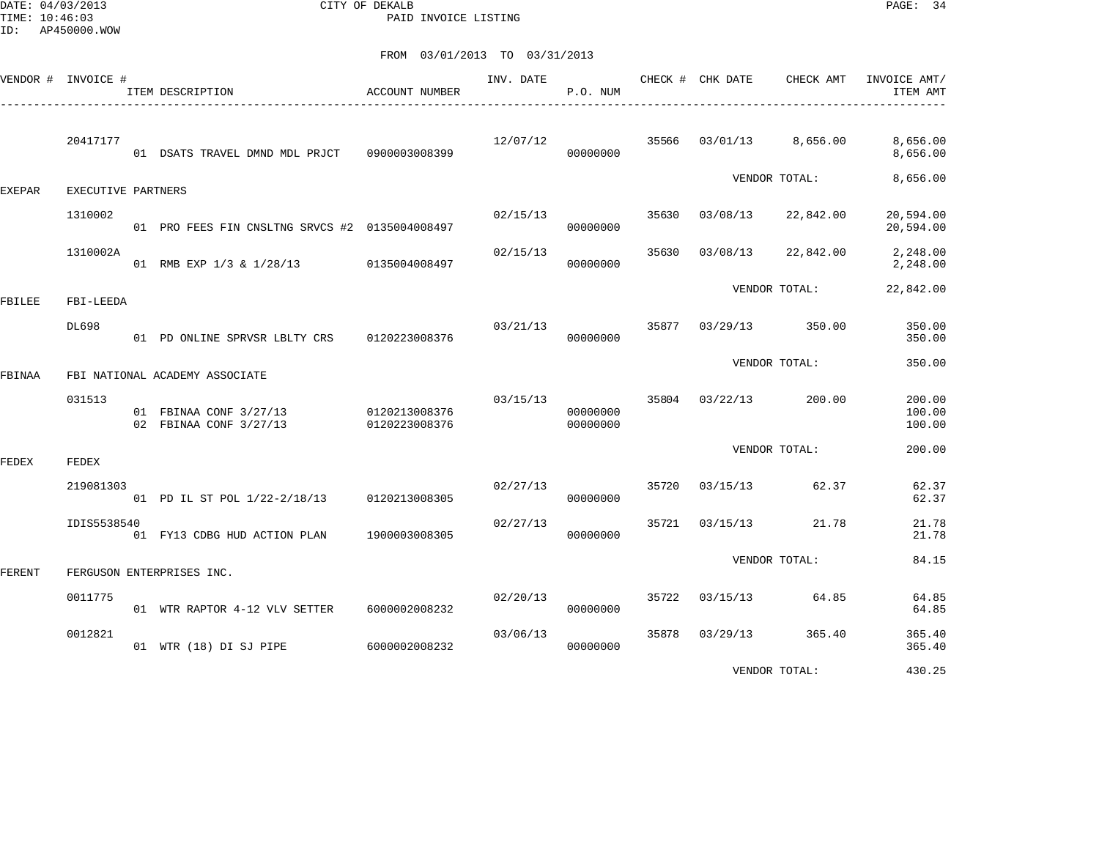DATE: 04/03/2013 CITY OF DEKALB PAGE: 34 PAID INVOICE LISTING

FROM 03/01/2013 TO 03/31/2013

|               | VENDOR # INVOICE # | ITEM DESCRIPTION<br>____________________________________       | ACCOUNT NUMBER |          | P.O. NUM             |       | INV. DATE CHECK # CHK DATE | CHECK AMT             | INVOICE AMT/<br>ITEM AMT   |
|---------------|--------------------|----------------------------------------------------------------|----------------|----------|----------------------|-------|----------------------------|-----------------------|----------------------------|
|               | 20417177           | 01 DSATS TRAVEL DMND MDL PRJCT 0900003008399                   |                | 12/07/12 | 35566<br>00000000    |       | 03/01/13                   | 8,656.00              | 8,656.00<br>8,656.00       |
| <b>EXEPAR</b> | EXECUTIVE PARTNERS |                                                                |                |          |                      |       |                            | VENDOR TOTAL:         | 8,656.00                   |
|               | 1310002            | 01 PRO FEES FIN CNSLTNG SRVCS #2 0135004008497                 |                | 02/15/13 | 00000000             | 35630 | 03/08/13                   | 22,842.00             | 20,594.00<br>20,594.00     |
|               | 1310002A           | 01 RMB EXP 1/3 & 1/28/13 0135004008497                         |                | 02/15/13 | 00000000             | 35630 | 03/08/13                   | 22,842.00             | 2,248.00<br>2,248.00       |
| FBILEE        | FBI-LEEDA          |                                                                |                |          |                      |       |                            | VENDOR TOTAL:         | 22,842.00                  |
|               | DL698              | 01 PD ONLINE SPRVSR LBLTY CRS 0120223008376                    |                | 03/21/13 | 00000000             |       |                            | 35877 03/29/13 350.00 | 350.00<br>350.00           |
| FBINAA        |                    | FBI NATIONAL ACADEMY ASSOCIATE                                 |                |          |                      |       |                            | VENDOR TOTAL:         | 350.00                     |
|               | 031513             | 01 FBINAA CONF 3/27/13 0120213008376<br>02 FBINAA CONF 3/27/13 | 0120223008376  | 03/15/13 | 00000000<br>00000000 |       | 35804 03/22/13             | 200.00                | 200.00<br>100.00<br>100.00 |
| FEDEX         | FEDEX              |                                                                |                |          |                      |       |                            | VENDOR TOTAL:         | 200.00                     |
|               | 219081303          | 01 PD IL ST POL 1/22-2/18/13 0120213008305                     |                | 02/27/13 | 00000000             | 35720 | 03/15/13                   | 62.37                 | 62.37<br>62.37             |
|               | IDIS5538540        | 01 FY13 CDBG HUD ACTION PLAN                                   | 1900003008305  | 02/27/13 | 00000000             | 35721 | 03/15/13                   | 21.78                 | 21.78<br>21.78             |
| FERENT        |                    | FERGUSON ENTERPRISES INC.                                      |                |          |                      |       |                            | VENDOR TOTAL:         | 84.15                      |
|               | 0011775            | 01 WTR RAPTOR 4-12 VLV SETTER                                  | 6000002008232  | 02/20/13 | 00000000             | 35722 |                            | 03/15/13 64.85        | 64.85<br>64.85             |
|               | 0012821            | 01 WTR (18) DI SJ PIPE                                         | 6000002008232  | 03/06/13 | 00000000             | 35878 | 03/29/13                   | 365.40                | 365.40<br>365.40           |
|               |                    |                                                                |                |          |                      |       |                            | $\frac{1}{2}$         | 122227                     |

VENDOR TOTAL: 430.25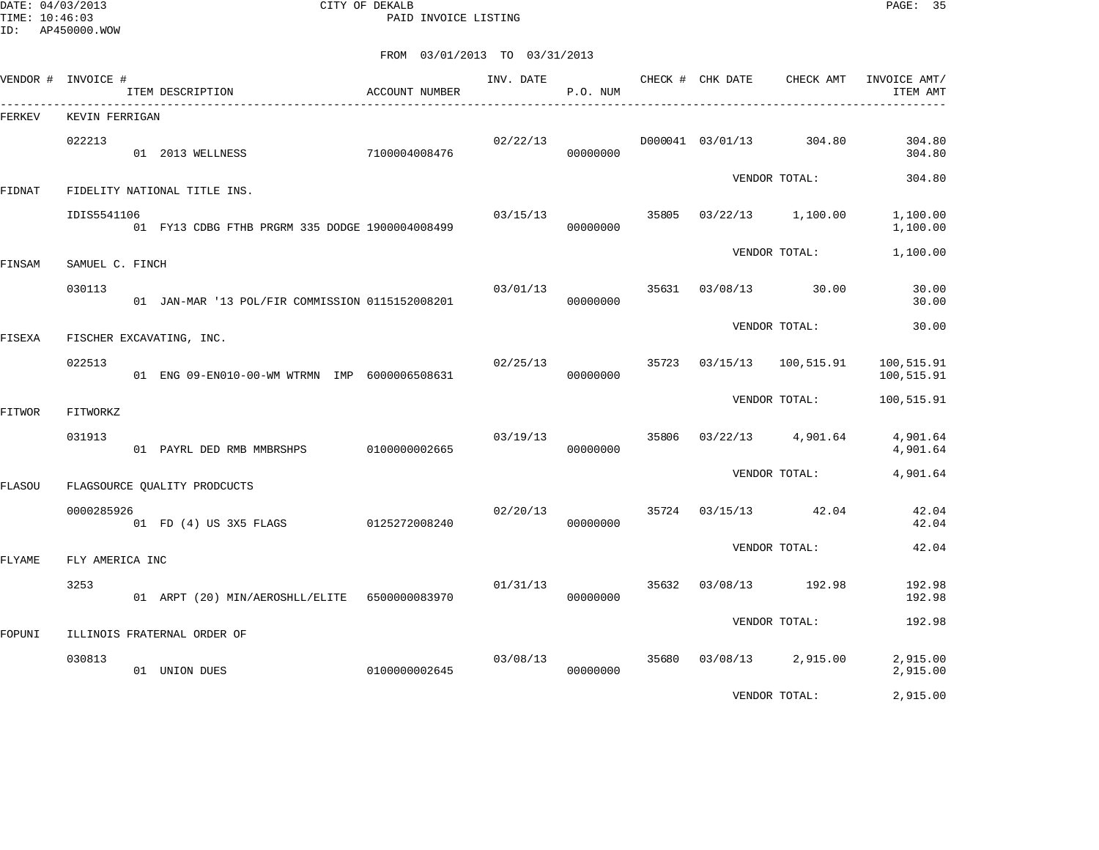DATE: 04/03/2013 CITY OF DEKALB PAGE: 35 PAID INVOICE LISTING

| VENDOR # INVOICE # |                 | ITEM DESCRIPTION                                | ACCOUNT NUMBER | INV. DATE | P.O. NUM |       | CHECK # CHK DATE<br>__________________________ | CHECK AMT         | INVOICE AMT/<br>ITEM AMT |
|--------------------|-----------------|-------------------------------------------------|----------------|-----------|----------|-------|------------------------------------------------|-------------------|--------------------------|
| FERKEV             | KEVIN FERRIGAN  | --------------------------------------          |                |           |          |       |                                                |                   |                          |
|                    | 022213          | 01 2013 WELLNESS                                | 7100004008476  | 02/22/13  | 00000000 |       | D000041 03/01/13                               | 304.80            | 304.80<br>304.80         |
| <b>FIDNAT</b>      |                 | FIDELITY NATIONAL TITLE INS.                    |                |           |          |       |                                                | VENDOR TOTAL:     | 304.80                   |
|                    | IDIS5541106     | 01 FY13 CDBG FTHB PRGRM 335 DODGE 1900004008499 |                | 03/15/13  | 00000000 | 35805 | 03/22/13                                       | 1,100.00          | 1,100.00<br>1,100.00     |
| FINSAM             | SAMUEL C. FINCH |                                                 |                |           |          |       |                                                | VENDOR TOTAL:     | 1,100.00                 |
|                    | 030113          | 01 JAN-MAR '13 POL/FIR COMMISSION 0115152008201 |                | 03/01/13  | 00000000 | 35631 | 03/08/13                                       | 30.00             | 30.00<br>30.00           |
| FISEXA             |                 | FISCHER EXCAVATING, INC.                        |                |           |          |       |                                                | VENDOR TOTAL:     | 30.00                    |
|                    | 022513          | 01 ENG 09-EN010-00-WM WTRMN IMP 6000006508631   |                | 02/25/13  | 00000000 | 35723 | 03/15/13                                       | 100,515.91        | 100,515.91<br>100,515.91 |
| FITWOR             | FITWORKZ        |                                                 |                |           |          |       |                                                | VENDOR TOTAL:     | 100,515.91               |
|                    | 031913          | 01 PAYRL DED RMB MMBRSHPS                       | 0100000002665  | 03/19/13  | 00000000 | 35806 | 03/22/13                                       | 4,901.64          | 4,901.64<br>4,901.64     |
| <b>FLASOU</b>      |                 | FLAGSOURCE QUALITY PRODCUCTS                    |                |           |          |       |                                                | VENDOR TOTAL:     | 4,901.64                 |
|                    | 0000285926      | 01 FD (4) US 3X5 FLAGS                          | 0125272008240  | 02/20/13  | 00000000 | 35724 | 03/15/13                                       | 42.04             | 42.04<br>42.04           |
| FLYAME             | FLY AMERICA INC |                                                 |                |           |          |       |                                                | VENDOR TOTAL:     | 42.04                    |
|                    | 3253            | 01 ARPT (20) MIN/AEROSHLL/ELITE 6500000083970   |                | 01/31/13  | 00000000 | 35632 | 03/08/13                                       | 192.98            | 192.98<br>192.98         |
|                    |                 |                                                 |                |           |          |       |                                                | VENDOR TOTAL:     | 192.98                   |
| FOPUNI             |                 | ILLINOIS FRATERNAL ORDER OF                     |                |           |          |       |                                                |                   |                          |
|                    | 030813          | 01 UNION DUES                                   | 0100000002645  | 03/08/13  | 00000000 | 35680 |                                                | 03/08/13 2,915.00 | 2,915.00<br>2,915.00     |
|                    |                 |                                                 |                |           |          |       |                                                | VENDOR TOTAL:     | 2,915.00                 |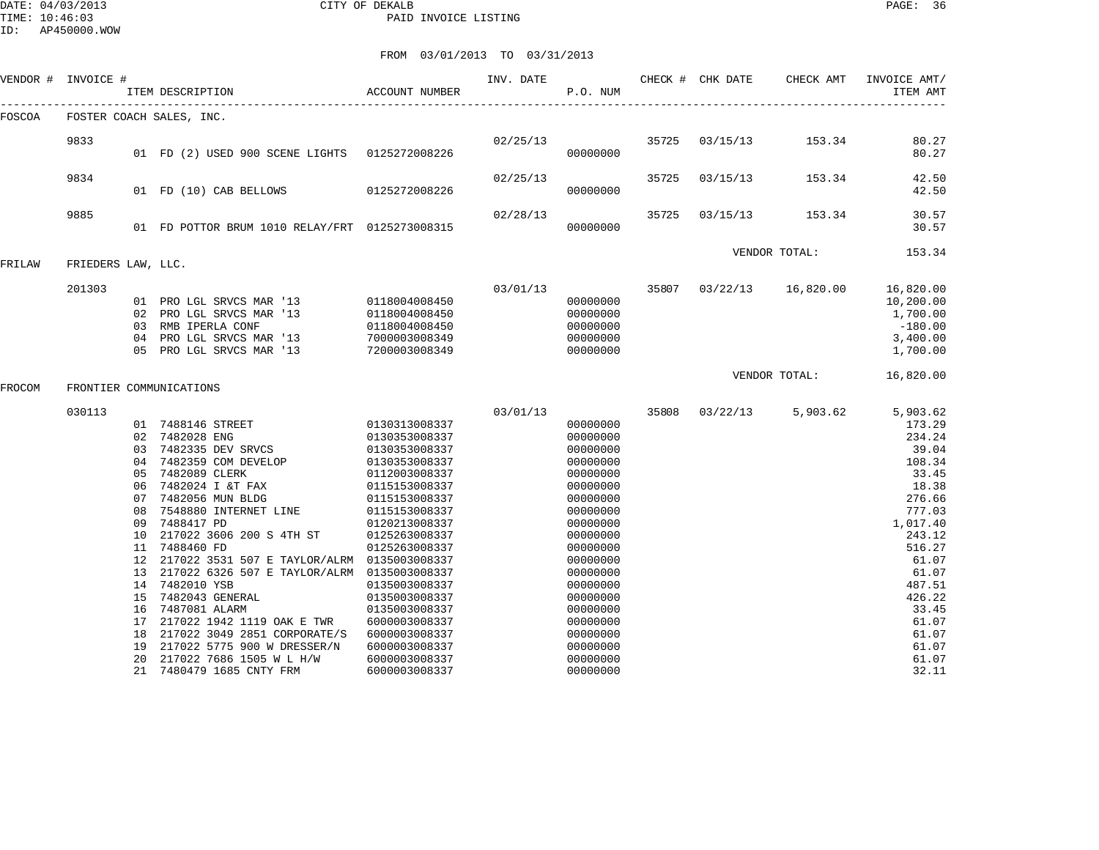| VENDOR # INVOICE # |                                                                                                                                                                                                                                                                               |                                                                                                                                                                                                                                                                                                                                                                                                                                         | INV. DATE                                                                                                                                                                                                                                                                                             | P.O. NUM                                                                                                                                                                                                                                     |          |               | CHECK AMT                          | INVOICE AMT/<br>ITEM AMT                                                                                                                                                                                 |
|--------------------|-------------------------------------------------------------------------------------------------------------------------------------------------------------------------------------------------------------------------------------------------------------------------------|-----------------------------------------------------------------------------------------------------------------------------------------------------------------------------------------------------------------------------------------------------------------------------------------------------------------------------------------------------------------------------------------------------------------------------------------|-------------------------------------------------------------------------------------------------------------------------------------------------------------------------------------------------------------------------------------------------------------------------------------------------------|----------------------------------------------------------------------------------------------------------------------------------------------------------------------------------------------------------------------------------------------|----------|---------------|------------------------------------|----------------------------------------------------------------------------------------------------------------------------------------------------------------------------------------------------------|
|                    |                                                                                                                                                                                                                                                                               |                                                                                                                                                                                                                                                                                                                                                                                                                                         |                                                                                                                                                                                                                                                                                                       |                                                                                                                                                                                                                                              |          |               |                                    |                                                                                                                                                                                                          |
| 9833               |                                                                                                                                                                                                                                                                               |                                                                                                                                                                                                                                                                                                                                                                                                                                         | 02/25/13                                                                                                                                                                                                                                                                                              | 00000000                                                                                                                                                                                                                                     |          |               | 153.34                             | 80.27<br>80.27                                                                                                                                                                                           |
| 9834               |                                                                                                                                                                                                                                                                               |                                                                                                                                                                                                                                                                                                                                                                                                                                         | 02/25/13                                                                                                                                                                                                                                                                                              | 00000000                                                                                                                                                                                                                                     | 35725    | 03/15/13      | 153.34                             | 42.50<br>42.50                                                                                                                                                                                           |
| 9885               |                                                                                                                                                                                                                                                                               |                                                                                                                                                                                                                                                                                                                                                                                                                                         | 02/28/13                                                                                                                                                                                                                                                                                              | 00000000                                                                                                                                                                                                                                     | 35725    | 03/15/13      | 153.34                             | 30.57<br>30.57                                                                                                                                                                                           |
|                    |                                                                                                                                                                                                                                                                               |                                                                                                                                                                                                                                                                                                                                                                                                                                         |                                                                                                                                                                                                                                                                                                       |                                                                                                                                                                                                                                              |          |               |                                    | 153.34                                                                                                                                                                                                   |
| 201303             | RMB IPERLA CONF<br>PRO LGL SRVCS MAR '13<br>PRO LGL SRVCS MAR '13                                                                                                                                                                                                             | 0118004008450<br>0118004008450<br>7000003008349<br>7200003008349                                                                                                                                                                                                                                                                                                                                                                        | 03/01/13                                                                                                                                                                                                                                                                                              | 00000000<br>00000000<br>00000000<br>00000000<br>00000000                                                                                                                                                                                     |          |               |                                    | 16,820.00<br>10,200.00<br>1,700.00<br>$-180.00$<br>3,400.00<br>1,700.00                                                                                                                                  |
|                    |                                                                                                                                                                                                                                                                               |                                                                                                                                                                                                                                                                                                                                                                                                                                         |                                                                                                                                                                                                                                                                                                       |                                                                                                                                                                                                                                              |          | VENDOR TOTAL: |                                    | 16,820.00                                                                                                                                                                                                |
| 030113             | 7482359 COM DEVELOP<br>7482089 CLERK<br>7482024 I &T FAX<br>7482056 MUN BLDG<br>7548880 INTERNET LINE<br>7488417 PD<br>7488460 FD<br>7482010 YSB<br>7482043 GENERAL<br>7487081 ALARM<br>217022 1942 1119 OAK E TWR<br>217022 5775 900 W DRESSER/N<br>217022 7686 1505 W L H/W | 0130353008337<br>0130353008337<br>0130353008337<br>0112003008337<br>0115153008337<br>0115153008337<br>0115153008337<br>0120213008337<br>0125263008337<br>0125263008337<br>0135003008337<br>0135003008337<br>0135003008337<br>6000003008337<br>6000003008337<br>6000003008337<br>6000003008337                                                                                                                                           | 03/01/13                                                                                                                                                                                                                                                                                              | 00000000<br>00000000<br>00000000<br>00000000<br>00000000<br>00000000<br>00000000<br>00000000<br>00000000<br>00000000<br>00000000<br>00000000<br>00000000<br>00000000<br>00000000<br>00000000<br>00000000<br>00000000<br>00000000<br>00000000 |          |               | 5,903.62                           | 5,903.62<br>173.29<br>234.24<br>39.04<br>108.34<br>33.45<br>18.38<br>276.66<br>777.03<br>1,017.40<br>243.12<br>516.27<br>61.07<br>61.07<br>487.51<br>426.22<br>33.45<br>61.07<br>61.07<br>61.07<br>61.07 |
|                    |                                                                                                                                                                                                                                                                               | ITEM DESCRIPTION<br>FOSTER COACH SALES, INC.<br>01 FD (10) CAB BELLOWS<br>FRIEDERS LAW, LLC.<br>01 PRO LGL SRVCS MAR '13<br>02 PRO LGL SRVCS MAR '13<br>0.3<br>04<br>05<br>FRONTIER COMMUNICATIONS<br>02 7482028 ENG<br>03 7482335 DEV SRVCS<br>04<br>05<br>06<br>07<br>08<br>09<br>10 217022 3606 200 S 4TH ST<br>11<br>12<br>13<br>14<br>15<br>16<br>17<br>18 217022 3049 2851 CORPORATE/S<br>19<br>20<br>7480479 1685 CNTY FRM<br>21 | ACCOUNT NUMBER<br>01 FD (2) USED 900 SCENE LIGHTS 0125272008226<br>0125272008226<br>01 FD POTTOR BRUM 1010 RELAY/FRT 0125273008315<br>0118004008450<br>01 7488146 STREET 0130313008337<br>217022 3531 507 E TAYLOR/ALRM 0135003008337<br>217022 6326 507 E TAYLOR/ALRM 0135003008337<br>6000003008337 |                                                                                                                                                                                                                                              | 00000000 |               | CHECK # CHK DATE<br>35808 03/22/13 | 35725 03/15/13<br>VENDOR TOTAL:<br>35807 03/22/13 16,820.00                                                                                                                                              |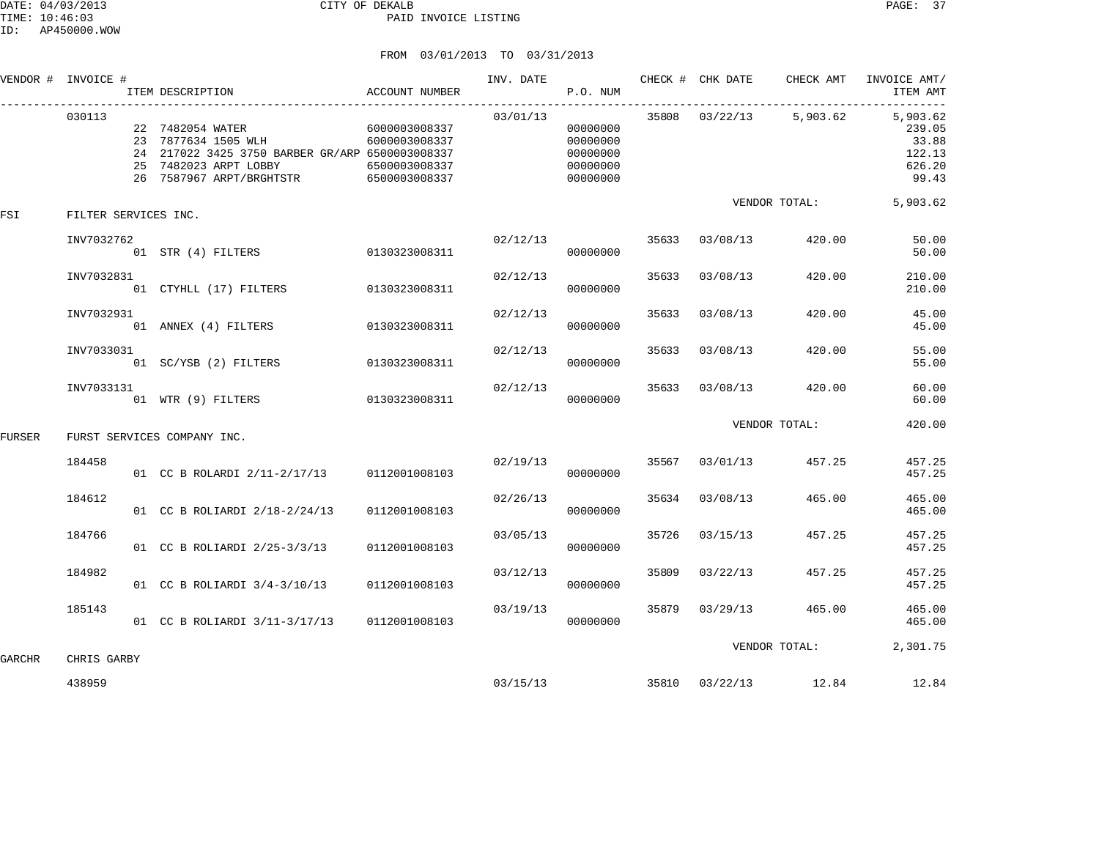|        | VENDOR # INVOICE #   | ITEM DESCRIPTION                                                                                                                                                            | ACCOUNT NUMBER                 |          | P.O. NUM                                                 |       |                       |                       | INV. DATE THE CHECK # CHK DATE CHECK AMT INVOICE AMT/<br>ITEM AMT                |
|--------|----------------------|-----------------------------------------------------------------------------------------------------------------------------------------------------------------------------|--------------------------------|----------|----------------------------------------------------------|-------|-----------------------|-----------------------|----------------------------------------------------------------------------------|
|        | 030113               | 22 7482054 WATER 6000003008337<br>23 7877634 1505 WLH<br>24 217022 3425 3750 BARBER GR/ARP 6500003008337<br>25 7482023 ARPT LOBBY<br>26 7587967 ARPT/BRGHTSTR 6500003008337 | 6000003008337<br>6500003008337 | 03/01/13 | 00000000<br>00000000<br>00000000<br>00000000<br>00000000 |       |                       |                       | 35808 03/22/13 5,903.62 5,903.62<br>239.05<br>33.88<br>122.13<br>626.20<br>99.43 |
| FSI    | FILTER SERVICES INC. |                                                                                                                                                                             |                                |          |                                                          |       |                       | VENDOR TOTAL:         | 5,903.62                                                                         |
|        | INV7032762           |                                                                                                                                                                             |                                | 02/12/13 | 00000000                                                 |       |                       | 35633 03/08/13 420.00 | 50.00<br>50.00                                                                   |
|        | INV7032831           | 01 CTYHLL (17) FILTERS 0130323008311                                                                                                                                        |                                | 02/12/13 | 00000000                                                 |       | 35633 03/08/13        | 420.00                | 210.00<br>210.00                                                                 |
|        | INV7032931           | 01 ANNEX (4) FILTERS 0130323008311                                                                                                                                          |                                | 02/12/13 | 00000000                                                 |       | 35633 03/08/13        | 420.00                | 45.00<br>45.00                                                                   |
|        | INV7033031           | 01 SC/YSB (2) FILTERS 0130323008311                                                                                                                                         |                                | 02/12/13 | 00000000                                                 |       | 35633 03/08/13        | 420.00                | 55.00<br>55.00                                                                   |
|        | INV7033131           | 01 WTR (9) FILTERS 0130323008311                                                                                                                                            |                                | 02/12/13 | 00000000                                                 |       | 35633 03/08/13 420.00 |                       | 60.00<br>60.00                                                                   |
| FURSER |                      | FURST SERVICES COMPANY INC.                                                                                                                                                 |                                |          |                                                          |       |                       | VENDOR TOTAL:         | 420.00                                                                           |
|        | 184458               | 01 CC B ROLARDI 2/11-2/17/13 0112001008103                                                                                                                                  |                                | 02/19/13 | 00000000                                                 |       | 35567 03/01/13 457.25 |                       | 457.25<br>457.25                                                                 |
|        | 184612               | 01 CC B ROLIARDI 2/18-2/24/13                                                                                                                                               | 0112001008103                  | 02/26/13 | 00000000                                                 |       | 35634 03/08/13        | 465.00                | 465.00<br>465.00                                                                 |
|        | 184766               | 01 CC B ROLIARDI 2/25-3/3/13                                                                                                                                                | 0112001008103                  | 03/05/13 | 00000000                                                 | 35726 | 03/15/13              | 457.25                | 457.25<br>457.25                                                                 |
|        | 184982               | 01 CC B ROLIARDI 3/4-3/10/13                                                                                                                                                | 0112001008103                  | 03/12/13 | 00000000                                                 | 35809 | 03/22/13              | 457.25                | 457.25<br>457.25                                                                 |
|        | 185143               | 01 CC B ROLIARDI 3/11-3/17/13 0112001008103                                                                                                                                 |                                | 03/19/13 | 00000000                                                 |       | 35879 03/29/13 465.00 |                       | 465.00<br>465.00                                                                 |
| GARCHR | CHRIS GARBY          |                                                                                                                                                                             |                                |          |                                                          |       |                       | VENDOR TOTAL:         | 2,301.75                                                                         |
|        | 438959               |                                                                                                                                                                             |                                |          | 03/15/13                                                 |       |                       | 35810 03/22/13 12.84  | 12.84                                                                            |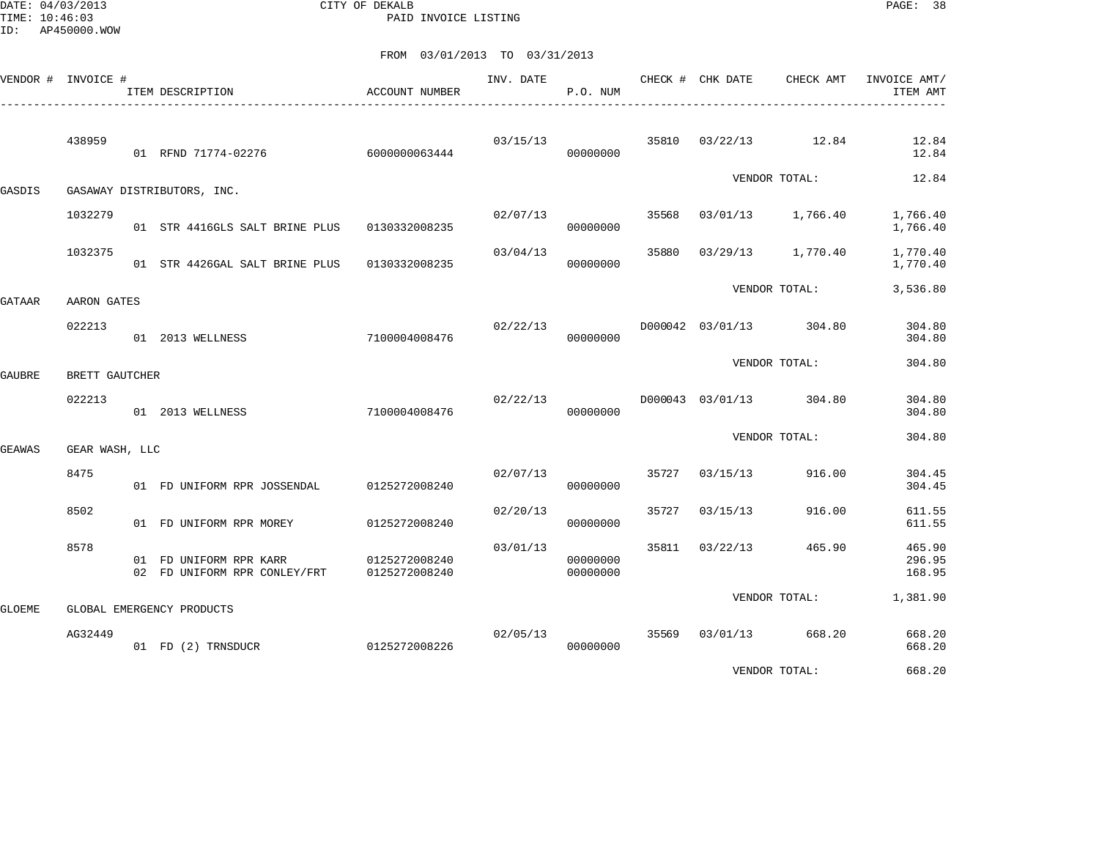DATE: 04/03/2013 CITY OF DEKALB PAGE: 38 PAID INVOICE LISTING

FROM 03/01/2013 TO 03/31/2013

| VENDOR # INVOICE # |                | ITEM DESCRIPTION                                       | ACCOUNT NUMBER                 | INV. DATE | P.O. NUM             |       | CHECK # CHK DATE | CHECK AMT               | INVOICE AMT/<br>ITEM AMT   |
|--------------------|----------------|--------------------------------------------------------|--------------------------------|-----------|----------------------|-------|------------------|-------------------------|----------------------------|
|                    | 438959         | 01 RFND 71774-02276                                    | 6000000063444                  | 03/15/13  | 00000000             | 35810 |                  | 03/22/13 12.84          | 12.84<br>12.84             |
| GASDIS             |                | GASAWAY DISTRIBUTORS, INC.                             |                                |           |                      |       |                  | VENDOR TOTAL:           | 12.84                      |
|                    | 1032279        | 01 STR 4416GLS SALT BRINE PLUS                         | 0130332008235                  | 02/07/13  | 00000000             | 35568 | 03/01/13         | 1,766.40                | 1,766.40<br>1,766.40       |
|                    | 1032375        | 01 STR 4426GAL SALT BRINE PLUS                         | 0130332008235                  | 03/04/13  | 00000000             | 35880 | 03/29/13         | 1,770.40                | 1,770.40<br>1,770.40       |
| GATAAR             | AARON GATES    |                                                        |                                |           |                      |       |                  | VENDOR TOTAL:           | 3,536.80                   |
|                    | 022213         | 01 2013 WELLNESS                                       | 7100004008476                  | 02/22/13  | 00000000             |       |                  | D000042 03/01/13 304.80 | 304.80<br>304.80           |
| GAUBRE             | BRETT GAUTCHER |                                                        |                                |           |                      |       |                  | VENDOR TOTAL:           | 304.80                     |
|                    | 022213         | 01 2013 WELLNESS                                       | 7100004008476                  | 02/22/13  | 00000000             |       | D000043 03/01/13 | 304.80                  | 304.80<br>304.80           |
| GEAWAS             | GEAR WASH, LLC |                                                        |                                |           |                      |       |                  | VENDOR TOTAL:           | 304.80                     |
|                    | 8475           | 01 FD UNIFORM RPR JOSSENDAL                            | 0125272008240                  | 02/07/13  | 00000000             | 35727 | 03/15/13         | 916.00                  | 304.45<br>304.45           |
|                    | 8502           | 01 FD UNIFORM RPR MOREY                                | 0125272008240                  | 02/20/13  | 00000000             | 35727 | 03/15/13         | 916.00                  | 611.55<br>611.55           |
|                    | 8578           | 01 FD UNIFORM RPR KARR<br>02 FD UNIFORM RPR CONLEY/FRT | 0125272008240<br>0125272008240 | 03/01/13  | 00000000<br>00000000 | 35811 | 03/22/13         | 465.90                  | 465.90<br>296.95<br>168.95 |
| GLOEME             |                | GLOBAL EMERGENCY PRODUCTS                              |                                |           |                      |       |                  | VENDOR TOTAL:           | 1,381.90                   |
|                    | AG32449        | 01 FD (2) TRNSDUCR                                     | 0125272008226                  | 02/05/13  | 00000000             | 35569 | 03/01/13         | 668.20                  | 668.20<br>668.20           |

VENDOR TOTAL: 668.20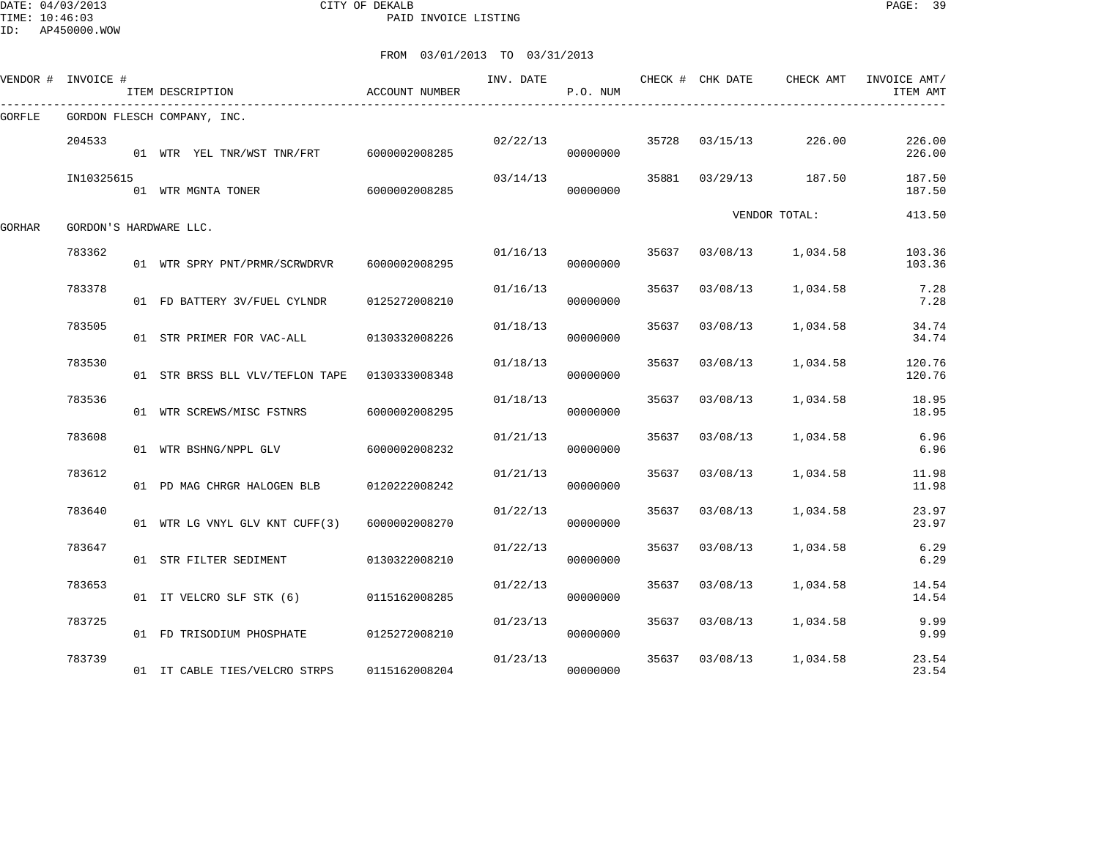DATE: 04/03/2013 CITY OF DEKALB PAGE: 39 PAID INVOICE LISTING

ID: AP450000.WOW

|        | VENDOR # INVOICE #     | ITEM DESCRIPTION                               | ACCOUNT NUMBER | INV. DATE | P.O. NUM |       | CHECK # CHK DATE | CHECK AMT     | INVOICE AMT/<br>ITEM AMT |
|--------|------------------------|------------------------------------------------|----------------|-----------|----------|-------|------------------|---------------|--------------------------|
| GORFLE |                        | GORDON FLESCH COMPANY, INC.                    |                |           |          |       |                  |               |                          |
|        | 204533                 | 01 WTR YEL TNR/WST TNR/FRT 6000002008285       |                | 02/22/13  | 00000000 |       | 35728 03/15/13   | 226.00        | 226.00<br>226.00         |
|        | IN10325615             | 01 WTR MGNTA TONER                             | 6000002008285  | 03/14/13  | 00000000 | 35881 | 03/29/13         | 187.50        | 187.50<br>187.50         |
| GORHAR | GORDON'S HARDWARE LLC. |                                                |                |           |          |       |                  | VENDOR TOTAL: | 413.50                   |
|        | 783362                 | 01 WTR SPRY PNT/PRMR/SCRWDRVR                  | 6000002008295  | 01/16/13  | 00000000 | 35637 | 03/08/13         | 1,034.58      | 103.36<br>103.36         |
|        | 783378                 | 01 FD BATTERY 3V/FUEL CYLNDR                   | 0125272008210  | 01/16/13  | 00000000 | 35637 | 03/08/13         | 1,034.58      | 7.28<br>7.28             |
|        | 783505                 | 01 STR PRIMER FOR VAC-ALL                      | 0130332008226  | 01/18/13  | 00000000 | 35637 | 03/08/13         | 1,034.58      | 34.74<br>34.74           |
|        | 783530                 | 01 STR BRSS BLL VLV/TEFLON TAPE  0130333008348 |                | 01/18/13  | 00000000 | 35637 | 03/08/13         | 1,034.58      | 120.76<br>120.76         |
|        | 783536                 | 01 WTR SCREWS/MISC FSTNRS                      | 6000002008295  | 01/18/13  | 00000000 | 35637 | 03/08/13         | 1,034.58      | 18.95<br>18.95           |
|        | 783608                 | 01 WTR BSHNG/NPPL GLV                          | 6000002008232  | 01/21/13  | 00000000 | 35637 | 03/08/13         | 1,034.58      | 6.96<br>6.96             |
|        | 783612                 | 01 PD MAG CHRGR HALOGEN BLB                    | 0120222008242  | 01/21/13  | 00000000 | 35637 | 03/08/13         | 1,034.58      | 11.98<br>11.98           |
|        | 783640                 | 01 WTR LG VNYL GLV KNT CUFF(3)                 | 6000002008270  | 01/22/13  | 00000000 | 35637 | 03/08/13         | 1,034.58      | 23.97<br>23.97           |
|        | 783647                 | 01 STR FILTER SEDIMENT                         | 0130322008210  | 01/22/13  | 00000000 | 35637 | 03/08/13         | 1,034.58      | 6.29<br>6.29             |
|        | 783653                 | 01 IT VELCRO SLF STK (6)                       | 0115162008285  | 01/22/13  | 00000000 | 35637 | 03/08/13         | 1,034.58      | 14.54<br>14.54           |
|        | 783725                 | 01 FD TRISODIUM PHOSPHATE                      | 0125272008210  | 01/23/13  | 00000000 | 35637 | 03/08/13         | 1,034.58      | 9.99<br>9.99             |
|        | 783739                 | 01 IT CABLE TIES/VELCRO STRPS                  | 0115162008204  | 01/23/13  | 00000000 | 35637 | 03/08/13         | 1,034.58      | 23.54<br>23.54           |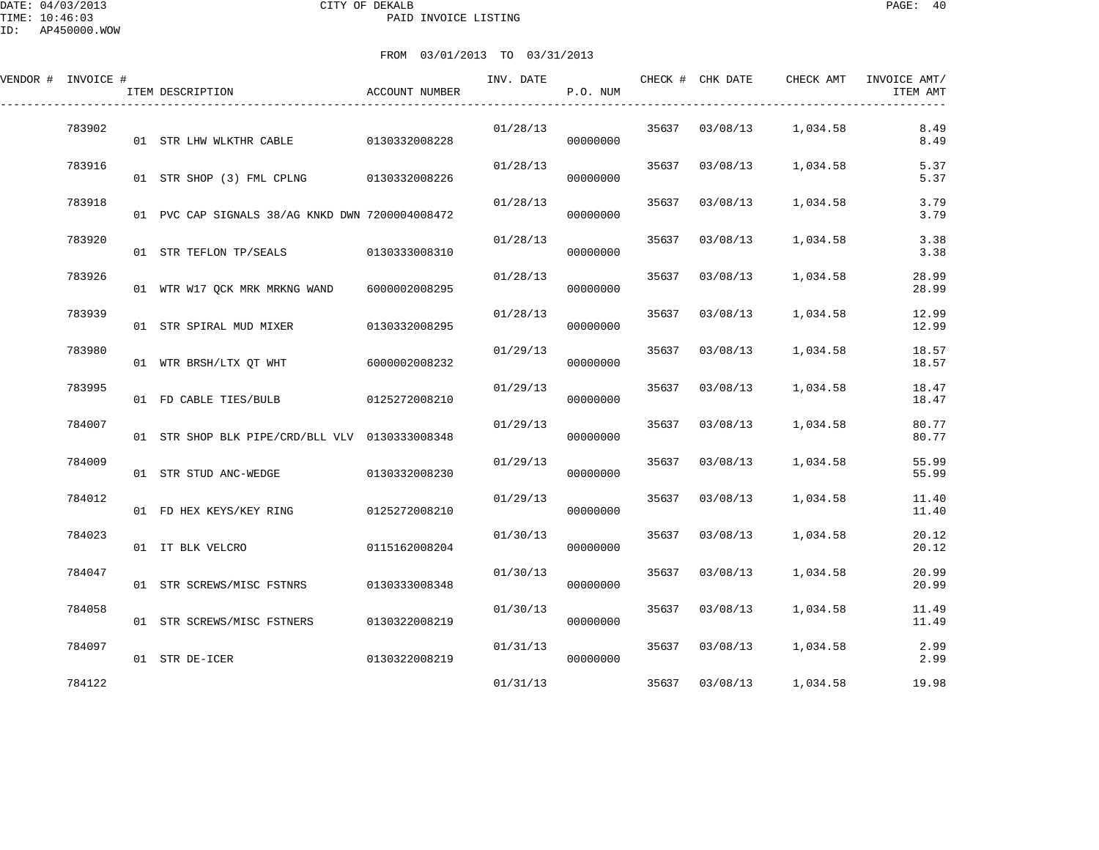| FROM 03/01/2013 TO 03/31/201 |  |  |
|------------------------------|--|--|

| VENDOR # INVOICE # | ITEM DESCRIPTION                                | ACCOUNT NUMBER | INV. DATE | P.O. NUM |       | CHECK # CHK DATE | CHECK AMT | INVOICE AMT/<br>ITEM AMT |
|--------------------|-------------------------------------------------|----------------|-----------|----------|-------|------------------|-----------|--------------------------|
| 783902             | 01 STR LHW WLKTHR CABLE 0130332008228           |                | 01/28/13  | 00000000 | 35637 | 03/08/13         | 1,034.58  | 8.49<br>8.49             |
| 783916             | 01 STR SHOP (3) FML CPLNG 0130332008226         |                | 01/28/13  | 00000000 | 35637 | 03/08/13         | 1,034.58  | 5.37<br>5.37             |
| 783918             | 01 PVC CAP SIGNALS 38/AG KNKD DWN 7200004008472 |                | 01/28/13  | 00000000 | 35637 | 03/08/13         | 1,034.58  | 3.79<br>3.79             |
| 783920             | 01 STR TEFLON TP/SEALS                          | 0130333008310  | 01/28/13  | 00000000 | 35637 | 03/08/13         | 1,034.58  | 3.38<br>3.38             |
| 783926             | 01 WTR W17 QCK MRK MRKNG WAND                   | 6000002008295  | 01/28/13  | 00000000 | 35637 | 03/08/13         | 1,034.58  | 28.99<br>28.99           |
| 783939             | 01 STR SPIRAL MUD MIXER                         | 0130332008295  | 01/28/13  | 00000000 | 35637 | 03/08/13         | 1,034.58  | 12.99<br>12.99           |
| 783980             | 01 WTR BRSH/LTX QT WHT                          | 6000002008232  | 01/29/13  | 00000000 | 35637 | 03/08/13         | 1,034.58  | 18.57<br>18.57           |
| 783995             | 01 FD CABLE TIES/BULB                           | 0125272008210  | 01/29/13  | 00000000 | 35637 | 03/08/13         | 1,034.58  | 18.47<br>18.47           |
| 784007             | 01 STR SHOP BLK PIPE/CRD/BLL VLV 0130333008348  |                | 01/29/13  | 00000000 | 35637 | 03/08/13         | 1,034.58  | 80.77<br>80.77           |
| 784009             | 01 STR STUD ANC-WEDGE                           | 0130332008230  | 01/29/13  | 00000000 | 35637 | 03/08/13         | 1,034.58  | 55.99<br>55.99           |
| 784012             | 01 FD HEX KEYS/KEY RING                         | 0125272008210  | 01/29/13  | 00000000 | 35637 | 03/08/13         | 1,034.58  | 11.40<br>11.40           |
| 784023             | 01 IT BLK VELCRO                                | 0115162008204  | 01/30/13  | 00000000 | 35637 | 03/08/13         | 1,034.58  | 20.12<br>20.12           |
| 784047             | 01 STR SCREWS/MISC FSTNRS                       | 0130333008348  | 01/30/13  | 00000000 | 35637 | 03/08/13         | 1,034.58  | 20.99<br>20.99           |
| 784058             | 01 STR SCREWS/MISC FSTNERS                      | 0130322008219  | 01/30/13  | 00000000 | 35637 | 03/08/13         | 1,034.58  | 11.49<br>11.49           |
| 784097             | 01 STR DE-ICER                                  | 0130322008219  | 01/31/13  | 00000000 | 35637 | 03/08/13         | 1,034.58  | 2.99<br>2.99             |
| 784122             |                                                 |                | 01/31/13  |          | 35637 | 03/08/13         | 1,034.58  | 19.98                    |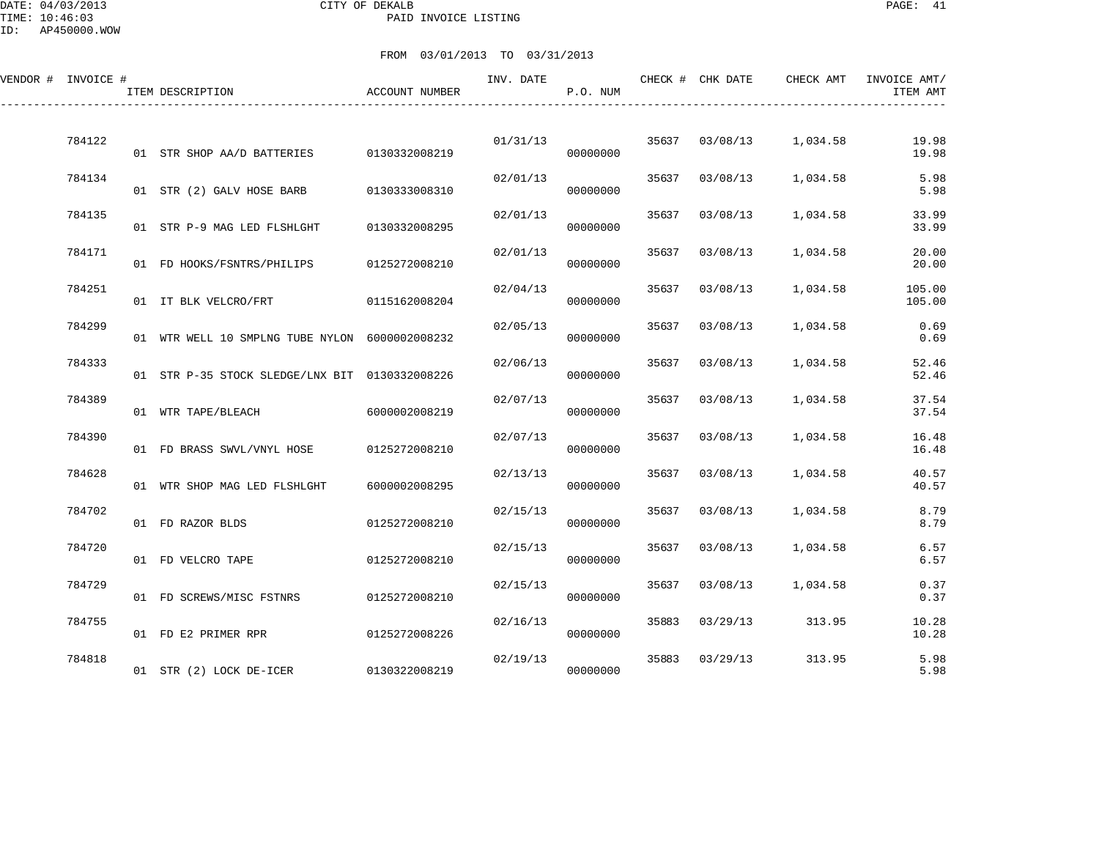DATE: 04/03/2013 CITY OF DEKALB PAGE: 41 PAID INVOICE LISTING

ID: AP450000.WOW

| VENDOR # INVOICE # |        | ITEM DESCRIPTION                               | ACCOUNT NUMBER | INV. DATE | P.O. NUM |       | CHECK # CHK DATE | CHECK AMT | INVOICE AMT/<br>ITEM AMT |
|--------------------|--------|------------------------------------------------|----------------|-----------|----------|-------|------------------|-----------|--------------------------|
|                    | 784122 | 01 STR SHOP AA/D BATTERIES                     | 0130332008219  | 01/31/13  | 00000000 | 35637 | 03/08/13         | 1,034.58  | 19.98<br>19.98           |
|                    | 784134 | 01 STR (2) GALV HOSE BARB                      | 0130333008310  | 02/01/13  | 00000000 | 35637 | 03/08/13         | 1,034.58  | 5.98<br>5.98             |
|                    | 784135 | 01 STR P-9 MAG LED FLSHLGHT                    | 0130332008295  | 02/01/13  | 00000000 | 35637 | 03/08/13         | 1,034.58  | 33.99<br>33.99           |
|                    | 784171 | 01 FD HOOKS/FSNTRS/PHILIPS                     | 0125272008210  | 02/01/13  | 00000000 | 35637 | 03/08/13         | 1,034.58  | 20.00<br>20.00           |
|                    | 784251 | 01 IT BLK VELCRO/FRT                           | 0115162008204  | 02/04/13  | 00000000 | 35637 | 03/08/13         | 1,034.58  | 105.00<br>105.00         |
|                    | 784299 | 01 WTR WELL 10 SMPLNG TUBE NYLON 6000002008232 |                | 02/05/13  | 00000000 | 35637 | 03/08/13         | 1,034.58  | 0.69<br>0.69             |
|                    | 784333 | 01 STR P-35 STOCK SLEDGE/LNX BIT 0130332008226 |                | 02/06/13  | 00000000 | 35637 | 03/08/13         | 1,034.58  | 52.46<br>52.46           |
|                    | 784389 | 01 WTR TAPE/BLEACH                             | 6000002008219  | 02/07/13  | 00000000 | 35637 | 03/08/13         | 1,034.58  | 37.54<br>37.54           |
|                    | 784390 | 01 FD BRASS SWVL/VNYL HOSE                     | 0125272008210  | 02/07/13  | 00000000 | 35637 | 03/08/13         | 1,034.58  | 16.48<br>16.48           |
|                    | 784628 | 01 WTR SHOP MAG LED FLSHLGHT                   | 6000002008295  | 02/13/13  | 00000000 | 35637 | 03/08/13         | 1,034.58  | 40.57<br>40.57           |
|                    | 784702 | 01 FD RAZOR BLDS                               | 0125272008210  | 02/15/13  | 00000000 | 35637 | 03/08/13         | 1,034.58  | 8.79<br>8.79             |
|                    | 784720 | 01 FD VELCRO TAPE                              | 0125272008210  | 02/15/13  | 00000000 | 35637 | 03/08/13         | 1,034.58  | 6.57<br>6.57             |
|                    | 784729 | 01 FD SCREWS/MISC FSTNRS                       | 0125272008210  | 02/15/13  | 00000000 | 35637 | 03/08/13         | 1,034.58  | 0.37<br>0.37             |
|                    | 784755 | 01 FD E2 PRIMER RPR                            | 0125272008226  | 02/16/13  | 00000000 | 35883 | 03/29/13         | 313.95    | 10.28<br>10.28           |
|                    | 784818 | 01 STR (2) LOCK DE-ICER                        | 0130322008219  | 02/19/13  | 00000000 | 35883 | 03/29/13         | 313.95    | 5.98<br>5.98             |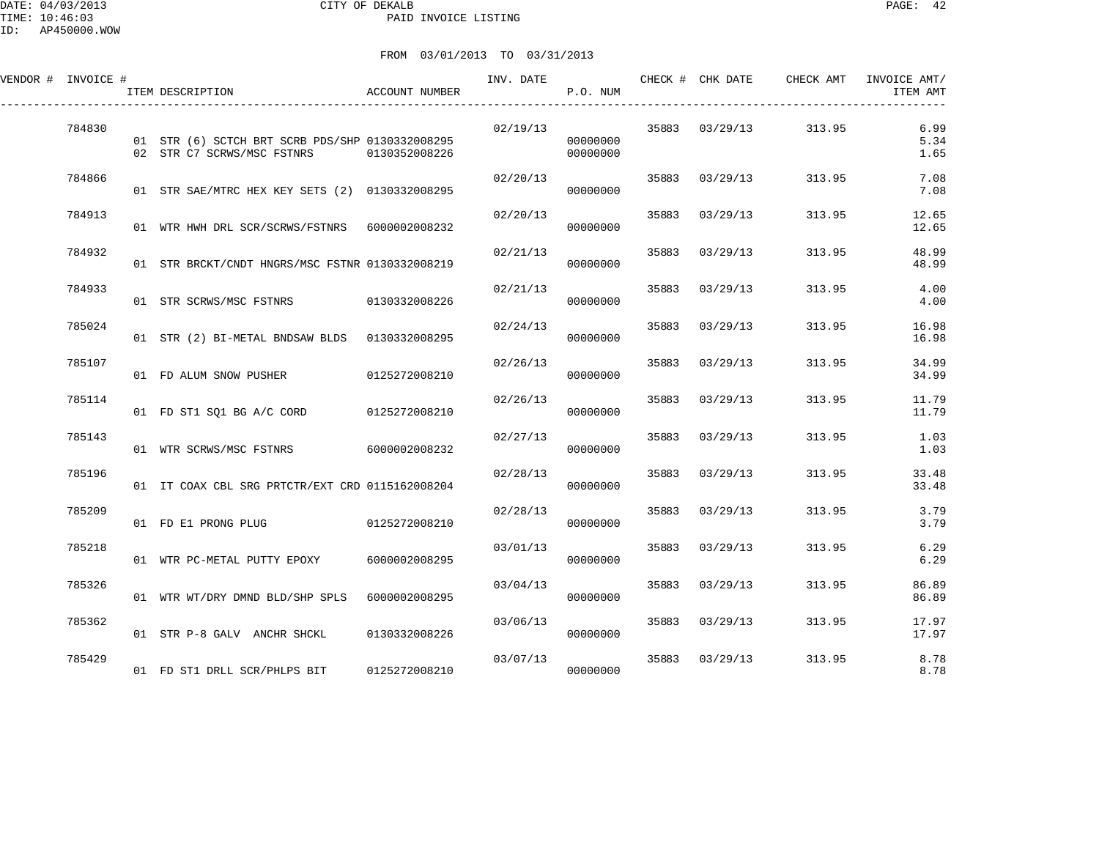| VENDOR # INVOICE # |        | ITEM DESCRIPTION                                                                            | ACCOUNT NUMBER | INV. DATE | P.O. NUM             |       | CHECK # CHK DATE | CHECK AMT | INVOICE AMT/<br>ITEM AMT |
|--------------------|--------|---------------------------------------------------------------------------------------------|----------------|-----------|----------------------|-------|------------------|-----------|--------------------------|
|                    | 784830 | 01 STR (6) SCTCH BRT SCRB PDS/SHP 0130332008295<br>02 STR C7 SCRWS/MSC FSTNRS 0130352008226 |                | 02/19/13  | 00000000<br>00000000 |       | 35883 03/29/13   | 313.95    | 6.99<br>5.34<br>1.65     |
|                    | 784866 | 01 STR SAE/MTRC HEX KEY SETS (2) 0130332008295                                              |                | 02/20/13  | 00000000             | 35883 | 03/29/13         | 313.95    | 7.08<br>7.08             |
|                    | 784913 | 01 WTR HWH DRL SCR/SCRWS/FSTNRS 6000002008232                                               |                | 02/20/13  | 00000000             | 35883 | 03/29/13         | 313.95    | 12.65<br>12.65           |
|                    | 784932 | 01 STR BRCKT/CNDT HNGRS/MSC FSTNR 0130332008219                                             |                | 02/21/13  | 00000000             | 35883 | 03/29/13         | 313.95    | 48.99<br>48.99           |
|                    | 784933 | 01 STR SCRWS/MSC FSTNRS 0130332008226                                                       |                | 02/21/13  | 00000000             | 35883 | 03/29/13         | 313.95    | 4.00<br>4.00             |
|                    | 785024 | 01 STR (2) BI-METAL BNDSAW BLDS 0130332008295                                               |                | 02/24/13  | 00000000             | 35883 | 03/29/13         | 313.95    | 16.98<br>16.98           |
|                    | 785107 | 01 FD ALUM SNOW PUSHER                                                                      | 0125272008210  | 02/26/13  | 00000000             | 35883 | 03/29/13         | 313.95    | 34.99<br>34.99           |
|                    | 785114 | 01 FD ST1 SQ1 BG A/C CORD 0125272008210                                                     |                | 02/26/13  | 00000000             | 35883 | 03/29/13         | 313.95    | 11.79<br>11.79           |
|                    | 785143 | 01 WTR SCRWS/MSC FSTNRS 6000002008232                                                       |                | 02/27/13  | 00000000             | 35883 | 03/29/13         | 313.95    | 1.03<br>1.03             |
|                    | 785196 | 01 IT COAX CBL SRG PRTCTR/EXT CRD 0115162008204                                             |                | 02/28/13  | 00000000             | 35883 | 03/29/13         | 313.95    | 33.48<br>33.48           |
|                    | 785209 | 01 FD E1 PRONG PLUG                                                                         | 0125272008210  | 02/28/13  | 00000000             | 35883 | 03/29/13         | 313.95    | 3.79<br>3.79             |
|                    | 785218 | 01 WTR PC-METAL PUTTY EPOXY                                                                 | 6000002008295  | 03/01/13  | 00000000             | 35883 | 03/29/13         | 313.95    | 6.29<br>6.29             |
|                    | 785326 | 01 WTR WT/DRY DMND BLD/SHP SPLS                                                             | 6000002008295  | 03/04/13  | 00000000             | 35883 | 03/29/13         | 313.95    | 86.89<br>86.89           |
|                    | 785362 | 01 STR P-8 GALV ANCHR SHCKL                                                                 | 0130332008226  | 03/06/13  | 00000000             |       | 35883 03/29/13   | 313.95    | 17.97<br>17.97           |
|                    | 785429 | 01 FD ST1 DRLL SCR/PHLPS BIT                                                                | 0125272008210  | 03/07/13  | 00000000             | 35883 | 03/29/13         | 313.95    | 8.78<br>8.78             |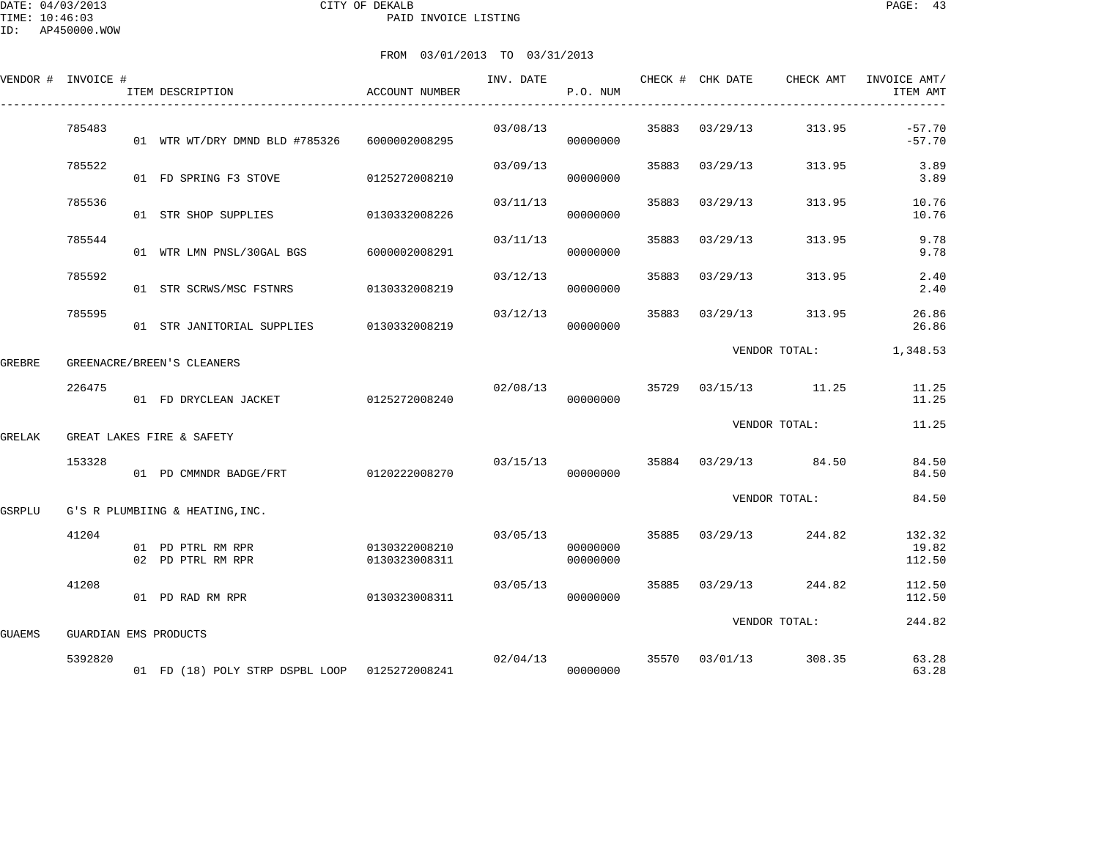|        | VENDOR # INVOICE #    | ITEM DESCRIPTION                              | ACCOUNT NUMBER                 | INV. DATE | P.O. NUM             |       |                | CHECK # CHK DATE CHECK AMT | INVOICE AMT/<br>ITEM AMT  |
|--------|-----------------------|-----------------------------------------------|--------------------------------|-----------|----------------------|-------|----------------|----------------------------|---------------------------|
|        | 785483                | 01 WTR WT/DRY DMND BLD #785326                | 6000002008295                  | 03/08/13  | 00000000             |       | 35883 03/29/13 | 313.95                     | $-57.70$<br>$-57.70$      |
|        | 785522                | 01 FD SPRING F3 STOVE                         | 0125272008210                  | 03/09/13  | 00000000             | 35883 | 03/29/13       | 313.95                     | 3.89<br>3.89              |
|        | 785536                | 01 STR SHOP SUPPLIES                          | 0130332008226                  | 03/11/13  | 00000000             | 35883 | 03/29/13       | 313.95                     | 10.76<br>10.76            |
|        | 785544                | 01 WTR LMN PNSL/30GAL BGS                     | 6000002008291                  | 03/11/13  | 00000000             | 35883 | 03/29/13       | 313.95                     | 9.78<br>9.78              |
|        | 785592                | 01 STR SCRWS/MSC FSTNRS                       | 0130332008219                  | 03/12/13  | 00000000             |       | 35883 03/29/13 | 313.95                     | 2.40<br>2.40              |
|        | 785595                | 01 STR JANITORIAL SUPPLIES 0130332008219      |                                | 03/12/13  | 00000000             |       | 35883 03/29/13 | 313.95                     | 26.86<br>26.86            |
| GREBRE |                       | GREENACRE/BREEN'S CLEANERS                    |                                |           |                      |       |                | VENDOR TOTAL:              | 1,348.53                  |
|        | 226475                | 01 FD DRYCLEAN JACKET                         | 0125272008240                  | 02/08/13  | 00000000             |       |                | 35729 03/15/13 11.25       | 11.25<br>11.25            |
| GRELAK |                       | GREAT LAKES FIRE & SAFETY                     |                                |           |                      |       |                | VENDOR TOTAL:              | 11.25                     |
|        | 153328                | 01 PD CMMNDR BADGE/FRT                        | 0120222008270                  |           | 03/15/13<br>00000000 |       |                | 35884 03/29/13 84.50       | 84.50<br>84.50            |
| GSRPLU |                       | G'S R PLUMBIING & HEATING, INC.               |                                |           |                      |       |                | VENDOR TOTAL:              | 84.50                     |
|        | 41204                 | 01 PD PTRL RM RPR<br>02 PD PTRL RM RPR        | 0130322008210<br>0130323008311 | 03/05/13  | 00000000<br>00000000 |       | 35885 03/29/13 | 244.82                     | 132.32<br>19.82<br>112.50 |
|        | 41208                 | 01 PD RAD RM RPR                              | 0130323008311                  | 03/05/13  | 00000000             | 35885 | 03/29/13       | 244.82                     | 112.50<br>112.50          |
| GUAEMS | GUARDIAN EMS PRODUCTS |                                               |                                |           |                      |       |                | VENDOR TOTAL:              | 244.82                    |
|        | 5392820               | 01 FD (18) POLY STRP DSPBL LOOP 0125272008241 |                                |           | 02/04/13<br>00000000 | 35570 | 03/01/13       | 308.35                     | 63.28<br>63.28            |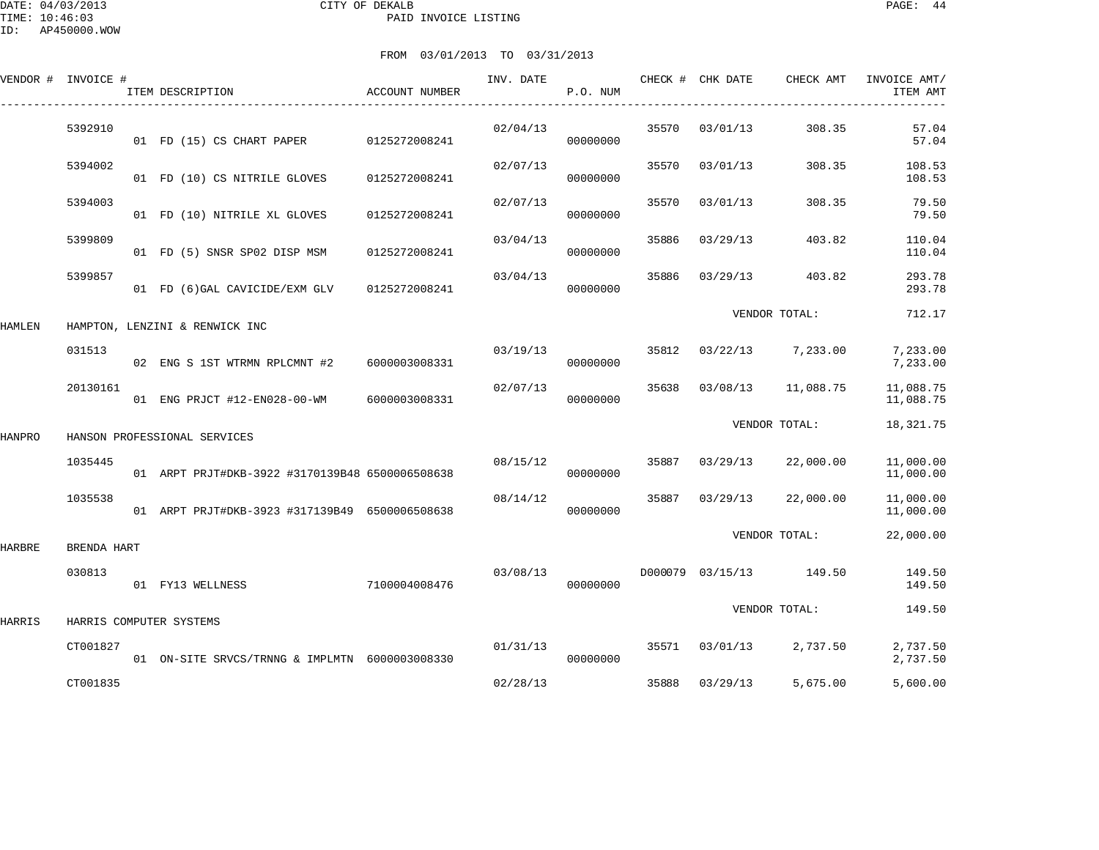|        | VENDOR # INVOICE # | ITEM DESCRIPTION                                | ACCOUNT NUMBER | INV. DATE | P.O. NUM |       | CHECK # CHK DATE        | CHECK AMT     | INVOICE AMT/<br>ITEM AMT |
|--------|--------------------|-------------------------------------------------|----------------|-----------|----------|-------|-------------------------|---------------|--------------------------|
|        | 5392910            | 01 FD (15) CS CHART PAPER                       | 0125272008241  | 02/04/13  | 00000000 | 35570 | 03/01/13                | 308.35        | 57.04<br>57.04           |
|        | 5394002            | 01 FD (10) CS NITRILE GLOVES                    | 0125272008241  | 02/07/13  | 00000000 | 35570 | 03/01/13                | 308.35        | 108.53<br>108.53         |
|        | 5394003            | 01 FD (10) NITRILE XL GLOVES                    | 0125272008241  | 02/07/13  | 00000000 | 35570 | 03/01/13                | 308.35        | 79.50<br>79.50           |
|        | 5399809            | 01 FD (5) SNSR SP02 DISP MSM                    | 0125272008241  | 03/04/13  | 00000000 | 35886 | 03/29/13                | 403.82        | 110.04<br>110.04         |
|        | 5399857            | 01 FD (6) GAL CAVICIDE/EXM GLV                  | 0125272008241  | 03/04/13  | 00000000 | 35886 | 03/29/13                | 403.82        | 293.78<br>293.78         |
| HAMLEN |                    | HAMPTON, LENZINI & RENWICK INC                  |                |           |          |       |                         | VENDOR TOTAL: | 712.17                   |
|        | 031513             | 02 ENG S 1ST WTRMN RPLCMNT #2                   | 6000003008331  | 03/19/13  | 00000000 | 35812 | 03/22/13                | 7,233.00      | 7,233.00<br>7,233.00     |
|        | 20130161           | 01 ENG PRJCT #12-EN028-00-WM                    | 6000003008331  | 02/07/13  | 00000000 | 35638 | 03/08/13                | 11,088.75     | 11,088.75<br>11,088.75   |
| HANPRO |                    | HANSON PROFESSIONAL SERVICES                    |                |           |          |       |                         | VENDOR TOTAL: | 18,321.75                |
|        | 1035445            | 01 ARPT PRJT#DKB-3922 #3170139B48 6500006508638 |                | 08/15/12  | 00000000 | 35887 | 03/29/13                | 22,000.00     | 11,000.00<br>11,000.00   |
|        | 1035538            | 01 ARPT PRJT#DKB-3923 #317139B49 6500006508638  |                | 08/14/12  | 00000000 | 35887 | 03/29/13                | 22,000.00     | 11,000.00<br>11,000.00   |
| HARBRE | BRENDA HART        |                                                 |                |           |          |       |                         | VENDOR TOTAL: | 22,000.00                |
|        | 030813             | 01 FY13 WELLNESS                                | 7100004008476  | 03/08/13  | 00000000 |       | D000079 03/15/13 149.50 |               | 149.50<br>149.50         |
| HARRIS |                    | HARRIS COMPUTER SYSTEMS                         |                |           |          |       |                         | VENDOR TOTAL: | 149.50                   |
|        | CT001827           | 01 ON-SITE SRVCS/TRNNG & IMPLMTN 6000003008330  |                | 01/31/13  | 00000000 | 35571 | 03/01/13                | 2,737.50      | 2,737.50<br>2,737.50     |
|        | CT001835           |                                                 |                | 02/28/13  |          | 35888 | 03/29/13                | 5,675.00      | 5,600.00                 |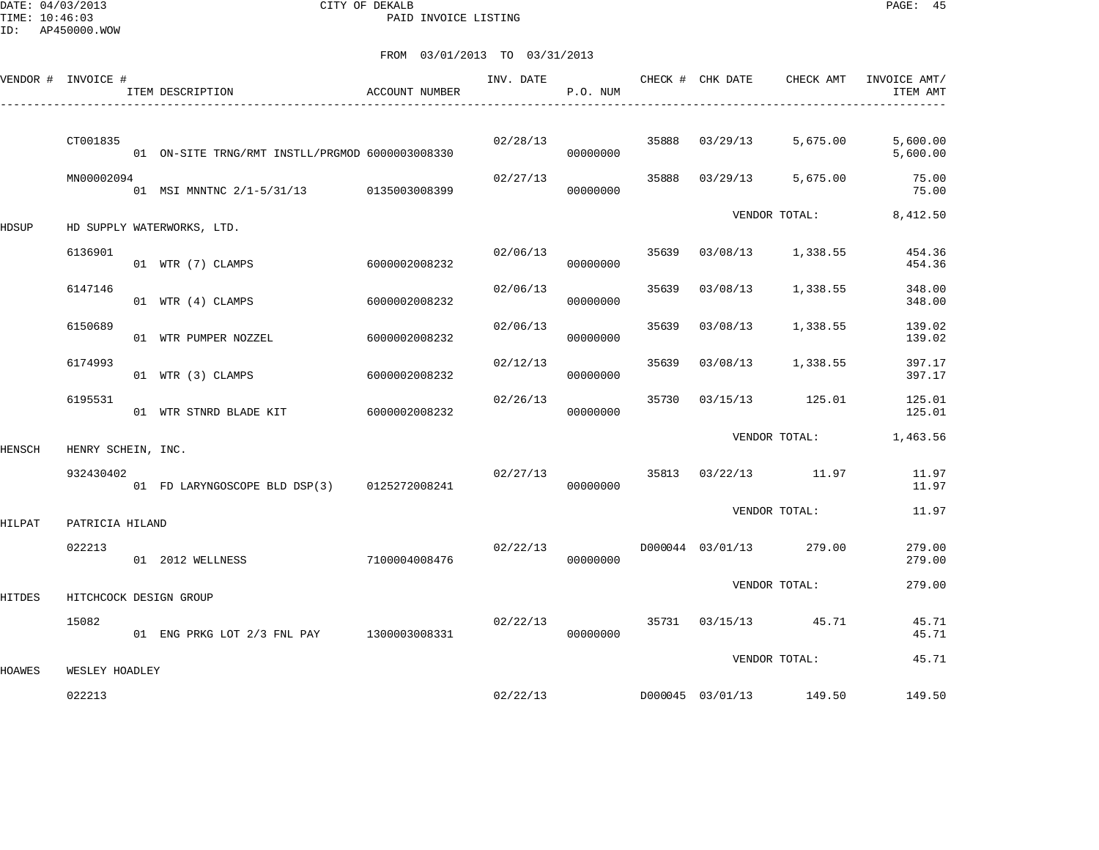DATE: 04/03/2013 CITY OF DEKALB PAGE: 45 PAID INVOICE LISTING

ID: AP450000.WOW

|        | VENDOR # INVOICE # | ITEM DESCRIPTION                                | ACCOUNT NUMBER | INV. DATE | P.O. NUM |       | CHECK # CHK DATE | CHECK AMT               | INVOICE AMT/<br>ITEM AMT |
|--------|--------------------|-------------------------------------------------|----------------|-----------|----------|-------|------------------|-------------------------|--------------------------|
|        | CT001835           | 01 ON-SITE TRNG/RMT INSTLL/PRGMOD 6000003008330 |                | 02/28/13  | 00000000 | 35888 | 03/29/13         | 5,675.00                | 5,600.00<br>5,600.00     |
|        | MN00002094         | 01 MSI MNNTNC 2/1-5/31/13 0135003008399         |                | 02/27/13  | 00000000 | 35888 | 03/29/13         | 5,675.00                | 75.00<br>75.00           |
| HDSUP  |                    | HD SUPPLY WATERWORKS, LTD.                      |                |           |          |       |                  | VENDOR TOTAL:           | 8,412.50                 |
|        | 6136901            | 01 WTR (7) CLAMPS                               | 6000002008232  | 02/06/13  | 00000000 | 35639 |                  | 03/08/13 1,338.55       | 454.36<br>454.36         |
|        | 6147146            | 01 WTR (4) CLAMPS                               | 6000002008232  | 02/06/13  | 00000000 | 35639 | 03/08/13         | 1,338.55                | 348.00<br>348.00         |
|        | 6150689            | 01 WTR PUMPER NOZZEL                            | 6000002008232  | 02/06/13  | 00000000 | 35639 | 03/08/13         | 1,338.55                | 139.02<br>139.02         |
|        | 6174993            | 01 WTR (3) CLAMPS                               | 6000002008232  | 02/12/13  | 00000000 | 35639 | 03/08/13         | 1,338.55                | 397.17<br>397.17         |
|        | 6195531            | 01 WTR STNRD BLADE KIT                          | 6000002008232  | 02/26/13  | 00000000 | 35730 |                  | 03/15/13 125.01         | 125.01<br>125.01         |
| HENSCH | HENRY SCHEIN, INC. |                                                 |                |           |          |       |                  | VENDOR TOTAL:           | 1,463.56                 |
|        | 932430402          | 01 FD LARYNGOSCOPE BLD DSP(3) 0125272008241     |                | 02/27/13  | 00000000 |       |                  | 35813 03/22/13 11.97    | 11.97<br>11.97           |
| HILPAT | PATRICIA HILAND    |                                                 |                |           |          |       |                  | VENDOR TOTAL:           | 11.97                    |
|        | 022213             | 01 2012 WELLNESS                                | 7100004008476  | 02/22/13  | 00000000 |       |                  | D000044 03/01/13 279.00 | 279.00<br>279.00         |
| HITDES |                    | HITCHCOCK DESIGN GROUP                          |                |           |          |       |                  | VENDOR TOTAL:           | 279.00                   |
|        | 15082              | 01 ENG PRKG LOT 2/3 FNL PAY 1300003008331       |                | 02/22/13  | 00000000 |       |                  | 35731 03/15/13 45.71    | 45.71<br>45.71           |
| HOAWES | WESLEY HOADLEY     |                                                 |                |           |          |       |                  | VENDOR TOTAL:           | 45.71                    |
|        | 022213             |                                                 |                | 02/22/13  |          |       |                  | D000045 03/01/13 149.50 | 149.50                   |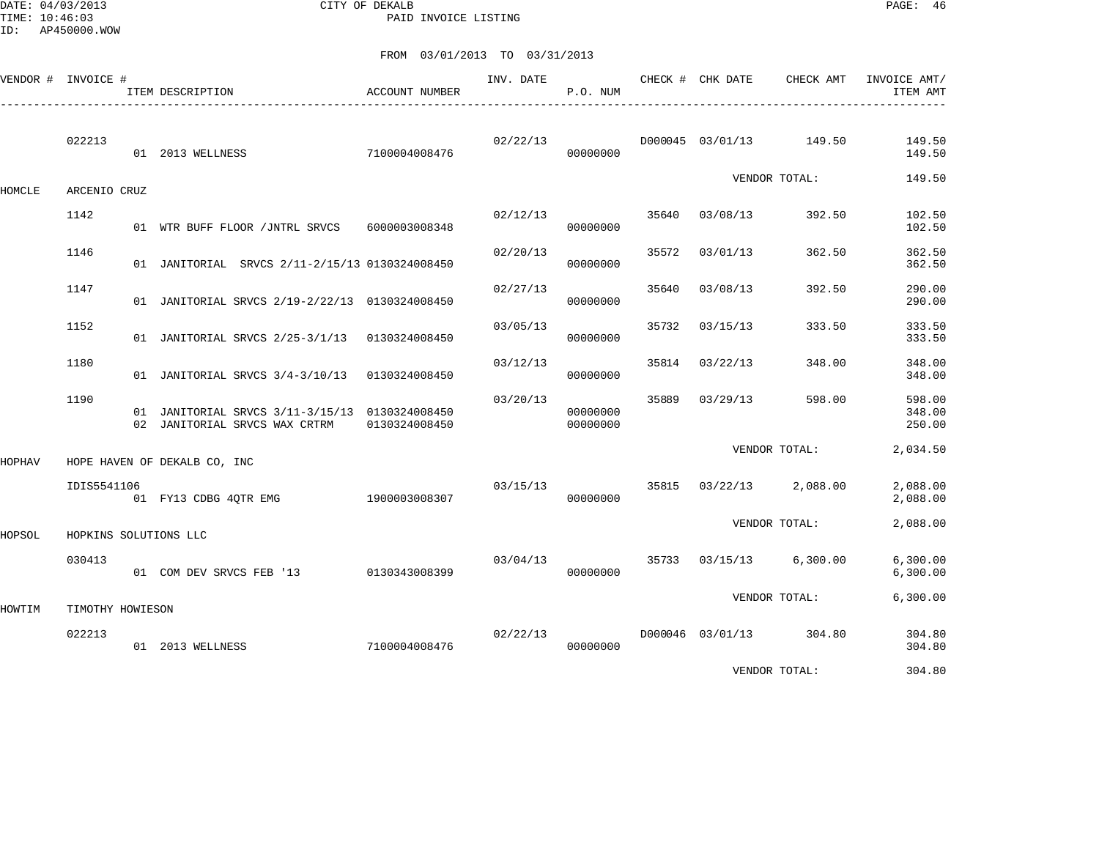DATE: 04/03/2013 CITY OF DEKALB PAGE: 46 PAID INVOICE LISTING

FROM 03/01/2013 TO 03/31/2013

| VENDOR # INVOICE # |                       | ITEM DESCRIPTION                                                                | <b>ACCOUNT NUMBER</b> |          | P.O. NUM             |       | INV. DATE CHECK # CHK DATE | CHECK AMT               | INVOICE AMT/<br>ITEM AMT   |
|--------------------|-----------------------|---------------------------------------------------------------------------------|-----------------------|----------|----------------------|-------|----------------------------|-------------------------|----------------------------|
|                    | 022213                | 01 2013 WELLNESS                                                                | 7100004008476         | 02/22/13 | 00000000             |       | D000045 03/01/13           | 149.50                  | 149.50<br>149.50           |
| HOMCLE             | ARCENIO CRUZ          |                                                                                 |                       |          |                      |       |                            | VENDOR TOTAL:           | 149.50                     |
|                    | 1142                  | 01 WTR BUFF FLOOR / JNTRL SRVCS 6000003008348                                   |                       | 02/12/13 | 00000000             | 35640 | 03/08/13                   | 392.50                  | 102.50<br>102.50           |
|                    | 1146                  | 01 JANITORIAL SRVCS 2/11-2/15/13 0130324008450                                  |                       | 02/20/13 | 00000000             | 35572 | 03/01/13                   | 362.50                  | 362.50<br>362.50           |
|                    | 1147                  | 01 JANITORIAL SRVCS 2/19-2/22/13 0130324008450                                  |                       | 02/27/13 | 00000000             | 35640 | 03/08/13                   | 392.50                  | 290.00<br>290.00           |
|                    | 1152                  | 01 JANITORIAL SRVCS 2/25-3/1/13 0130324008450                                   |                       | 03/05/13 | 00000000             | 35732 | 03/15/13                   | 333.50                  | 333.50<br>333.50           |
|                    | 1180                  | 01 JANITORIAL SRVCS 3/4-3/10/13 0130324008450                                   |                       | 03/12/13 | 00000000             | 35814 | 03/22/13                   | 348.00                  | 348.00<br>348.00           |
|                    | 1190                  | 01 JANITORIAL SRVCS 3/11-3/15/13 0130324008450<br>02 JANITORIAL SRVCS WAX CRTRM | 0130324008450         | 03/20/13 | 00000000<br>00000000 | 35889 | 03/29/13                   | 598.00                  | 598.00<br>348.00<br>250.00 |
| HOPHAV             |                       | HOPE HAVEN OF DEKALB CO, INC                                                    |                       |          |                      |       |                            | VENDOR TOTAL:           | 2,034.50                   |
|                    | IDIS5541106           | 01 FY13 CDBG 4QTR EMG 1900003008307                                             |                       | 03/15/13 | 00000000             | 35815 |                            | $03/22/13$ 2,088.00     | 2,088.00<br>2,088.00       |
| HOPSOL             | HOPKINS SOLUTIONS LLC |                                                                                 |                       |          |                      |       |                            | VENDOR TOTAL:           | 2,088.00                   |
|                    | 030413                | 01 COM DEV SRVCS FEB '13 0130343008399                                          |                       | 03/04/13 | 00000000             |       |                            | 35733 03/15/13 6,300.00 | 6, 300.00<br>6, 300.00     |
| HOWTIM             | TIMOTHY HOWIESON      |                                                                                 |                       |          |                      |       |                            | VENDOR TOTAL:           | 6,300.00                   |
|                    | 022213                | 01 2013 WELLNESS                                                                | 7100004008476         | 02/22/13 | 00000000             |       | D000046 03/01/13           | 304.80                  | 304.80<br>304.80           |

VENDOR TOTAL: 304.80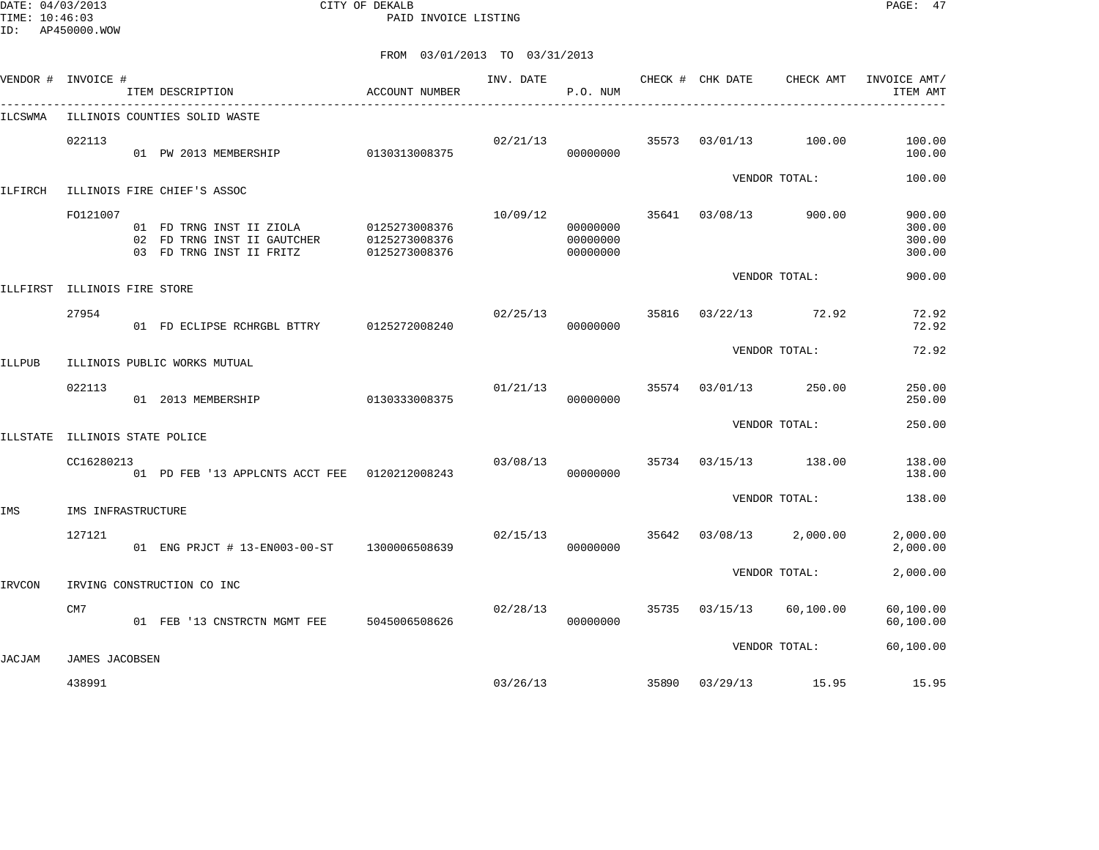DATE: 04/03/2013 CITY OF DEKALB PAGE: 47 PAID INVOICE LISTING

|               | VENDOR # INVOICE #    | ITEM DESCRIPTION                                                                    | ACCOUNT NUMBER                                  | INV. DATE | P.O. NUM                         |       | CHECK # CHK DATE | CHECK AMT             | INVOICE AMT/<br>ITEM AMT             |
|---------------|-----------------------|-------------------------------------------------------------------------------------|-------------------------------------------------|-----------|----------------------------------|-------|------------------|-----------------------|--------------------------------------|
| ILCSWMA       |                       | ILLINOIS COUNTIES SOLID WASTE                                                       |                                                 |           |                                  |       |                  |                       |                                      |
|               | 022113                | 01 PW 2013 MEMBERSHIP                                                               | 0130313008375                                   | 02/21/13  | 00000000                         | 35573 | 03/01/13         | 100.00                | 100.00<br>100.00                     |
| ILFIRCH       |                       | ILLINOIS FIRE CHIEF'S ASSOC                                                         |                                                 |           |                                  |       |                  | VENDOR TOTAL:         | 100.00                               |
|               | F0121007              | 01 FD TRNG INST II ZIOLA<br>02 FD TRNG INST II GAUTCHER<br>03 FD TRNG INST II FRITZ | 0125273008376<br>0125273008376<br>0125273008376 | 10/09/12  | 00000000<br>00000000<br>00000000 |       |                  | 35641 03/08/13 900.00 | 900.00<br>300.00<br>300.00<br>300.00 |
| ILLFIRST      | ILLINOIS FIRE STORE   |                                                                                     |                                                 |           |                                  |       |                  | VENDOR TOTAL:         | 900.00                               |
|               | 27954                 | 01 FD ECLIPSE RCHRGBL BTTRY                                                         | 0125272008240                                   | 02/25/13  | 00000000                         | 35816 | 03/22/13         | 72.92                 | 72.92<br>72.92                       |
| <b>ILLPUB</b> |                       | ILLINOIS PUBLIC WORKS MUTUAL                                                        |                                                 |           |                                  |       |                  | VENDOR TOTAL:         | 72.92                                |
|               | 022113                | 01 2013 MEMBERSHIP                                                                  | 0130333008375                                   | 01/21/13  | 00000000                         | 35574 | 03/01/13         | 250.00                | 250.00<br>250.00                     |
|               | ILLINOIS STATE POLICE |                                                                                     |                                                 |           |                                  |       |                  | VENDOR TOTAL:         | 250.00                               |
| ILLSTATE      |                       |                                                                                     |                                                 |           |                                  |       |                  |                       |                                      |
|               | CC16280213            | 01 PD FEB '13 APPLCNTS ACCT FEE  0120212008243                                      |                                                 | 03/08/13  | 00000000                         | 35734 | 03/15/13         | 138.00                | 138.00<br>138.00                     |
| IMS           | IMS INFRASTRUCTURE    |                                                                                     |                                                 |           |                                  |       |                  | VENDOR TOTAL:         | 138.00                               |
|               | 127121                | 01 ENG PRJCT # 13-EN003-00-ST                                                       | 1300006508639                                   | 02/15/13  | 00000000                         | 35642 | 03/08/13         | 2,000.00              | 2,000.00<br>2,000.00                 |
| <b>IRVCON</b> |                       | IRVING CONSTRUCTION CO INC                                                          |                                                 |           |                                  |       |                  | VENDOR TOTAL:         | 2,000.00                             |
|               | CM7                   | 01 FEB '13 CNSTRCTN MGMT FEE                                                        | 5045006508626                                   | 02/28/13  | 00000000                         |       | 35735 03/15/13   | 60,100.00             | 60,100.00<br>60,100.00               |
| <b>JACJAM</b> | JAMES JACOBSEN        |                                                                                     |                                                 |           |                                  |       |                  | VENDOR TOTAL:         | 60,100.00                            |
|               | 438991                |                                                                                     |                                                 | 03/26/13  |                                  | 35890 |                  | 03/29/13 15.95        | 15.95                                |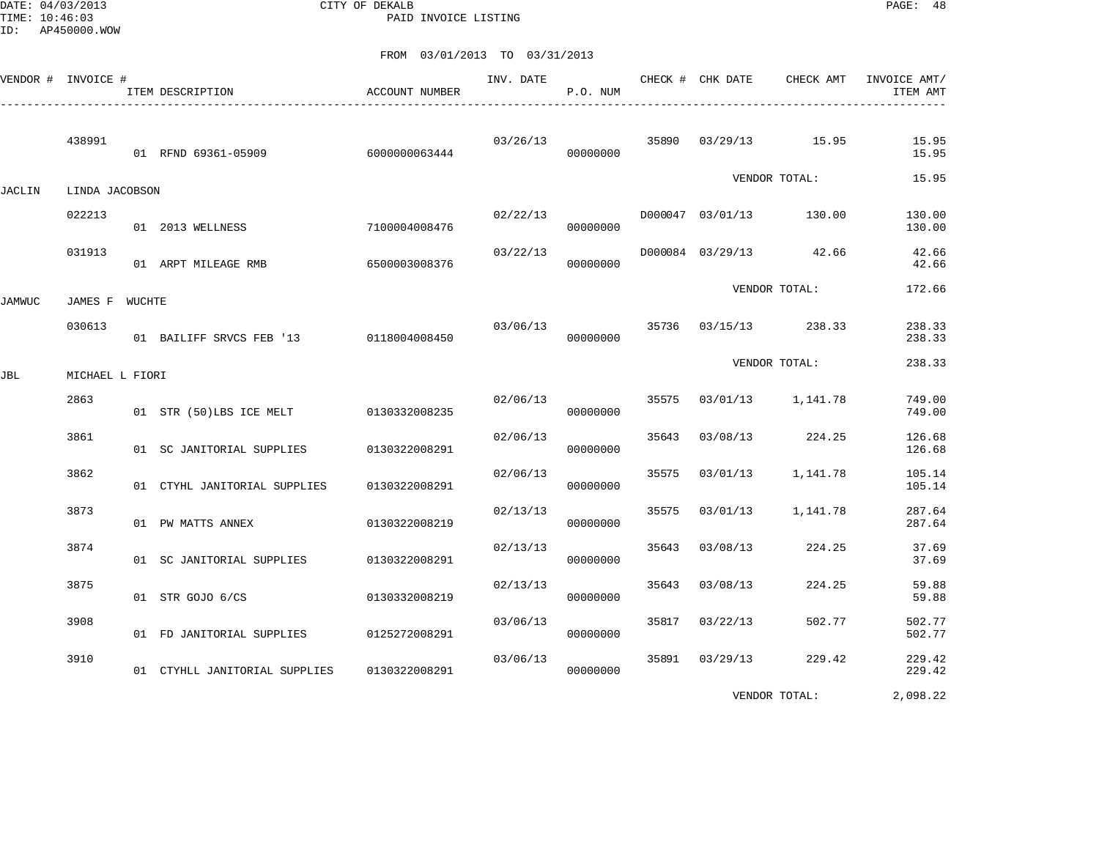DATE: 04/03/2013 CITY OF DEKALB PAGE: 48 PAID INVOICE LISTING

FROM 03/01/2013 TO 03/31/2013

|        | VENDOR # INVOICE # | ITEM DESCRIPTION                       | ACCOUNT NUMBER | INV. DATE | P.O. NUM |       | CHECK # CHK DATE |                         | CHECK AMT INVOICE AMT/<br>ITEM AMT |
|--------|--------------------|----------------------------------------|----------------|-----------|----------|-------|------------------|-------------------------|------------------------------------|
|        | 438991             | 01 RFND 69361-05909                    | 6000000063444  | 03/26/13  | 00000000 |       |                  | 35890 03/29/13 15.95    | 15.95<br>15.95                     |
| JACLIN | LINDA JACOBSON     |                                        |                |           |          |       |                  | VENDOR TOTAL:           | 15.95                              |
|        | 022213             | 01 2013 WELLNESS                       | 7100004008476  | 02/22/13  | 00000000 |       |                  | D000047 03/01/13 130.00 | 130.00<br>130.00                   |
|        | 031913             | 01 ARPT MILEAGE RMB                    | 6500003008376  | 03/22/13  | 00000000 |       |                  | D000084 03/29/13 42.66  | 42.66<br>42.66                     |
| JAMWUC | JAMES F WUCHTE     |                                        |                |           |          |       |                  | VENDOR TOTAL:           | 172.66                             |
|        | 030613             | 01 BAILIFF SRVCS FEB '13 0118004008450 |                | 03/06/13  | 00000000 |       | 35736 03/15/13   | 238.33                  | 238.33<br>238.33                   |
| JBL    | MICHAEL L FIORI    |                                        |                |           |          |       |                  | VENDOR TOTAL:           | 238.33                             |
|        | 2863               | 01 STR (50)LBS ICE MELT 0130332008235  |                | 02/06/13  | 00000000 | 35575 |                  | 03/01/13 1,141.78       | 749.00<br>749.00                   |
|        | 3861               | 01 SC JANITORIAL SUPPLIES              | 0130322008291  | 02/06/13  | 00000000 | 35643 | 03/08/13         | 224.25                  | 126.68<br>126.68                   |
|        | 3862               | 01 CTYHL JANITORIAL SUPPLIES           | 0130322008291  | 02/06/13  | 00000000 | 35575 | 03/01/13         | 1,141.78                | 105.14<br>105.14                   |
|        | 3873               | 01 PW MATTS ANNEX                      | 0130322008219  | 02/13/13  | 00000000 | 35575 | 03/01/13         | 1,141.78                | 287.64<br>287.64                   |
|        | 3874               | 01 SC JANITORIAL SUPPLIES              | 0130322008291  | 02/13/13  | 00000000 | 35643 | 03/08/13         | 224.25                  | 37.69<br>37.69                     |
|        | 3875               | 01 STR GOJO 6/CS                       | 0130332008219  | 02/13/13  | 00000000 | 35643 | 03/08/13         | 224.25                  | 59.88<br>59.88                     |
|        | 3908               | 01 FD JANITORIAL SUPPLIES              | 0125272008291  | 03/06/13  | 00000000 | 35817 | 03/22/13         | 502.77                  | 502.77<br>502.77                   |
|        | 3910               | 01 CTYHLL JANITORIAL SUPPLIES          | 0130322008291  | 03/06/13  | 00000000 | 35891 | 03/29/13         | 229.42                  | 229.42<br>229.42                   |
|        |                    |                                        |                |           |          |       |                  | $\ldots$                | 0.00000                            |

VENDOR TOTAL: 2,098.22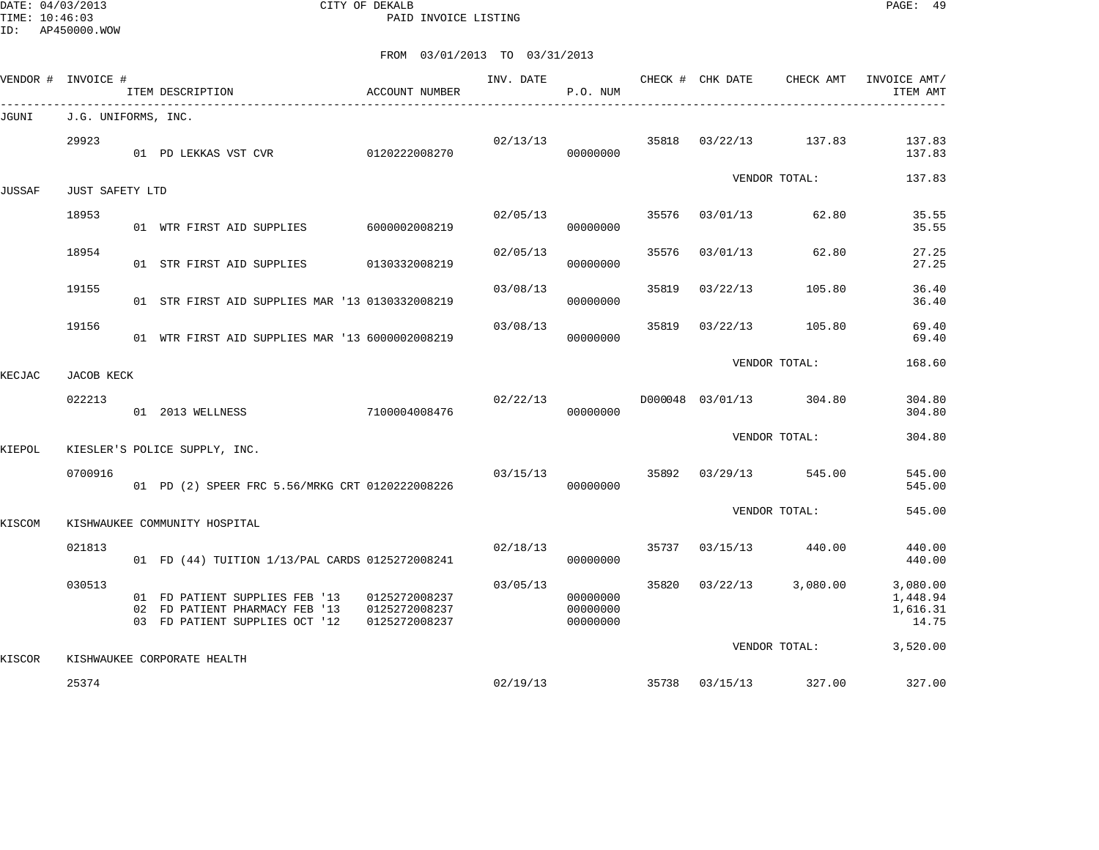DATE: 04/03/2013 CITY OF DEKALB PAGE: 49 PAID INVOICE LISTING

| VENDOR # | INVOICE #           | ITEM DESCRIPTION                                                                                   | ACCOUNT NUMBER                                  | INV. DATE | P.O. NUM                         |       | CHECK # CHK DATE | CHECK AMT               | INVOICE AMT/<br>ITEM AMT                  |
|----------|---------------------|----------------------------------------------------------------------------------------------------|-------------------------------------------------|-----------|----------------------------------|-------|------------------|-------------------------|-------------------------------------------|
| JGUNI    | J.G. UNIFORMS, INC. |                                                                                                    |                                                 |           |                                  |       |                  |                         |                                           |
|          | 29923               | 01 PD LEKKAS VST CVR                                                                               | 0120222008270                                   | 02/13/13  | 00000000                         | 35818 | 03/22/13         | 137.83                  | 137.83<br>137.83                          |
| JUSSAF   | JUST SAFETY LTD     |                                                                                                    |                                                 |           |                                  |       |                  | VENDOR TOTAL:           | 137.83                                    |
|          | 18953               | 01 WTR FIRST AID SUPPLIES 6000002008219                                                            |                                                 | 02/05/13  | 00000000                         | 35576 | 03/01/13         | 62.80                   | 35.55<br>35.55                            |
|          | 18954               | 01 STR FIRST AID SUPPLIES                                                                          | 0130332008219                                   | 02/05/13  | 00000000                         | 35576 | 03/01/13         | 62.80                   | 27.25<br>27.25                            |
|          | 19155               | 01 STR FIRST AID SUPPLIES MAR '13 0130332008219                                                    |                                                 | 03/08/13  | 00000000                         | 35819 | 03/22/13         | 105.80                  | 36.40<br>36.40                            |
|          | 19156               | 01 WTR FIRST AID SUPPLIES MAR '13 6000002008219                                                    |                                                 | 03/08/13  | 00000000                         | 35819 | 03/22/13         | 105.80                  | 69.40<br>69.40                            |
| KECJAC   | JACOB KECK          |                                                                                                    |                                                 |           |                                  |       |                  | VENDOR TOTAL:           | 168.60                                    |
|          | 022213              | 01 2013 WELLNESS                                                                                   | 7100004008476                                   | 02/22/13  | 00000000                         |       |                  | D000048 03/01/13 304.80 | 304.80<br>304.80                          |
| KIEPOL   |                     | KIESLER'S POLICE SUPPLY, INC.                                                                      |                                                 |           |                                  |       |                  | VENDOR TOTAL:           | 304.80                                    |
|          | 0700916             | 01 PD (2) SPEER FRC 5.56/MRKG CRT 0120222008226                                                    |                                                 | 03/15/13  | 00000000                         | 35892 | 03/29/13         | 545.00                  | 545.00<br>545.00                          |
| KISCOM   |                     | KISHWAUKEE COMMUNITY HOSPITAL                                                                      |                                                 |           |                                  |       |                  | VENDOR TOTAL:           | 545.00                                    |
|          | 021813              | 01 FD (44) TUITION 1/13/PAL CARDS 0125272008241                                                    |                                                 | 02/18/13  | 00000000                         | 35737 |                  | 03/15/13 440.00         | 440.00<br>440.00                          |
|          | 030513              | 01 FD PATIENT SUPPLIES FEB '13<br>02 FD PATIENT PHARMACY FEB '13<br>03 FD PATIENT SUPPLIES OCT '12 | 0125272008237<br>0125272008237<br>0125272008237 | 03/05/13  | 00000000<br>00000000<br>00000000 | 35820 | 03/22/13         | 3,080.00                | 3,080.00<br>1,448.94<br>1,616.31<br>14.75 |
| KISCOR   |                     | KISHWAUKEE CORPORATE HEALTH                                                                        |                                                 |           |                                  |       |                  | VENDOR TOTAL:           | 3,520.00                                  |
|          | 25374               |                                                                                                    |                                                 | 02/19/13  |                                  |       | 35738 03/15/13   | 327.00                  | 327.00                                    |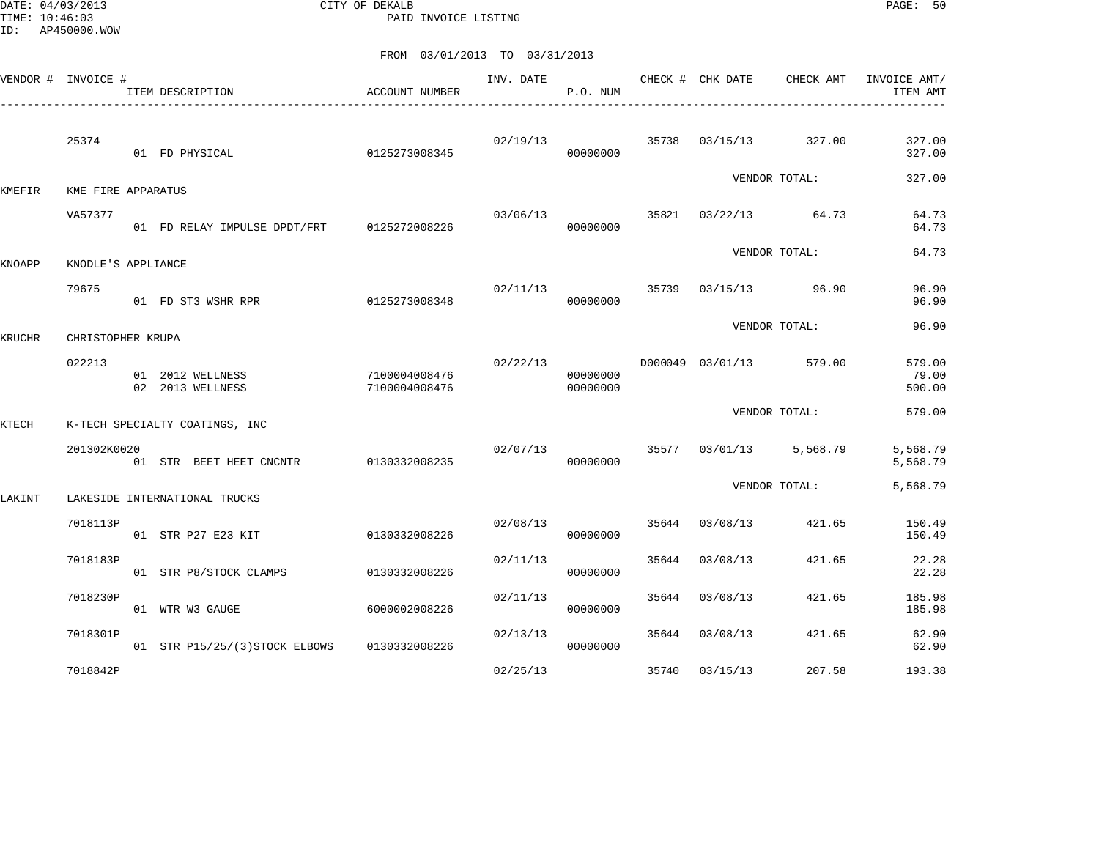DATE: 04/03/2013 CITY OF DEKALB PAGE: 50 PAID INVOICE LISTING

|        | VENDOR # INVOICE # | ITEM DESCRIPTION<br>______________________   | ACCOUNT NUMBER                 | INV. DATE | P.O. NUM                         |       | CHECK # CHK DATE | CHECK AMT               | INVOICE AMT/<br>ITEM AMT  |
|--------|--------------------|----------------------------------------------|--------------------------------|-----------|----------------------------------|-------|------------------|-------------------------|---------------------------|
|        | 25374              | 01 FD PHYSICAL                               | 0125273008345                  | 02/19/13  | 00000000                         |       |                  | 35738 03/15/13 327.00   | 327.00<br>327.00          |
| KMEFIR | KME FIRE APPARATUS |                                              |                                |           |                                  |       |                  | VENDOR TOTAL:           | 327.00                    |
|        | VA57377            | 01 FD RELAY IMPULSE DPDT/FRT 0125272008226   |                                |           | 03/06/13<br>00000000             |       |                  | 35821 03/22/13 64.73    | 64.73<br>64.73            |
| KNOAPP | KNODLE'S APPLIANCE |                                              |                                |           |                                  |       |                  | VENDOR TOTAL:           | 64.73                     |
|        | 79675              | 01 FD ST3 WSHR RPR                           | 0125273008348                  | 02/11/13  | 00000000                         |       |                  | 35739 03/15/13 96.90    | 96.90<br>96.90            |
| KRUCHR | CHRISTOPHER KRUPA  |                                              |                                |           |                                  |       |                  | VENDOR TOTAL:           | 96.90                     |
|        | 022213             | 01 2012 WELLNESS<br>02 2013 WELLNESS         | 7100004008476<br>7100004008476 |           | 02/22/13<br>00000000<br>00000000 |       |                  | D000049 03/01/13 579.00 | 579.00<br>79.00<br>500.00 |
| KTECH  |                    | K-TECH SPECIALTY COATINGS, INC               |                                |           |                                  |       |                  | VENDOR TOTAL:           | 579.00                    |
|        | 201302K0020        | 01 STR BEET HEET CNCNTR                      | 0130332008235                  | 02/07/13  | 00000000                         |       |                  | 35577 03/01/13 5,568.79 | 5,568.79<br>5,568.79      |
| LAKINT |                    | LAKESIDE INTERNATIONAL TRUCKS                |                                |           |                                  |       |                  | VENDOR TOTAL:           | 5,568.79                  |
|        | 7018113P           | 01 STR P27 E23 KIT                           | 0130332008226                  | 02/08/13  | 00000000                         | 35644 | 03/08/13         | 421.65                  | 150.49<br>150.49          |
|        | 7018183P           | 01 STR P8/STOCK CLAMPS                       | 0130332008226                  | 02/11/13  | 00000000                         | 35644 | 03/08/13         | 421.65                  | 22.28<br>22.28            |
|        | 7018230P           | 01 WTR W3 GAUGE                              | 6000002008226                  | 02/11/13  | 00000000                         | 35644 | 03/08/13         | 421.65                  | 185.98<br>185.98          |
|        | 7018301P           | 01 STR P15/25/(3) STOCK ELBOWS 0130332008226 |                                | 02/13/13  | 00000000                         |       | 35644 03/08/13   | 421.65                  | 62.90<br>62.90            |
|        | 7018842P           |                                              |                                | 02/25/13  |                                  | 35740 | 03/15/13         | 207.58                  | 193.38                    |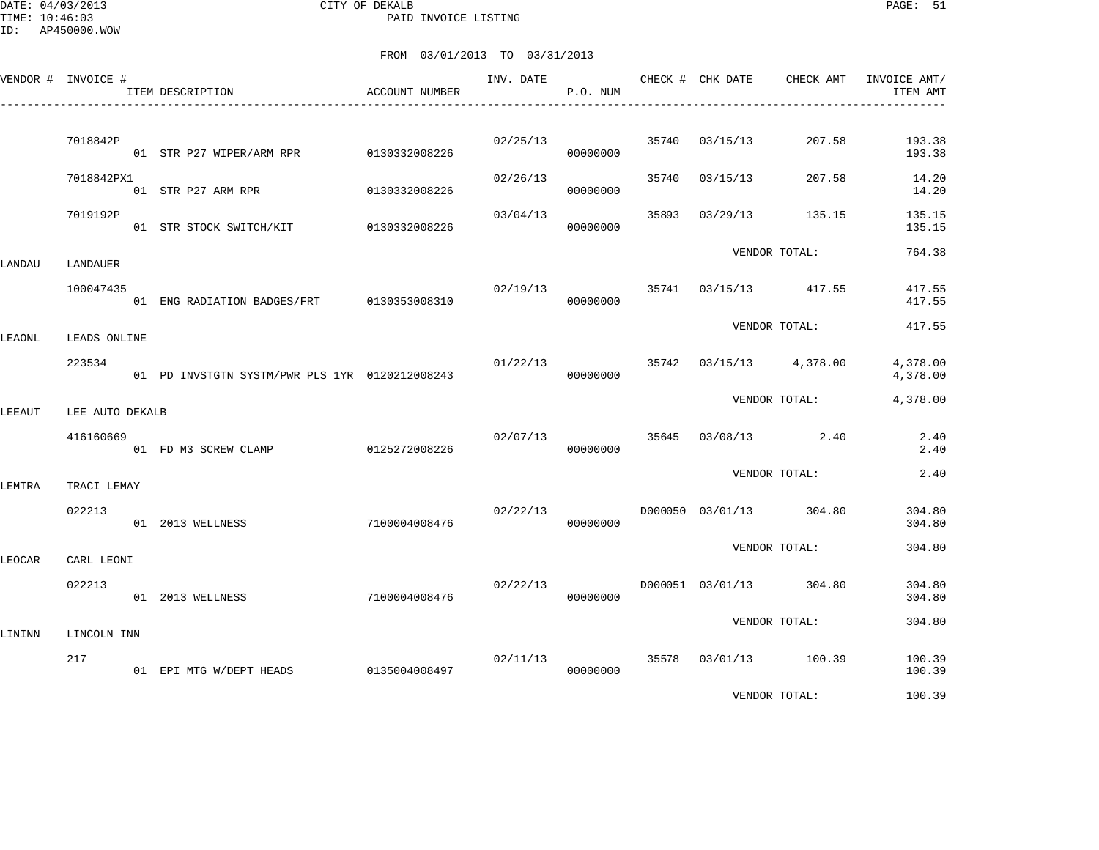DATE: 04/03/2013 CITY OF DEKALB PAGE: 51 PAID INVOICE LISTING

|        | VENDOR # INVOICE #   | ITEM DESCRIPTION                               | ACCOUNT NUMBER | INV. DATE | P.O. NUM |       | CHECK # CHK DATE | CHECK AMT               | INVOICE AMT/<br>ITEM AMT |
|--------|----------------------|------------------------------------------------|----------------|-----------|----------|-------|------------------|-------------------------|--------------------------|
|        | 7018842P             |                                                |                | 02/25/13  | 00000000 | 35740 | 03/15/13         | 207.58                  | 193.38<br>193.38         |
|        | 7018842PX1           | 01 STR P27 ARM RPR                             | 0130332008226  | 02/26/13  | 00000000 | 35740 | 03/15/13         | 207.58                  | 14.20<br>14.20           |
|        | 7019192P             | 01 STR STOCK SWITCH/KIT 0130332008226          |                | 03/04/13  | 00000000 | 35893 | 03/29/13         | 135.15                  | 135.15<br>135.15         |
| LANDAU | LANDAUER             |                                                |                |           |          |       |                  | VENDOR TOTAL:           | 764.38                   |
|        | 100047435            | 01 ENG RADIATION BADGES/FRT 0130353008310      |                | 02/19/13  | 00000000 | 35741 |                  | 03/15/13 417.55         | 417.55<br>417.55         |
| LEAONL | LEADS ONLINE         |                                                |                |           |          |       |                  | VENDOR TOTAL:           | 417.55                   |
|        | 223534               | 01 PD INVSTGTN SYSTM/PWR PLS 1YR 0120212008243 |                | 01/22/13  | 00000000 |       |                  | 35742 03/15/13 4,378.00 | 4,378.00<br>4,378.00     |
| LEEAUT | LEE AUTO DEKALB      |                                                |                |           |          |       |                  | VENDOR TOTAL:           | 4,378.00                 |
|        | 416160669            | 01 FD M3 SCREW CLAMP 0125272008226             |                | 02/07/13  | 00000000 | 35645 |                  | $03/08/13$ 2.40         | 2.40<br>2.40             |
| LEMTRA | TRACI LEMAY          |                                                |                |           |          |       |                  | VENDOR TOTAL:           | 2.40                     |
|        | 022213               | 01 2013 WELLNESS                               | 7100004008476  | 02/22/13  | 00000000 |       |                  | D000050 03/01/13 304.80 | 304.80<br>304.80         |
|        |                      |                                                |                |           |          |       |                  | VENDOR TOTAL:           | 304.80                   |
| LEOCAR | CARL LEONI<br>022213 | 01 2013 WELLNESS                               | 7100004008476  | 02/22/13  | 00000000 |       | D000051 03/01/13 | 304.80                  | 304.80<br>304.80         |
|        |                      |                                                |                |           |          |       |                  | VENDOR TOTAL:           | 304.80                   |
| LININN | LINCOLN INN<br>217   | 01 EPI MTG W/DEPT HEADS                        | 0135004008497  | 02/11/13  | 00000000 |       |                  | 35578 03/01/13 100.39   | 100.39<br>100.39         |
|        |                      |                                                |                |           |          |       |                  | VENDOR TOTAL:           | 100.39                   |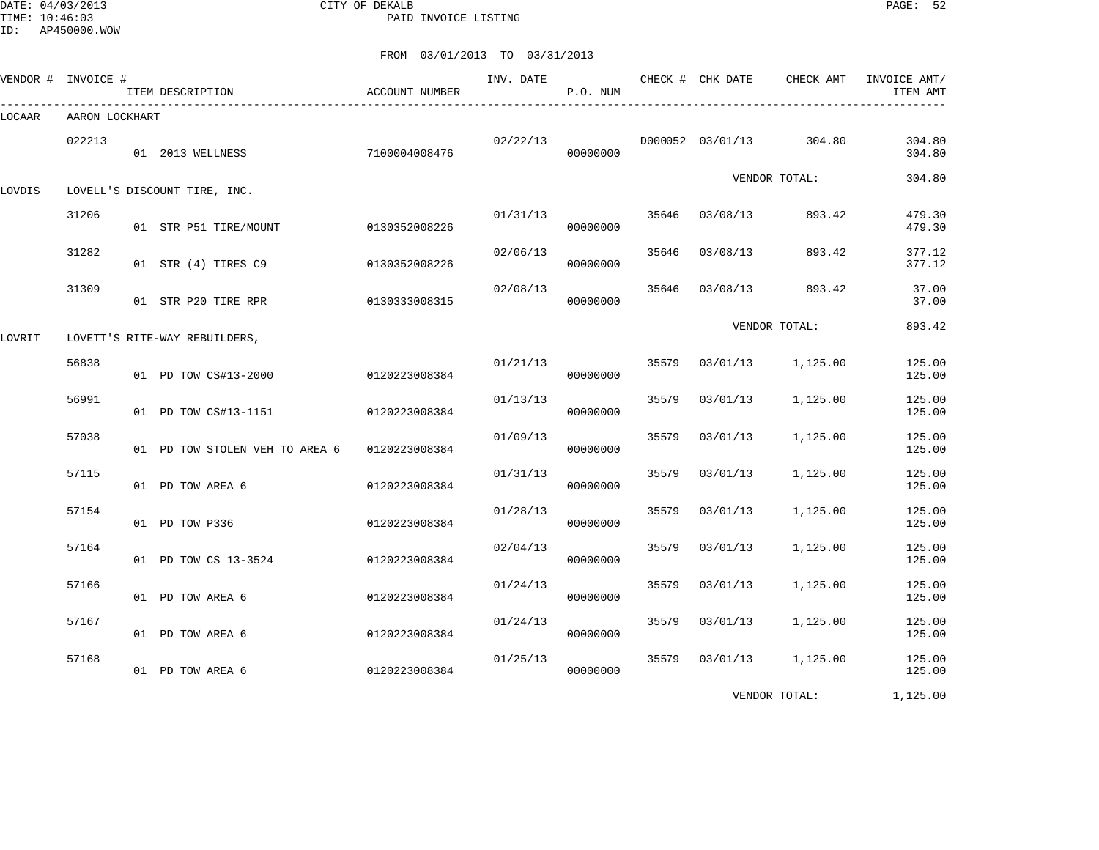DATE: 04/03/2013 CITY OF DEKALB PAGE: 52 PAID INVOICE LISTING

ID: AP450000.WOW

|        | VENDOR # INVOICE # | ITEM DESCRIPTION               | ACCOUNT NUMBER | INV. DATE | P.O. NUM |       | CHECK # CHK DATE | CHECK AMT     | INVOICE AMT/<br>ITEM AMT |
|--------|--------------------|--------------------------------|----------------|-----------|----------|-------|------------------|---------------|--------------------------|
| LOCAAR | AARON LOCKHART     |                                |                |           |          |       |                  |               |                          |
|        | 022213             | 01 2013 WELLNESS               | 7100004008476  | 02/22/13  | 00000000 |       | D000052 03/01/13 | 304.80        | 304.80<br>304.80         |
| LOVDIS |                    | LOVELL'S DISCOUNT TIRE, INC.   |                |           |          |       |                  | VENDOR TOTAL: | 304.80                   |
|        | 31206              | 01 STR P51 TIRE/MOUNT          | 0130352008226  | 01/31/13  | 00000000 | 35646 | 03/08/13         | 893.42        | 479.30<br>479.30         |
|        | 31282              | 01 STR (4) TIRES C9            | 0130352008226  | 02/06/13  | 00000000 | 35646 | 03/08/13         | 893.42        | 377.12<br>377.12         |
|        | 31309              | 01 STR P20 TIRE RPR            | 0130333008315  | 02/08/13  | 00000000 | 35646 | 03/08/13         | 893.42        | 37.00<br>37.00           |
| LOVRIT |                    | LOVETT'S RITE-WAY REBUILDERS,  |                |           |          |       |                  | VENDOR TOTAL: | 893.42                   |
|        | 56838              | 01 PD TOW CS#13-2000           | 0120223008384  | 01/21/13  | 00000000 | 35579 | 03/01/13         | 1,125.00      | 125.00<br>125.00         |
|        | 56991              | 01 PD TOW CS#13-1151           | 0120223008384  | 01/13/13  | 00000000 | 35579 | 03/01/13         | 1,125.00      | 125.00<br>125.00         |
|        | 57038              | 01 PD TOW STOLEN VEH TO AREA 6 | 0120223008384  | 01/09/13  | 00000000 | 35579 | 03/01/13         | 1,125.00      | 125.00<br>125.00         |
|        | 57115              | 01 PD TOW AREA 6               | 0120223008384  | 01/31/13  | 00000000 | 35579 | 03/01/13         | 1,125.00      | 125.00<br>125.00         |
|        | 57154              | 01 PD TOW P336                 | 0120223008384  | 01/28/13  | 00000000 | 35579 | 03/01/13         | 1,125.00      | 125.00<br>125.00         |
|        | 57164              | 01 PD TOW CS 13-3524           | 0120223008384  | 02/04/13  | 00000000 | 35579 | 03/01/13         | 1,125.00      | 125.00<br>125.00         |
|        | 57166              | 01 PD TOW AREA 6               | 0120223008384  | 01/24/13  | 00000000 | 35579 | 03/01/13         | 1,125.00      | 125.00<br>125.00         |
|        | 57167              | 01 PD TOW AREA 6               | 0120223008384  | 01/24/13  | 00000000 | 35579 | 03/01/13         | 1,125.00      | 125.00<br>125.00         |
|        | 57168              | 01 PD TOW AREA 6               | 0120223008384  | 01/25/13  | 00000000 | 35579 | 03/01/13         | 1,125.00      | 125.00<br>125.00         |
|        |                    |                                |                |           |          |       |                  | VENDOR TOTAL: | 1,125.00                 |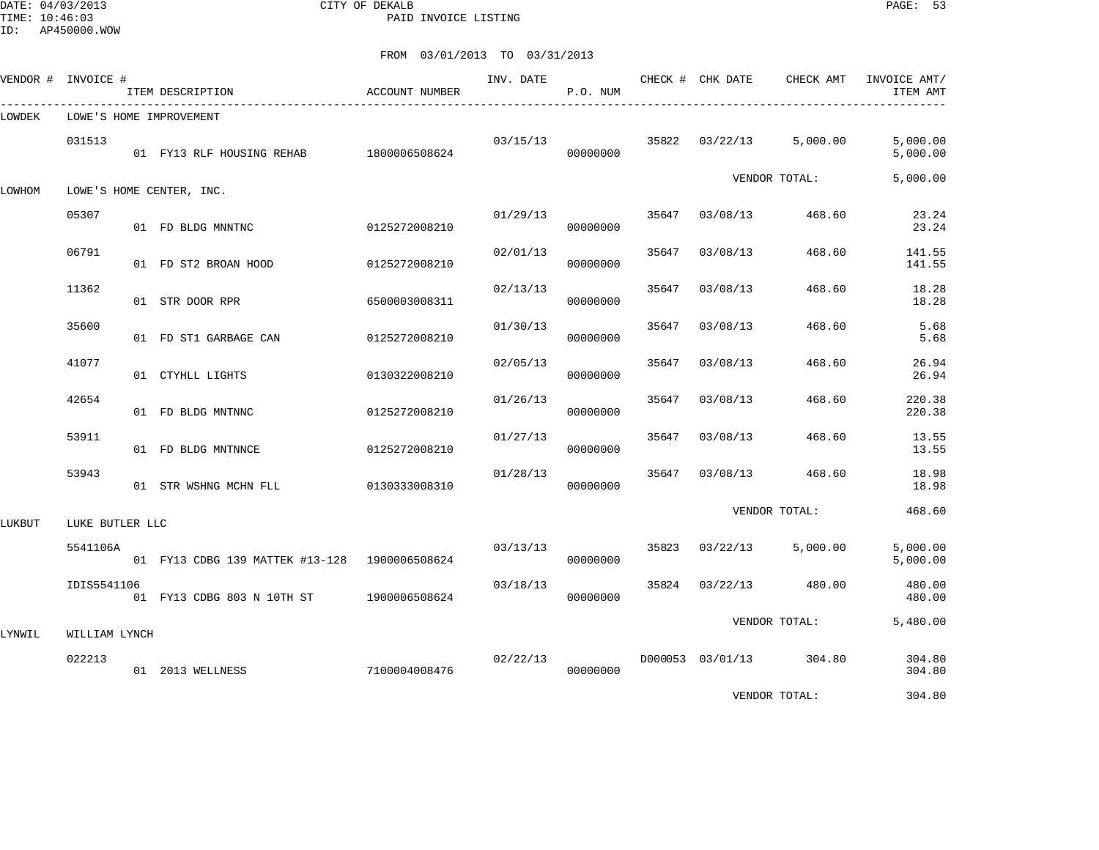DATE: 04/03/2013 CITY OF DEKALB PAGE: 53 PAID INVOICE LISTING

|        | VENDOR # INVOICE #      | ITEM DESCRIPTION                              | ACCOUNT NUMBER | INV. DATE | P.O. NUM |       | CHECK # CHK DATE | CHECK AMT               | INVOICE AMT/<br>ITEM AMT |
|--------|-------------------------|-----------------------------------------------|----------------|-----------|----------|-------|------------------|-------------------------|--------------------------|
| LOWDEK |                         | LOWE'S HOME IMPROVEMENT                       |                |           |          |       |                  |                         |                          |
|        | 031513                  | 01 FY13 RLF HOUSING REHAB 1800006508624       |                | 03/15/13  | 00000000 | 35822 | 03/22/13         | 5,000.00                | 5,000.00<br>5,000.00     |
| LOWHOM |                         | LOWE'S HOME CENTER, INC.                      |                |           |          |       |                  | VENDOR TOTAL:           | 5,000.00                 |
|        | 05307                   | 01 FD BLDG MNNTNC                             | 0125272008210  | 01/29/13  | 00000000 | 35647 | 03/08/13         | 468.60                  | 23.24<br>23.24           |
|        | 06791                   | 01 FD ST2 BROAN HOOD                          | 0125272008210  | 02/01/13  | 00000000 | 35647 | 03/08/13         | 468.60                  | 141.55<br>141.55         |
|        | 11362                   | 01 STR DOOR RPR                               | 6500003008311  | 02/13/13  | 00000000 | 35647 | 03/08/13         | 468.60                  | 18.28<br>18.28           |
|        | 35600                   | 01 FD ST1 GARBAGE CAN                         | 0125272008210  | 01/30/13  | 00000000 | 35647 | 03/08/13         | 468.60                  | 5.68<br>5.68             |
|        | 41077                   | 01 CTYHLL LIGHTS                              | 0130322008210  | 02/05/13  | 00000000 | 35647 | 03/08/13         | 468.60                  | 26.94<br>26.94           |
|        | 42654                   | 01 FD BLDG MNTNNC                             | 0125272008210  | 01/26/13  | 00000000 | 35647 | 03/08/13         | 468.60                  | 220.38<br>220.38         |
|        | 53911                   | 01 FD BLDG MNTNNCE                            | 0125272008210  | 01/27/13  | 00000000 | 35647 | 03/08/13         | 468.60                  | 13.55<br>13.55           |
|        | 53943                   | 01 STR WSHNG MCHN FLL                         | 0130333008310  | 01/28/13  | 00000000 | 35647 | 03/08/13         | 468.60                  | 18.98<br>18.98           |
| LUKBUT | LUKE BUTLER LLC         |                                               |                |           |          |       |                  | VENDOR TOTAL:           | 468.60                   |
|        | 5541106A                | 01 FY13 CDBG 139 MATTEK #13-128 1900006508624 |                | 03/13/13  | 00000000 | 35823 | 03/22/13         | 5,000.00                | 5,000.00<br>5,000.00     |
|        | IDIS5541106             | 01 FY13 CDBG 803 N 10TH ST                    | 1900006508624  | 03/18/13  | 00000000 | 35824 | 03/22/13         | 480.00                  | 480.00<br>480.00         |
|        |                         |                                               |                |           |          |       |                  | VENDOR TOTAL:           | 5,480.00                 |
| LYNWIL | WILLIAM LYNCH<br>022213 | 01 2013 WELLNESS                              | 7100004008476  | 02/22/13  | 00000000 |       |                  | D000053 03/01/13 304.80 | 304.80<br>304.80         |
|        |                         |                                               |                |           |          |       |                  | VENDOR TOTAL:           | 304.80                   |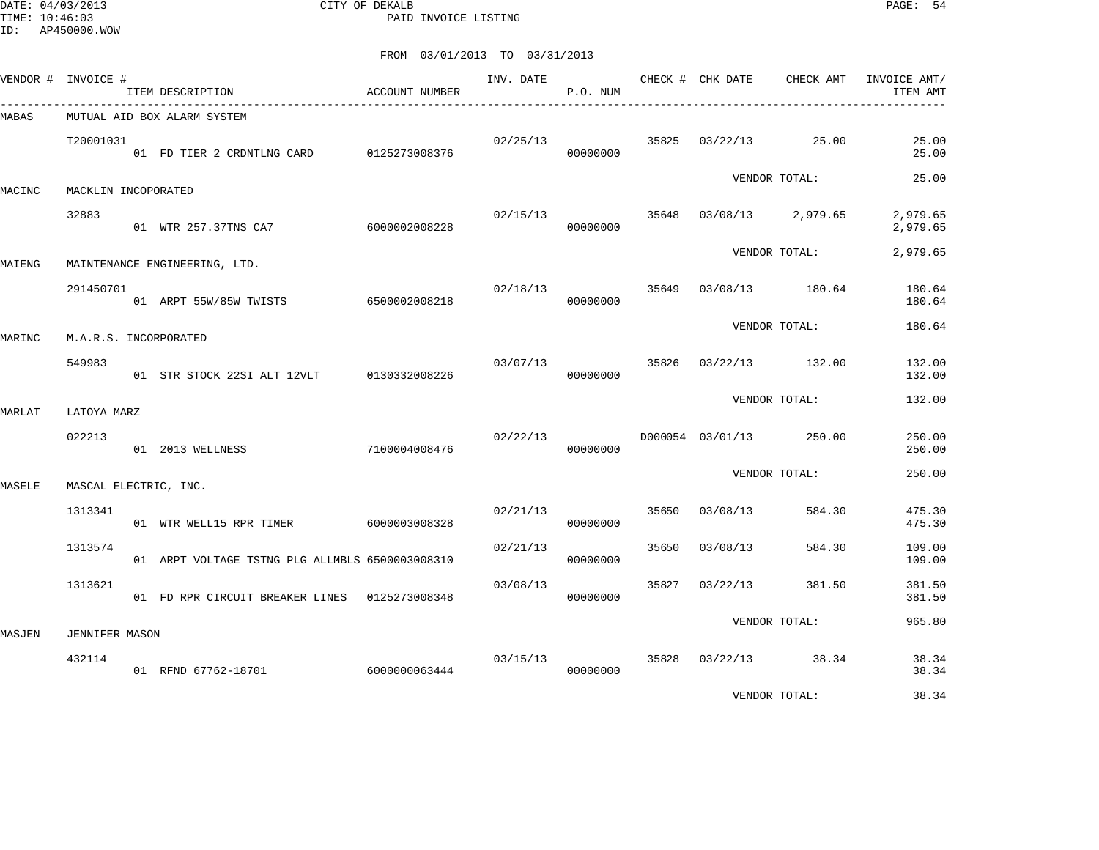DATE: 04/03/2013 CITY OF DEKALB PAGE: 54 PAID INVOICE LISTING

|              | VENDOR # INVOICE #    | ITEM DESCRIPTION                                | ACCOUNT NUMBER |          | P.O. NUM |       | INV. DATE CHECK # CHK DATE | CHECK AMT               | INVOICE AMT/<br>ITEM AMT |
|--------------|-----------------------|-------------------------------------------------|----------------|----------|----------|-------|----------------------------|-------------------------|--------------------------|
| <b>MABAS</b> |                       | MUTUAL AID BOX ALARM SYSTEM                     |                |          |          |       |                            |                         |                          |
|              | T20001031             | 01 FD TIER 2 CRDNTLNG CARD 0125273008376        |                | 02/25/13 | 00000000 |       |                            | 35825 03/22/13 25.00    | 25.00<br>25.00           |
| MACINC       | MACKLIN INCOPORATED   |                                                 |                |          |          |       |                            | VENDOR TOTAL:           | 25.00                    |
|              | 32883                 | 01 WTR 257.37TNS CA7 6000002008228              |                | 02/15/13 | 00000000 |       |                            | 35648 03/08/13 2,979.65 | 2,979.65<br>2,979.65     |
| MAIENG       |                       | MAINTENANCE ENGINEERING, LTD.                   |                |          |          |       |                            | VENDOR TOTAL:           | 2,979.65                 |
|              | 291450701             | 01 ARPT 55W/85W TWISTS 6500002008218            |                | 02/18/13 | 00000000 |       |                            | 35649 03/08/13 180.64   | 180.64<br>180.64         |
| MARINC       |                       | M.A.R.S. INCORPORATED                           |                |          |          |       |                            | VENDOR TOTAL:           | 180.64                   |
|              | 549983                | 01 STR STOCK 22SI ALT 12VLT 0130332008226       |                | 03/07/13 | 00000000 | 35826 |                            | 03/22/13 132.00         | 132.00<br>132.00         |
| MARLAT       | LATOYA MARZ           |                                                 |                |          |          |       |                            | VENDOR TOTAL:           | 132.00                   |
|              | 022213                |                                                 |                | 02/22/13 | 00000000 |       |                            | D000054 03/01/13 250.00 | 250.00<br>250.00         |
| MASELE       |                       | MASCAL ELECTRIC, INC.                           |                |          |          |       |                            | VENDOR TOTAL:           | 250.00                   |
|              | 1313341               | 01 WTR WELL15 RPR TIMER 6000003008328           |                | 02/21/13 | 00000000 | 35650 | 03/08/13                   | 584.30                  | 475.30<br>475.30         |
|              | 1313574               | 01 ARPT VOLTAGE TSTNG PLG ALLMBLS 6500003008310 |                | 02/21/13 | 00000000 | 35650 | 03/08/13                   | 584.30                  | 109.00<br>109.00         |
|              | 1313621               | 01 FD RPR CIRCUIT BREAKER LINES 0125273008348   |                | 03/08/13 | 00000000 |       | 35827 03/22/13             | 381.50                  | 381.50<br>381.50         |
| MASJEN       | <b>JENNIFER MASON</b> |                                                 |                |          |          |       |                            | VENDOR TOTAL:           | 965.80                   |
|              | 432114                | 01 RFND 67762-18701                             | 6000000063444  | 03/15/13 | 00000000 |       |                            | 35828 03/22/13 38.34    | 38.34<br>38.34           |
|              |                       |                                                 |                |          |          |       |                            | VENDOR TOTAL:           | 38.34                    |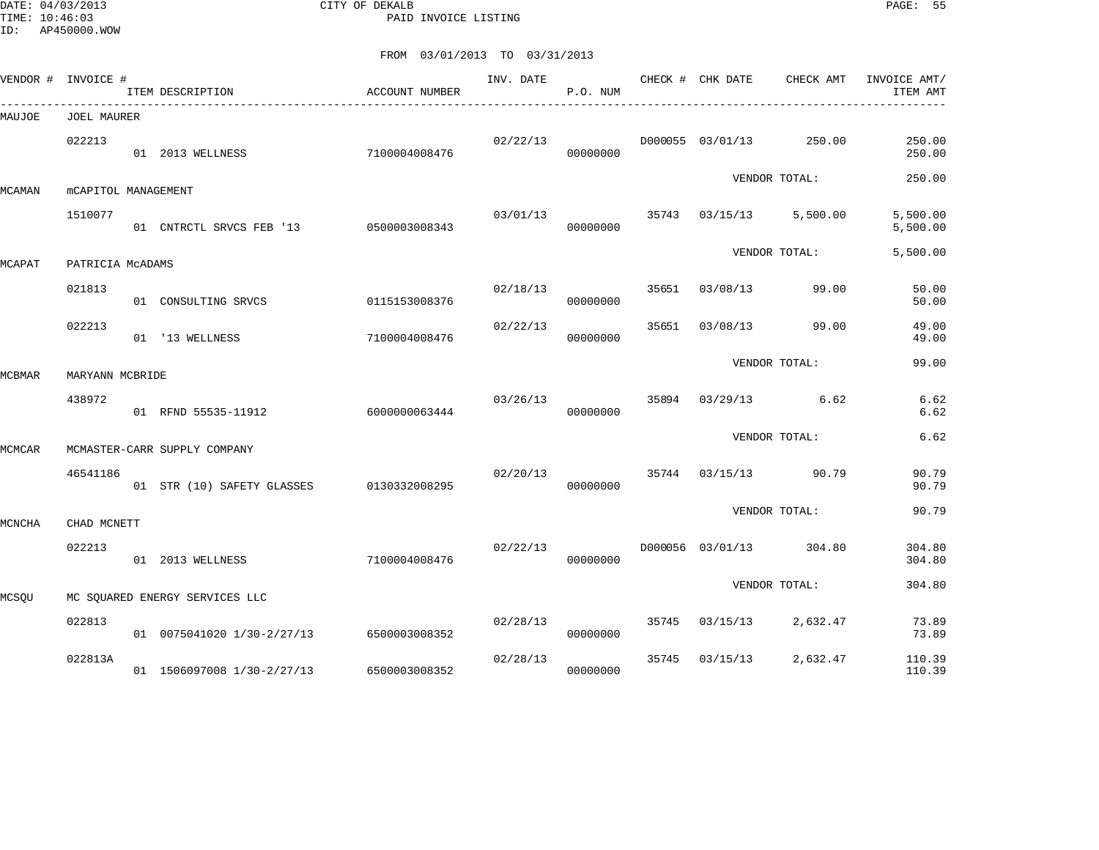DATE: 04/03/2013 CITY OF DEKALB PAGE: 55 PAID INVOICE LISTING

|        | VENDOR # INVOICE #  | ITEM DESCRIPTION                         | ACCOUNT NUMBER | INV. DATE | P.O. NUM |       | CHECK # CHK DATE | CHECK AMT     | INVOICE AMT/<br>ITEM AMT |
|--------|---------------------|------------------------------------------|----------------|-----------|----------|-------|------------------|---------------|--------------------------|
| MAUJOE | <b>JOEL MAURER</b>  |                                          |                |           |          |       |                  |               |                          |
|        | 022213              | 01 2013 WELLNESS                         | 7100004008476  | 02/22/13  | 00000000 |       | D000055 03/01/13 | 250.00        | 250.00<br>250.00         |
| MCAMAN | mCAPITOL MANAGEMENT |                                          |                |           |          |       |                  | VENDOR TOTAL: | 250.00                   |
|        | 1510077             | 01 CNTRCTL SRVCS FEB '13 0500003008343   |                | 03/01/13  | 00000000 | 35743 | 03/15/13         | 5,500.00      | 5,500.00<br>5,500.00     |
| MCAPAT | PATRICIA MCADAMS    |                                          |                |           |          |       |                  | VENDOR TOTAL: | 5,500.00                 |
|        | 021813              | 01 CONSULTING SRVCS                      | 0115153008376  | 02/18/13  | 00000000 | 35651 | 03/08/13         | 99.00         | 50.00<br>50.00           |
|        | 022213              | 01 '13 WELLNESS                          | 7100004008476  | 02/22/13  | 00000000 | 35651 | 03/08/13         | 99.00         | 49.00<br>49.00           |
| MCBMAR | MARYANN MCBRIDE     |                                          |                |           |          |       |                  | VENDOR TOTAL: | 99.00                    |
|        | 438972              | 01 RFND 55535-11912                      | 6000000063444  | 03/26/13  | 00000000 | 35894 | 03/29/13         | 6.62          | 6.62<br>6.62             |
| MCMCAR |                     | MCMASTER-CARR SUPPLY COMPANY             |                |           |          |       |                  | VENDOR TOTAL: | 6.62                     |
|        | 46541186            | 01 STR (10) SAFETY GLASSES 0130332008295 |                | 02/20/13  | 00000000 | 35744 | 03/15/13         | 90.79         | 90.79<br>90.79           |
| MCNCHA | CHAD MCNETT         |                                          |                |           |          |       |                  | VENDOR TOTAL: | 90.79                    |
|        | 022213              | 01 2013 WELLNESS                         | 7100004008476  | 02/22/13  | 00000000 |       | D000056 03/01/13 | 304.80        | 304.80<br>304.80         |
| MCSQU  |                     | MC SOUARED ENERGY SERVICES LLC           |                |           |          |       |                  | VENDOR TOTAL: | 304.80                   |
|        | 022813              | 01 0075041020 1/30-2/27/13               | 6500003008352  | 02/28/13  | 00000000 | 35745 | 03/15/13         | 2,632.47      | 73.89<br>73.89           |
|        | 022813A             | 01 1506097008 1/30-2/27/13               | 6500003008352  | 02/28/13  | 00000000 | 35745 | 03/15/13         | 2,632.47      | 110.39<br>110.39         |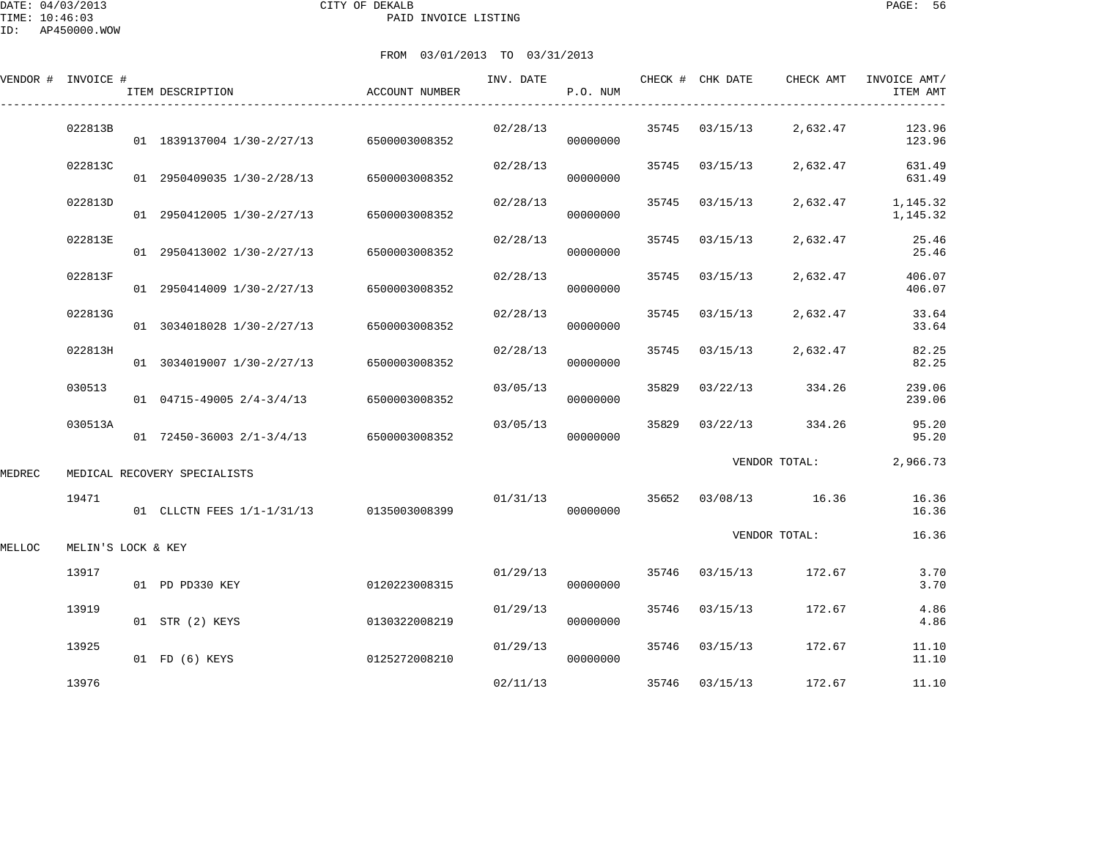DATE: 04/03/2013 CITY OF DEKALB PAGE: 56 PAID INVOICE LISTING

|        | VENDOR # INVOICE # | ITEM DESCRIPTION                         | <b>ACCOUNT NUMBER</b> | INV. DATE | P.O. NUM |       | CHECK # CHK DATE | CHECK AMT      | INVOICE AMT/<br>ITEM AMT |
|--------|--------------------|------------------------------------------|-----------------------|-----------|----------|-------|------------------|----------------|--------------------------|
|        | 022813B            | 01 1839137004 1/30-2/27/13               | 6500003008352         | 02/28/13  | 00000000 | 35745 | 03/15/13         | 2,632.47       | 123.96<br>123.96         |
|        | 022813C            | 01 2950409035 1/30-2/28/13               | 6500003008352         | 02/28/13  | 00000000 | 35745 | 03/15/13         | 2,632.47       | 631.49<br>631.49         |
|        | 022813D            | 01 2950412005 1/30-2/27/13               | 6500003008352         | 02/28/13  | 00000000 | 35745 | 03/15/13         | 2,632.47       | 1,145.32<br>1,145.32     |
|        | 022813E            | 01 2950413002 1/30-2/27/13               | 6500003008352         | 02/28/13  | 00000000 | 35745 | 03/15/13         | 2,632.47       | 25.46<br>25.46           |
|        | 022813F            | 01 2950414009 1/30-2/27/13               | 6500003008352         | 02/28/13  | 00000000 | 35745 | 03/15/13         | 2,632.47       | 406.07<br>406.07         |
|        | 022813G            | 01 3034018028 1/30-2/27/13               | 6500003008352         | 02/28/13  | 00000000 | 35745 | 03/15/13         | 2,632.47       | 33.64<br>33.64           |
|        | 022813H            | 01 3034019007 1/30-2/27/13               | 6500003008352         | 02/28/13  | 00000000 | 35745 | 03/15/13         | 2,632.47       | 82.25<br>82.25           |
|        | 030513             | $01$ 04715-49005 2/4-3/4/13              | 6500003008352         | 03/05/13  | 00000000 | 35829 | 03/22/13         | 334.26         | 239.06<br>239.06         |
|        | 030513A            | 01 72450-36003 2/1-3/4/13                | 6500003008352         | 03/05/13  | 00000000 | 35829 | 03/22/13         | 334.26         | 95.20<br>95.20           |
| MEDREC |                    | MEDICAL RECOVERY SPECIALISTS             |                       |           |          |       |                  | VENDOR TOTAL:  | 2,966.73                 |
|        | 19471              | 01 CLLCTN FEES 1/1-1/31/13 0135003008399 |                       | 01/31/13  | 00000000 | 35652 |                  | 03/08/13 16.36 | 16.36<br>16.36           |
| MELLOC | MELIN'S LOCK & KEY |                                          |                       |           |          |       |                  | VENDOR TOTAL:  | 16.36                    |
|        | 13917              | 01 PD PD330 KEY                          | 0120223008315         | 01/29/13  | 00000000 | 35746 | 03/15/13         | 172.67         | 3.70<br>3.70             |
|        | 13919              | 01 STR (2) KEYS                          | 0130322008219         | 01/29/13  | 00000000 | 35746 | 03/15/13         | 172.67         | 4.86<br>4.86             |
|        | 13925              | 01 FD (6) KEYS                           | 0125272008210         | 01/29/13  | 00000000 | 35746 | 03/15/13         | 172.67         | 11.10<br>11.10           |
|        | 13976              |                                          |                       | 02/11/13  |          | 35746 | 03/15/13         | 172.67         | 11.10                    |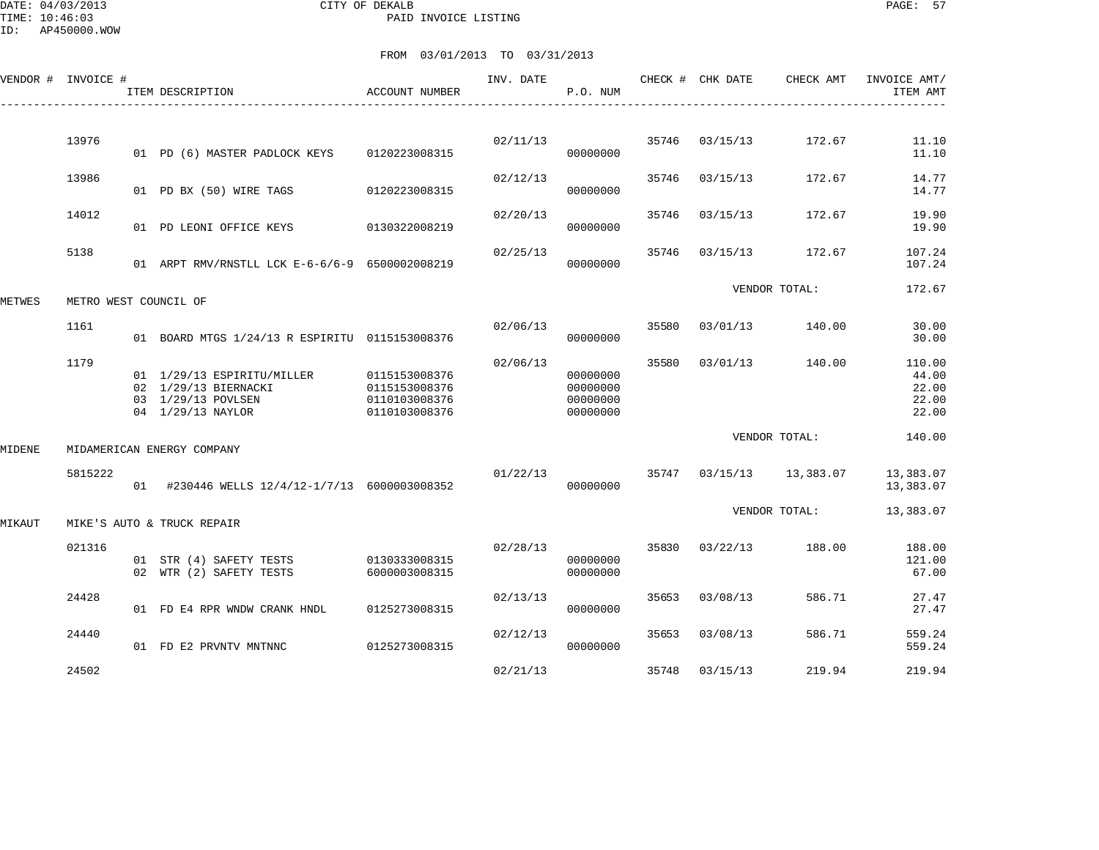| VENDOR # | INVOICE #             | ITEM DESCRIPTION                                                                              | ACCOUNT NUMBER                                                   | INV. DATE | P.O. NUM                                     |       | CHECK # CHK DATE | CHECK AMT     | INVOICE AMT/<br>ITEM AMT                   |
|----------|-----------------------|-----------------------------------------------------------------------------------------------|------------------------------------------------------------------|-----------|----------------------------------------------|-------|------------------|---------------|--------------------------------------------|
|          |                       |                                                                                               |                                                                  |           |                                              |       |                  |               |                                            |
|          | 13976                 | 01 PD (6) MASTER PADLOCK KEYS                                                                 | 0120223008315                                                    | 02/11/13  | 00000000                                     | 35746 | 03/15/13         | 172.67        | 11.10<br>11.10                             |
|          | 13986                 | 01 PD BX (50) WIRE TAGS                                                                       | 0120223008315                                                    | 02/12/13  | 00000000                                     | 35746 | 03/15/13         | 172.67        | 14.77<br>14.77                             |
|          | 14012                 | 01 PD LEONI OFFICE KEYS                                                                       | 0130322008219                                                    | 02/20/13  | 00000000                                     | 35746 | 03/15/13         | 172.67        | 19.90<br>19.90                             |
|          | 5138                  | 01 ARPT RMV/RNSTLL LCK E-6-6/6-9 6500002008219                                                |                                                                  | 02/25/13  | 00000000                                     | 35746 | 03/15/13         | 172.67        | 107.24<br>107.24                           |
| METWES   | METRO WEST COUNCIL OF |                                                                                               |                                                                  |           |                                              |       |                  | VENDOR TOTAL: | 172.67                                     |
|          | 1161                  | 01 BOARD MTGS 1/24/13 R ESPIRITU 0115153008376                                                |                                                                  | 02/06/13  | 00000000                                     | 35580 | 03/01/13         | 140.00        | 30.00<br>30.00                             |
|          | 1179                  | 01 1/29/13 ESPIRITU/MILLER<br>02 1/29/13 BIERNACKI<br>03 1/29/13 POVLSEN<br>04 1/29/13 NAYLOR | 0115153008376<br>0115153008376<br>0110103008376<br>0110103008376 | 02/06/13  | 00000000<br>00000000<br>00000000<br>00000000 | 35580 | 03/01/13         | 140.00        | 110.00<br>44.00<br>22.00<br>22.00<br>22.00 |
| MIDENE   |                       | MIDAMERICAN ENERGY COMPANY                                                                    |                                                                  |           |                                              |       |                  | VENDOR TOTAL: | 140.00                                     |
|          | 5815222               | 01 #230446 WELLS 12/4/12-1/7/13 6000003008352                                                 |                                                                  | 01/22/13  | 00000000                                     | 35747 | 03/15/13         | 13,383.07     | 13,383.07<br>13,383.07                     |
| MIKAUT   |                       | MIKE'S AUTO & TRUCK REPAIR                                                                    |                                                                  |           |                                              |       |                  | VENDOR TOTAL: | 13,383.07                                  |
|          | 021316                | 01 STR (4) SAFETY TESTS<br>02 WTR (2) SAFETY TESTS                                            | 0130333008315<br>6000003008315                                   | 02/28/13  | 00000000<br>00000000                         | 35830 | 03/22/13         | 188.00        | 188.00<br>121.00<br>67.00                  |
|          | 24428                 | 01 FD E4 RPR WNDW CRANK HNDL                                                                  | 0125273008315                                                    | 02/13/13  | 00000000                                     | 35653 | 03/08/13         | 586.71        | 27.47<br>27.47                             |
|          | 24440                 | 01 FD E2 PRVNTV MNTNNC                                                                        | 0125273008315                                                    | 02/12/13  | 00000000                                     | 35653 | 03/08/13         | 586.71        | 559.24<br>559.24                           |
|          | 24502                 |                                                                                               |                                                                  | 02/21/13  |                                              | 35748 | 03/15/13         | 219.94        | 219.94                                     |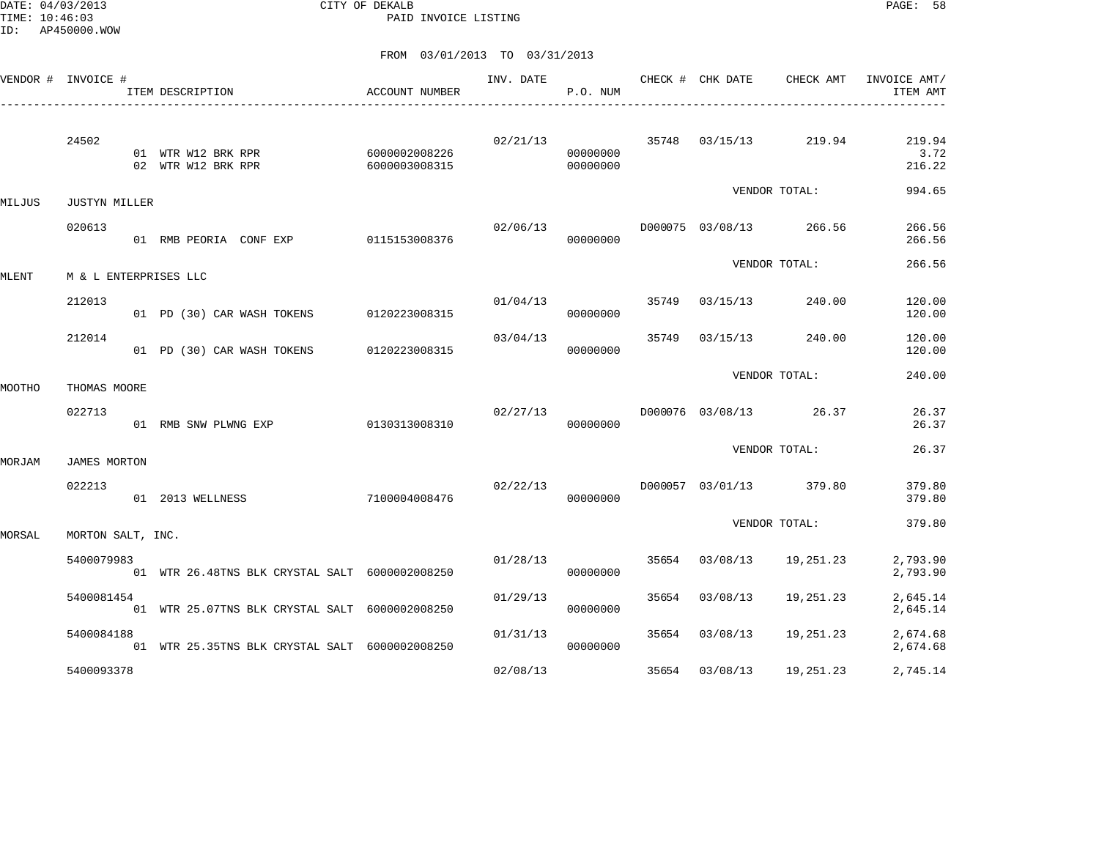DATE: 04/03/2013 CITY OF DEKALB PAGE: 58 PAID INVOICE LISTING

|        | VENDOR # INVOICE #    | ITEM DESCRIPTION                               | ACCOUNT NUMBER                 | INV. DATE | P.O. NUM             |       | CHECK # CHK DATE | CHECK AMT                        | INVOICE AMT/<br>ITEM AMT |
|--------|-----------------------|------------------------------------------------|--------------------------------|-----------|----------------------|-------|------------------|----------------------------------|--------------------------|
|        | 24502                 | 01 WTR W12 BRK RPR<br>02 WTR W12 BRK RPR       | 6000002008226<br>6000003008315 |           | 00000000<br>00000000 |       |                  | $02/21/13$ 35748 03/15/13 219.94 | 219.94<br>3.72<br>216.22 |
| MILJUS | <b>JUSTYN MILLER</b>  |                                                |                                |           |                      |       |                  | VENDOR TOTAL:                    | 994.65                   |
|        | 020613                | 01 RMB PEORIA CONF EXP 0115153008376           |                                | 02/06/13  | 00000000             |       |                  | D000075 03/08/13 266.56          | 266.56<br>266.56         |
| MLENT  | M & L ENTERPRISES LLC |                                                |                                |           |                      |       |                  | VENDOR TOTAL:                    | 266.56                   |
|        | 212013                | 01 PD (30) CAR WASH TOKENS                     | 0120223008315                  |           | 01/04/13<br>00000000 | 35749 | 03/15/13         | 240.00                           | 120.00<br>120.00         |
|        | 212014                | 01 PD (30) CAR WASH TOKENS                     | 0120223008315                  | 03/04/13  | 00000000             | 35749 | 03/15/13         | 240.00                           | 120.00<br>120.00         |
| MOOTHO | THOMAS MOORE          |                                                |                                |           |                      |       |                  | VENDOR TOTAL:                    | 240.00                   |
|        | 022713                | 01 RMB SNW PLWNG EXP                           | 0130313008310                  | 02/27/13  | 00000000             |       |                  | D000076 03/08/13 26.37           | 26.37<br>26.37           |
| MORJAM | <b>JAMES MORTON</b>   |                                                |                                |           |                      |       |                  | VENDOR TOTAL:                    | 26.37                    |
|        | 022213                | 01 2013 WELLNESS                               | 7100004008476                  | 02/22/13  | 00000000             |       |                  | D000057 03/01/13 379.80          | 379.80<br>379.80         |
| MORSAL | MORTON SALT, INC.     |                                                |                                |           |                      |       |                  | VENDOR TOTAL:                    | 379.80                   |
|        | 5400079983            | 01 WTR 26.48TNS BLK CRYSTAL SALT 6000002008250 |                                | 01/28/13  | 00000000             | 35654 | 03/08/13         | 19,251.23                        | 2,793.90<br>2,793.90     |
|        | 5400081454            | 01 WTR 25.07TNS BLK CRYSTAL SALT 6000002008250 |                                | 01/29/13  | 00000000             | 35654 | 03/08/13         | 19,251.23                        | 2,645.14<br>2,645.14     |
|        | 5400084188            | 01 WTR 25.35TNS BLK CRYSTAL SALT 6000002008250 |                                | 01/31/13  | 00000000             | 35654 | 03/08/13         | 19,251.23                        | 2,674.68<br>2,674.68     |
|        | 5400093378            |                                                |                                | 02/08/13  |                      | 35654 | 03/08/13         | 19,251.23                        | 2,745.14                 |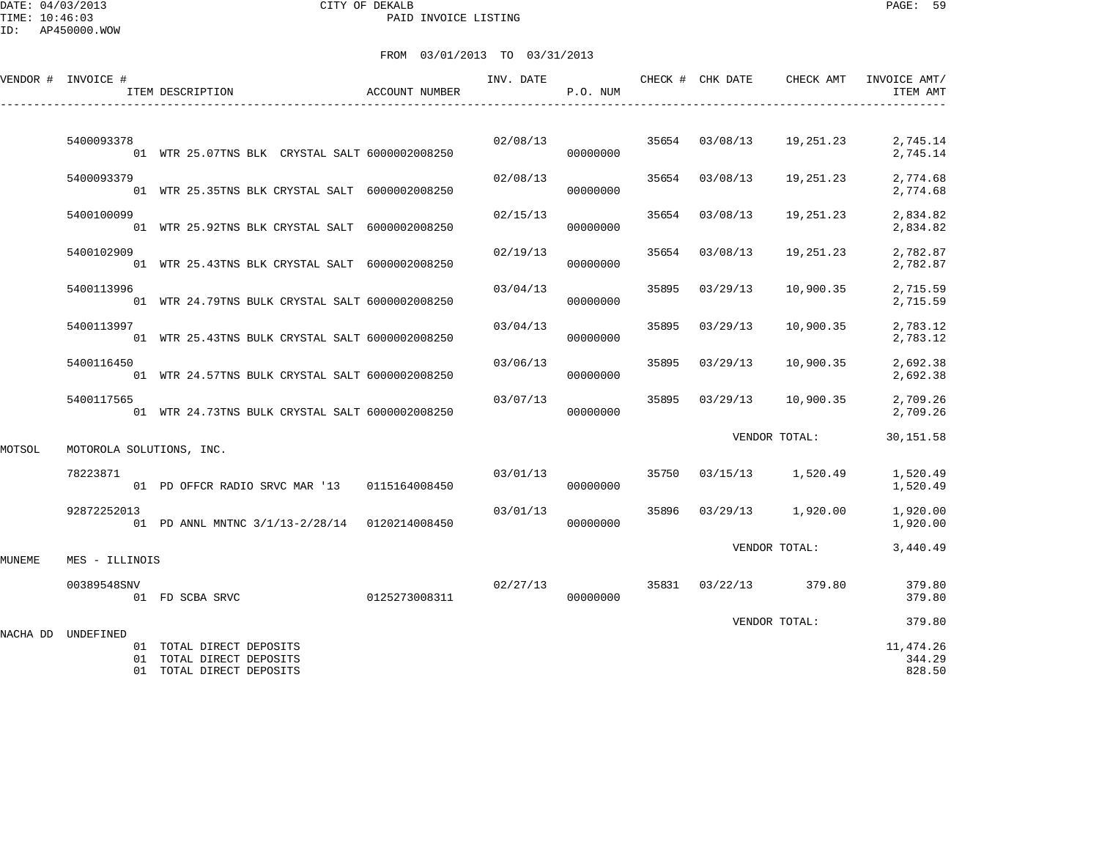DATE: 04/03/2013 CITY OF DEKALB PAGE: 59 PAID INVOICE LISTING

|        | VENDOR # INVOICE #       | ITEM DESCRIPTION                                                                 | <b>ACCOUNT NUMBER</b> | INV. DATE | P.O. NUM             |       | CHECK # CHK DATE        | CHECK AMT                          | INVOICE AMT/<br>ITEM AMT           |
|--------|--------------------------|----------------------------------------------------------------------------------|-----------------------|-----------|----------------------|-------|-------------------------|------------------------------------|------------------------------------|
|        |                          |                                                                                  |                       |           |                      |       |                         |                                    |                                    |
|        | 5400093378               | 01 WTR 25.07TNS BLK CRYSTAL SALT 6000002008250                                   |                       |           | 00000000             |       | 02/08/13 35654 03/08/13 |                                    | 19, 251. 23 2, 745. 14<br>2,745.14 |
|        | 5400093379               | 01 WTR 25.35TNS BLK CRYSTAL SALT 6000002008250                                   |                       | 02/08/13  | 00000000             |       | 35654 03/08/13          | 19,251.23                          | 2,774.68<br>2,774.68               |
|        | 5400100099               | 01 WTR 25.92TNS BLK CRYSTAL SALT 6000002008250                                   |                       | 02/15/13  | 00000000             |       | 35654 03/08/13          | 19,251.23                          | 2,834.82<br>2,834.82               |
|        | 5400102909               | 01 WTR 25.43TNS BLK CRYSTAL SALT 6000002008250                                   |                       | 02/19/13  | 00000000             | 35654 | 03/08/13                | 19,251.23                          | 2,782.87<br>2,782.87               |
|        | 5400113996               | 01 WTR 24.79TNS BULK CRYSTAL SALT 6000002008250                                  |                       | 03/04/13  | 00000000             | 35895 | 03/29/13                | 10,900.35                          | 2,715.59<br>2,715.59               |
|        | 5400113997               | 01 WTR 25.43TNS BULK CRYSTAL SALT 6000002008250                                  |                       | 03/04/13  | 00000000             | 35895 | 03/29/13                | 10,900.35                          | 2,783.12<br>2,783.12               |
|        | 5400116450               | 01 WTR 24.57TNS BULK CRYSTAL SALT 6000002008250                                  |                       | 03/06/13  | 00000000             |       | 35895 03/29/13          | 10,900.35                          | 2,692.38<br>2,692.38               |
|        | 5400117565               | 01 WTR 24.73TNS BULK CRYSTAL SALT 6000002008250                                  |                       | 03/07/13  | 00000000             |       | 35895 03/29/13          | 10,900.35                          | 2,709.26<br>2,709.26               |
| MOTSOL | MOTOROLA SOLUTIONS, INC. |                                                                                  |                       |           |                      |       |                         | VENDOR TOTAL:                      | 30,151.58                          |
|        | 78223871                 | 01 PD OFFCR RADIO SRVC MAR '13 0115164008450                                     |                       |           | 03/01/13<br>00000000 |       |                         | 35750 03/15/13 1,520.49            | 1,520.49<br>1,520.49               |
|        | 92872252013              |                                                                                  |                       | 03/01/13  | 00000000             | 35896 |                         | 03/29/13 1,920.00                  | 1,920.00<br>1,920.00               |
| MUNEME | MES - ILLINOIS           |                                                                                  |                       |           |                      |       |                         | VENDOR TOTAL:                      | 3,440.49                           |
|        |                          |                                                                                  |                       |           |                      |       |                         |                                    |                                    |
|        | 00389548SNV              |                                                                                  |                       |           |                      |       |                         | $02/27/13$ 35831 $03/22/13$ 379.80 | 379.80<br>379.80                   |
|        |                          |                                                                                  |                       |           |                      |       |                         | VENDOR TOTAL:                      | 379.80                             |
|        | NACHA DD UNDEFINED       | 01 TOTAL DIRECT DEPOSITS<br>01 TOTAL DIRECT DEPOSITS<br>01 TOTAL DIRECT DEPOSITS |                       |           |                      |       |                         |                                    | 11, 474.26<br>344.29<br>828.50     |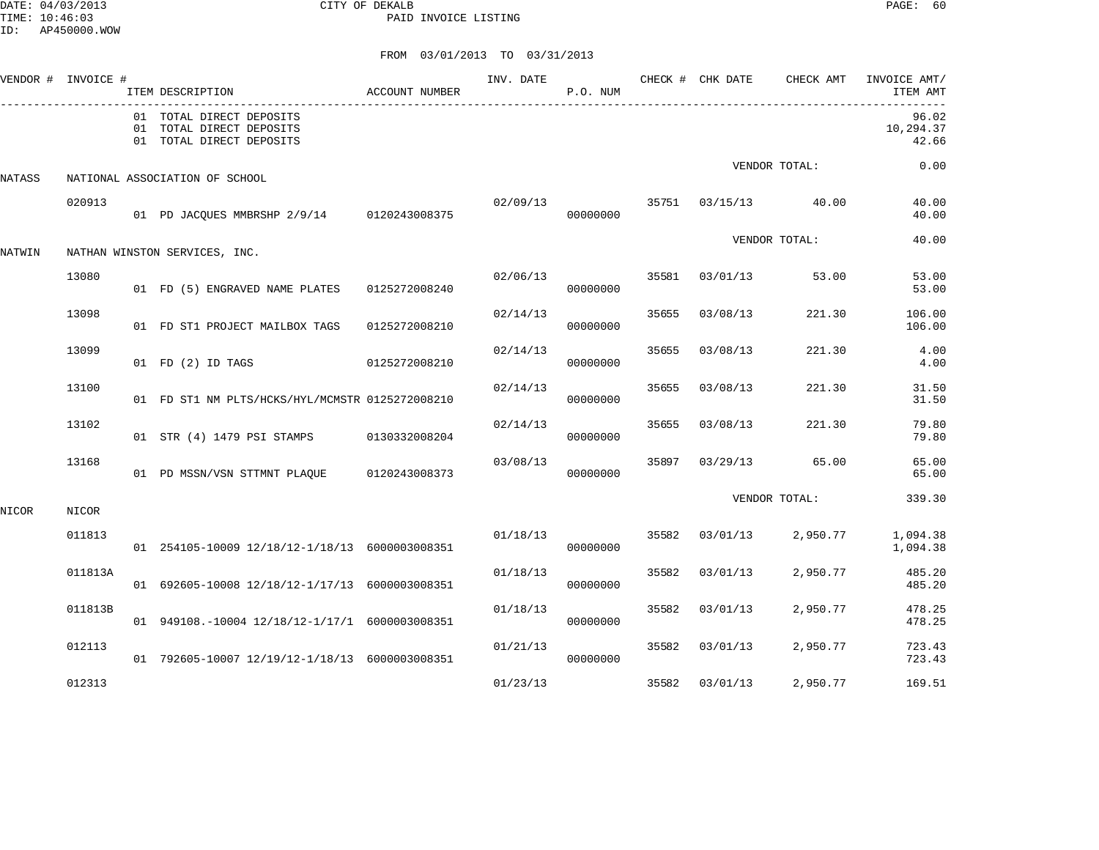DATE: 04/03/2013 CITY OF DEKALB PAGE: 60 PAID INVOICE LISTING

|        | VENDOR # INVOICE # | ITEM DESCRIPTION                                                                 | <b>ACCOUNT NUMBER</b> | INV. DATE | P.O. NUM |       | CHECK # CHK DATE | CHECK AMT     | INVOICE AMT/<br>ITEM AMT    |
|--------|--------------------|----------------------------------------------------------------------------------|-----------------------|-----------|----------|-------|------------------|---------------|-----------------------------|
|        |                    | 01 TOTAL DIRECT DEPOSITS<br>01 TOTAL DIRECT DEPOSITS<br>01 TOTAL DIRECT DEPOSITS |                       |           |          |       |                  |               | 96.02<br>10,294.37<br>42.66 |
| NATASS |                    | NATIONAL ASSOCIATION OF SCHOOL                                                   |                       |           |          |       |                  | VENDOR TOTAL: | 0.00                        |
|        | 020913             | 01 PD JACQUES MMBRSHP 2/9/14 0120243008375                                       |                       | 02/09/13  | 00000000 | 35751 | 03/15/13         | 40.00         | 40.00<br>40.00              |
| NATWIN |                    | NATHAN WINSTON SERVICES, INC.                                                    |                       |           |          |       |                  | VENDOR TOTAL: | 40.00                       |
|        | 13080              | 01 FD (5) ENGRAVED NAME PLATES                                                   | 0125272008240         | 02/06/13  | 00000000 | 35581 | 03/01/13         | 53.00         | 53.00<br>53.00              |
|        | 13098              | 01 FD ST1 PROJECT MAILBOX TAGS                                                   | 0125272008210         | 02/14/13  | 00000000 | 35655 | 03/08/13         | 221.30        | 106.00<br>106.00            |
|        | 13099              | 01 FD (2) ID TAGS                                                                | 0125272008210         | 02/14/13  | 00000000 | 35655 | 03/08/13         | 221.30        | 4.00<br>4.00                |
|        | 13100              | 01 FD ST1 NM PLTS/HCKS/HYL/MCMSTR 0125272008210                                  |                       | 02/14/13  | 00000000 | 35655 | 03/08/13         | 221.30        | 31.50<br>31.50              |
|        | 13102              | 01 STR (4) 1479 PSI STAMPS                                                       | 0130332008204         | 02/14/13  | 00000000 | 35655 | 03/08/13         | 221.30        | 79.80<br>79.80              |
|        | 13168              | 01 PD MSSN/VSN STTMNT PLAQUE                                                     | 0120243008373         | 03/08/13  | 00000000 | 35897 | 03/29/13         | 65.00         | 65.00<br>65.00              |
| NICOR  | NICOR              |                                                                                  |                       |           |          |       |                  | VENDOR TOTAL: | 339.30                      |
|        | 011813             | 01 254105-10009 12/18/12-1/18/13 6000003008351                                   |                       | 01/18/13  | 00000000 | 35582 | 03/01/13         | 2,950.77      | 1,094.38<br>1,094.38        |
|        | 011813A            | 01 692605-10008 12/18/12-1/17/13 6000003008351                                   |                       | 01/18/13  | 00000000 | 35582 | 03/01/13         | 2,950.77      | 485.20<br>485.20            |
|        | 011813B            | 01 949108.-10004 12/18/12-1/17/1 6000003008351                                   |                       | 01/18/13  | 00000000 | 35582 | 03/01/13         | 2,950.77      | 478.25<br>478.25            |
|        | 012113             | 01 792605-10007 12/19/12-1/18/13 6000003008351                                   |                       | 01/21/13  | 00000000 | 35582 | 03/01/13         | 2,950.77      | 723.43<br>723.43            |
|        | 012313             |                                                                                  |                       | 01/23/13  |          | 35582 | 03/01/13         | 2,950.77      | 169.51                      |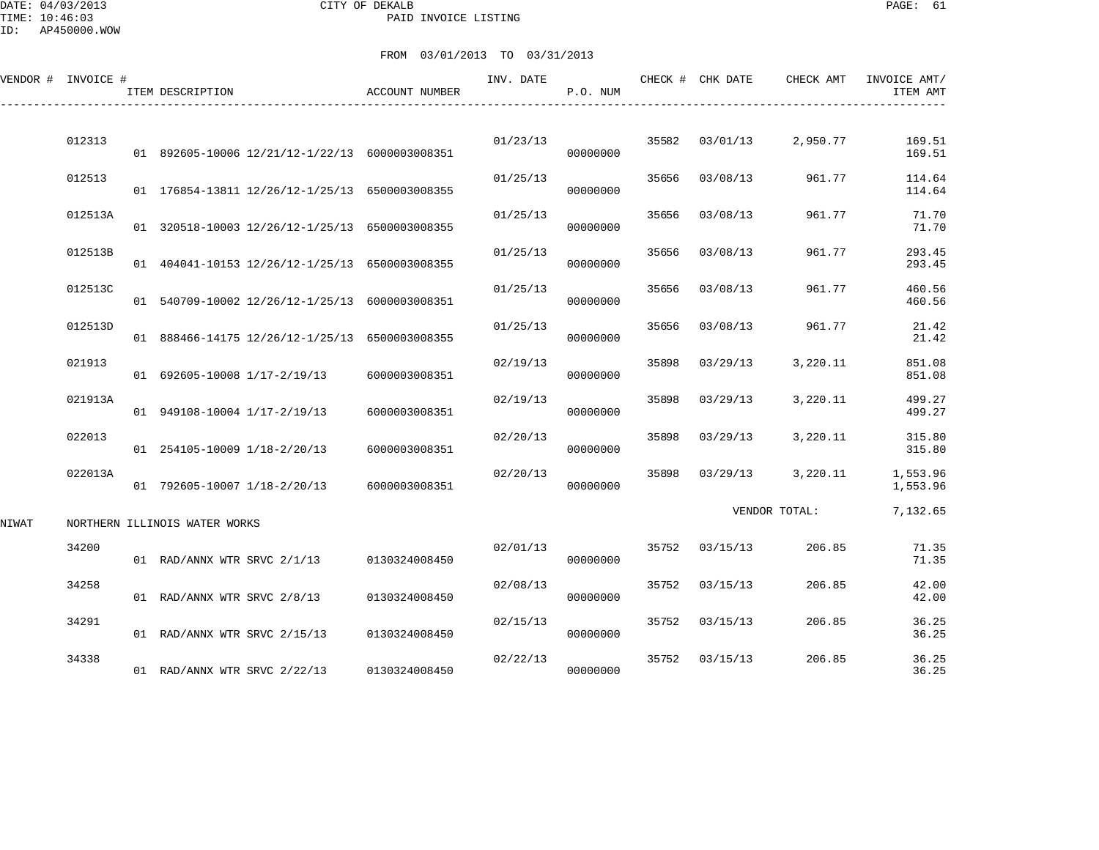DATE: 04/03/2013 CITY OF DEKALB PAGE: 61 PAID INVOICE LISTING

ID: AP450000.WOW

|       | VENDOR # INVOICE # | ITEM DESCRIPTION                               | ACCOUNT NUMBER                 | INV. DATE | P.O. NUM |       | CHECK # CHK DATE | CHECK AMT     | INVOICE AMT/<br>ITEM AMT |
|-------|--------------------|------------------------------------------------|--------------------------------|-----------|----------|-------|------------------|---------------|--------------------------|
|       | 012313             |                                                |                                | 01/23/13  |          | 35582 | 03/01/13         | 2,950.77      | 169.51                   |
|       |                    | 01 892605-10006 12/21/12-1/22/13 6000003008351 |                                |           | 00000000 |       |                  |               | 169.51                   |
|       | 012513             | 01 176854-13811 12/26/12-1/25/13 6500003008355 |                                | 01/25/13  | 00000000 | 35656 | 03/08/13         | 961.77        | 114.64<br>114.64         |
|       | 012513A            | 01 320518-10003 12/26/12-1/25/13 6500003008355 |                                | 01/25/13  | 00000000 | 35656 | 03/08/13         | 961.77        | 71.70<br>71.70           |
|       | 012513B            | 01 404041-10153 12/26/12-1/25/13 6500003008355 |                                | 01/25/13  | 00000000 | 35656 | 03/08/13         | 961.77        | 293.45<br>293.45         |
|       | 012513C            | 01 540709-10002 12/26/12-1/25/13 6000003008351 |                                | 01/25/13  | 00000000 | 35656 | 03/08/13         | 961.77        | 460.56<br>460.56         |
|       | 012513D            | 01 888466-14175 12/26/12-1/25/13 6500003008355 |                                | 01/25/13  | 00000000 | 35656 | 03/08/13         | 961.77        | 21.42<br>21.42           |
|       | 021913             | 01 692605-10008 1/17-2/19/13                   | 6000003008351                  | 02/19/13  | 00000000 | 35898 | 03/29/13         | 3,220.11      | 851.08<br>851.08         |
|       | 021913A            | 01 949108-10004 1/17-2/19/13                   | 6000003008351                  | 02/19/13  | 00000000 | 35898 | 03/29/13         | 3,220.11      | 499.27<br>499.27         |
|       | 022013             | 01 254105-10009 1/18-2/20/13                   | 6000003008351                  | 02/20/13  | 00000000 | 35898 | 03/29/13         | 3,220.11      | 315.80<br>315.80         |
|       | 022013A            | 01 792605-10007 1/18-2/20/13                   | 6000003008351                  | 02/20/13  | 00000000 | 35898 | 03/29/13         | 3,220.11      | 1,553.96<br>1,553.96     |
| NIWAT |                    | NORTHERN ILLINOIS WATER WORKS                  |                                |           |          |       |                  | VENDOR TOTAL: | 7,132.65                 |
|       | 34200              | 01 RAD/ANNX WTR SRVC 2/1/13                    | 0130324008450                  | 02/01/13  | 00000000 | 35752 | 03/15/13         | 206.85        | 71.35<br>71.35           |
|       | 34258              | 01 RAD/ANNX WTR SRVC 2/8/13                    | 0130324008450                  | 02/08/13  | 00000000 | 35752 | 03/15/13         | 206.85        | 42.00<br>42.00           |
|       | 34291              | 01 RAD/ANNX WTR SRVC 2/15/13                   |                                | 02/15/13  | 00000000 | 35752 | 03/15/13         | 206.85        | 36.25<br>36.25           |
|       | 34338              | 01 RAD/ANNX WTR SRVC 2/22/13                   | 0130324008450<br>0130324008450 | 02/22/13  | 00000000 | 35752 | 03/15/13         | 206.85        | 36.25<br>36.25           |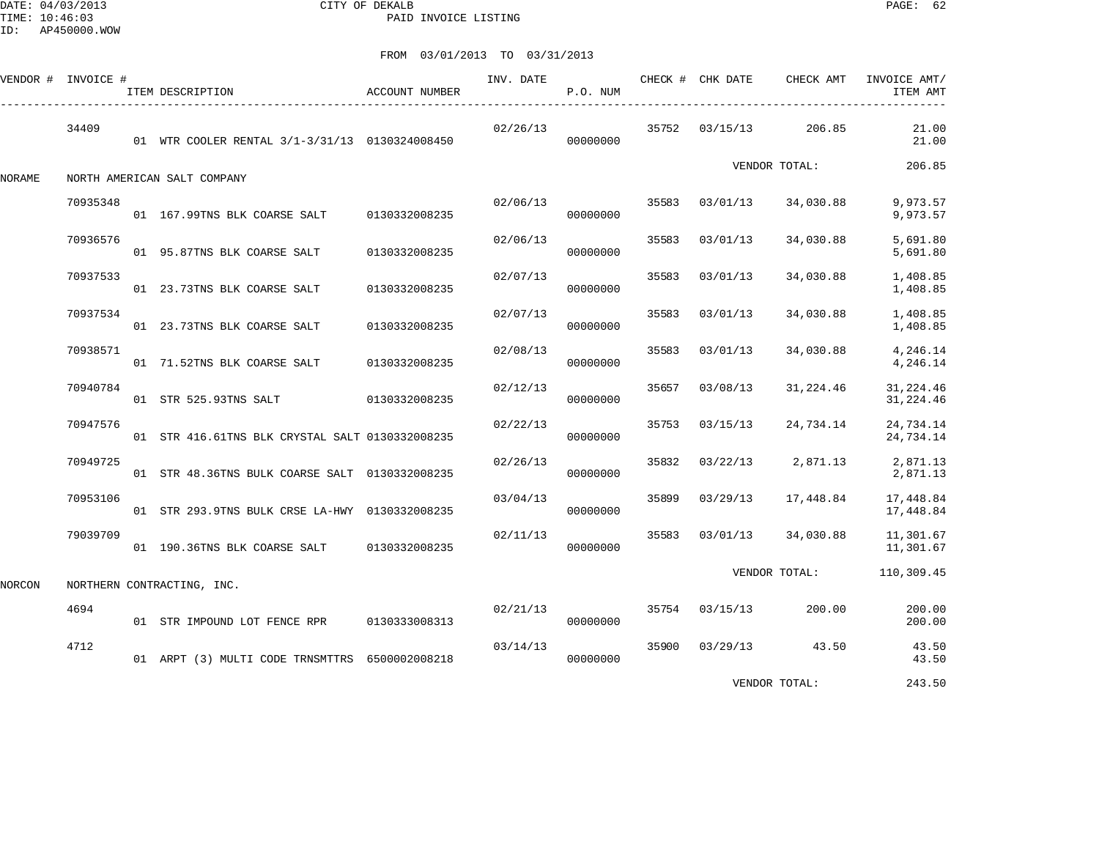DATE: 04/03/2013 CITY OF DEKALB PAGE: 62 PAID INVOICE LISTING

|        | VENDOR # INVOICE # | ITEM DESCRIPTION                                | ACCOUNT NUMBER | INV. DATE | P.O. NUM |       | CHECK # CHK DATE | CHECK AMT            | INVOICE AMT/<br>ITEM AMT                 |
|--------|--------------------|-------------------------------------------------|----------------|-----------|----------|-------|------------------|----------------------|------------------------------------------|
|        | 34409              | 01 WTR COOLER RENTAL 3/1-3/31/13 0130324008450  |                | 02/26/13  | 00000000 |       | 35752 03/15/13   | 206.85               | 21.00<br>21.00                           |
| NORAME |                    | NORTH AMERICAN SALT COMPANY                     |                |           |          |       |                  | VENDOR TOTAL:        | 206.85                                   |
|        | 70935348           | 01 167.99TNS BLK COARSE SALT 0130332008235      |                | 02/06/13  | 00000000 | 35583 | 03/01/13         | 34,030.88            | 9,973.57<br>9,973.57                     |
|        | 70936576           | 01 95.87TNS BLK COARSE SALT                     | 0130332008235  | 02/06/13  | 00000000 | 35583 | 03/01/13         | 34,030.88            | 5,691.80<br>5,691.80                     |
|        | 70937533           | 01 23.73TNS BLK COARSE SALT                     | 0130332008235  | 02/07/13  | 00000000 | 35583 | 03/01/13         | 34,030.88            | 1,408.85<br>1,408.85                     |
|        | 70937534           | 01 23.73TNS BLK COARSE SALT                     | 0130332008235  | 02/07/13  | 00000000 | 35583 | 03/01/13         | 34,030.88            | 1,408.85<br>1,408.85                     |
|        | 70938571           | 01 71.52TNS BLK COARSE SALT                     | 0130332008235  | 02/08/13  | 00000000 | 35583 | 03/01/13         | 34,030.88            | 4,246.14<br>4,246.14                     |
|        | 70940784           | 01 STR 525.93TNS SALT 0130332008235             |                | 02/12/13  | 00000000 | 35657 | 03/08/13         | 31,224.46            | 31, 224.46<br>31, 224.46                 |
|        | 70947576           | 01 STR 416.61TNS BLK CRYSTAL SALT 0130332008235 |                | 02/22/13  | 00000000 | 35753 | 03/15/13         | 24,734.14            | 24,734.14<br>24,734.14                   |
|        | 70949725           | 01 STR 48.36TNS BULK COARSE SALT 0130332008235  |                | 02/26/13  | 00000000 | 35832 |                  |                      | $03/22/13$ 2,871.13 2,871.13<br>2,871.13 |
|        | 70953106           | 01 STR 293.9TNS BULK CRSE LA-HWY 0130332008235  |                | 03/04/13  | 00000000 | 35899 | 03/29/13         | 17,448.84            | 17,448.84<br>17,448.84                   |
|        | 79039709           | 01 190.36TNS BLK COARSE SALT 0130332008235      |                | 02/11/13  | 00000000 | 35583 | 03/01/13         | 34,030.88            | 11,301.67<br>11,301.67                   |
| NORCON |                    | NORTHERN CONTRACTING, INC.                      |                |           |          |       |                  | VENDOR TOTAL:        | 110,309.45                               |
|        | 4694               | 01 STR IMPOUND LOT FENCE RPR 0130333008313      |                | 02/21/13  | 00000000 |       | 35754 03/15/13   | 200.00               | 200.00<br>200.00                         |
|        | 4712               | 01 ARPT (3) MULTI CODE TRNSMTTRS 6500002008218  |                | 03/14/13  | 00000000 |       |                  | 35900 03/29/13 43.50 | 43.50<br>43.50                           |
|        |                    |                                                 |                |           |          |       |                  | VENDOR TOTAL:        | 243.50                                   |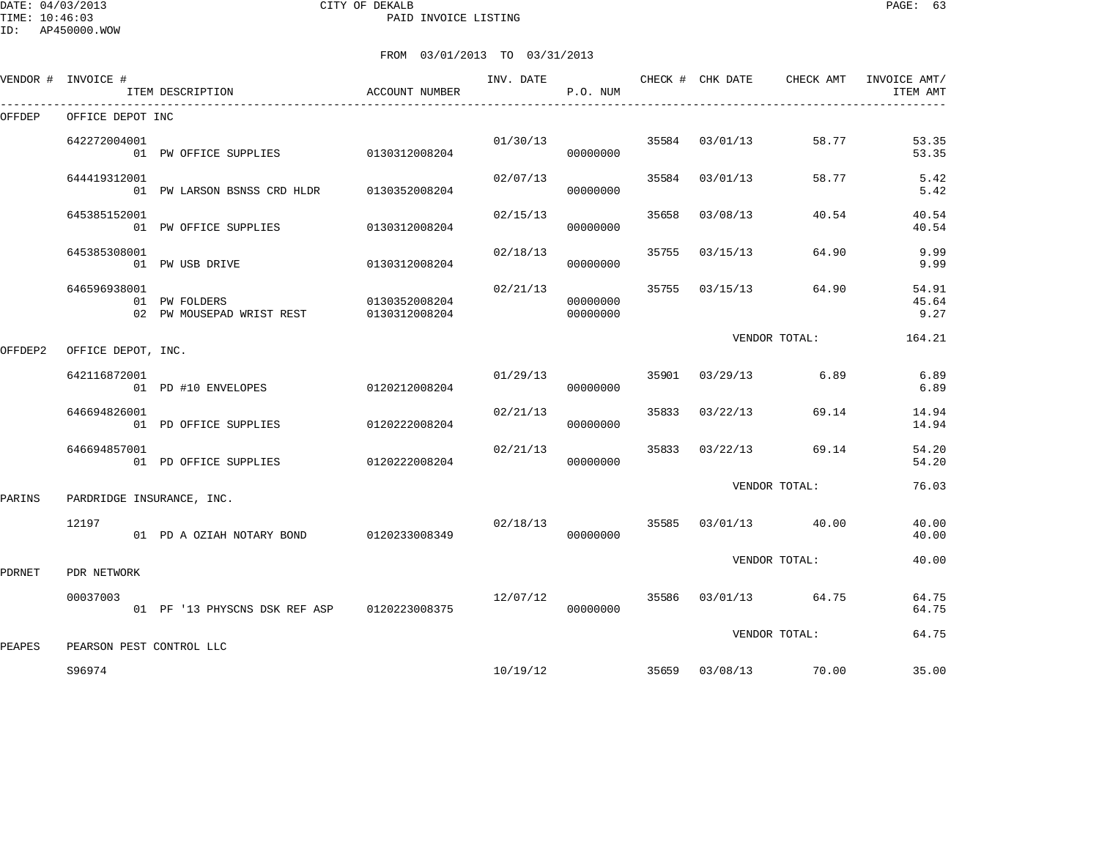DATE: 04/03/2013 CITY OF DEKALB PAGE: 63 PAID INVOICE LISTING

ID: AP450000.WOW

|         | VENDOR # INVOICE #        | ITEM DESCRIPTION                            | ACCOUNT NUMBER                 |          | P.O. NUM             |       |                | INV. DATE CHECK # CHK DATE CHECK AMT | INVOICE AMT/<br>ITEM AMT |
|---------|---------------------------|---------------------------------------------|--------------------------------|----------|----------------------|-------|----------------|--------------------------------------|--------------------------|
| OFFDEP  | OFFICE DEPOT INC          |                                             |                                |          |                      |       |                |                                      |                          |
|         | 642272004001              | 01 PW OFFICE SUPPLIES 0130312008204         |                                |          | 01/30/13<br>00000000 |       | 35584 03/01/13 | 58.77                                | 53.35<br>53.35           |
|         | 644419312001              | 01 PW LARSON BSNSS CRD HLDR                 | 0130352008204                  | 02/07/13 | 00000000             |       | 35584 03/01/13 | 58.77                                | 5.42<br>5.42             |
|         | 645385152001              | 01 PW OFFICE SUPPLIES 0130312008204         |                                | 02/15/13 | 00000000             | 35658 | 03/08/13       | 40.54                                | 40.54<br>40.54           |
|         | 645385308001              | 01 PW USB DRIVE                             | 0130312008204                  | 02/18/13 | 00000000             | 35755 | 03/15/13       | 64.90                                | 9.99<br>9.99             |
|         | 646596938001              | 01 PW FOLDERS<br>02 PW MOUSEPAD WRIST REST  | 0130352008204<br>0130312008204 | 02/21/13 | 00000000<br>00000000 |       | 35755 03/15/13 | 64.90                                | 54.91<br>45.64<br>9.27   |
| OFFDEP2 | OFFICE DEPOT, INC.        |                                             |                                |          |                      |       |                | VENDOR TOTAL:                        | 164.21                   |
|         | 642116872001              | 01 PD #10 ENVELOPES 0120212008204           |                                | 01/29/13 | 00000000             |       | 35901 03/29/13 | 6.89                                 | 6.89<br>6.89             |
|         | 646694826001              | 01 PD OFFICE SUPPLIES                       | 0120222008204                  | 02/21/13 | 00000000             | 35833 | 03/22/13       | 69.14                                | 14.94<br>14.94           |
|         | 646694857001              | 01 PD OFFICE SUPPLIES                       | 0120222008204                  | 02/21/13 | 00000000             | 35833 | 03/22/13       | 69.14                                | 54.20<br>54.20           |
| PARINS  | PARDRIDGE INSURANCE, INC. |                                             |                                |          |                      |       |                | VENDOR TOTAL:                        | 76.03                    |
|         | 12197                     | 01 PD A OZIAH NOTARY BOND 0120233008349     |                                | 02/18/13 | 00000000             |       |                | 35585 03/01/13 40.00                 | 40.00<br>40.00           |
| PDRNET  | PDR NETWORK               |                                             |                                |          |                      |       |                | VENDOR TOTAL:                        | 40.00                    |
|         | 00037003                  | 01 PF '13 PHYSCNS DSK REF ASP 0120223008375 |                                | 12/07/12 | 00000000             |       |                | 35586 03/01/13 64.75                 | 64.75<br>64.75           |
| PEAPES  | PEARSON PEST CONTROL LLC  |                                             |                                |          |                      |       |                | VENDOR TOTAL:                        | 64.75                    |
|         | S96974                    |                                             |                                |          | 10/19/12             |       |                | 35659 03/08/13 70.00                 | 35.00                    |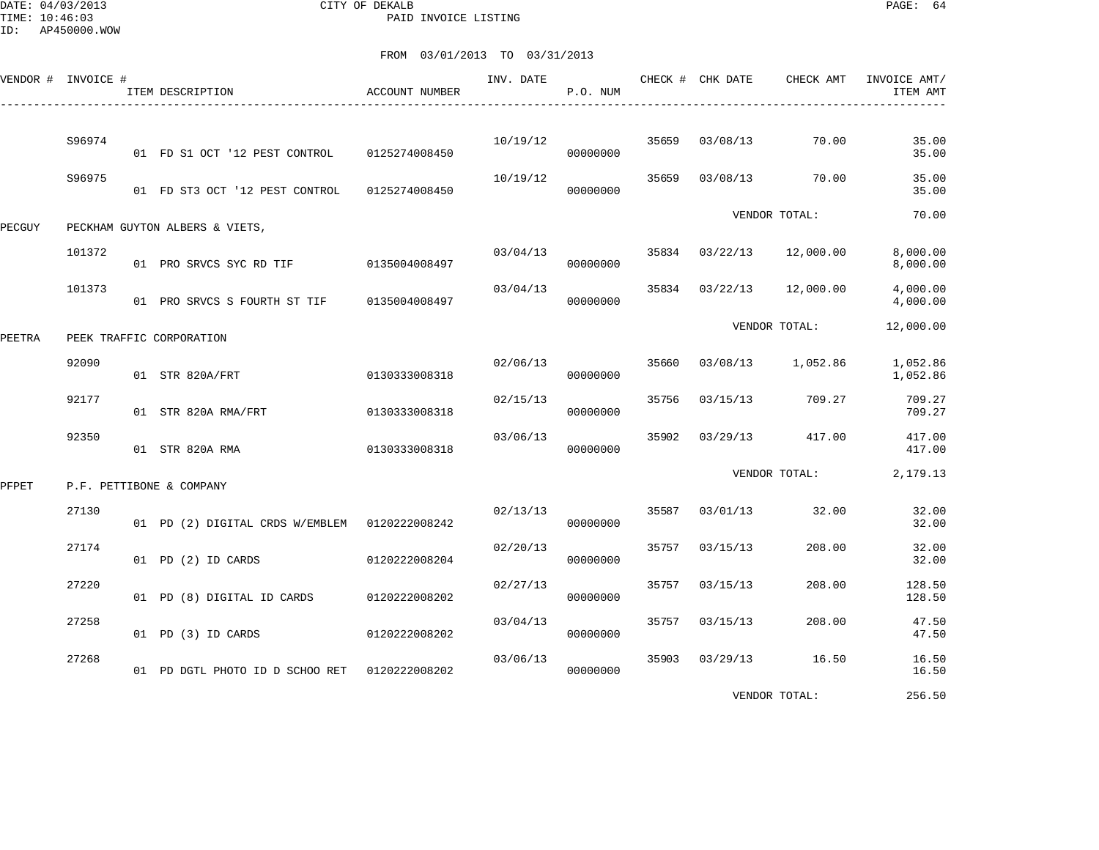DATE: 04/03/2013 CITY OF DEKALB PAGE: 64 PAID INVOICE LISTING

|        | VENDOR # INVOICE # | ITEM DESCRIPTION                              | ACCOUNT NUMBER | INV. DATE | P.O. NUM |       | CHECK # CHK DATE | CHECK AMT     | INVOICE AMT/<br>ITEM AMT |
|--------|--------------------|-----------------------------------------------|----------------|-----------|----------|-------|------------------|---------------|--------------------------|
|        |                    |                                               |                |           |          |       |                  |               |                          |
|        | S96974             | 01 FD S1 OCT '12 PEST CONTROL                 | 0125274008450  | 10/19/12  | 00000000 | 35659 | 03/08/13         | 70.00         | 35.00<br>35.00           |
|        | S96975             | 01 FD ST3 OCT '12 PEST CONTROL                | 0125274008450  | 10/19/12  | 00000000 | 35659 | 03/08/13         | 70.00         | 35.00<br>35.00           |
| PECGUY |                    | PECKHAM GUYTON ALBERS & VIETS,                |                |           |          |       |                  | VENDOR TOTAL: | 70.00                    |
|        | 101372             | 01 PRO SRVCS SYC RD TIF                       | 0135004008497  | 03/04/13  | 00000000 | 35834 | 03/22/13         | 12,000.00     | 8,000.00<br>8,000.00     |
|        | 101373             | 01 PRO SRVCS S FOURTH ST TIF                  | 0135004008497  | 03/04/13  | 00000000 | 35834 | 03/22/13         | 12,000.00     | 4,000.00<br>4,000.00     |
| PEETRA |                    | PEEK TRAFFIC CORPORATION                      |                |           |          |       |                  | VENDOR TOTAL: | 12,000.00                |
|        | 92090              | 01 STR 820A/FRT                               | 0130333008318  | 02/06/13  | 00000000 | 35660 | 03/08/13         | 1,052.86      | 1,052.86<br>1,052.86     |
|        | 92177              | 01 STR 820A RMA/FRT                           | 0130333008318  | 02/15/13  | 00000000 | 35756 | 03/15/13         | 709.27        | 709.27<br>709.27         |
|        | 92350              | 01 STR 820A RMA                               | 0130333008318  | 03/06/13  | 00000000 | 35902 | 03/29/13         | 417.00        | 417.00<br>417.00         |
| PFPET  |                    | P.F. PETTIBONE & COMPANY                      |                |           |          |       |                  | VENDOR TOTAL: | 2,179.13                 |
|        | 27130              | 01 PD (2) DIGITAL CRDS W/EMBLEM 0120222008242 |                | 02/13/13  | 00000000 | 35587 | 03/01/13         | 32.00         | 32.00<br>32.00           |
|        | 27174              | 01 PD (2) ID CARDS                            | 0120222008204  | 02/20/13  | 00000000 | 35757 | 03/15/13         | 208.00        | 32.00<br>32.00           |
|        | 27220              | 01 PD (8) DIGITAL ID CARDS                    | 0120222008202  | 02/27/13  | 00000000 | 35757 | 03/15/13         | 208.00        | 128.50<br>128.50         |
|        | 27258              | 01 PD (3) ID CARDS                            | 0120222008202  | 03/04/13  | 00000000 | 35757 | 03/15/13         | 208.00        | 47.50<br>47.50           |
|        | 27268              | 01 PD DGTL PHOTO ID D SCHOO RET               | 0120222008202  | 03/06/13  | 00000000 | 35903 | 03/29/13         | 16.50         | 16.50<br>16.50           |
|        |                    |                                               |                |           |          |       |                  | VENDOR TOTAL: | 256.50                   |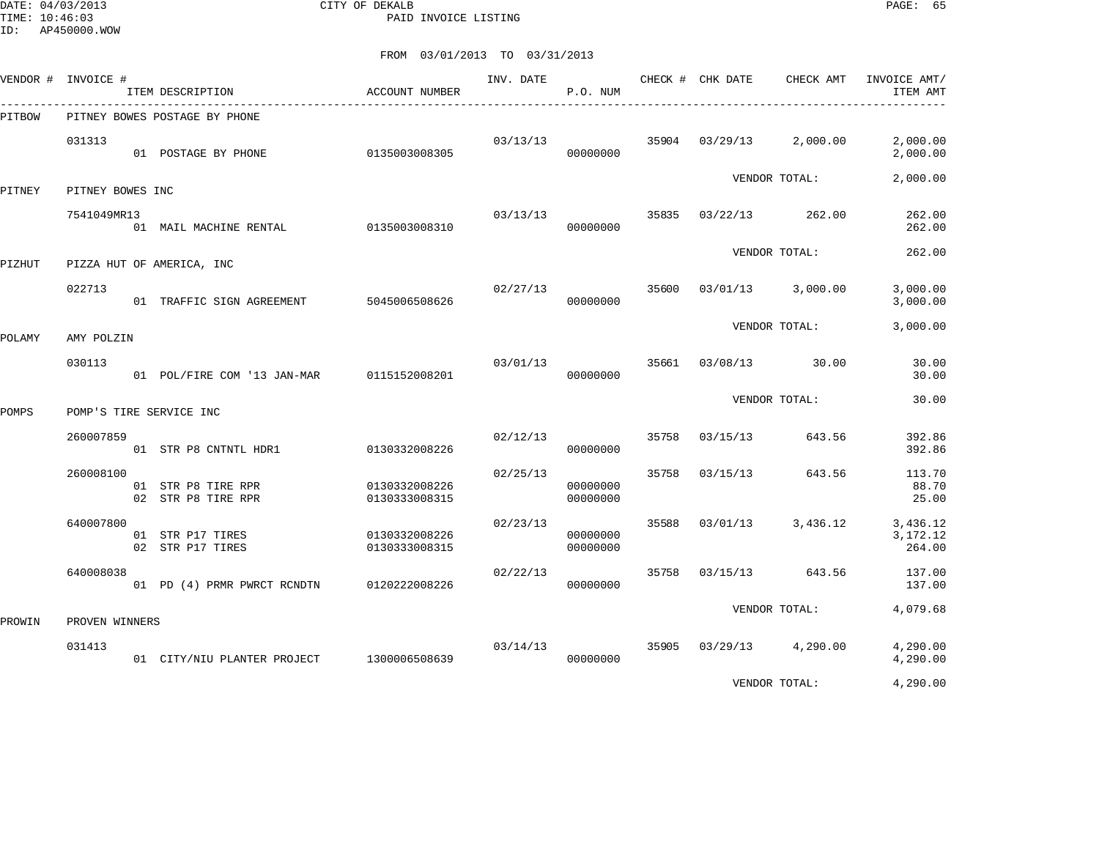DATE: 04/03/2013 CITY OF DEKALB PAGE: 65 PAID INVOICE LISTING

| VENDOR # | INVOICE #        | ITEM DESCRIPTION                         | <b>ACCOUNT NUMBER</b>          | INV. DATE | P.O. NUM             |       | CHECK # CHK DATE | CHECK AMT           | INVOICE AMT/<br>ITEM AMT         |
|----------|------------------|------------------------------------------|--------------------------------|-----------|----------------------|-------|------------------|---------------------|----------------------------------|
| PITBOW   |                  | PITNEY BOWES POSTAGE BY PHONE            |                                |           |                      |       |                  |                     |                                  |
|          | 031313           | 01 POSTAGE BY PHONE                      | 0135003008305                  | 03/13/13  | 00000000             | 35904 | 03/29/13         | 2,000.00            | 2,000.00<br>2,000.00             |
| PITNEY   | PITNEY BOWES INC |                                          |                                |           |                      |       |                  | VENDOR TOTAL:       | 2,000.00                         |
|          | 7541049MR13      | 01 MAIL MACHINE RENTAL                   | 0135003008310                  | 03/13/13  | 00000000             | 35835 | 03/22/13         | 262.00              | 262.00<br>262.00                 |
| PIZHUT   |                  | PIZZA HUT OF AMERICA, INC                |                                |           |                      |       |                  | VENDOR TOTAL:       | 262.00                           |
|          | 022713           | 01 TRAFFIC SIGN AGREEMENT                | 5045006508626                  | 02/27/13  | 00000000             | 35600 | 03/01/13         | 3,000.00            | 3,000.00<br>3,000.00             |
| POLAMY   | AMY POLZIN       |                                          |                                |           |                      |       |                  | VENDOR TOTAL:       | 3,000.00                         |
|          | 030113           | 01 POL/FIRE COM '13 JAN-MAR              | 0115152008201                  | 03/01/13  | 00000000             | 35661 | 03/08/13         | 30.00               | 30.00<br>30.00                   |
| POMPS    |                  | POMP'S TIRE SERVICE INC                  |                                |           |                      |       |                  | VENDOR TOTAL:       | 30.00                            |
|          | 260007859        |                                          |                                | 02/12/13  |                      | 35758 | 03/15/13         | 643.56              | 392.86                           |
|          |                  | 01 STR P8 CNTNTL HDR1                    | 0130332008226                  |           | 00000000             |       |                  |                     | 392.86                           |
|          | 260008100        | 01 STR P8 TIRE RPR<br>02 STR P8 TIRE RPR | 0130332008226<br>0130333008315 | 02/25/13  | 00000000<br>00000000 | 35758 | 03/15/13         | 643.56              | 113.70<br>88.70<br>25.00         |
|          | 640007800        | 01 STR P17 TIRES<br>02 STR P17 TIRES     | 0130332008226<br>0130333008315 | 02/23/13  | 00000000<br>00000000 | 35588 | 03/01/13         | 3,436.12            | 3,436.12<br>3, 172. 12<br>264.00 |
|          | 640008038        | 01 PD (4) PRMR PWRCT RCNDTN              | 0120222008226                  | 02/22/13  | 00000000             | 35758 | 03/15/13         | 643.56              | 137.00<br>137.00                 |
| PROWIN   | PROVEN WINNERS   |                                          |                                |           |                      |       |                  | VENDOR TOTAL:       | 4,079.68                         |
|          | 031413           | 01 CITY/NIU PLANTER PROJECT              | 1300006508639                  | 03/14/13  | 00000000             | 35905 |                  | $03/29/13$ 4,290.00 | 4,290.00<br>4,290.00             |
|          |                  |                                          |                                |           |                      |       |                  | VENDOR TOTAL:       | 4,290.00                         |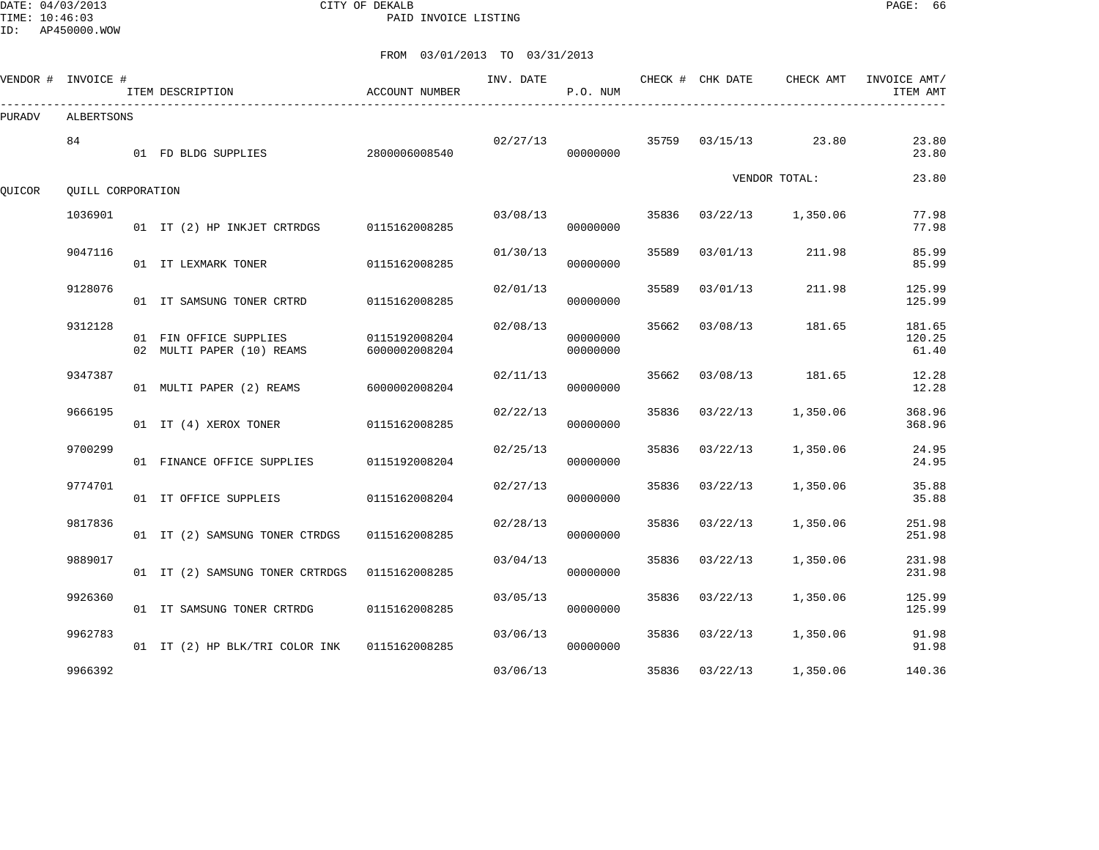DATE: 04/03/2013 CITY OF DEKALB PAGE: 66 PAID INVOICE LISTING

|        | VENDOR # INVOICE # | ITEM DESCRIPTION                                    | ACCOUNT NUMBER                 | INV. DATE | P.O. NUM             |       | CHECK # CHK DATE | CHECK AMT     | INVOICE AMT/<br>ITEM AMT  |
|--------|--------------------|-----------------------------------------------------|--------------------------------|-----------|----------------------|-------|------------------|---------------|---------------------------|
| PURADV | ALBERTSONS         |                                                     |                                |           |                      |       |                  |               |                           |
|        | 84                 | 01 FD BLDG SUPPLIES                                 | 2800006008540                  | 02/27/13  | 00000000             | 35759 | 03/15/13         | 23.80         | 23.80<br>23.80            |
| QUICOR | OUILL CORPORATION  |                                                     |                                |           |                      |       |                  | VENDOR TOTAL: | 23.80                     |
|        | 1036901            | 01 IT (2) HP INKJET CRTRDGS 0115162008285           |                                | 03/08/13  | 00000000             | 35836 | 03/22/13         | 1,350.06      | 77.98<br>77.98            |
|        | 9047116            | 01 IT LEXMARK TONER                                 | 0115162008285                  | 01/30/13  | 00000000             | 35589 | 03/01/13         | 211.98        | 85.99<br>85.99            |
|        | 9128076            | 01 IT SAMSUNG TONER CRTRD                           | 0115162008285                  | 02/01/13  | 00000000             | 35589 | 03/01/13         | 211.98        | 125.99<br>125.99          |
|        | 9312128            | 01 FIN OFFICE SUPPLIES<br>02 MULTI PAPER (10) REAMS | 0115192008204<br>6000002008204 | 02/08/13  | 00000000<br>00000000 | 35662 | 03/08/13         | 181.65        | 181.65<br>120.25<br>61.40 |
|        | 9347387            | 01 MULTI PAPER (2) REAMS                            | 6000002008204                  | 02/11/13  | 00000000             | 35662 | 03/08/13         | 181.65        | 12.28<br>12.28            |
|        | 9666195            | 01 IT (4) XEROX TONER                               | 0115162008285                  | 02/22/13  | 00000000             | 35836 | 03/22/13         | 1,350.06      | 368.96<br>368.96          |
|        | 9700299            | 01 FINANCE OFFICE SUPPLIES                          | 0115192008204                  | 02/25/13  | 00000000             | 35836 | 03/22/13         | 1,350.06      | 24.95<br>24.95            |
|        | 9774701            | 01 IT OFFICE SUPPLEIS                               | 0115162008204                  | 02/27/13  | 00000000             | 35836 | 03/22/13         | 1,350.06      | 35.88<br>35.88            |
|        | 9817836            | 01 IT (2) SAMSUNG TONER CTRDGS                      | 0115162008285                  | 02/28/13  | 00000000             | 35836 | 03/22/13         | 1,350.06      | 251.98<br>251.98          |
|        | 9889017            | 01 IT (2) SAMSUNG TONER CRTRDGS                     | 0115162008285                  | 03/04/13  | 00000000             | 35836 | 03/22/13         | 1,350.06      | 231.98<br>231.98          |
|        | 9926360            | 01 IT SAMSUNG TONER CRTRDG                          | 0115162008285                  | 03/05/13  | 00000000             | 35836 | 03/22/13         | 1,350.06      | 125.99<br>125.99          |
|        | 9962783            | 01 IT (2) HP BLK/TRI COLOR INK                      | 0115162008285                  | 03/06/13  | 00000000             | 35836 | 03/22/13         | 1,350.06      | 91.98<br>91.98            |
|        | 9966392            |                                                     |                                | 03/06/13  |                      |       | 35836 03/22/13   | 1,350.06      | 140.36                    |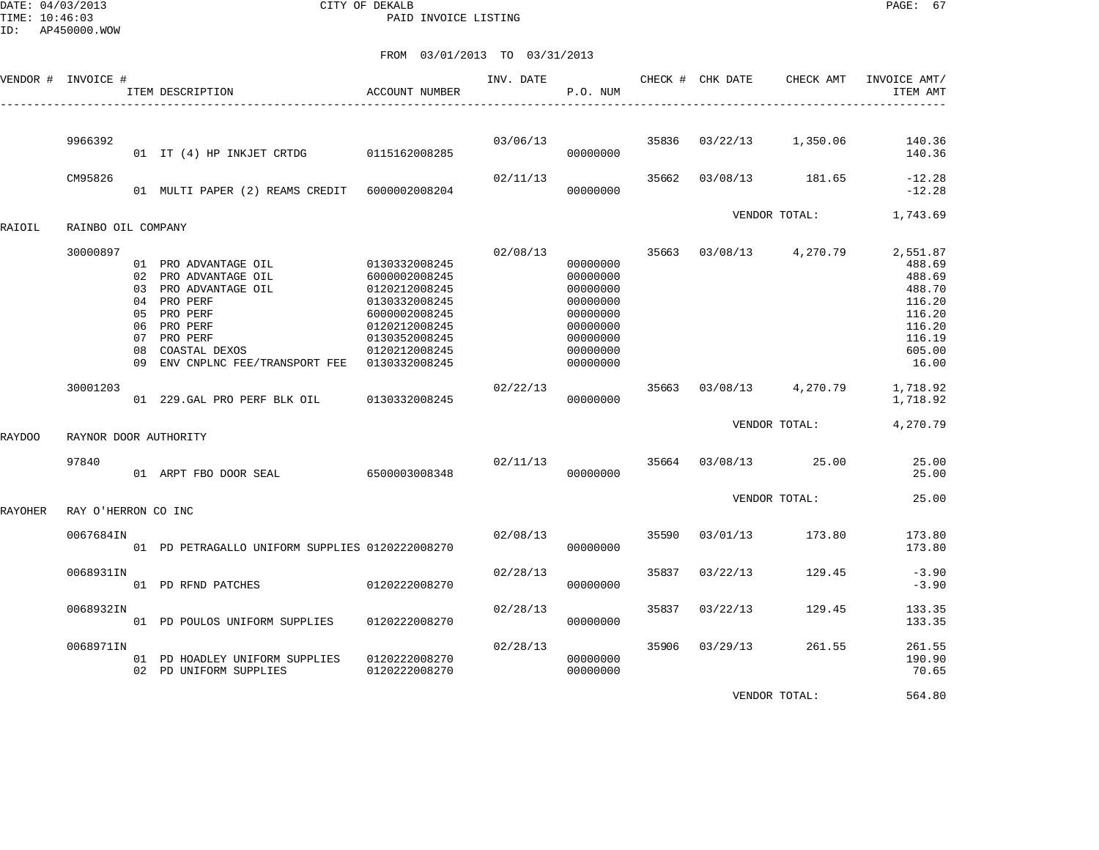DATE: 04/03/2013 CITY OF DEKALB PAGE: 67 PAID INVOICE LISTING

| VENDOR # | INVOICE #             |                                         | ITEM DESCRIPTION                                                                                                                                                   | <b>ACCOUNT NUMBER</b>                                                                                                                                 | INV. DATE | P.O. NUM                                                                                                 |       | CHECK # CHK DATE | CHECK AMT     | INVOICE AMT/<br>ITEM AMT                                                                          |
|----------|-----------------------|-----------------------------------------|--------------------------------------------------------------------------------------------------------------------------------------------------------------------|-------------------------------------------------------------------------------------------------------------------------------------------------------|-----------|----------------------------------------------------------------------------------------------------------|-------|------------------|---------------|---------------------------------------------------------------------------------------------------|
|          | 9966392               |                                         | 01 IT (4) HP INKJET CRTDG                                                                                                                                          | 0115162008285                                                                                                                                         | 03/06/13  | 00000000                                                                                                 | 35836 | 03/22/13         | 1,350.06      | 140.36<br>140.36                                                                                  |
|          | CM95826               |                                         | 01 MULTI PAPER (2) REAMS CREDIT 6000002008204                                                                                                                      |                                                                                                                                                       | 02/11/13  | 00000000                                                                                                 | 35662 | 03/08/13         | 181.65        | $-12.28$<br>$-12.28$                                                                              |
| RAIOIL   | RAINBO OIL COMPANY    |                                         |                                                                                                                                                                    |                                                                                                                                                       |           |                                                                                                          |       |                  | VENDOR TOTAL: | 1,743.69                                                                                          |
|          | 30000897              | 02<br>0.3<br>05<br>06<br>07<br>08<br>09 | 01 PRO ADVANTAGE OIL<br>PRO ADVANTAGE OIL<br>PRO ADVANTAGE OIL<br>04 PRO PERF<br>PRO PERF<br>PRO PERF<br>PRO PERF<br>COASTAL DEXOS<br>ENV CNPLNC FEE/TRANSPORT FEE | 0130332008245<br>6000002008245<br>0120212008245<br>0130332008245<br>6000002008245<br>0120212008245<br>0130352008245<br>0120212008245<br>0130332008245 | 02/08/13  | 00000000<br>00000000<br>00000000<br>00000000<br>00000000<br>00000000<br>00000000<br>00000000<br>00000000 | 35663 | 03/08/13         | 4,270.79      | 2,551.87<br>488.69<br>488.69<br>488.70<br>116.20<br>116.20<br>116.20<br>116.19<br>605.00<br>16.00 |
|          | 30001203              |                                         | 01 229. GAL PRO PERF BLK OIL                                                                                                                                       | 0130332008245                                                                                                                                         | 02/22/13  | 00000000                                                                                                 | 35663 | 03/08/13         | 4,270.79      | 1,718.92<br>1,718.92                                                                              |
| RAYDOO   | RAYNOR DOOR AUTHORITY |                                         |                                                                                                                                                                    |                                                                                                                                                       |           |                                                                                                          |       |                  | VENDOR TOTAL: | 4,270.79                                                                                          |
|          | 97840                 |                                         | 01 ARPT FBO DOOR SEAL                                                                                                                                              | 6500003008348                                                                                                                                         | 02/11/13  | 00000000                                                                                                 | 35664 | 03/08/13         | 25.00         | 25.00<br>25.00                                                                                    |
| RAYOHER  | RAY O'HERRON CO INC   |                                         |                                                                                                                                                                    |                                                                                                                                                       |           |                                                                                                          |       |                  | VENDOR TOTAL: | 25.00                                                                                             |
|          | 0067684IN             |                                         | 01 PD PETRAGALLO UNIFORM SUPPLIES 0120222008270                                                                                                                    |                                                                                                                                                       | 02/08/13  | 00000000                                                                                                 | 35590 | 03/01/13         | 173.80        | 173.80<br>173.80                                                                                  |
|          | 0068931IN             |                                         | 01 PD RFND PATCHES                                                                                                                                                 | 0120222008270                                                                                                                                         | 02/28/13  | 00000000                                                                                                 | 35837 | 03/22/13         | 129.45        | $-3.90$<br>$-3.90$                                                                                |
|          | 0068932IN             |                                         | 01 PD POULOS UNIFORM SUPPLIES                                                                                                                                      | 0120222008270                                                                                                                                         | 02/28/13  | 00000000                                                                                                 | 35837 | 03/22/13         | 129.45        | 133.35<br>133.35                                                                                  |
|          | 0068971IN             |                                         | 01 PD HOADLEY UNIFORM SUPPLIES<br>02 PD UNIFORM SUPPLIES                                                                                                           | 0120222008270<br>0120222008270                                                                                                                        | 02/28/13  | 00000000<br>00000000                                                                                     | 35906 | 03/29/13         | 261.55        | 261.55<br>190.90<br>70.65                                                                         |
|          |                       |                                         |                                                                                                                                                                    |                                                                                                                                                       |           |                                                                                                          |       |                  | VENDOR TOTAL: | 564.80                                                                                            |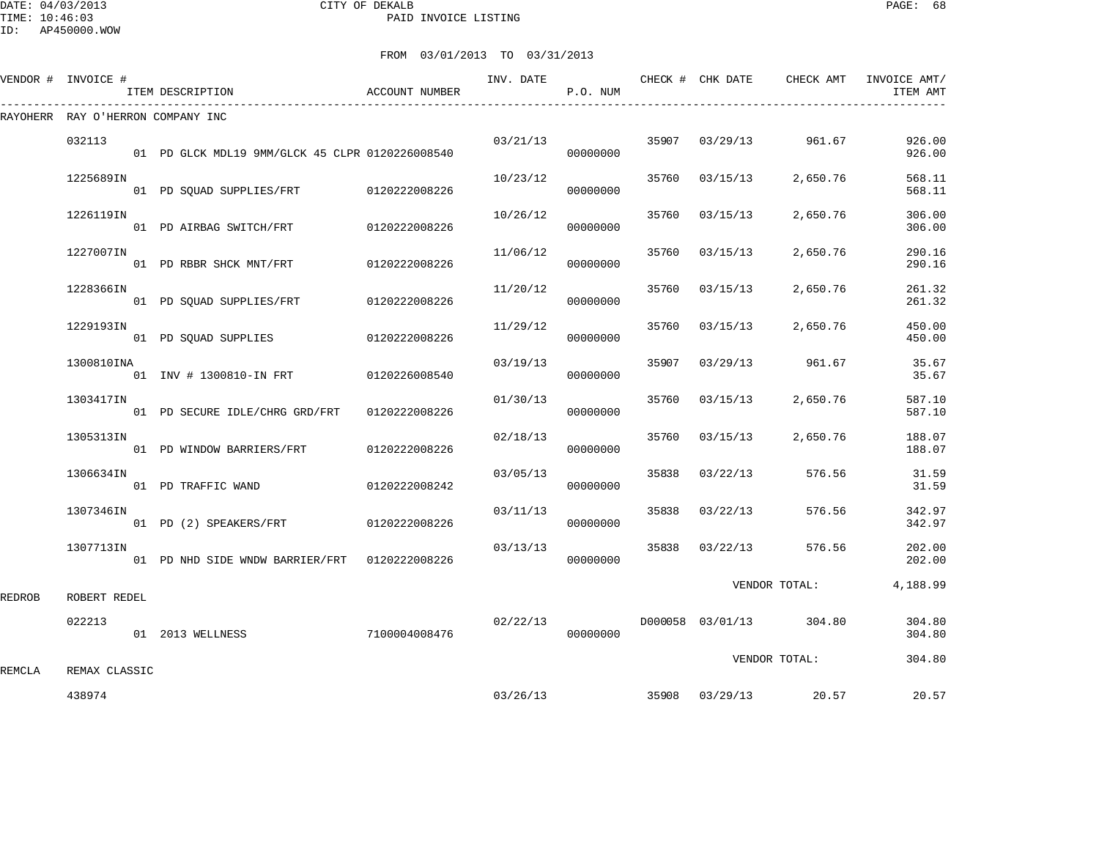|        | VENDOR # INVOICE #                | ITEM DESCRIPTION<br>________________________    | ACCOUNT NUMBER |          | P.O. NUM             |       |                |                         | ITEM AMT         |
|--------|-----------------------------------|-------------------------------------------------|----------------|----------|----------------------|-------|----------------|-------------------------|------------------|
|        | RAYOHERR RAY O'HERRON COMPANY INC |                                                 |                |          |                      |       |                |                         |                  |
|        | 032113                            | 01 PD GLCK MDL19 9MM/GLCK 45 CLPR 0120226008540 |                |          | 03/21/13<br>00000000 |       |                | 35907 03/29/13 961.67   | 926.00<br>926.00 |
|        | 1225689IN                         | 01 PD SQUAD SUPPLIES/FRT 0120222008226          |                | 10/23/12 | 00000000             |       | 35760 03/15/13 | 2,650.76                | 568.11<br>568.11 |
|        | 1226119IN                         | 01 PD AIRBAG SWITCH/FRT 0120222008226           |                | 10/26/12 | 00000000             | 35760 | 03/15/13       | 2,650.76                | 306.00<br>306.00 |
|        | 1227007IN                         | 01 PD RBBR SHCK MNT/FRT 0120222008226           |                | 11/06/12 | 00000000             | 35760 | 03/15/13       | 2,650.76                | 290.16<br>290.16 |
|        | 1228366IN                         | 01 PD SQUAD SUPPLIES/FRT 0120222008226          |                | 11/20/12 | 00000000             |       | 35760 03/15/13 | 2,650.76                | 261.32<br>261.32 |
|        | 1229193IN                         | 01 PD SOUAD SUPPLIES 0120222008226              |                | 11/29/12 | 00000000             | 35760 | 03/15/13       | 2,650.76                | 450.00<br>450.00 |
|        | 1300810INA                        | 01 INV # 1300810-IN FRT 0120226008540           |                | 03/19/13 | 00000000             |       |                | 35907 03/29/13 961.67   | 35.67<br>35.67   |
|        | 1303417IN                         | 01 PD SECURE IDLE/CHRG GRD/FRT                  | 0120222008226  | 01/30/13 | 00000000             | 35760 | 03/15/13       | 2,650.76                | 587.10<br>587.10 |
|        | 1305313IN                         | 01 PD WINDOW BARRIERS/FRT                       | 0120222008226  | 02/18/13 | 00000000             |       | 35760 03/15/13 | 2,650.76                | 188.07<br>188.07 |
|        | 1306634IN                         | 01 PD TRAFFIC WAND                              | 0120222008242  | 03/05/13 | 00000000             |       | 35838 03/22/13 | 576.56                  | 31.59<br>31.59   |
|        | 1307346IN                         | 01 PD (2) SPEAKERS/FRT 0120222008226            |                | 03/11/13 | 00000000             | 35838 | 03/22/13       | 576.56                  | 342.97<br>342.97 |
|        | 1307713IN                         | 01 PD NHD SIDE WNDW BARRIER/FRT 0120222008226   |                | 03/13/13 | 00000000             |       | 35838 03/22/13 | 576.56                  | 202.00<br>202.00 |
| REDROB | ROBERT REDEL                      |                                                 |                |          |                      |       |                | VENDOR TOTAL:           | 4,188.99         |
|        | 022213                            | 01 2013 WELLNESS                                | 7100004008476  | 02/22/13 | 00000000             |       |                | D000058 03/01/13 304.80 | 304.80<br>304.80 |
| REMCLA | REMAX CLASSIC                     |                                                 |                |          |                      |       |                | VENDOR TOTAL:           | 304.80           |
|        | 438974                            |                                                 |                | 03/26/13 |                      |       |                | 35908 03/29/13 20.57    | 20.57            |
|        |                                   |                                                 |                |          |                      |       |                |                         |                  |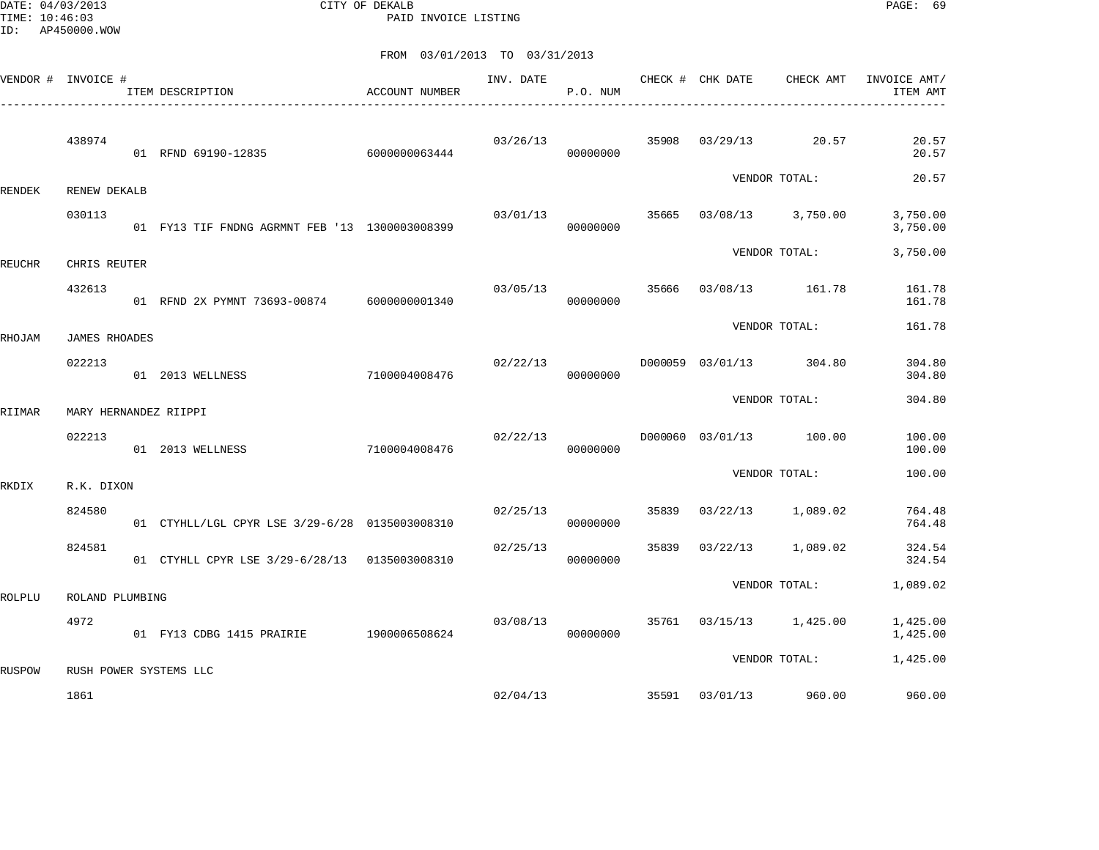DATE: 04/03/2013 CITY OF DEKALB PAGE: 69 PAID INVOICE LISTING

|               | VENDOR # INVOICE #    | ACCOUNT NUMBER<br>ITEM DESCRIPTION<br>--------------------------------- |               | INV. DATE | P.O. NUM |       | CHECK # CHK DATE | CHECK AMT               | INVOICE AMT/<br>ITEM AMT |
|---------------|-----------------------|-------------------------------------------------------------------------|---------------|-----------|----------|-------|------------------|-------------------------|--------------------------|
|               | 438974                | 01 RFND 69190-12835                                                     | 6000000063444 | 03/26/13  | 00000000 | 35908 |                  | $03/29/13$ 20.57        | 20.57<br>20.57           |
| RENDEK        | RENEW DEKALB          |                                                                         |               |           |          |       |                  | VENDOR TOTAL:           | 20.57                    |
|               | 030113                | 01 FY13 TIF FNDNG AGRMNT FEB '13 1300003008399                          |               | 03/01/13  | 00000000 | 35665 |                  | 03/08/13 3,750.00       | 3,750.00<br>3,750.00     |
| <b>REUCHR</b> | CHRIS REUTER          |                                                                         |               |           |          |       |                  | VENDOR TOTAL:           | 3,750.00                 |
|               | 432613                | 01 RFND 2X PYMNT 73693-00874 6000000001340                              |               | 03/05/13  | 00000000 | 35666 |                  | 03/08/13 161.78         | 161.78<br>161.78         |
| RHOJAM        | <b>JAMES RHOADES</b>  |                                                                         |               |           |          |       |                  | VENDOR TOTAL:           | 161.78                   |
|               | 022213                | 01 2013 WELLNESS                                                        | 7100004008476 | 02/22/13  | 00000000 |       | D000059 03/01/13 | 304.80                  | 304.80<br>304.80         |
| RIIMAR        | MARY HERNANDEZ RIIPPI |                                                                         |               |           |          |       |                  | VENDOR TOTAL:           | 304.80                   |
|               | 022213                | 01 2013 WELLNESS                                                        | 7100004008476 | 02/22/13  | 00000000 |       |                  | D000060 03/01/13 100.00 | 100.00<br>100.00         |
| RKDIX         | R.K. DIXON            |                                                                         |               |           |          |       |                  | VENDOR TOTAL:           | 100.00                   |
|               | 824580                | 01 CTYHLL/LGL CPYR LSE 3/29-6/28 0135003008310                          |               | 02/25/13  | 00000000 | 35839 |                  | $03/22/13$ 1,089.02     | 764.48<br>764.48         |
|               | 824581                | 01 CTYHLL CPYR LSE 3/29-6/28/13 0135003008310                           |               | 02/25/13  | 00000000 | 35839 | 03/22/13         | 1,089.02                | 324.54<br>324.54         |
| ROLPLU        | ROLAND PLUMBING       |                                                                         |               |           |          |       |                  | VENDOR TOTAL:           | 1,089.02                 |
|               | 4972                  | 01 FY13 CDBG 1415 PRAIRIE 1900006508624                                 |               | 03/08/13  | 00000000 |       |                  | 35761 03/15/13 1,425.00 | 1,425.00<br>1,425.00     |
| RUSPOW        |                       | RUSH POWER SYSTEMS LLC                                                  |               |           |          |       |                  | VENDOR TOTAL:           | 1,425.00                 |
|               | 1861                  |                                                                         |               |           | 02/04/13 |       | 35591 03/01/13   | 960.00                  | 960.00                   |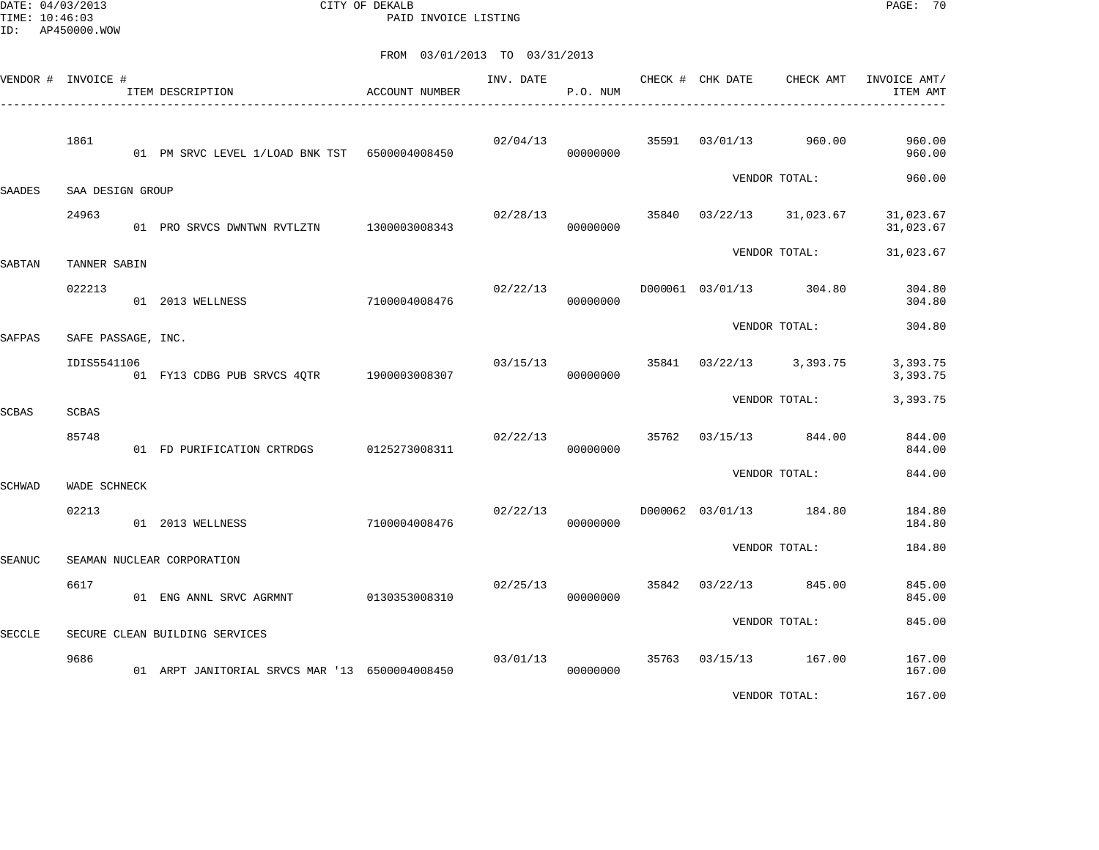DATE: 04/03/2013 CITY OF DEKALB PAGE: 70 PAID INVOICE LISTING

|        | VENDOR # INVOICE # | ITEM DESCRIPTION                               | ACCOUNT NUMBER | INV. DATE | P.O. NUM             | CHECK # CHK DATE        | CHECK AMT                | INVOICE AMT/<br>ITEM AMT |
|--------|--------------------|------------------------------------------------|----------------|-----------|----------------------|-------------------------|--------------------------|--------------------------|
|        | 1861               | 01 PM SRVC LEVEL 1/LOAD BNK TST 6500004008450  |                | 02/04/13  | 00000000             |                         | 35591 03/01/13 960.00    | 960.00<br>960.00         |
| SAADES | SAA DESIGN GROUP   |                                                |                |           |                      |                         | VENDOR TOTAL:            | 960.00                   |
|        | 24963              | 01 PRO SRVCS DWNTWN RVTLZTN 1300003008343      |                | 02/28/13  | 00000000             |                         | 35840 03/22/13 31,023.67 | 31,023.67<br>31,023.67   |
| SABTAN | TANNER SABIN       |                                                |                |           |                      |                         | VENDOR TOTAL:            | 31,023.67                |
|        | 022213             | 01 2013 WELLNESS                               | 7100004008476  | 02/22/13  | 00000000             | D000061 03/01/13 304.80 |                          | 304.80<br>304.80         |
| SAFPAS | SAFE PASSAGE, INC. |                                                |                |           |                      |                         | VENDOR TOTAL:            | 304.80                   |
|        | IDIS5541106        | 01 FY13 CDBG PUB SRVCS 4QTR 1900003008307      |                | 03/15/13  | 00000000             |                         | 35841 03/22/13 3,393.75  | 3,393.75<br>3,393.75     |
| SCBAS  | SCBAS              |                                                |                |           |                      |                         | VENDOR TOTAL:            | 3,393.75                 |
|        | 85748              | 01 FD PURIFICATION CRTRDGS 0125273008311       |                | 02/22/13  | 00000000             |                         | 35762 03/15/13 844.00    | 844.00<br>844.00         |
| SCHWAD | WADE SCHNECK       |                                                |                |           |                      |                         | VENDOR TOTAL:            | 844.00                   |
|        | 02213              | 01 2013 WELLNESS                               | 7100004008476  | 02/22/13  | 00000000             | D000062 03/01/13 184.80 |                          | 184.80<br>184.80         |
| SEANUC |                    | SEAMAN NUCLEAR CORPORATION                     |                |           |                      |                         | VENDOR TOTAL:            | 184.80                   |
|        | 6617               | 01 ENG ANNL SRVC AGRMNT                        | 0130353008310  | 02/25/13  | 00000000             | 35842 03/22/13          | 845.00                   | 845.00<br>845.00         |
| SECCLE |                    | SECURE CLEAN BUILDING SERVICES                 |                |           |                      |                         | VENDOR TOTAL:            | 845.00                   |
|        | 9686               | 01 ARPT JANITORIAL SRVCS MAR '13 6500004008450 |                |           | 03/01/13<br>00000000 | 35763 03/15/13 167.00   |                          | 167.00<br>167.00         |
|        |                    |                                                |                |           |                      |                         | VENDOR TOTAL:            | 167.00                   |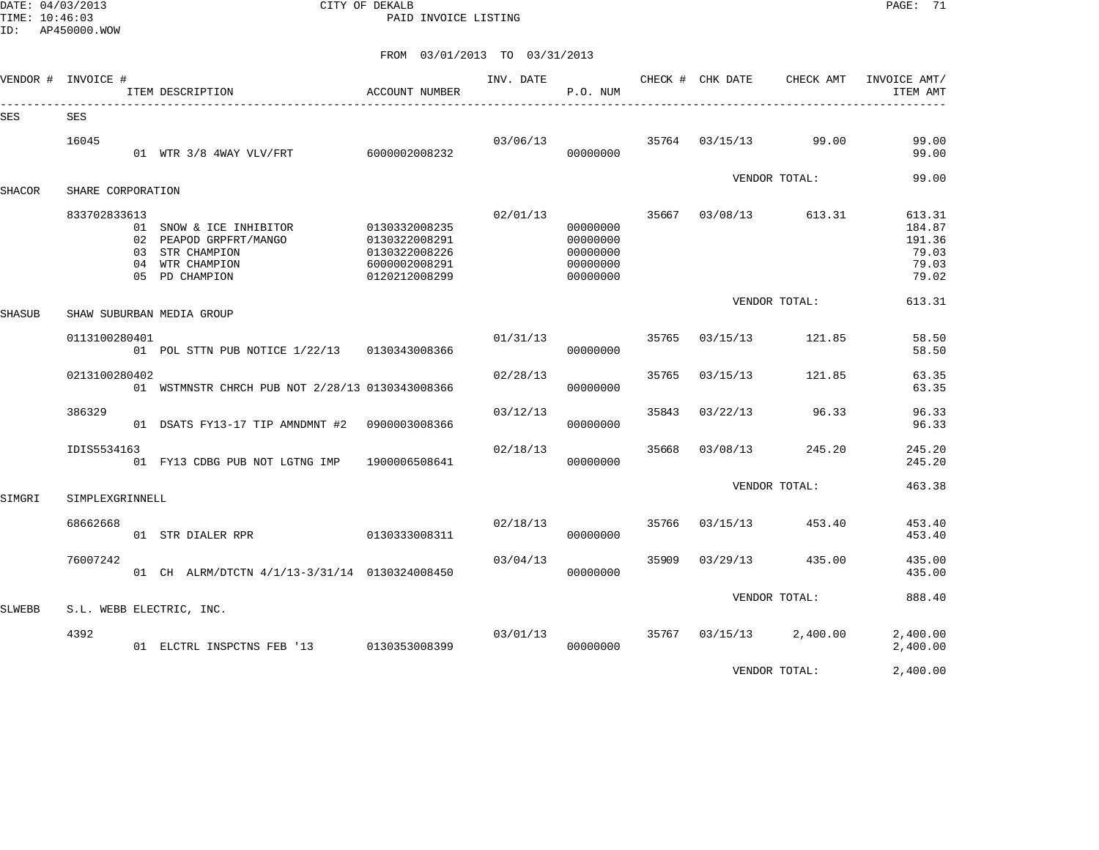DATE: 04/03/2013 CITY OF DEKALB PAGE: 71 PAID INVOICE LISTING

| VENDOR #      | INVOICE #         | ITEM DESCRIPTION<br>---------------------------                                                           | <b>ACCOUNT NUMBER</b>                                                             | INV. DATE | P.O. NUM                                                 |       | CHECK # CHK DATE | CHECK AMT     | INVOICE AMT/<br>ITEM AMT                              |
|---------------|-------------------|-----------------------------------------------------------------------------------------------------------|-----------------------------------------------------------------------------------|-----------|----------------------------------------------------------|-------|------------------|---------------|-------------------------------------------------------|
| <b>SES</b>    | <b>SES</b>        |                                                                                                           |                                                                                   |           |                                                          |       |                  |               |                                                       |
|               | 16045             | 01 WTR 3/8 4WAY VLV/FRT                                                                                   | 6000002008232                                                                     | 03/06/13  | 00000000                                                 | 35764 | 03/15/13         | 99.00         | 99.00<br>99.00                                        |
| <b>SHACOR</b> | SHARE CORPORATION |                                                                                                           |                                                                                   |           |                                                          |       |                  | VENDOR TOTAL: | 99.00                                                 |
|               | 833702833613      | 01 SNOW & ICE INHIBITOR<br>02 PEAPOD GRPFRT/MANGO<br>03 STR CHAMPION<br>04 WTR CHAMPION<br>05 PD CHAMPION | 0130332008235<br>0130322008291<br>0130322008226<br>6000002008291<br>0120212008299 | 02/01/13  | 00000000<br>00000000<br>00000000<br>00000000<br>00000000 | 35667 | 03/08/13         | 613.31        | 613.31<br>184.87<br>191.36<br>79.03<br>79.03<br>79.02 |
| SHASUB        |                   | SHAW SUBURBAN MEDIA GROUP                                                                                 |                                                                                   |           |                                                          |       |                  | VENDOR TOTAL: | 613.31                                                |
|               | 0113100280401     | 01 POL STTN PUB NOTICE 1/22/13 0130343008366                                                              |                                                                                   | 01/31/13  | 00000000                                                 | 35765 | 03/15/13         | 121.85        | 58.50<br>58.50                                        |
|               | 0213100280402     | 01 WSTMNSTR CHRCH PUB NOT 2/28/13 0130343008366                                                           |                                                                                   | 02/28/13  | 00000000                                                 | 35765 | 03/15/13         | 121.85        | 63.35<br>63.35                                        |
|               | 386329            | 01 DSATS FY13-17 TIP AMNDMNT #2                                                                           | 0900003008366                                                                     | 03/12/13  | 00000000                                                 | 35843 | 03/22/13         | 96.33         | 96.33<br>96.33                                        |
|               | IDIS5534163       | 01 FY13 CDBG PUB NOT LGTNG IMP                                                                            | 1900006508641                                                                     | 02/18/13  | 00000000                                                 | 35668 | 03/08/13         | 245.20        | 245.20<br>245.20                                      |
| SIMGRI        | SIMPLEXGRINNELL   |                                                                                                           |                                                                                   |           |                                                          |       |                  | VENDOR TOTAL: | 463.38                                                |
|               | 68662668          | 0130333008311<br>01 STR DIALER RPR                                                                        |                                                                                   | 02/18/13  | 00000000                                                 | 35766 | 03/15/13         | 453.40        | 453.40<br>453.40                                      |
|               | 76007242          | 01 CH ALRM/DTCTN 4/1/13-3/31/14 0130324008450                                                             |                                                                                   | 03/04/13  | 00000000                                                 | 35909 | 03/29/13         | 435.00        | 435.00<br>435.00                                      |
| <b>SLWEBB</b> |                   | S.L. WEBB ELECTRIC, INC.                                                                                  |                                                                                   |           |                                                          |       |                  | VENDOR TOTAL: | 888.40                                                |
|               | 4392              | 01 ELCTRL INSPCTNS FEB '13                                                                                | 0130353008399                                                                     | 03/01/13  | 00000000                                                 | 35767 | 03/15/13         | 2,400.00      | 2,400.00<br>2,400.00                                  |
|               |                   |                                                                                                           |                                                                                   |           |                                                          |       |                  | VENDOR TOTAL: | 2,400.00                                              |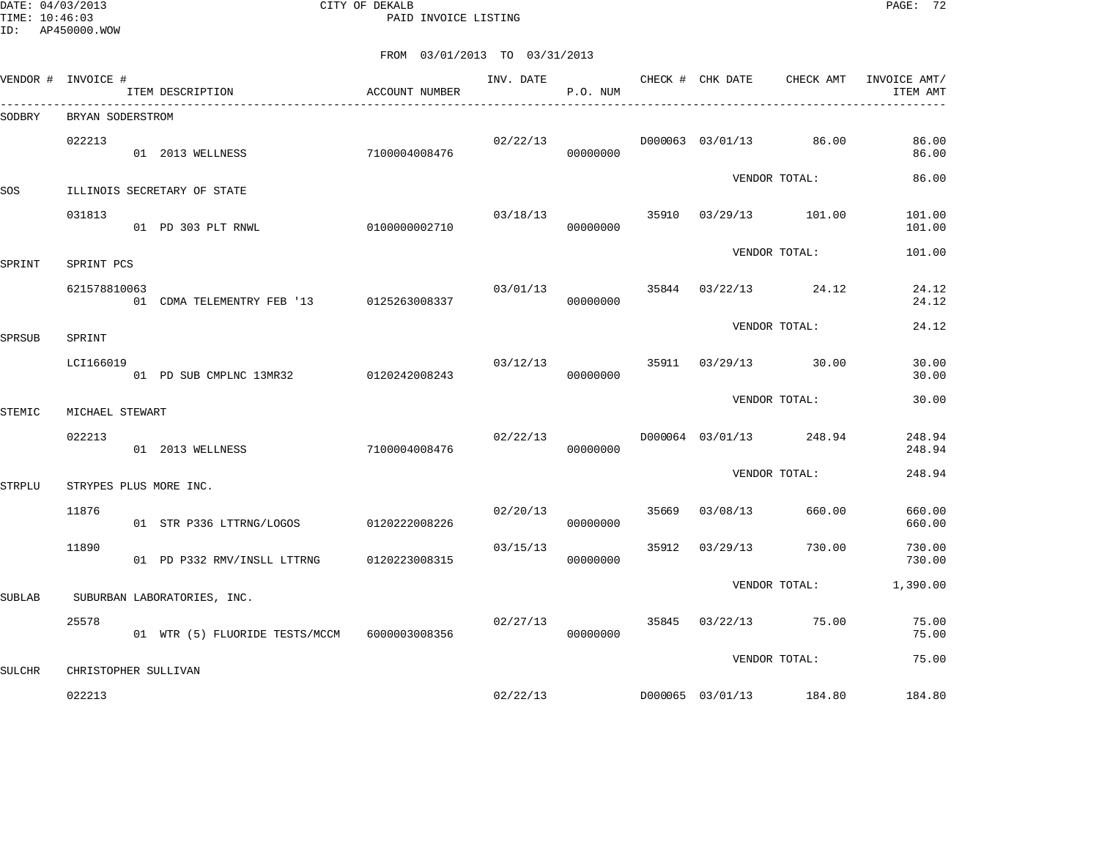DATE: 04/03/2013 CITY OF DEKALB PAGE: 72 PAID INVOICE LISTING

|               | VENDOR # INVOICE #             |            | ITEM DESCRIPTION                             | ACCOUNT NUMBER |          | P.O. NUM             |               |                |                         | INVOICE AMT/<br>ITEM AMT |
|---------------|--------------------------------|------------|----------------------------------------------|----------------|----------|----------------------|---------------|----------------|-------------------------|--------------------------|
| SODBRY        | BRYAN SODERSTROM               |            |                                              |                |          |                      |               |                |                         |                          |
|               | 022213                         |            | 01 2013 WELLNESS                             | 7100004008476  |          | 02/22/13<br>00000000 |               |                | D000063 03/01/13 86.00  | 86.00<br>86.00           |
| SOS           | ILLINOIS SECRETARY OF STATE    |            |                                              |                |          |                      |               | VENDOR TOTAL:  |                         | 86.00                    |
|               | 031813                         |            | 01 PD 303 PLT RNWL                           | 0100000002710  | 03/18/13 | 00000000             |               |                | 35910 03/29/13 101.00   | 101.00<br>101.00         |
| SPRINT        |                                | SPRINT PCS |                                              |                |          |                      |               | VENDOR TOTAL:  | 101.00                  |                          |
|               | 621578810063                   |            | 01 CDMA TELEMENTRY FEB '13 0125263008337     |                | 03/01/13 | 00000000             |               |                | 35844 03/22/13 24.12    | 24.12<br>24.12           |
| SPRSUB        | SPRINT                         |            |                                              |                |          |                      |               |                | VENDOR TOTAL:           | 24.12                    |
|               | LCI166019                      |            | 01 PD SUB CMPLNC 13MR32 0120242008243        |                | 03/12/13 | 00000000             |               |                | 35911 03/29/13 30.00    | 30.00<br>30.00           |
| STEMIC        | MICHAEL STEWART                |            |                                              |                |          |                      |               | VENDOR TOTAL:  | 30.00                   |                          |
|               |                                |            |                                              |                |          |                      |               |                |                         |                          |
|               | 022213                         |            | 01 2013 WELLNESS                             | 7100004008476  | 02/22/13 | 00000000             |               |                | D000064 03/01/13 248.94 | 248.94<br>248.94         |
| <b>STRPLU</b> | STRYPES PLUS MORE INC.         |            |                                              |                |          |                      |               | VENDOR TOTAL:  | 248.94                  |                          |
|               | 11876                          |            | 01 STR P336 LTTRNG/LOGOS                     | 0120222008226  |          | 02/20/13<br>00000000 |               | 35669 03/08/13 | 660.00                  | 660.00<br>660.00         |
|               | 11890                          |            | 01 PD P332 RMV/INSLL LTTRNG 0120223008315    |                | 03/15/13 | 00000000             |               | 35912 03/29/13 | 730.00                  | 730.00<br>730.00         |
| SUBLAB        | SUBURBAN LABORATORIES, INC.    |            |                                              |                |          |                      |               | VENDOR TOTAL:  |                         | 1,390.00                 |
|               | 25578                          |            | 01 WTR (5) FLUORIDE TESTS/MCCM 6000003008356 |                | 02/27/13 | 00000000             |               |                | 35845 03/22/13 75.00    | 75.00<br>75.00           |
| <b>SULCHR</b> |                                |            |                                              |                |          |                      | VENDOR TOTAL: |                | 75.00                   |                          |
|               | CHRISTOPHER SULLIVAN<br>022213 |            |                                              |                | 02/22/13 |                      |               |                | D000065 03/01/13 184.80 | 184.80                   |
|               |                                |            |                                              |                |          |                      |               |                |                         |                          |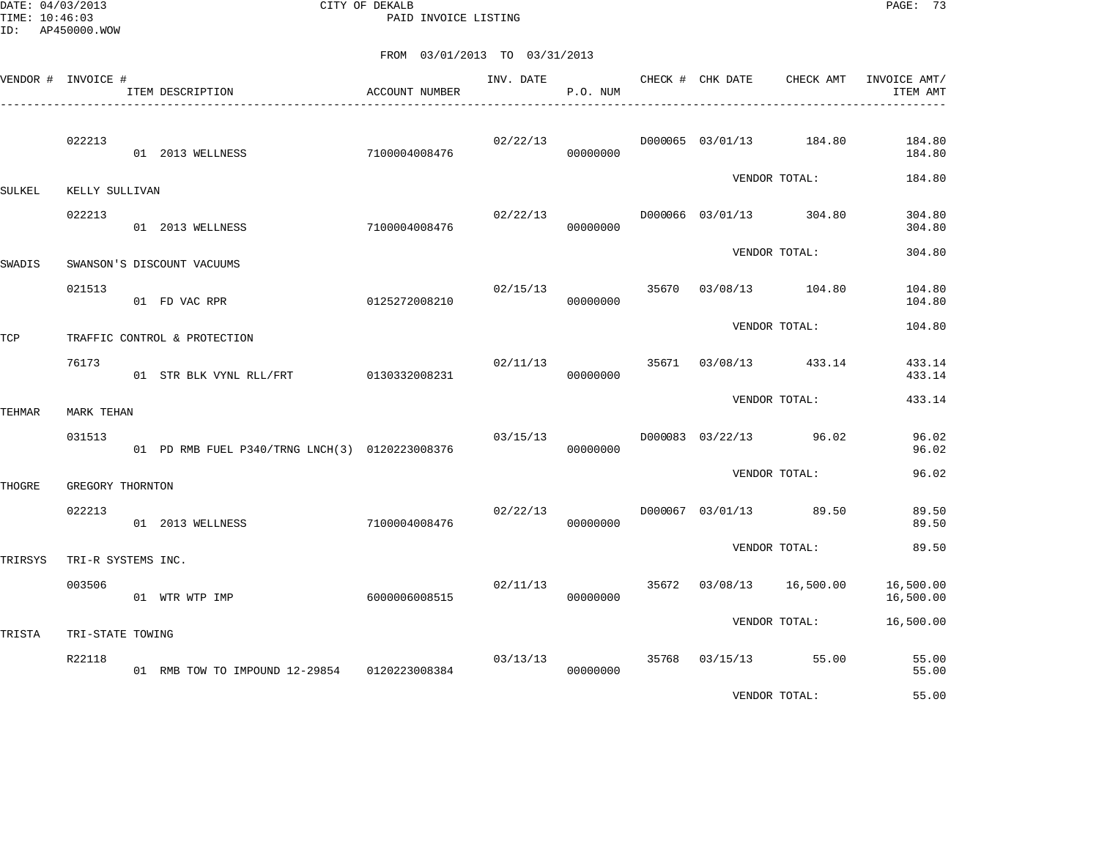DATE: 04/03/2013 CITY OF DEKALB PAGE: 73 PAID INVOICE LISTING

|         | VENDOR # INVOICE # | ITEM DESCRIPTION                               | ACCOUNT NUMBER | INV. DATE | P.O. NUM             | CHECK # CHK DATE | CHECK AMT                | INVOICE AMT/<br>ITEM AMT |
|---------|--------------------|------------------------------------------------|----------------|-----------|----------------------|------------------|--------------------------|--------------------------|
|         | 022213             | 01 2013 WELLNESS                               | 7100004008476  | 02/22/13  | 00000000             |                  | D000065 03/01/13 184.80  | 184.80<br>184.80         |
| SULKEL  | KELLY SULLIVAN     |                                                |                |           |                      |                  | VENDOR TOTAL:            | 184.80                   |
|         | 022213             | 01 2013 WELLNESS                               | 7100004008476  | 02/22/13  | 00000000             |                  | D000066 03/01/13 304.80  | 304.80<br>304.80         |
| SWADIS  |                    | SWANSON'S DISCOUNT VACUUMS                     |                |           |                      |                  | VENDOR TOTAL:            | 304.80                   |
|         | 021513             | 01 FD VAC RPR                                  | 0125272008210  | 02/15/13  | 00000000             |                  | 35670 03/08/13 104.80    | 104.80<br>104.80         |
| TCP     |                    | TRAFFIC CONTROL & PROTECTION                   |                |           |                      |                  | VENDOR TOTAL:            | 104.80                   |
|         | 76173              | 01 STR BLK VYNL RLL/FRT                        | 0130332008231  | 02/11/13  | 00000000             |                  | 35671 03/08/13 433.14    | 433.14<br>433.14         |
| TEHMAR  | MARK TEHAN         |                                                |                |           |                      |                  | VENDOR TOTAL:            | 433.14                   |
|         | 031513             | 01 PD RMB FUEL P340/TRNG LNCH(3) 0120223008376 |                | 03/15/13  | 00000000             |                  | D000083 03/22/13 96.02   | 96.02<br>96.02           |
| THOGRE  | GREGORY THORNTON   |                                                |                |           |                      |                  | VENDOR TOTAL:            | 96.02                    |
|         | 022213             | 01 2013 WELLNESS                               | 7100004008476  |           | 02/22/13<br>00000000 |                  | D000067 03/01/13 89.50   | 89.50<br>89.50           |
| TRIRSYS | TRI-R SYSTEMS INC. |                                                |                |           |                      |                  | VENDOR TOTAL:            | 89.50                    |
|         | 003506             | 01 WTR WTP IMP                                 | 6000006008515  | 02/11/13  | 00000000             |                  | 35672 03/08/13 16,500.00 | 16,500.00<br>16,500.00   |
| TRISTA  | TRI-STATE TOWING   |                                                |                |           |                      |                  | VENDOR TOTAL:            | 16,500.00                |
|         | R22118             | 01 RMB TOW TO IMPOUND 12-29854 0120223008384   |                | 03/13/13  | 00000000             |                  | 35768 03/15/13 55.00     | 55.00<br>55.00           |
|         |                    |                                                |                |           |                      |                  | VENDOR TOTAL:            | 55.00                    |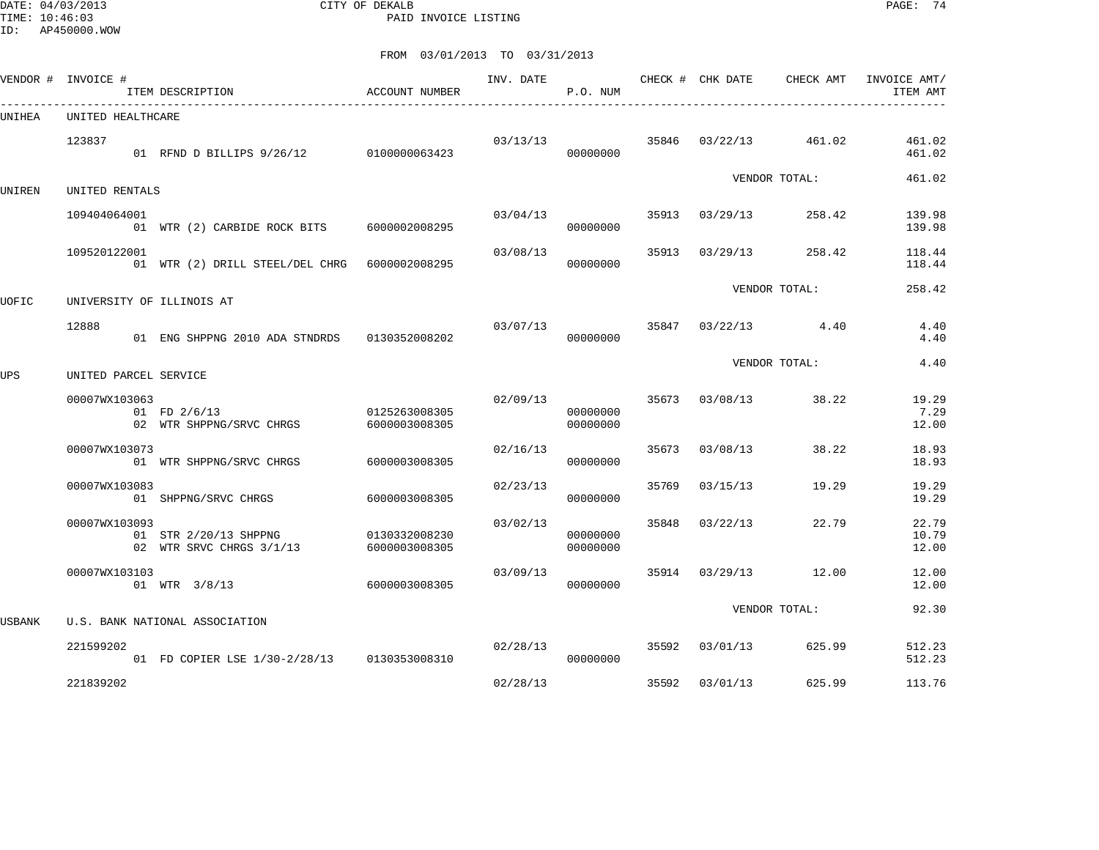DATE: 04/03/2013 CITY OF DEKALB PAGE: 74 PAID INVOICE LISTING

|        | VENDOR # INVOICE #        | ITEM DESCRIPTION                                                              | <b>ACCOUNT NUMBER</b>          | INV. DATE | P.O. NUM             |       |                | CHECK # CHK DATE CHECK AMT | INVOICE AMT/<br>ITEM AMT |
|--------|---------------------------|-------------------------------------------------------------------------------|--------------------------------|-----------|----------------------|-------|----------------|----------------------------|--------------------------|
| UNIHEA | UNITED HEALTHCARE         |                                                                               |                                |           |                      |       |                |                            |                          |
|        | 123837                    | 01 RFND D BILLIPS 9/26/12 0100000063423                                       |                                | 03/13/13  | 00000000             |       | 35846 03/22/13 | 461.02                     | 461.02<br>461.02         |
| UNIREN | UNITED RENTALS            |                                                                               |                                |           |                      |       |                | VENDOR TOTAL:              | 461.02                   |
|        | 109404064001              | 01 WTR (2) CARBIDE ROCK BITS 6000002008295                                    |                                | 03/04/13  | 00000000             |       | 35913 03/29/13 | 258.42                     | 139.98<br>139.98         |
|        | 109520122001              | 01 WTR (2) DRILL STEEL/DEL CHRG 6000002008295                                 |                                | 03/08/13  | 00000000             |       | 35913 03/29/13 | 258.42                     | 118.44<br>118.44         |
| UOFIC  | UNIVERSITY OF ILLINOIS AT |                                                                               |                                |           |                      |       |                | VENDOR TOTAL:              | 258.42                   |
|        | 12888                     | 01 ENG SHPPNG 2010 ADA STNDRDS                                                | 0130352008202                  | 03/07/13  | 00000000             |       |                | $35847$ $03/22/13$ 4.40    | 4.40<br>4.40             |
| UPS    | UNITED PARCEL SERVICE     |                                                                               |                                |           |                      |       |                | VENDOR TOTAL:              | 4.40                     |
|        | 00007WX103063             | 01 FD 2/6/13<br>02 WTR SHPPNG/SRVC CHRGS                                      | 0125263008305<br>6000003008305 | 02/09/13  | 00000000<br>00000000 |       | 35673 03/08/13 | 38.22                      | 19.29<br>7.29<br>12.00   |
|        | 00007WX103073             | 01 WTR SHPPNG/SRVC CHRGS                                                      | 6000003008305                  | 02/16/13  | 00000000             |       | 35673 03/08/13 | 38.22                      | 18.93<br>18.93           |
|        | 00007WX103083             | 01 SHPPNG/SRVC CHRGS                                                          | 6000003008305                  | 02/23/13  | 00000000             | 35769 | 03/15/13       | 19.29                      | 19.29<br>19.29           |
|        | 00007WX103093             | 01 STR 2/20/13 SHPPNG<br>02 WTR SRVC CHRGS 3/1/13                             | 0130332008230<br>6000003008305 | 03/02/13  | 00000000<br>00000000 | 35848 | 03/22/13       | 22.79                      | 22.79<br>10.79<br>12.00  |
|        | 00007WX103103             | 01 WTR 3/8/13                                                                 | 6000003008305                  | 03/09/13  | 00000000             |       | 35914 03/29/13 | 12.00                      | 12.00<br>12.00           |
|        |                           |                                                                               |                                |           |                      |       |                | VENDOR TOTAL:              | 92.30                    |
| USBANK | 221599202                 | U.S. BANK NATIONAL ASSOCIATION<br>01 FD COPIER LSE 1/30-2/28/13 0130353008310 |                                | 02/28/13  | 00000000             |       | 35592 03/01/13 | 625.99                     | 512.23<br>512.23         |
|        | 221839202                 |                                                                               |                                | 02/28/13  |                      | 35592 | 03/01/13       | 625.99                     | 113.76                   |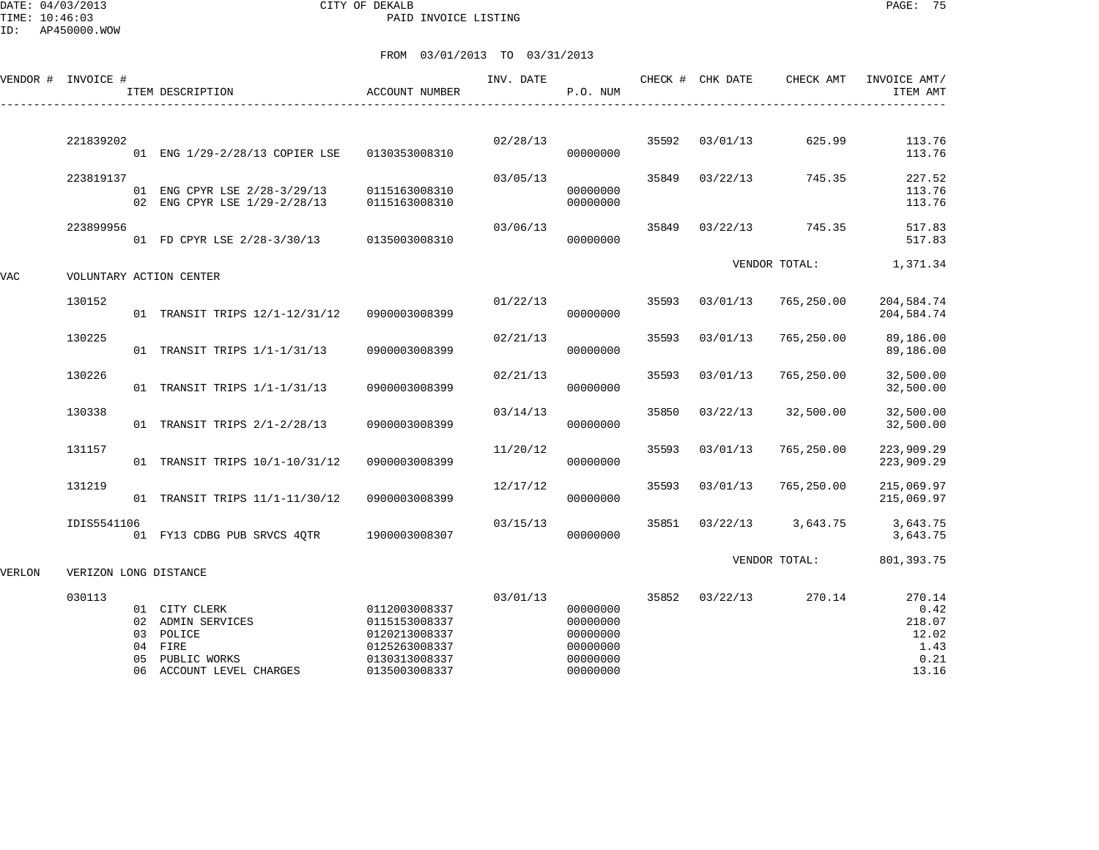DATE: 04/03/2013 CITY OF DEKALB PAGE: 75 PAID INVOICE LISTING

|        | VENDOR # INVOICE #      |          | ITEM DESCRIPTION                                                                                    | <b>ACCOUNT NUMBER</b>                                                                              | INV. DATE | P.O. NUM                                                             |       | CHECK # CHK DATE | CHECK AMT     | INVOICE AMT/<br>ITEM AMT                                   |
|--------|-------------------------|----------|-----------------------------------------------------------------------------------------------------|----------------------------------------------------------------------------------------------------|-----------|----------------------------------------------------------------------|-------|------------------|---------------|------------------------------------------------------------|
|        |                         |          |                                                                                                     |                                                                                                    |           |                                                                      |       |                  |               |                                                            |
|        | 221839202               |          | 01 ENG 1/29-2/28/13 COPIER LSE                                                                      | 0130353008310                                                                                      | 02/28/13  | 00000000                                                             | 35592 | 03/01/13         | 625.99        | 113.76<br>113.76                                           |
|        | 223819137               |          | 01 ENG CPYR LSE 2/28-3/29/13                                                                        | 0115163008310                                                                                      | 03/05/13  | 00000000                                                             | 35849 | 03/22/13         | 745.35        | 227.52<br>113.76                                           |
|        |                         |          | 02 ENG CPYR LSE 1/29-2/28/13                                                                        | 0115163008310                                                                                      |           | 00000000                                                             |       |                  |               | 113.76                                                     |
|        | 223899956               |          | 01 FD CPYR LSE 2/28-3/30/13                                                                         | 0135003008310                                                                                      | 03/06/13  | 00000000                                                             | 35849 | 03/22/13         | 745.35        | 517.83<br>517.83                                           |
| VAC    | VOLUNTARY ACTION CENTER |          |                                                                                                     |                                                                                                    |           |                                                                      |       |                  | VENDOR TOTAL: | 1,371.34                                                   |
|        | 130152                  |          | 01 TRANSIT TRIPS 12/1-12/31/12                                                                      | 0900003008399                                                                                      | 01/22/13  | 00000000                                                             | 35593 | 03/01/13         | 765,250.00    | 204,584.74<br>204,584.74                                   |
|        | 130225                  |          | 01 TRANSIT TRIPS 1/1-1/31/13                                                                        | 0900003008399                                                                                      | 02/21/13  | 00000000                                                             | 35593 | 03/01/13         | 765,250.00    | 89,186.00<br>89,186.00                                     |
|        | 130226                  |          | 01 TRANSIT TRIPS 1/1-1/31/13                                                                        | 0900003008399                                                                                      | 02/21/13  | 00000000                                                             | 35593 | 03/01/13         | 765,250.00    | 32,500.00<br>32,500.00                                     |
|        | 130338                  |          | 01 TRANSIT TRIPS 2/1-2/28/13                                                                        | 0900003008399                                                                                      | 03/14/13  | 00000000                                                             | 35850 | 03/22/13         | 32,500.00     | 32,500.00<br>32,500.00                                     |
|        | 131157                  |          | 01 TRANSIT TRIPS 10/1-10/31/12                                                                      | 0900003008399                                                                                      | 11/20/12  | 00000000                                                             | 35593 | 03/01/13         | 765,250.00    | 223,909.29<br>223,909.29                                   |
|        | 131219                  |          | 01 TRANSIT TRIPS 11/1-11/30/12                                                                      | 0900003008399                                                                                      | 12/17/12  | 00000000                                                             | 35593 | 03/01/13         | 765,250.00    | 215,069.97<br>215,069.97                                   |
|        | IDIS5541106             |          | 01 FY13 CDBG PUB SRVCS 40TR                                                                         | 1900003008307                                                                                      | 03/15/13  | 00000000                                                             | 35851 | 03/22/13         | 3,643.75      | 3,643.75<br>3,643.75                                       |
| VERLON | VERIZON LONG DISTANCE   |          |                                                                                                     |                                                                                                    |           |                                                                      |       |                  | VENDOR TOTAL: | 801, 393.75                                                |
|        | 030113                  | 04<br>05 | 01 CITY CLERK<br>02 ADMIN SERVICES<br>03 POLICE<br>FIRE<br>PUBLIC WORKS<br>06 ACCOUNT LEVEL CHARGES | 0112003008337<br>0115153008337<br>0120213008337<br>0125263008337<br>0130313008337<br>0135003008337 | 03/01/13  | 00000000<br>00000000<br>00000000<br>00000000<br>00000000<br>00000000 |       | 35852 03/22/13   | 270.14        | 270.14<br>0.42<br>218.07<br>12.02<br>1.43<br>0.21<br>13.16 |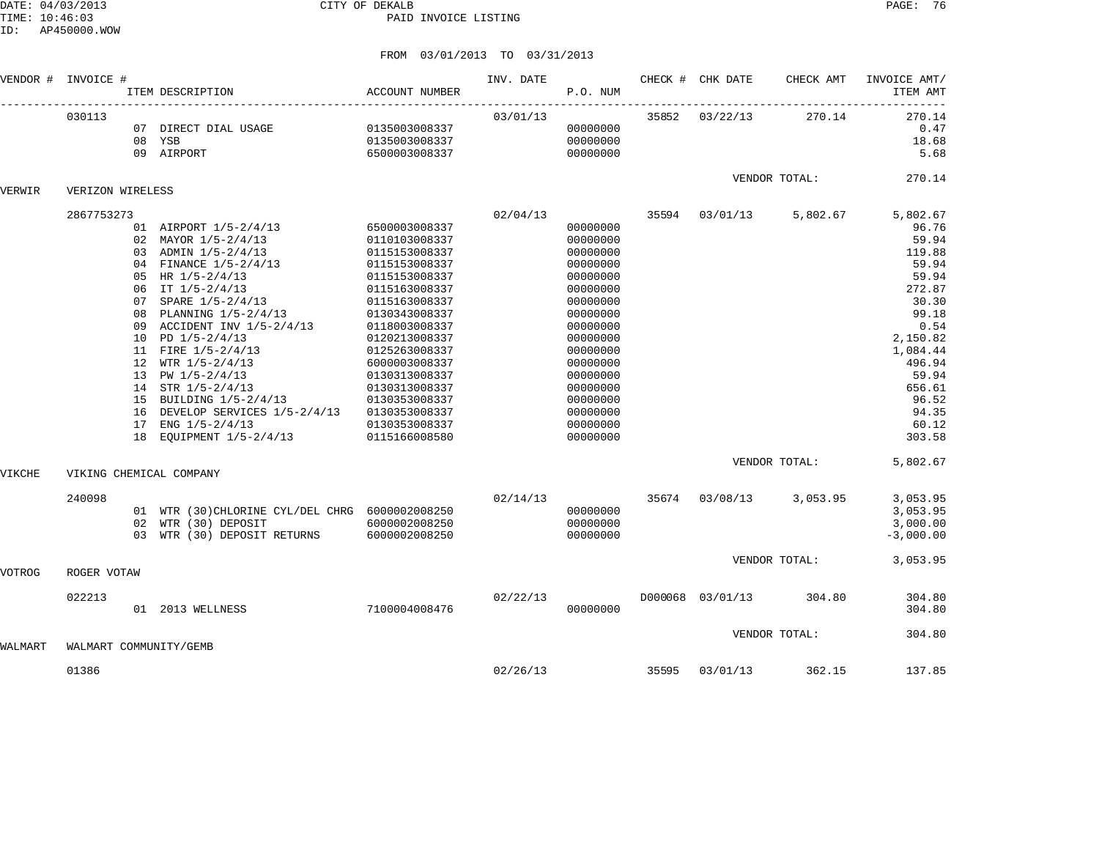|         | VENDOR # INVOICE # |                            | ITEM DESCRIPTION                                                                                                                                                                                                                                                                                                                                                                                                                                 | <b>ACCOUNT NUMBER</b>                                                                                                                                                                                                                                                                                          | INV. DATE | P.O. NUM                                                                                                                                                                                                             |       | CHECK # CHK DATE | CHECK AMT     | INVOICE AMT/<br>ITEM AMT                                                                                                                                                             |
|---------|--------------------|----------------------------|--------------------------------------------------------------------------------------------------------------------------------------------------------------------------------------------------------------------------------------------------------------------------------------------------------------------------------------------------------------------------------------------------------------------------------------------------|----------------------------------------------------------------------------------------------------------------------------------------------------------------------------------------------------------------------------------------------------------------------------------------------------------------|-----------|----------------------------------------------------------------------------------------------------------------------------------------------------------------------------------------------------------------------|-------|------------------|---------------|--------------------------------------------------------------------------------------------------------------------------------------------------------------------------------------|
|         | 030113             |                            | 07 DIRECT DIAL USAGE<br>08 YSB<br>09 AIRPORT                                                                                                                                                                                                                                                                                                                                                                                                     | 0135003008337<br>0135003008337<br>6500003008337                                                                                                                                                                                                                                                                | 03/01/13  | 00000000<br>00000000<br>00000000                                                                                                                                                                                     |       | 35852 03/22/13   | 270.14        | 270.14<br>0.47<br>18.68<br>5.68                                                                                                                                                      |
| VERWIR  | VERIZON WIRELESS   |                            |                                                                                                                                                                                                                                                                                                                                                                                                                                                  |                                                                                                                                                                                                                                                                                                                |           |                                                                                                                                                                                                                      |       |                  | VENDOR TOTAL: | 270.14                                                                                                                                                                               |
|         | 2867753273         | 08<br>09<br>15<br>17<br>18 | 01 AIRPORT 1/5-2/4/13<br>02 MAYOR 1/5-2/4/13<br>03 ADMIN 1/5-2/4/13<br>04 FINANCE 1/5-2/4/13<br>05 HR $1/5 - 2/4/13$<br>06 IT $1/5 - 2/4/13$<br>07 SPARE 1/5-2/4/13<br>PLANNING 1/5-2/4/13<br>ACCIDENT INV 1/5-2/4/13<br>10 PD $1/5 - 2/4/13$<br>11 FIRE 1/5-2/4/13<br>12 WTR $1/5 - 2/4/13$<br>13 PW $1/5 - 2/4/13$<br>14 STR 1/5-2/4/13<br>BUILDING 1/5-2/4/13<br>16 DEVELOP SERVICES 1/5-2/4/13<br>ENG $1/5 - 2/4/13$<br>EOUIPMENT 1/5-2/4/13 | 6500003008337<br>0110103008337<br>0115153008337<br>0115153008337<br>0115153008337<br>0115163008337<br>0115163008337<br>0130343008337<br>0118003008337<br>0120213008337<br>0125263008337<br>6000003008337<br>0130313008337<br>0130313008337<br>0130353008337<br>0130353008337<br>0130353008337<br>0115166008580 | 02/04/13  | 00000000<br>00000000<br>00000000<br>00000000<br>00000000<br>00000000<br>00000000<br>00000000<br>00000000<br>00000000<br>00000000<br>00000000<br>00000000<br>00000000<br>00000000<br>00000000<br>00000000<br>00000000 | 35594 | 03/01/13         | 5,802.67      | 5,802.67<br>96.76<br>59.94<br>119.88<br>59.94<br>59.94<br>272.87<br>30.30<br>99.18<br>0.54<br>2,150.82<br>1,084.44<br>496.94<br>59.94<br>656.61<br>96.52<br>94.35<br>60.12<br>303.58 |
| VIKCHE  |                    |                            | VIKING CHEMICAL COMPANY                                                                                                                                                                                                                                                                                                                                                                                                                          |                                                                                                                                                                                                                                                                                                                |           |                                                                                                                                                                                                                      |       |                  | VENDOR TOTAL: | 5,802.67                                                                                                                                                                             |
|         | 240098             | 02<br>0.3                  | 01 WTR (30) CHLORINE CYL/DEL CHRG 6000002008250<br>WTR (30) DEPOSIT<br>WTR (30) DEPOSIT RETURNS                                                                                                                                                                                                                                                                                                                                                  | 6000002008250<br>6000002008250                                                                                                                                                                                                                                                                                 | 02/14/13  | 00000000<br>00000000<br>00000000                                                                                                                                                                                     | 35674 | 03/08/13         | 3,053.95      | 3,053.95<br>3,053.95<br>3,000.00<br>$-3,000.00$                                                                                                                                      |
| VOTROG  | ROGER VOTAW        |                            |                                                                                                                                                                                                                                                                                                                                                                                                                                                  |                                                                                                                                                                                                                                                                                                                |           |                                                                                                                                                                                                                      |       |                  | VENDOR TOTAL: | 3,053.95                                                                                                                                                                             |
|         | 022213             |                            | 01 2013 WELLNESS                                                                                                                                                                                                                                                                                                                                                                                                                                 | 7100004008476                                                                                                                                                                                                                                                                                                  | 02/22/13  | 00000000                                                                                                                                                                                                             |       | D000068 03/01/13 | 304.80        | 304.80<br>304.80                                                                                                                                                                     |
| WALMART |                    |                            | WALMART COMMUNITY/GEMB                                                                                                                                                                                                                                                                                                                                                                                                                           |                                                                                                                                                                                                                                                                                                                |           |                                                                                                                                                                                                                      |       |                  | VENDOR TOTAL: | 304.80                                                                                                                                                                               |
|         | 01386              |                            |                                                                                                                                                                                                                                                                                                                                                                                                                                                  |                                                                                                                                                                                                                                                                                                                | 02/26/13  |                                                                                                                                                                                                                      | 35595 | 03/01/13         | 362.15        | 137.85                                                                                                                                                                               |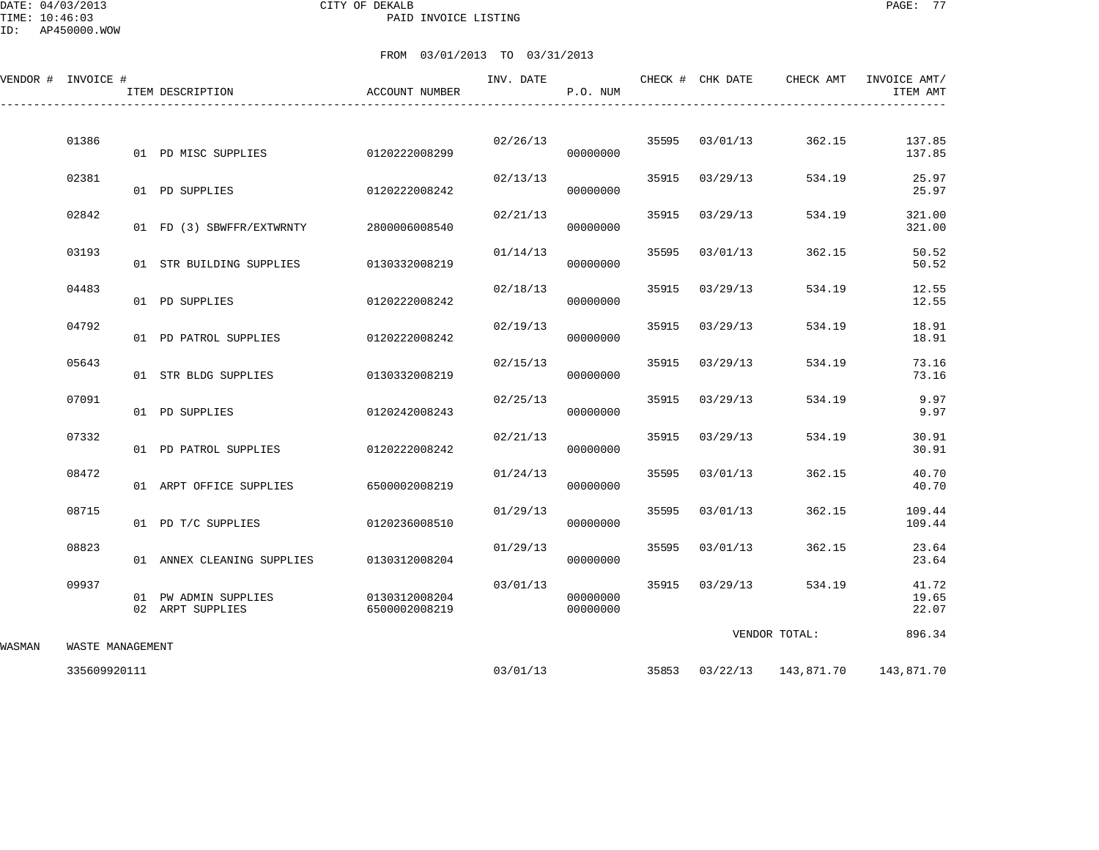## DATE: 04/03/2013 CITY OF DEKALB PAGE: 77 PAID INVOICE LISTING

ID: AP450000.WOW

|        | VENDOR # INVOICE # | ITEM DESCRIPTION                         | ACCOUNT NUMBER                 | INV. DATE | P.O. NUM             |       | CHECK # CHK DATE | CHECK AMT     | INVOICE AMT/<br>ITEM AMT             |
|--------|--------------------|------------------------------------------|--------------------------------|-----------|----------------------|-------|------------------|---------------|--------------------------------------|
|        | 01386              | 01 PD MISC SUPPLIES                      | 0120222008299                  | 02/26/13  | 00000000             |       | 35595 03/01/13   | 362.15        | 137.85<br>137.85                     |
|        | 02381              | 01 PD SUPPLIES                           | 0120222008242                  | 02/13/13  | 00000000             | 35915 | 03/29/13         | 534.19        | 25.97<br>25.97                       |
|        | 02842              | 01 FD (3) SBWFFR/EXTWRNTY                | 2800006008540                  | 02/21/13  | 00000000             | 35915 | 03/29/13         | 534.19        | 321.00<br>321.00                     |
|        | 03193              | 01 STR BUILDING SUPPLIES                 | 0130332008219                  | 01/14/13  | 00000000             | 35595 | 03/01/13         | 362.15        | 50.52<br>50.52                       |
|        | 04483              | 01 PD SUPPLIES                           | 0120222008242                  | 02/18/13  | 00000000             | 35915 | 03/29/13         | 534.19        | 12.55<br>12.55                       |
|        | 04792              | 01 PD PATROL SUPPLIES                    | 0120222008242                  | 02/19/13  | 00000000             | 35915 | 03/29/13         | 534.19        | 18.91<br>18.91                       |
|        | 05643              | 01 STR BLDG SUPPLIES                     | 0130332008219                  | 02/15/13  | 00000000             |       | 35915 03/29/13   | 534.19        | 73.16<br>73.16                       |
|        | 07091              | 01 PD SUPPLIES                           | 0120242008243                  | 02/25/13  | 00000000             | 35915 | 03/29/13         | 534.19        | 9.97<br>9.97                         |
|        | 07332              | 01 PD PATROL SUPPLIES                    | 0120222008242                  | 02/21/13  | 00000000             | 35915 | 03/29/13         | 534.19        | 30.91<br>30.91                       |
|        | 08472              | 01 ARPT OFFICE SUPPLIES                  | 6500002008219                  | 01/24/13  | 00000000             | 35595 | 03/01/13         | 362.15        | 40.70<br>40.70                       |
|        | 08715              | 01 PD T/C SUPPLIES                       | 0120236008510                  | 01/29/13  | 00000000             | 35595 | 03/01/13         | 362.15        | 109.44<br>109.44                     |
|        | 08823              | 01 ANNEX CLEANING SUPPLIES               | 0130312008204                  | 01/29/13  | 00000000             | 35595 | 03/01/13         | 362.15        | 23.64<br>23.64                       |
|        | 09937              | 01 PW ADMIN SUPPLIES<br>02 ARPT SUPPLIES | 0130312008204<br>6500002008219 | 03/01/13  | 00000000<br>00000000 |       | 35915 03/29/13   | 534.19        | 41.72<br>19.65<br>22.07              |
| WASMAN | WASTE MANAGEMENT   |                                          |                                |           |                      |       |                  | VENDOR TOTAL: | 896.34                               |
|        | 335609920111       |                                          |                                |           | 03/01/13             |       |                  |               | 35853 03/22/13 143,871.70 143,871.70 |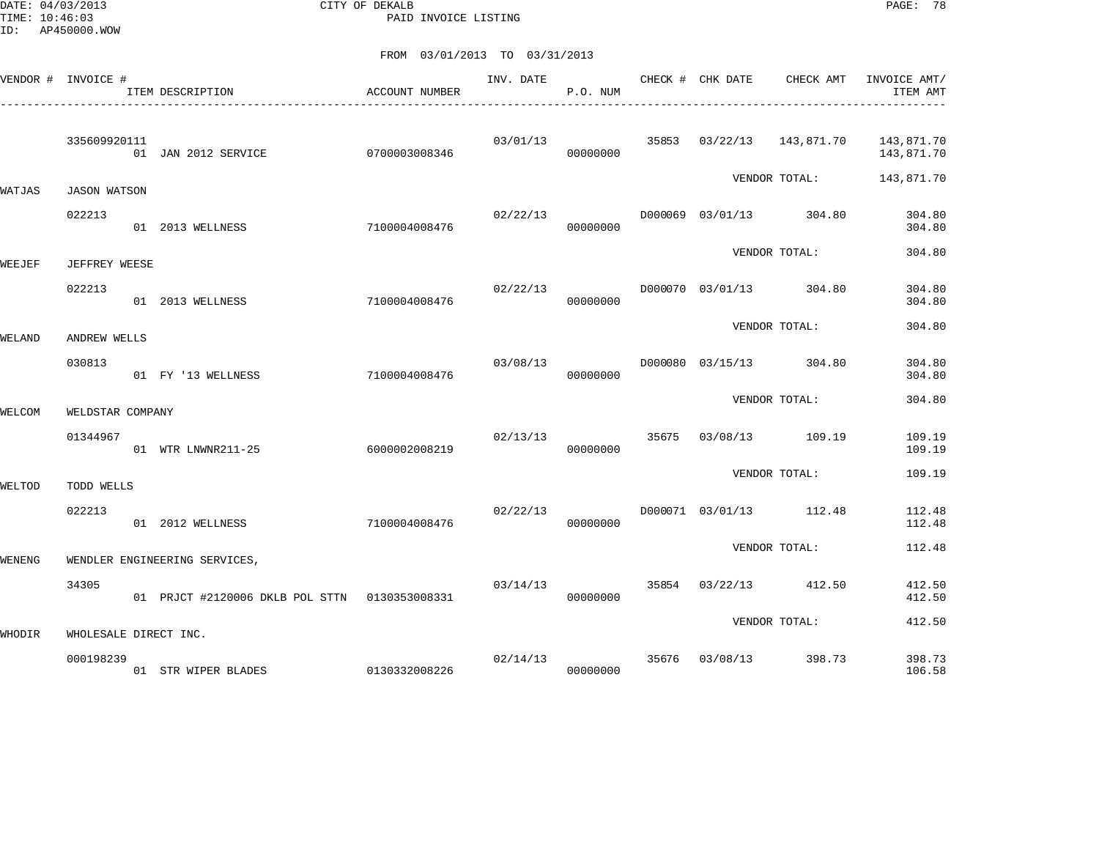DATE: 04/03/2013 CITY OF DEKALB PAGE: 78 PAID INVOICE LISTING

|        | VENDOR # INVOICE #    | ITEM DESCRIPTION                              | ACCOUNT NUMBER | INV. DATE | P.O. NUM | CHECK # CHK DATE        | CHECK AMT                 | INVOICE AMT/<br>ITEM AMT |
|--------|-----------------------|-----------------------------------------------|----------------|-----------|----------|-------------------------|---------------------------|--------------------------|
|        | 335609920111          | 01 JAN 2012 SERVICE                           | 0700003008346  | 03/01/13  | 00000000 |                         | 35853 03/22/13 143,871.70 | 143,871.70<br>143,871.70 |
| WATJAS | <b>JASON WATSON</b>   |                                               |                |           |          |                         | VENDOR TOTAL:             | 143,871.70               |
|        | 022213                | 01 2013 WELLNESS                              | 7100004008476  | 02/22/13  | 00000000 |                         | D000069 03/01/13 304.80   | 304.80<br>304.80         |
| WEEJEF | JEFFREY WEESE         |                                               |                |           |          |                         | VENDOR TOTAL:             | 304.80                   |
|        | 022213                | 01 2013 WELLNESS                              | 7100004008476  | 02/22/13  | 00000000 |                         | D000070 03/01/13 304.80   | 304.80<br>304.80         |
| WELAND | ANDREW WELLS          |                                               |                |           |          |                         | VENDOR TOTAL:             | 304.80                   |
|        | 030813                | 01 FY '13 WELLNESS                            | 7100004008476  | 03/08/13  | 00000000 |                         | D000080 03/15/13 304.80   | 304.80<br>304.80         |
| WELCOM | WELDSTAR COMPANY      |                                               |                |           |          |                         | VENDOR TOTAL:             | 304.80                   |
|        | 01344967              | 01 WTR LNWNR211-25                            | 6000002008219  | 02/13/13  | 00000000 |                         | 35675 03/08/13 109.19     | 109.19<br>109.19         |
| WELTOD | TODD WELLS            |                                               |                |           |          |                         | VENDOR TOTAL:             | 109.19                   |
|        | 022213                | 01 2012 WELLNESS                              | 7100004008476  | 02/22/13  | 00000000 |                         | D000071 03/01/13 112.48   | 112.48<br>112.48         |
| WENENG |                       | WENDLER ENGINEERING SERVICES,                 |                |           |          |                         | VENDOR TOTAL:             | 112.48                   |
|        | 34305                 | 01 PRJCT #2120006 DKLB POL STTN 0130353008331 |                | 03/14/13  | 00000000 |                         | 35854 03/22/13 412.50     | 412.50<br>412.50         |
| WHODIR | WHOLESALE DIRECT INC. |                                               |                |           |          |                         | VENDOR TOTAL:             | 412.50                   |
|        | 000198239             | 01 STR WIPER BLADES 0130332008226             |                |           | 00000000 | 02/14/13 35676 03/08/13 | 398.73                    | 398.73<br>106.58         |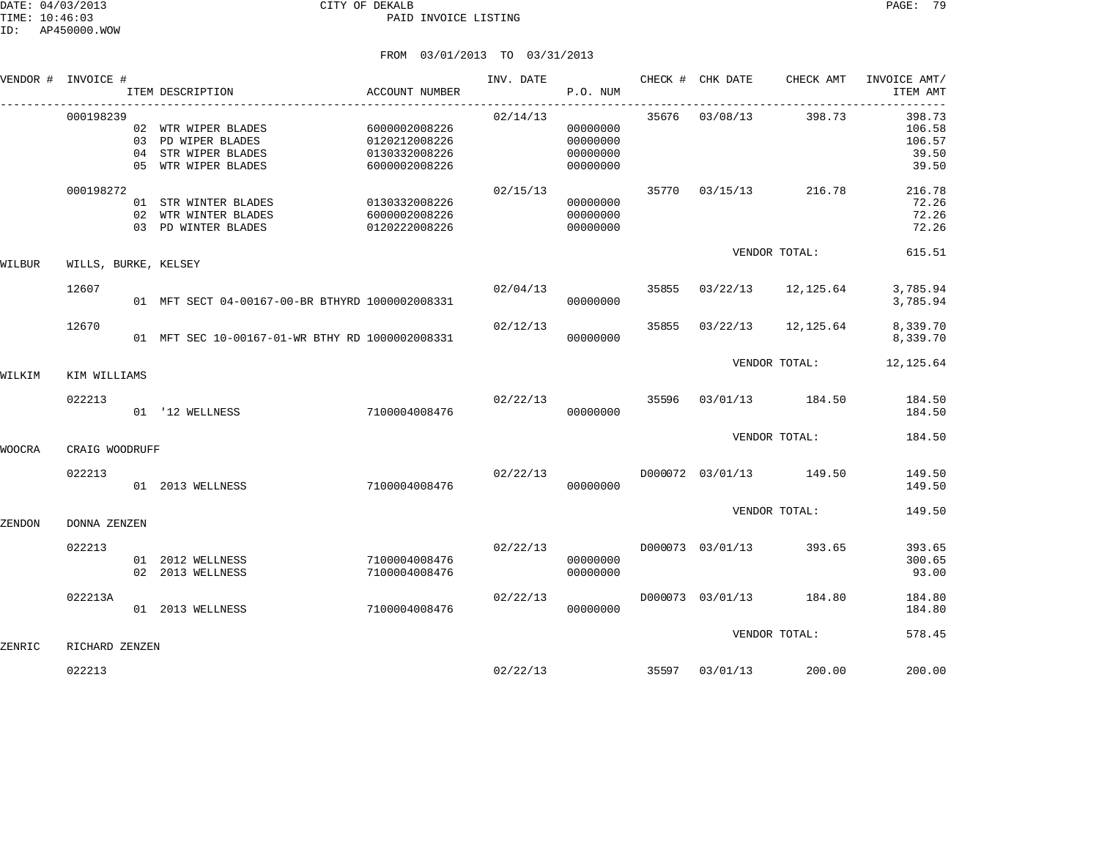|        | VENDOR # INVOICE #   |    | ITEM DESCRIPTION                                                                     | ACCOUNT NUMBER                                                   | INV. DATE | P.O. NUM                                     |       | CHECK # CHK DATE | CHECK AMT                | INVOICE AMT/<br>ITEM AMT                     |
|--------|----------------------|----|--------------------------------------------------------------------------------------|------------------------------------------------------------------|-----------|----------------------------------------------|-------|------------------|--------------------------|----------------------------------------------|
|        | 000198239            | 04 | 02 WTR WIPER BLADES<br>03 PD WIPER BLADES<br>STR WIPER BLADES<br>05 WTR WIPER BLADES | 6000002008226<br>0120212008226<br>0130332008226<br>6000002008226 | 02/14/13  | 00000000<br>00000000<br>00000000<br>00000000 |       | 35676 03/08/13   | 398.73                   | 398.73<br>106.58<br>106.57<br>39.50<br>39.50 |
|        | 000198272            |    | 01 STR WINTER BLADES<br>02 WTR WINTER BLADES<br>03 PD WINTER BLADES                  | 0130332008226<br>6000002008226<br>0120222008226                  | 02/15/13  | 00000000<br>00000000<br>00000000             |       | 35770 03/15/13   | 216.78                   | 216.78<br>72.26<br>72.26<br>72.26            |
| WILBUR | WILLS, BURKE, KELSEY |    |                                                                                      |                                                                  |           |                                              |       |                  | VENDOR TOTAL:            | 615.51                                       |
|        | 12607                |    | 01 MFT SECT 04-00167-00-BR BTHYRD 1000002008331                                      |                                                                  | 02/04/13  | 00000000                                     |       |                  | 35855 03/22/13 12,125.64 | 3,785.94<br>3,785.94                         |
|        | 12670                |    | 01 MFT SEC 10-00167-01-WR BTHY RD 1000002008331                                      |                                                                  | 02/12/13  | 00000000                                     |       |                  | 35855 03/22/13 12,125.64 | 8,339.70<br>8,339.70                         |
| WILKIM | KIM WILLIAMS         |    |                                                                                      |                                                                  |           |                                              |       | VENDOR TOTAL:    | 12, 125.64               |                                              |
|        | 022213               |    | 01 '12 WELLNESS                                                                      | 7100004008476                                                    | 02/22/13  | 00000000                                     | 35596 |                  | 03/01/13 184.50          | 184.50<br>184.50                             |
| WOOCRA | CRAIG WOODRUFF       |    |                                                                                      |                                                                  |           |                                              |       |                  | VENDOR TOTAL:            | 184.50                                       |
|        | 022213               |    | 01 2013 WELLNESS                                                                     | 7100004008476                                                    | 02/22/13  | 00000000                                     |       |                  | D000072 03/01/13 149.50  | 149.50<br>149.50                             |
| ZENDON | DONNA ZENZEN         |    |                                                                                      |                                                                  |           |                                              |       |                  | VENDOR TOTAL:            | 149.50                                       |
|        | 022213               |    | 01 2012 WELLNESS<br>02 2013 WELLNESS                                                 | 7100004008476<br>7100004008476                                   | 02/22/13  | 00000000<br>00000000                         |       | D000073 03/01/13 | 393.65                   | 393.65<br>300.65<br>93.00                    |
|        | 022213A              |    | 01 2013 WELLNESS                                                                     | 7100004008476                                                    | 02/22/13  | 00000000                                     |       |                  | D000073 03/01/13 184.80  | 184.80<br>184.80                             |
| ZENRIC | RICHARD ZENZEN       |    |                                                                                      |                                                                  |           |                                              |       |                  | VENDOR TOTAL:            | 578.45                                       |
|        | 022213               |    |                                                                                      |                                                                  |           | 02/22/13                                     | 35597 | 03/01/13         | 200.00                   | 200.00                                       |